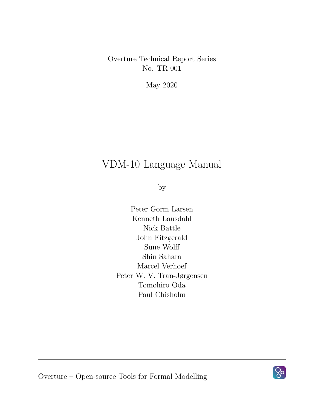Overture Technical Report Series No. TR-001

May 2020

## VDM-10 Language Manual

by

Peter Gorm Larsen Kenneth Lausdahl Nick Battle John Fitzgerald Sune Wolff Shin Sahara Marcel Verhoef Peter W. V. Tran-Jørgensen Tomohiro Oda Paul Chisholm

Overture – Open-source Tools for Formal Modelling

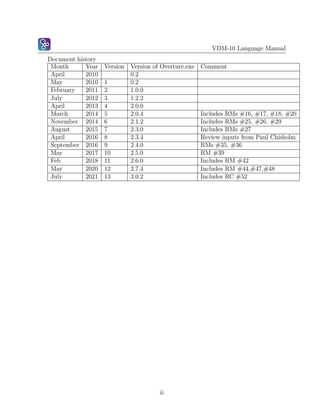

| Document history |      |                |                         |                                       |  |
|------------------|------|----------------|-------------------------|---------------------------------------|--|
| Month            | Year | Version        | Version of Overture.exe | Comment                               |  |
| April            | 2010 |                | 0.2                     |                                       |  |
| May              | 2010 | $\mathbf{1}$   | 0.2                     |                                       |  |
| February         | 2011 | $\overline{2}$ | 1.0.0                   |                                       |  |
| July             | 2012 | 3              | 1.2.2                   |                                       |  |
| April            | 2013 | $\overline{4}$ | 2.0.0                   |                                       |  |
| March            | 2014 | $\overline{5}$ | 2.0.4                   | Includes RMs $\#16, \#17, \#18, \#20$ |  |
| November         | 2014 | 6              | 2.1.2                   | Includes RMs $\#25, \#26, \#29$       |  |
| August           | 2015 | $\overline{7}$ | 2.3.0                   | Includes RMs $#27$                    |  |
| April            | 2016 | 8              | 2.3.4                   | Review inputs from Paul Chisholm      |  |
| September        | 2016 | 9              | 2.4.0                   | RMs $\#35, \#36$                      |  |
| May              | 2017 | 10             | 2.5.0                   | $RM$ #39                              |  |
| Feb              | 2018 | 11             | 2.6.0                   | Includes RM $#42$                     |  |
| May              | 2020 | 12             | 2.7.4                   | Includes RM $\#44, \#47, \#48$        |  |
| July             | 2021 | 13             | 3.0.2                   | Includes RC $#52$                     |  |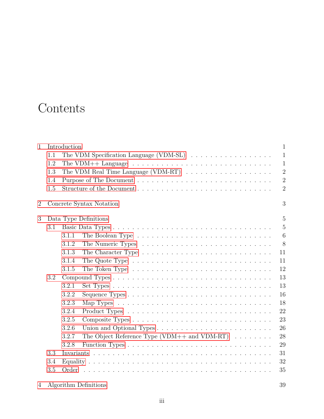# **Contents**

| $\mathbf{1}$   |     | Introduction |                                                                                                    | $\mathbf{1}$   |
|----------------|-----|--------------|----------------------------------------------------------------------------------------------------|----------------|
|                | 1.1 |              | The VDM Specification Language (VDM-SL) $\ldots \ldots \ldots \ldots \ldots$                       | $\mathbf{1}$   |
|                | 1.2 |              | The VDM++ Language $\dots \dots \dots \dots \dots \dots \dots \dots \dots \dots \dots \dots \dots$ | $\mathbf{1}$   |
|                | 1.3 |              | The VDM Real Time Language (VDM-RT) $\ldots \ldots \ldots \ldots \ldots \ldots$                    | $\overline{2}$ |
|                | 1.4 |              |                                                                                                    | $\overline{2}$ |
|                | 1.5 |              |                                                                                                    | $\overline{2}$ |
| $\overline{2}$ |     |              | Concrete Syntax Notation                                                                           | 3              |
| 3              |     |              | Data Type Definitions                                                                              | $\overline{5}$ |
|                | 3.1 |              |                                                                                                    | $\overline{5}$ |
|                |     | 3.1.1        |                                                                                                    | 6              |
|                |     | 3.1.2        |                                                                                                    | 8              |
|                |     | 3.1.3        |                                                                                                    | 11             |
|                |     | 3.1.4        | The Quote Type $\dots \dots \dots \dots \dots \dots \dots \dots \dots \dots \dots \dots$           | 11             |
|                |     | 3.1.5        | The Token Type $\dots \dots \dots \dots \dots \dots \dots \dots \dots \dots \dots \dots$           | 12             |
|                | 3.2 |              |                                                                                                    | 13             |
|                |     | 3.2.1        |                                                                                                    | 13             |
|                |     | 3.2.2        |                                                                                                    | 16             |
|                |     | 3.2.3        |                                                                                                    | 18             |
|                |     | 3.2.4        |                                                                                                    | 22             |
|                |     | 3.2.5        |                                                                                                    | 23             |
|                |     | 3.2.6        |                                                                                                    | 26             |
|                |     | 3.2.7        | The Object Reference Type (VDM++ and VDM-RT) $\dots \dots$                                         | 28             |
|                |     | 3.2.8        |                                                                                                    | 29             |
|                | 3.3 |              |                                                                                                    | 31             |
|                | 3.4 |              |                                                                                                    | 32             |
|                | 3.5 | Order        |                                                                                                    | 35             |
| $\overline{4}$ |     |              | Algorithm Definitions                                                                              | 39             |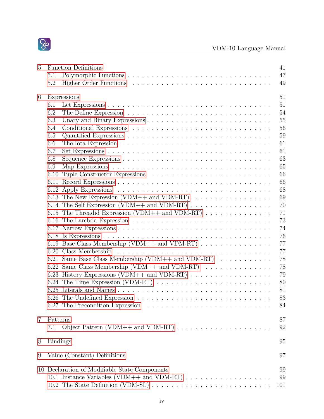

| 5  | <b>Function Definitions</b>                                                                 | 41              |
|----|---------------------------------------------------------------------------------------------|-----------------|
|    | 5.1                                                                                         | 47              |
|    | 5.2                                                                                         | 49              |
| 6  | <b>Expressions</b>                                                                          | 51              |
|    | 6.1                                                                                         | 51              |
|    | 6.2                                                                                         | 54              |
|    | 6.3                                                                                         | 55              |
|    | 6.4                                                                                         | 56              |
|    | 6.5                                                                                         | 59              |
|    | 6.6                                                                                         | 61              |
|    | 6.7                                                                                         | 61              |
|    | 6.8                                                                                         | 63              |
|    | 6.9                                                                                         | 65              |
|    | 6.10                                                                                        | 66              |
|    |                                                                                             | 66              |
|    |                                                                                             | 68              |
|    |                                                                                             | 69              |
|    | 6.14 The Self Expression (VDM++ and VDM-RT) $\ldots \ldots \ldots \ldots \ldots$            | 70              |
|    | 6.15 The Threadid Expression (VDM++ and VDM-RT) $\ldots \ldots \ldots \ldots$               | 71              |
|    |                                                                                             | 73              |
|    |                                                                                             | 74              |
|    |                                                                                             | 76              |
|    | Base Class Membership (VDM++ and VDM-RT) $\ldots \ldots \ldots \ldots \ldots$<br>6.19       | 77              |
|    | 6.20                                                                                        | 77              |
|    | 6.21 Same Base Class Membership (VDM++ and VDM-RT)                                          | 78              |
|    | 6.22 Same Class Membership (VDM++ and VDM-RT) $\ldots \ldots \ldots \ldots$                 | 78              |
|    | 6.23 History Expressions (VDM++ and VDM-RT)                                                 | 79              |
|    |                                                                                             | 80              |
|    |                                                                                             | 81              |
|    |                                                                                             | 83              |
|    |                                                                                             | 84              |
| 7  | Patterns                                                                                    | 87              |
|    | Object Pattern (VDM++ and VDM-RT) $\ldots \ldots \ldots \ldots \ldots \ldots \ldots$<br>7.1 | 92              |
| 8  | <b>Bindings</b>                                                                             | 95              |
| 9  | Value (Constant) Definitions                                                                | 97              |
| 10 | Declaration of Modifiable State Components                                                  | 99<br>99<br>101 |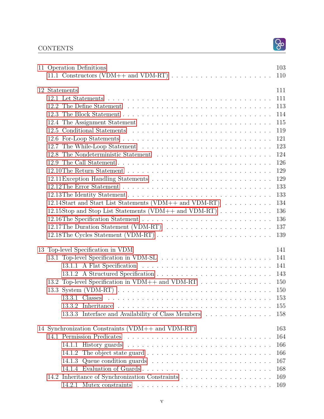#### **CONTENTS**



| 11 Operation Definitions<br>11.1 Constructors (VDM++ and VDM-RT) $\dots \dots \dots \dots \dots \dots \dots \dots$                                                                                                             | 103<br>110 |
|--------------------------------------------------------------------------------------------------------------------------------------------------------------------------------------------------------------------------------|------------|
|                                                                                                                                                                                                                                |            |
| 12 Statements                                                                                                                                                                                                                  | 111        |
|                                                                                                                                                                                                                                | 111        |
|                                                                                                                                                                                                                                | 113        |
|                                                                                                                                                                                                                                | 114        |
|                                                                                                                                                                                                                                | 115        |
|                                                                                                                                                                                                                                | 119        |
|                                                                                                                                                                                                                                | 121        |
|                                                                                                                                                                                                                                | 123        |
|                                                                                                                                                                                                                                | 124        |
|                                                                                                                                                                                                                                | 126        |
|                                                                                                                                                                                                                                | 129        |
|                                                                                                                                                                                                                                | 129        |
|                                                                                                                                                                                                                                | 133        |
|                                                                                                                                                                                                                                | 133        |
| 12.14Start and Start List Statements (VDM++ and VDM-RT)                                                                                                                                                                        | 134        |
| 12.15Stop and Stop List Statements (VDM++ and VDM-RT)                                                                                                                                                                          | 136        |
|                                                                                                                                                                                                                                | 136        |
|                                                                                                                                                                                                                                | 137        |
|                                                                                                                                                                                                                                | 139        |
| 13 Top-level Specification in VDM                                                                                                                                                                                              | 141        |
|                                                                                                                                                                                                                                | 141        |
|                                                                                                                                                                                                                                | 141        |
|                                                                                                                                                                                                                                | 143        |
| 13.2 Top-level Specification in VDM++ and VDM-RT                                                                                                                                                                               | 150        |
|                                                                                                                                                                                                                                | 150        |
| $13.3.1$ Classes<br><u>.</u>                                                                                                                                                                                                   | 153        |
| in the second contract of the second contract of the second contract of the second contract of the second contract of the second contract of the second contract of the second contract of the second contract of the second c | 155        |
| 13.3.3 Interface and Availability of Class Members                                                                                                                                                                             | 158        |
|                                                                                                                                                                                                                                |            |
| 14 Synchronization Constraints (VDM++ and VDM-RT)                                                                                                                                                                              | 163        |
|                                                                                                                                                                                                                                | 164        |
|                                                                                                                                                                                                                                | 166        |
| 14.1.2 The object state guard $\ldots \ldots \ldots \ldots \ldots \ldots \ldots \ldots \ldots$                                                                                                                                 | 166        |
|                                                                                                                                                                                                                                | 167        |
| 14.1.4 Evaluation of Guards                                                                                                                                                                                                    | 168        |
|                                                                                                                                                                                                                                | 169        |
|                                                                                                                                                                                                                                | 169        |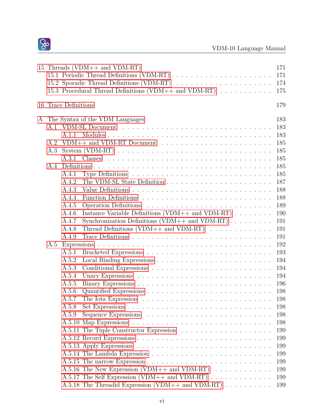

|   |     |                      | 15 Threads (VDM++ and VDM-RT)                                                                  | 171 |
|---|-----|----------------------|------------------------------------------------------------------------------------------------|-----|
|   |     |                      |                                                                                                | 171 |
|   |     |                      |                                                                                                | 174 |
|   |     |                      | 15.3 Procedural Thread Definitions (VDM++ and VDM-RT)                                          | 175 |
|   |     | 16 Trace Definitions |                                                                                                | 179 |
| A |     |                      | The Syntax of the VDM Languages                                                                | 183 |
|   |     |                      |                                                                                                | 183 |
|   |     |                      |                                                                                                | 183 |
|   | A.2 |                      |                                                                                                | 185 |
|   | A.3 |                      | System (VDM-RT) $\ldots \ldots \ldots \ldots \ldots \ldots \ldots \ldots \ldots \ldots \ldots$ | 185 |
|   |     | A.3.1                | Classes                                                                                        | 185 |
|   | A.4 |                      |                                                                                                | 185 |
|   |     | A.4.1                | Type Definitions $\ldots \ldots \ldots \ldots \ldots \ldots \ldots \ldots \ldots \ldots$       | 185 |
|   |     | A.4.2                |                                                                                                | 187 |
|   |     | A.4.3                |                                                                                                | 188 |
|   |     | A.4.4                |                                                                                                | 188 |
|   |     | A.4.5                |                                                                                                | 189 |
|   |     | A.4.6                | Instance Variable Definitions (VDM++ and VDM-RT) $\dots \dots$                                 | 190 |
|   |     | A.4.7                | Synchronization Definitions (VDM++ and VDM-RT) $\ldots \ldots \ldots$                          | 191 |
|   |     | A.4.8                | Thread Definitions (VDM++ and VDM-RT) $\dots \dots \dots \dots$                                | 191 |
|   |     | A.4.9                |                                                                                                | 191 |
|   | A.5 |                      |                                                                                                | 192 |
|   |     | A.5.1                |                                                                                                | 193 |
|   |     | A.5.2                |                                                                                                | 194 |
|   |     | A.5.3                |                                                                                                | 194 |
|   |     | A.5.4                |                                                                                                | 194 |
|   |     | A.5.5                |                                                                                                | 196 |
|   |     | A.5.6                |                                                                                                | 198 |
|   |     | A.5.7                |                                                                                                | 198 |
|   |     | A.5.8                |                                                                                                | 198 |
|   |     | A.5.9                |                                                                                                | 198 |
|   |     |                      |                                                                                                | 198 |
|   |     |                      |                                                                                                | 199 |
|   |     |                      |                                                                                                | 199 |
|   |     |                      |                                                                                                | 199 |
|   |     |                      |                                                                                                | 199 |
|   |     |                      |                                                                                                | 199 |
|   |     |                      | A.5.16 The New Expression (VDM++ and VDM-RT) $\ldots \ldots \ldots$                            | 199 |
|   |     |                      | A.5.17 The Self Expression (VDM++ and VDM-RT) $\ldots \ldots \ldots \ldots$                    | 199 |
|   |     |                      | A.5.18 The Threadid Expression (VDM++ and VDM-RT)                                              | 199 |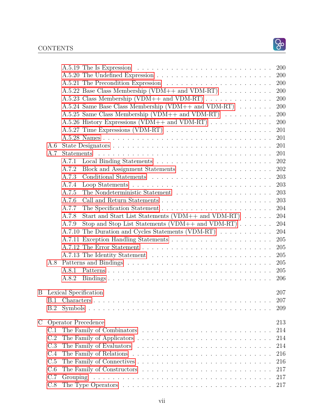

|         |     |                                                                                                     | 200 |
|---------|-----|-----------------------------------------------------------------------------------------------------|-----|
|         |     |                                                                                                     | 200 |
|         |     |                                                                                                     | 200 |
|         |     | A.5.22 Base Class Membership (VDM++ and VDM-RT) $\ldots \ldots \ldots$                              | 200 |
|         |     | A.5.23 Class Membership (VDM++ and VDM-RT) $\ldots \ldots \ldots \ldots$                            | 200 |
|         |     | A.5.24 Same Base Class Membership (VDM++ and VDM-RT)                                                | 200 |
|         |     | A.5.25 Same Class Membership (VDM++ and VDM-RT) $\ldots \ldots \ldots$                              | 200 |
|         |     | A.5.26 History Expressions (VDM++ and VDM-RT)                                                       | 200 |
|         |     |                                                                                                     | 201 |
|         |     |                                                                                                     | 201 |
|         | A.6 |                                                                                                     | 201 |
|         | A.7 | <b>Statements</b>                                                                                   | 201 |
|         |     | A.7.1                                                                                               | 202 |
|         |     | A.7.2                                                                                               | 202 |
|         |     | A.7.3                                                                                               | 203 |
|         |     | A.7.4                                                                                               | 203 |
|         |     | A.7.5                                                                                               | 203 |
|         |     | A.7.6                                                                                               | 203 |
|         |     | A.7.7                                                                                               | 204 |
|         |     | Start and Start List Statements (VDM++ and VDM-RT) $\ldots \ldots$<br>A.7.8                         | 204 |
|         |     | Stop and Stop List Statements (VDM++ and VDM-RT) $\ldots \ldots$<br>A.7.9                           | 204 |
|         |     | A.7.10 The Duration and Cycles Statements (VDM-RT)                                                  | 204 |
|         |     |                                                                                                     | 205 |
|         |     |                                                                                                     | 205 |
|         |     |                                                                                                     | 205 |
|         | A.8 |                                                                                                     | 205 |
|         |     | A.8.1                                                                                               | 205 |
|         |     | A.8.2                                                                                               | 206 |
|         |     |                                                                                                     |     |
| В       |     | Lexical Specification                                                                               | 207 |
|         |     |                                                                                                     | 207 |
|         | B.2 | <b>Symbols</b>                                                                                      | 209 |
|         |     |                                                                                                     |     |
| $\rm C$ |     | Operator Precedence                                                                                 | 213 |
|         | C.1 |                                                                                                     | 214 |
|         | C.2 | The Family of Applicators $\dots \dots \dots \dots \dots \dots \dots \dots \dots \dots \dots \dots$ | 214 |
|         | C.3 |                                                                                                     | 214 |
|         | C.4 |                                                                                                     | 216 |
|         | C.5 |                                                                                                     | 216 |
|         | C.6 |                                                                                                     | 217 |
|         | C.7 | Grouping                                                                                            | 217 |
|         | C.8 | The Type Operators $\dots \dots \dots \dots \dots \dots \dots \dots \dots \dots \dots \dots \dots$  | 217 |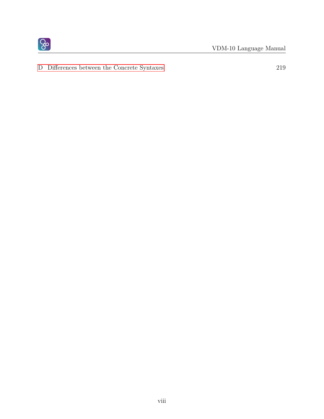

[D Differences between the Concrete Syntaxes](#page-227-0) 219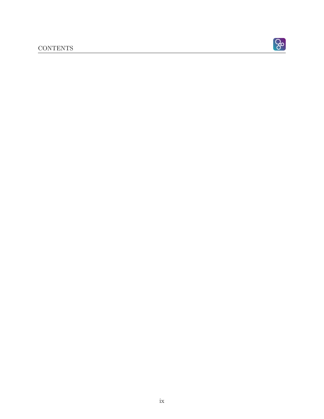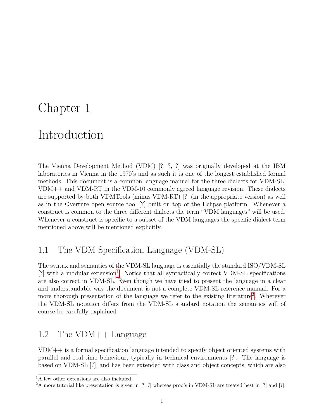# <span id="page-9-0"></span>Chapter 1

## Introduction

The Vienna Development Method (VDM) [?, ?, ?] was originally developed at the IBM laboratories in Vienna in the 1970's and as such it is one of the longest established formal methods. This document is a common language manual for the three dialects for VDM-SL, VDM++ and VDM-RT in the VDM-10 commonly agreed language revision. These dialects are supported by both VDMTools (minus VDM-RT) [?] (in the appropriate version) as well as in the Overture open source tool [?] built on top of the Eclipse platform. Whenever a construct is common to the three different dialects the term "VDM languages" will be used. Whenever a construct is specific to a subset of the VDM languages the specific dialect term mentioned above will be mentioned explicitly.

## <span id="page-9-1"></span>1.1 The VDM Specification Language (VDM-SL)

The syntax and semantics of the VDM-SL language is essentially the standard ISO/VDM-SL [?] with a modular extension<sup>[1](#page-9-3)</sup>. Notice that all syntactically correct VDM-SL specifications are also correct in VDM-SL. Even though we have tried to present the language in a clear and understandable way the document is not a complete VDM-SL reference manual. For a more thorough presentation of the language we refer to the existing literature<sup>[2](#page-9-4)</sup>. Wherever the VDM-SL notation differs from the VDM-SL standard notation the semantics will of course be carefully explained.

## <span id="page-9-2"></span>1.2 The VDM++ Language

VDM++ is a formal specification language intended to specify object oriented systems with parallel and real-time behaviour, typically in technical environments [?]. The language is based on VDM-SL [?], and has been extended with class and object concepts, which are also

<span id="page-9-3"></span><sup>&</sup>lt;sup>1</sup>A few other extensions are also included.

<span id="page-9-4"></span><sup>&</sup>lt;sup>2</sup>A more tutorial like presentation is given in [?, ?] whereas proofs in VDM-SL are treated best in [?] and [?].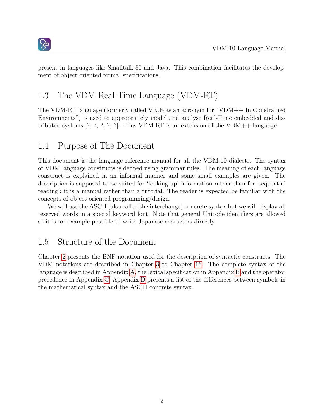

present in languages like Smalltalk-80 and Java. This combination facilitates the development of object oriented formal specifications.

## <span id="page-10-0"></span>1.3 The VDM Real Time Language (VDM-RT)

The VDM-RT language (formerly called VICE as an acronym for "VDM++ In Constrained Environments") is used to appropriately model and analyse Real-Time embedded and distributed systems [?, ?, ?, ?, ?]. Thus VDM-RT is an extension of the VDM++ language.

## <span id="page-10-1"></span>1.4 Purpose of The Document

This document is the language reference manual for all the VDM-10 dialects. The syntax of VDM language constructs is defined using grammar rules. The meaning of each language construct is explained in an informal manner and some small examples are given. The description is supposed to be suited for 'looking up' information rather than for 'sequential reading'; it is a manual rather than a tutorial. The reader is expected be familiar with the concepts of object oriented programming/design.

We will use the ASCII (also called the interchange) concrete syntax but we will display all reserved words in a special keyword font. Note that general Unicode identifiers are allowed so it is for example possible to write Japanese characters directly.

## <span id="page-10-2"></span>1.5 Structure of the Document

Chapter [2](#page-11-0) presents the BNF notation used for the description of syntactic constructs. The VDM notations are described in Chapter [3](#page-13-0) to Chapter [16.](#page-187-0) The complete syntax of the language is described in Appendix [A,](#page-191-0) the lexical specification in Appendix [B](#page-215-0) and the operator precedence in Appendix [C.](#page-221-0) Appendix [D](#page-227-0) presents a list of the differences between symbols in the mathematical syntax and the ASCII concrete syntax.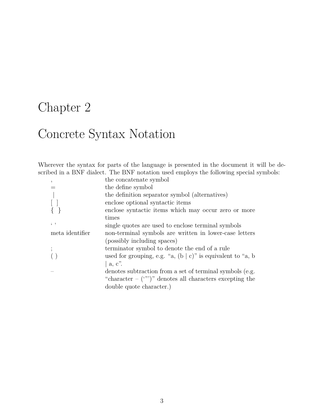# <span id="page-11-0"></span>Chapter 2

# Concrete Syntax Notation

Wherever the syntax for parts of the language is presented in the document it will be described in a BNF dialect. The BNF notation used employs the following special symbols:

| $\overline{ }$  | the concatenate symbol                                         |
|-----------------|----------------------------------------------------------------|
|                 | the define symbol                                              |
|                 | the definition separator symbol (alternatives)                 |
|                 | enclose optional syntactic items                               |
| $\{ \}$         | enclose syntactic items which may occur zero or more           |
|                 | times                                                          |
| ( )             | single quotes are used to enclose terminal symbols             |
| meta identifier | non-terminal symbols are written in lower-case letters         |
|                 | (possibly including spaces)                                    |
|                 | terminator symbol to denote the end of a rule                  |
|                 | used for grouping, e.g. "a, $(b   c)$ " is equivalent to "a, b |
|                 | $a, c$ ".                                                      |
|                 | denotes subtraction from a set of terminal symbols (e.g.       |
|                 | "character $-$ ("")" denotes all characters excepting the      |
|                 | double quote character.)                                       |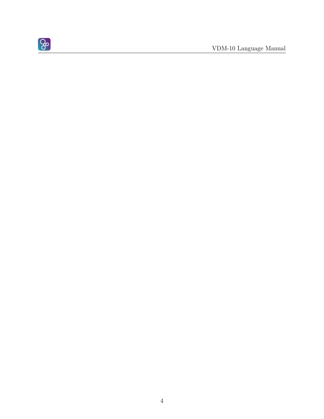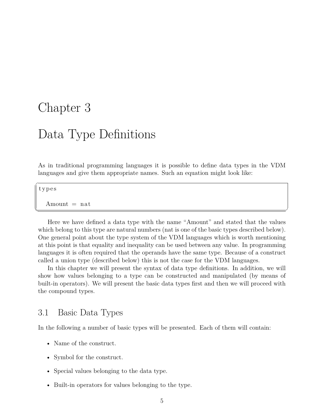# <span id="page-13-0"></span>Chapter 3

# Data Type Definitions

As in traditional programming languages it is possible to define data types in the VDM languages and give them appropriate names. Such an equation might look like:

t y p e s

 $\overline{a}$ 

Amount  $=$  nat

Here we have defined a data type with the name "Amount" and stated that the values which belong to this type are natural numbers (nat is one of the basic types described below). One general point about the type system of the VDM languages which is worth mentioning at this point is that equality and inequality can be used between any value. In programming languages it is often required that the operands have the same type. Because of a construct called a union type (described below) this is not the case for the VDM languages.

 $\overline{\phantom{a}}$   $\overline{\phantom{a}}$   $\overline{\phantom{a}}$   $\overline{\phantom{a}}$   $\overline{\phantom{a}}$   $\overline{\phantom{a}}$   $\overline{\phantom{a}}$   $\overline{\phantom{a}}$   $\overline{\phantom{a}}$   $\overline{\phantom{a}}$   $\overline{\phantom{a}}$   $\overline{\phantom{a}}$   $\overline{\phantom{a}}$   $\overline{\phantom{a}}$   $\overline{\phantom{a}}$   $\overline{\phantom{a}}$   $\overline{\phantom{a}}$   $\overline{\phantom{a}}$   $\overline{\$ 

In this chapter we will present the syntax of data type definitions. In addition, we will show how values belonging to a type can be constructed and manipulated (by means of built-in operators). We will present the basic data types first and then we will proceed with the compound types.

#### <span id="page-13-1"></span>3.1 Basic Data Types

In the following a number of basic types will be presented. Each of them will contain:

- Name of the construct.
- Symbol for the construct.
- Special values belonging to the data type.
- Built-in operators for values belonging to the type.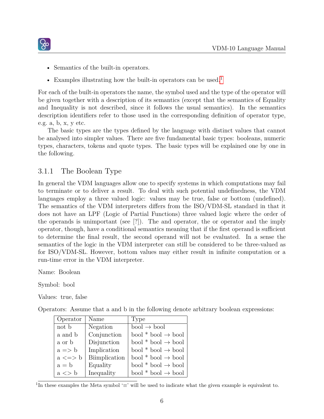

- Semantics of the built-in operators.
- Examples illustrating how the built-in operators can be used.<sup>[1](#page-14-1)</sup>

For each of the built-in operators the name, the symbol used and the type of the operator will be given together with a description of its semantics (except that the semantics of Equality and Inequality is not described, since it follows the usual semantics). In the semantics description identifiers refer to those used in the corresponding definition of operator type, e.g. a, b, x, y etc.

The basic types are the types defined by the language with distinct values that cannot be analysed into simpler values. There are five fundamental basic types: booleans, numeric types, characters, tokens and quote types. The basic types will be explained one by one in the following.

#### <span id="page-14-0"></span>3.1.1 The Boolean Type

In general the VDM languages allow one to specify systems in which computations may fail to terminate or to deliver a result. To deal with such potential undefinedness, the VDM languages employ a three valued logic: values may be true, false or bottom (undefined). The semantics of the VDM interpreters differs from the ISO/VDM-SL standard in that it does not have an LPF (Logic of Partial Functions) three valued logic where the order of the operands is unimportant (see [?]). The and operator, the or operator and the imply operator, though, have a conditional semantics meaning that if the first operand is sufficient to determine the final result, the second operand will not be evaluated. In a sense the semantics of the logic in the VDM interpreter can still be considered to be three-valued as for ISO/VDM-SL. However, bottom values may either result in infinite computation or a run-time error in the VDM interpreter.

Name: Boolean

Symbol: bool

Values: true, false

| Operator              | Name          | Type                             |
|-----------------------|---------------|----------------------------------|
| not b                 | Negation      | $bool \rightarrow bool$          |
| a and b               | Conjunction   | bool $*$ bool $\rightarrow$ bool |
| a or b                | Disjunction   | bool $*$ bool $\rightarrow$ bool |
| $a \Rightarrow b$     | Implication   | bool $*$ bool $\rightarrow$ bool |
| $\rm{a}$ <=> $\rm{b}$ | Biimplication | bool $*$ bool $\rightarrow$ bool |
| $a = b$               | Equality      | bool $*$ bool $\rightarrow$ bool |
| $a \ll b$             | Inequality    | bool $*$ bool $\rightarrow$ bool |
|                       |               |                                  |

Operators: Assume that a and b in the following denote arbitrary boolean expressions:

<span id="page-14-1"></span><sup>&</sup>lt;sup>1</sup>In these examples the Meta symbol ' $\equiv$ ' will be used to indicate what the given example is equivalent to.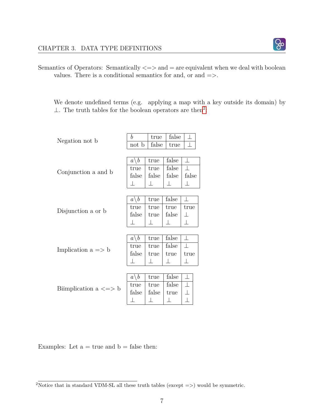

Semantics of Operators: Semantically  $\leq$  > and = are equivalent when we deal with boolean values. There is a conditional semantics for and, or and  $\Rightarrow$ .

We denote undefined terms (e.g. applying a map with a key outside its domain) by ⊥. The truth tables for the boolean operators are then<sup>[2](#page-15-0)</sup>:

| Negation not b                | b                | true         | false        |              |
|-------------------------------|------------------|--------------|--------------|--------------|
|                               | not b            | false        | true         |              |
|                               |                  |              |              |              |
|                               | $a \backslash b$ | true         | false        |              |
| Conjunction a and b           | true             | true         | false        |              |
|                               | false            | false        | false        | false        |
|                               |                  |              | $\mathbf{I}$ |              |
|                               |                  |              |              |              |
|                               | $a \backslash b$ | true         | false        |              |
| Disjunction a or b            | true             | true         | true         | true         |
|                               | false            | true         | false        |              |
|                               |                  |              |              |              |
|                               |                  | $\mathbf{I}$ | $\perp$      |              |
|                               |                  |              |              |              |
|                               | $a \backslash b$ | true         | false        | $\perp$      |
|                               | true             | true         | false        | $\mathbf{L}$ |
| Implication $a \Rightarrow b$ | false            | true         | true         | true         |
|                               |                  | ⊥            | $\perp$      | $\perp$      |
|                               |                  |              |              |              |
|                               | $a \backslash b$ | true         | false        |              |
|                               | true             | true         | false        |              |
| Biimplication $a \leq b$      | false            | false        | true         |              |
|                               |                  |              |              |              |

Examples: Let  $a = true$  and  $b = false$  then:

<span id="page-15-0"></span><sup>&</sup>lt;sup>2</sup>Notice that in standard VDM-SL all these truth tables (except  $\Rightarrow$ ) would be symmetric.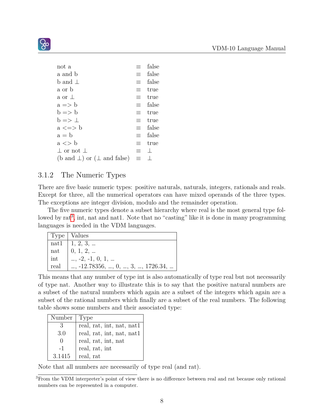

| not a                                                          | ≡        | false   |
|----------------------------------------------------------------|----------|---------|
| a and b                                                        | ≡        | false   |
| $\mathbf b$ and $\perp$                                        | ≡        | false   |
| a or b                                                         | ≡        | true    |
| a or $\perp$                                                   | ≡        | true    |
| $a \Rightarrow b$                                              | Ξ        | false   |
| $b \Rightarrow b$                                              | ≡        | true    |
| $b \Rightarrow \perp$                                          | ≡        | true    |
| $a \leq b$                                                     | $\equiv$ | false   |
| $a = b$                                                        | ≡        | false   |
| $a \ll b$                                                      | ≡        | true    |
| $\perp$ or not $\perp$                                         | ≡        | $\perp$ |
| $(b \text{ and } \perp) \text{ or } (\perp \text{ and false})$ |          |         |
|                                                                |          |         |

#### <span id="page-16-0"></span>3.1.2 The Numeric Types

There are five basic numeric types: positive naturals, naturals, integers, rationals and reals. Except for three, all the numerical operators can have mixed operands of the three types. The exceptions are integer division, modulo and the remainder operation.

The five numeric types denote a subset hierarchy where real is the most general type followed by  $rat^3$  $rat^3$ , int, nat and nat1. Note that no "casting" like it is done in many programming languages is needed in the VDM languages.

|      | Type   Values                                                    |
|------|------------------------------------------------------------------|
|      | natl   1, 2, 3,                                                  |
|      | nat $\begin{array}{ c c c } \hline 0, 1, 2,  \hline \end{array}$ |
| int  | $\vert$ , -2, -1, 0, 1,                                          |
| real | , $-12.78356$ , , 0, , 3, , 1726.34,                             |

This means that any number of type int is also automatically of type real but not necessarily of type nat. Another way to illustrate this is to say that the positive natural numbers are a subset of the natural numbers which again are a subset of the integers which again are a subset of the rational numbers which finally are a subset of the real numbers. The following table shows some numbers and their associated type:

| Number   Type |                                        |
|---------------|----------------------------------------|
| 3             | real, rat, int, nat, nat1              |
| 3.0           | real, rat, int, nat<br>, nat<br>1 $\,$ |
| 0             | real, rat, int, nat                    |
| -1            | real, rat, int                         |
| 3.1415        | real, rat                              |

Note that all numbers are necessarily of type real (and rat).

<span id="page-16-1"></span><sup>&</sup>lt;sup>3</sup>From the VDM interpreter's point of view there is no difference between real and rat because only rational numbers can be represented in a computer.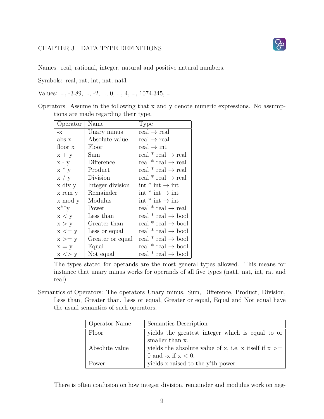$[$ % $]$ 

Names: real, rational, integer, natural and positive natural numbers.

Symbols: real, rat, int, nat, nat1

Values: …, -3.89, …, -2, …, 0, …, 4, …, 1074.345, …

Operators: Assume in the following that x and y denote numeric expressions. No assumptions are made regarding their type.

| Operator  | Name             | Type                                             |
|-----------|------------------|--------------------------------------------------|
| $-X$      | Unary minus      | $real \rightarrow real$                          |
| abs x     | Absolute value   | real $\rightarrow$ real                          |
| floor x   | Floor            | real $\rightarrow$ int                           |
| $x + y$   | Sum              | real $*$ real $\rightarrow$ real                 |
| $X - Y$   | Difference       | real $*$ real $\rightarrow$ real                 |
| $x * y$   | Product          | real $*$ real $\rightarrow$ real                 |
| x / y     | Division         | real $*$ real $\rightarrow$ real                 |
| x div y   | Integer division | $\text{int}^* \text{int} \rightarrow \text{int}$ |
| x rem y   | Remainder        | $\text{int}^* \text{int} \rightarrow \text{int}$ |
| x mod y   | Modulus          | $\text{int}^* \text{int} \rightarrow \text{int}$ |
| $x^{**}y$ | Power            | real $*$ real $\rightarrow$ real                 |
| x < y     | Less than        | real $*$ real $\rightarrow$ bool                 |
| x > y     | Greater than     | real $*$ real $\rightarrow$ bool                 |
| $x \le y$ | Less or equal    | real $*$ real $\rightarrow$ bool                 |
| $x >= y$  | Greater or equal | real $*$ real $\rightarrow$ bool                 |
| $x = y$   | Equal            | real $*$ real $\rightarrow$ bool                 |
| $x \ll y$ | Not equal        | real $*$ real $\rightarrow$ bool                 |

The types stated for operands are the most general types allowed. This means for instance that unary minus works for operands of all five types (nat1, nat, int, rat and real).

Semantics of Operators: The operators Unary minus, Sum, Difference, Product, Division, Less than, Greater than, Less or equal, Greater or equal, Equal and Not equal have the usual semantics of such operators.

| Operator Name  | Semantics Description                                                                |
|----------------|--------------------------------------------------------------------------------------|
| Floor          | yields the greatest integer which is equal to or<br>smaller than x.                  |
| Absolute value | yields the absolute value of x, i.e. x itself if $x \geq 0$<br>0 and -x if $x < 0$ . |
| Power          | yields x raised to the y'th power.                                                   |

There is often confusion on how integer division, remainder and modulus work on neg-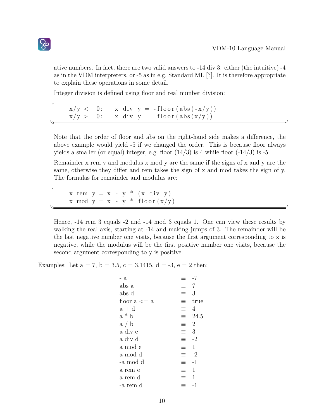ative numbers. In fact, there are two valid answers to -14 div 3: either (the intuitive) -4 as in the VDM interpreters, or -5 as in e.g. Standard ML [?]. It is therefore appropriate to explain these operations in some detail.

Integer division is defined using floor and real number division:

```
x/y < 0: x div y = -floor (abs (-x/y))
x/y \ge 0: x div y = floor (abs (x/y))
```
Note that the order of floor and abs on the right-hand side makes a difference, the above example would yield -5 if we changed the order. This is because floor always yields a smaller (or equal) integer, e.g. floor  $(14/3)$  is 4 while floor  $(-14/3)$  is -5.

 $\overline{\phantom{a}}$   $\overline{\phantom{a}}$   $\overline{\phantom{a}}$   $\overline{\phantom{a}}$   $\overline{\phantom{a}}$   $\overline{\phantom{a}}$   $\overline{\phantom{a}}$   $\overline{\phantom{a}}$   $\overline{\phantom{a}}$   $\overline{\phantom{a}}$   $\overline{\phantom{a}}$   $\overline{\phantom{a}}$   $\overline{\phantom{a}}$   $\overline{\phantom{a}}$   $\overline{\phantom{a}}$   $\overline{\phantom{a}}$   $\overline{\phantom{a}}$   $\overline{\phantom{a}}$   $\overline{\$ 

Remainder x rem y and modulus x mod y are the same if the signs of x and y are the same, otherwise they differ and rem takes the sign of x and mod takes the sign of y. The formulas for remainder and modulus are:

```
x rem y = x - y * (x \div y)x mod y = x - y * floor (x/y)
```
 $\overline{a}$ 

 $[8]$ 

 $\overline{a}$ 

Hence, -14 rem 3 equals -2 and -14 mod 3 equals 1. One can view these results by walking the real axis, starting at -14 and making jumps of 3. The remainder will be the last negative number one visits, because the first argument corresponding to x is negative, while the modulus will be the first positive number one visits, because the second argument corresponding to y is positive.

 $\overline{\phantom{a}}$   $\overline{\phantom{a}}$   $\overline{\phantom{a}}$   $\overline{\phantom{a}}$   $\overline{\phantom{a}}$   $\overline{\phantom{a}}$   $\overline{\phantom{a}}$   $\overline{\phantom{a}}$   $\overline{\phantom{a}}$   $\overline{\phantom{a}}$   $\overline{\phantom{a}}$   $\overline{\phantom{a}}$   $\overline{\phantom{a}}$   $\overline{\phantom{a}}$   $\overline{\phantom{a}}$   $\overline{\phantom{a}}$   $\overline{\phantom{a}}$   $\overline{\phantom{a}}$   $\overline{\$ 

Examples: Let  $a = 7$ ,  $b = 3.5$ ,  $c = 3.1415$ ,  $d = -3$ ,  $e = 2$  then:

| - a              |                   | -7             |
|------------------|-------------------|----------------|
| abs a            | $\equiv$ 7        |                |
| abs d            | ≡                 | 3              |
| floor $a \leq a$ | ≡                 | true           |
| $a + d$          | ≡                 | 4              |
| $a * b$          |                   | $\equiv$ 24.5  |
| a/b              | $\equiv$ $\equiv$ | $\overline{2}$ |
| a div e          | ≡                 | - 3            |
| a div d          | ≡                 | $-2$           |
| a mod e          | ≡                 | 1              |
| a mod d          | ≡                 | $-2$           |
| -a mod d         | ≡                 | $-1$           |
| a rem e          | ≡                 | 1              |
| a rem d          | $=$               | 1              |
| -a rem d         |                   | -1             |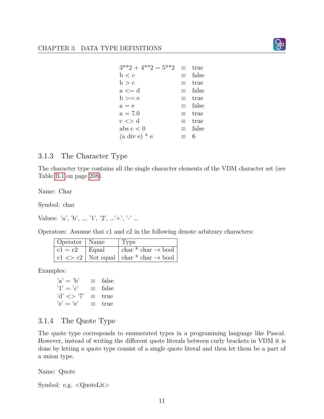

| $3^{**}2 + 4^{**}2 = 5^{**}2$ |            | $\equiv$ true  |
|-------------------------------|------------|----------------|
| b < c                         | $\equiv$ . | false          |
| h > c                         | $\equiv$   | true           |
| $a \leq d$                    |            | $\equiv$ false |
| $b \geqslant = e$             |            | $\equiv$ true  |
| $a = e$                       |            | $\equiv$ false |
| $a = 7.0$                     |            | $\equiv$ true  |
| $c \ll d$                     | $\equiv$   | true           |
| abs $c < 0$                   | $\equiv$   | false          |
| $(a\ div e)*e$                |            | 6              |

#### <span id="page-19-0"></span>3.1.3 The Character Type

The character type contains all the single character elements of the VDM character set (see Table [B.1](#page-216-0) on page [208\)](#page-216-0).

Name: Char

Symbol: char

Values: 'a', 'b', …, '1', '2', …'+', '-' …

Operators: Assume that c1 and c2 in the following denote arbitrary characters:

| Operator   Name    | Type                                                             |
|--------------------|------------------------------------------------------------------|
| $ c1 = c2$   Equal | $\vert \text{ char} * \text{char} \rightarrow \text{bool} \vert$ |
|                    | $ c1 \ll c2 $ Not equal $ char * char \rightarrow bool $         |

Examples:

 $a' = b'$   $\equiv$  false  $'1' = 'c'$   $\equiv$  false 'd' <> '7' ≡ true  $'e' = 'e'$   $\equiv$  true

#### <span id="page-19-1"></span>3.1.4 The Quote Type

The quote type corresponds to enumerated types in a programming language like Pascal. However, instead of writing the different quote literals between curly brackets in VDM it is done by letting a quote type consist of a single quote literal and then let them be a part of a union type.

Name: Quote

Symbol: e.g. <QuoteLit>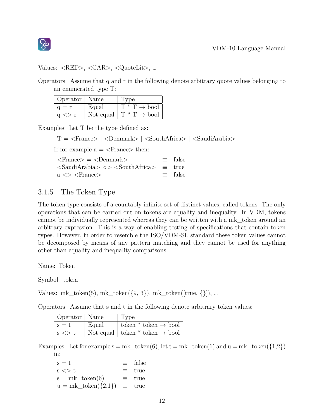

Values: <RED>, <CAR>, <QuoteLit>, …

Operators: Assume that q and r in the following denote arbitrary quote values belonging to an enumerated type T:

| Operator   Name |           | 'Type                             |
|-----------------|-----------|-----------------------------------|
| $q = r$         | Equal     | $\overline{T^*T} \to \text{bool}$ |
| $q \leq r$      | Not equal | $T^*T \rightarrow \text{bool}$    |

Examples: Let T be the type defined as:

T = <France> | <Denmark> | <SouthAfrica> | <SaudiArabia>

If for example  $a = \langle$ France $\rangle$  then:

| $\langle$ France $\rangle$ = $\langle$ Denmark $\rangle$                      | $\equiv$ false |
|-------------------------------------------------------------------------------|----------------|
| $\langle$ SaudiArabia> $\langle \rangle$ $\langle$ SouthAfrica> $\equiv$ true |                |
| a <> <france></france>                                                        | $\equiv$ false |

#### <span id="page-20-0"></span>3.1.5 The Token Type

The token type consists of a countably infinite set of distinct values, called tokens. The only operations that can be carried out on tokens are equality and inequality. In VDM, tokens cannot be individually represented whereas they can be written with a mk\_token around an arbitrary expression. This is a way of enabling testing of specifications that contain token types. However, in order to resemble the ISO/VDM-SL standard these token values cannot be decomposed by means of any pattern matching and they cannot be used for anything other than equality and inequality comparisons.

Name: Token

Symbol: token

Values:  $mk\_token(5)$ ,  $mk\_token({9, 3})$ ,  $mk\_token([true, \{\})$ , ...

Operators: Assume that s and t in the following denote arbitrary token values:

| Operator   Name |       | Type                                                                          |
|-----------------|-------|-------------------------------------------------------------------------------|
| $s = t$         | Equal | $\vert$ token $*$ token $\rightarrow$ bool                                    |
| $s \leq t$      |       | Not equal $\vert \text{ token} * \text{ token} \rightarrow \text{bool} \vert$ |

Examples: Let for example  $s = mk\_token(6)$ , let  $t = mk\_token(1)$  and  $u = mk\_token({1,2})$ in:

 $s = t$   $\equiv$  false  $s \leq t$   $\equiv$  true  $s = mk \ttoken(6) \equiv true$  $u = mk\_token({2,1}) \equiv true$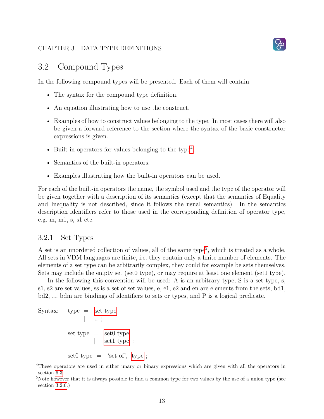

### <span id="page-21-0"></span>3.2 Compound Types

In the following compound types will be presented. Each of them will contain:

- The syntax for the compound type definition.
- An equation illustrating how to use the construct.
- Examples of how to construct values belonging to the type. In most cases there will also be given a forward reference to the section where the syntax of the basic constructor expressions is given.
- Built-in operators for values belonging to the type<sup>[4](#page-21-2)</sup>.
- Semantics of the built-in operators.
- Examples illustrating how the built-in operators can be used.

For each of the built-in operators the name, the symbol used and the type of the operator will be given together with a description of its semantics (except that the semantics of Equality and Inequality is not described, since it follows the usual semantics). In the semantics description identifiers refer to those used in the corresponding definition of operator type, e.g. m, m1, s, s1 etc.

#### <span id="page-21-1"></span>3.2.1 Set Types

A set is an unordered collection of values, all of the same type<sup>[5](#page-21-3)</sup>, which is treated as a whole. All sets in VDM languages are finite, i.e. they contain only a finite number of elements. The elements of a set type can be arbitrarily complex, they could for example be sets themselves. Sets may include the empty set (set0 type), or may require at least one element (set1 type).

In the following this convention will be used: A is an arbitrary type, S is a set type, s, s1, s2 are set values, ss is a set of set values, e, e1, e2 and en are elements from the sets, bd1, bd2, …, bdm are bindings of identifiers to sets or types, and P is a logical predicate.

```
Syntax: type = set type
             | … ;
         set type = set0 type| set1 type ;
         set0 type = 'set of', type;
```
<span id="page-21-2"></span><sup>&</sup>lt;sup>4</sup>These operators are used in either unary or binary expressions which are given with all the operators in section [6.3.](#page-63-0)

<span id="page-21-3"></span><sup>&</sup>lt;sup>5</sup>Note however that it is always possible to find a common type for two values by the use of a union type (see section [3.2.6.](#page-34-0))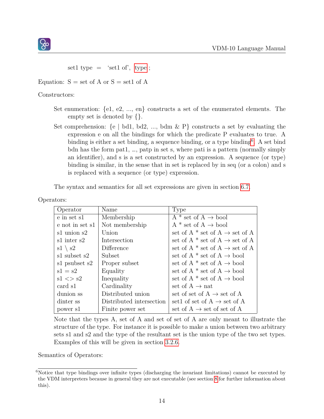

set1 [type](#page-194-1)  $=$  'set1 of', type;

Equation:  $S = set of A or S = set1 of A$ 

Constructors:

- Set enumeration:  $\{e1, e2, ..., en\}$  constructs a set of the enumerated elements. The empty set is denoted by  $\{\}.$
- Set comprehension:  $\{e \mid bd1, bd2, ..., bdm \& P\}$  constructs a set by evaluating the expression e on all the bindings for which the predicate P evaluates to true. A binding is either a set binding, a sequence binding, or a type binding<sup>[6](#page-22-0)</sup>. A set bind bdn has the form pat1, …, patp in set s, where pati is a pattern (normally simply an identifier), and s is a set constructed by an expression. A sequence (or type) binding is similar, in the sense that in set is replaced by in seq (or a colon) and s is replaced with a sequence (or type) expression.

The syntax and semantics for all set expressions are given in section [6.7.](#page-69-1)

Operators:

| Operator          | Name                     | Type                                         |
|-------------------|--------------------------|----------------------------------------------|
| e in set s1       | Membership               | A $*$ set of A $\rightarrow$ bool            |
| e not in set s1   | Not membership           | A $*$ set of A $\rightarrow$ bool            |
| s1 union s2       | Union                    | set of A $*$ set of A $\rightarrow$ set of A |
| s1 inter s2       | Intersection             | set of A $*$ set of A $\rightarrow$ set of A |
| $s1 \setminus s2$ | Difference               | set of A $*$ set of A $\rightarrow$ set of A |
| s1 subset s2      | Subset                   | set of A $*$ set of A $\rightarrow$ bool     |
| s1 psubset s2     | Proper subset            | set of A $*$ set of A $\rightarrow$ bool     |
| $s1 = s2$         | Equality                 | set of A $*$ set of A $\rightarrow$ bool     |
| $s1 \ll s2$       | Inequality               | set of A $*$ set of A $\rightarrow$ bool     |
| card s1           | Cardinality              | set of $A \rightarrow nat$                   |
| dunion ss         | Distributed union        | set of set of $A \rightarrow$ set of A       |
| dinter ss         | Distributed intersection | set1 of set of A $\rightarrow$ set of A      |
| power sl          | Finite power set         | set of $A \rightarrow$ set of set of A       |

Note that the types A, set of A and set of set of A are only meant to illustrate the structure of the type. For instance it is possible to make a union between two arbitrary sets s1 and s2 and the type of the resultant set is the union type of the two set types. Examples of this will be given in section [3.2.6.](#page-34-0)

Semantics of Operators:

<span id="page-22-0"></span> $6$ Notice that type bindings over infinite types (discharging the invariant limitations) cannot be executed by the VDM interpreters because in general they are not executable (see section [8](#page-103-0) for further information about this).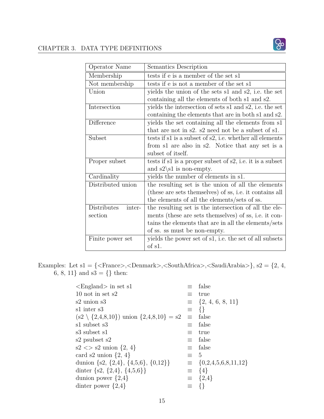

| Operator Name                                                              | Semantics Description                                    |  |
|----------------------------------------------------------------------------|----------------------------------------------------------|--|
| Membership                                                                 | tests if e is a member of the set s1                     |  |
| Not membership                                                             | tests if e is not a member of the set s1                 |  |
| Union                                                                      | yields the union of the sets s1 and s2, i.e. the set     |  |
|                                                                            | containing all the elements of both s1 and s2.           |  |
| Intersection                                                               | yields the intersection of sets s1 and s2, i.e. the set  |  |
|                                                                            | containing the elements that are in both s1 and s2.      |  |
| Difference                                                                 | yields the set containing all the elements from s1       |  |
|                                                                            | that are not in s2. s2 need not be a subset of s1.       |  |
| Subset                                                                     | tests if s1 is a subset of s2, i.e. whether all elements |  |
|                                                                            | from s1 are also in s2. Notice that any set is a         |  |
|                                                                            | subset of itself.                                        |  |
| tests if s1 is a proper subset of s2, i.e. it is a subset<br>Proper subset |                                                          |  |
|                                                                            | and $s2\$ I is non-empty.                                |  |
| Cardinality                                                                | yields the number of elements in s1.                     |  |
| Distributed union                                                          | the resulting set is the union of all the elements       |  |
|                                                                            | (these are sets themselves) of ss, i.e. it contains all  |  |
|                                                                            | the elements of all the elements/sets of ss.             |  |
| Distributes<br>inter-                                                      | the resulting set is the intersection of all the ele-    |  |
| section                                                                    | ments (these are sets themselves) of ss, i.e. it con-    |  |
|                                                                            | tains the elements that are in all the elements/sets     |  |
|                                                                            | of ss. ss must be non-empty.                             |  |
| Finite power set                                                           | yields the power set of s1, i.e. the set of all subsets  |  |
|                                                                            | of s1.                                                   |  |

Examples: Let  $s1 = \{\langle \text{France}\rangle, \langle \text{Denmark}\rangle, \langle \text{South Africa}\rangle, \langle \text{SaudiArabia}\rangle\}, s2 = \{2, 4,$ 6, 8, 11} and  $s3 = \{\}\$  then:

| $\le$ England $>$ in set s1                             |            | false                          |
|---------------------------------------------------------|------------|--------------------------------|
| 10 not in set $s2$                                      |            | true                           |
| s2 union s3                                             |            | $\equiv \{2, 4, 6, 8, 11\}$    |
| s1 inter s3                                             | $\equiv$   | $\{\}$                         |
| $(s2 \setminus \{2,4,8,10\})$ union $\{2,4,8,10\} = s2$ | $\equiv$   | false                          |
| s1 subset s3                                            | $\equiv$   | false                          |
| s3 subset s1                                            | ≡          | true                           |
| s2 psubset s2                                           | $\equiv$   | false                          |
| $s2 \ll s2$ union $\{2, 4\}$                            |            | $\equiv$ false                 |
| card s2 union $\{2, 4\}$                                | $\equiv$ 5 |                                |
| dunion $\{s2, \{2,4\}, \{4,5,6\}, \{0,12\}\}\$          |            | $\equiv \{0,2,4,5,6,8,11,12\}$ |
| dinter $\{s2, \{2,4\}, \{4,5,6\}\}\$                    |            | $\equiv \{4\}$                 |
| dunion power $\{2,4\}$                                  |            | $\equiv \{2,4\}$               |
| dinter power $\{2,4\}$                                  |            |                                |
|                                                         |            |                                |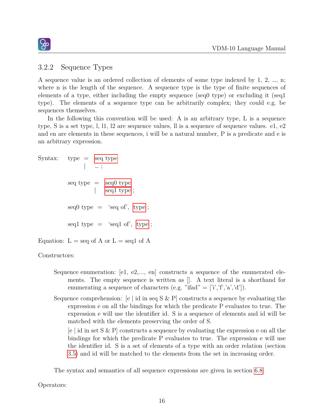

#### <span id="page-24-0"></span>3.2.2 Sequence Types

A sequence value is an ordered collection of elements of some type indexed by 1, 2, …, n; where n is the length of the sequence. A sequence type is the type of finite sequences of elements of a type, either including the empty sequence (seq0 type) or excluding it (seq1 type). The elements of a sequence type can be arbitrarily complex; they could e.g. be sequences themselves.

In the following this convention will be used: A is an arbitrary type, L is a sequence type, S is a set type, l, l1, l2 are sequence values, ll is a sequence of sequence values. e1, e2 and en are elements in these sequences, i will be a natural number, P is a predicate and e is an arbitrary expression.

```
Syntax: type = seq type
          \vert \ldots; seq0 type| seq1 type ;
        seq0 type = 'seq of', type;
         type = 'seq1 of', type;
```
Equation:  $L = \text{seq}$  of A or  $L = \text{seq}1$  of A

Constructors:

- Sequence enumeration: [e1, e2,..., en] constructs a sequence of the enumerated elements. The empty sequence is written as []. A text literal is a shorthand for enumerating a sequence of characters (e.g. "ifad" =  $[i', 'f', 'a', 'd']$ ).
	- Sequence comprehension: [e | id in seq S & P] constructs a sequence by evaluating the expression e on all the bindings for which the predicate P evaluates to true. The expression e will use the identifier id. S is a sequence of elements and id will be matched with the elements preserving the order of S.

 $\lbrack e \rbrack$  id in set S & P constructs a sequence by evaluating the expression e on all the bindings for which the predicate P evaluates to true. The expression e will use the identifier id. S is a set of elements of a type with an order relation (section [3.5\)](#page-43-0) and id will be matched to the elements from the set in increasing order.

The syntax and semantics of all sequence expressions are given in section [6.8.](#page-71-0)

Operators: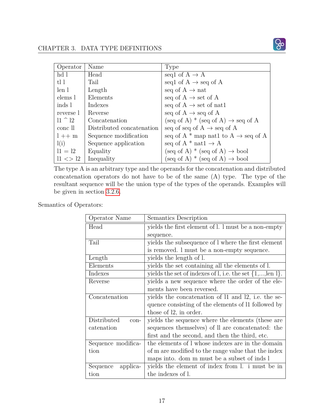

 $\left[ 3\right]$ 

| Operator        | Name                      | Type                                                                |
|-----------------|---------------------------|---------------------------------------------------------------------|
| hd <sub>1</sub> | Head                      | seq1 of $A \rightarrow A$                                           |
| $tl$ $l$        | Tail                      | seq 1 of $A \rightarrow$ seq of A                                   |
| len l           | Length                    | seq of $A \rightarrow nat$                                          |
| elems l         | Elements                  | seq of $A \rightarrow$ set of A                                     |
| inds l          | Indexes                   | seq of $A \rightarrow$ set of nat1                                  |
| reverse l       | Reverse                   | seq of $A \rightarrow$ seq of A                                     |
| $11 \hat{ } 12$ | Concatenation             | $(\text{seq of A}) * (\text{seq of A}) \rightarrow \text{seq of A}$ |
| conc ll         | Distributed concatenation | seq of seq of $A \rightarrow$ seq of A                              |
| $l ++ m$        | Sequence modification     | seq of A $*$ map nat1 to A $\rightarrow$ seq of A                   |
| l(i)            | Sequence application      | seq of A $*$ nat $1 \rightarrow A$                                  |
| $11 = 12$       | Equality                  | $(\text{seq of A}) * (\text{seq of A}) \rightarrow \text{bool}$     |
| $11 \leq 12$    | Inequality                | $(\text{seq of A}) * (\text{seq of A}) \rightarrow \text{bool}$     |

The type A is an arbitrary type and the operands for the concatenation and distributed concatenation operators do not have to be of the same (A) type. The type of the resultant sequence will be the union type of the types of the operands. Examples will be given in section [3.2.6.](#page-34-0)

#### Semantics of Operators:

| Operator Name         | Semantics Description                                         |  |  |
|-----------------------|---------------------------------------------------------------|--|--|
| Head                  | yields the first element of l. 1 must be a non-empty          |  |  |
|                       | sequence.                                                     |  |  |
| Tail                  | yields the subsequence of l where the first element           |  |  |
|                       | is removed. I must be a non-empty sequence.                   |  |  |
| Length                | yields the length of l.                                       |  |  |
| Elements              | yields the set containing all the elements of l.              |  |  |
| Indexes               | yields the set of indexes of l, i.e. the set $\{1,,len 1\}$ . |  |  |
| Reverse               | yields a new sequence where the order of the ele-             |  |  |
|                       | ments have been reversed.                                     |  |  |
| Concatenation         | yields the concatenation of 11 and 12, i.e. the se-           |  |  |
|                       | quence consisting of the elements of 11 followed by           |  |  |
|                       | those of 12, in order.                                        |  |  |
| Distributed<br>$con-$ | yields the sequence where the elements (these are             |  |  |
| catenation            | sequences themselves) of ll are concatenated: the             |  |  |
|                       | first and the second, and then the third, etc.                |  |  |
| Sequence modifica-    | the elements of l whose indexes are in the domain             |  |  |
| tion                  | of m are modified to the range value that the index           |  |  |
|                       | maps into. dom m must be a subset of inds I                   |  |  |
| applica-<br>Sequence  | yields the element of index from l. i must be in              |  |  |
| tion                  | the indexes of l.                                             |  |  |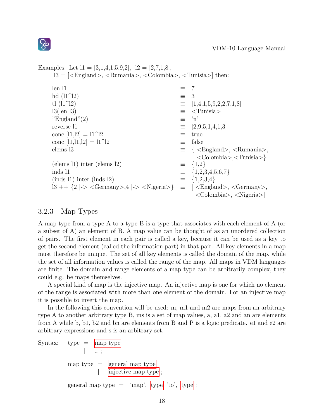Examples: Let  $11 = \begin{bmatrix} 3,1,4,1,5,9,2 \end{bmatrix}$ ,  $12 = \begin{bmatrix} 2,7,1,8 \end{bmatrix}$ ,  $13 = \leq$ England $>$ ,  $\leq$ Rumania $>$ ,  $\leq$ Colombia $>$ ,  $\leq$ Tunisia $>$  then: len l1  $\equiv$  7 hd (l1^l2)  $\equiv$  3 tl (11^l2)  $\equiv$  [1,4,1,5,9,2,2,7,1,8]  $\exists$  l3(len l3)  $\equiv$   $\langle$  Tunisia $\rangle$  $"England"(2)$   $\equiv$  'n' reverse 11  $\equiv [2,9,5,1,4,1,3]$ conc  $[11,12] = 11^2$   $\equiv$  true conc  $[11,11,12] = 11^2$   $\equiv$  false elems l3  $\equiv \{ \langle$ England>,  $\langle$ Rumania>, <Colombia>,<Tunisia>} (elems 11) inter (elems 12)  $\equiv \{1,2\}$ inds l1  $\equiv \{1,2,3,4,5,6,7\}$ (inds l1) inter (inds l2)  $\equiv \{1,2,3,4\}$  $13 + f\{2 \mid > \text{Cermany}>, 4 \mid > \text{Nigeria}> \} \equiv [\text{CEngland}>, \text{Cermany}>,$ <Colombia>, <Nigeria>]

#### <span id="page-26-0"></span>3.2.3 Map Types

 $[$   $\%$ 

A map type from a type A to a type B is a type that associates with each element of A (or a subset of A) an element of B. A map value can be thought of as an unordered collection of pairs. The first element in each pair is called a key, because it can be used as a key to get the second element (called the information part) in that pair. All key elements in a map must therefore be unique. The set of all key elements is called the domain of the map, while the set of all information values is called the range of the map. All maps in VDM languages are finite. The domain and range elements of a map type can be arbitrarily complex, they could e.g. be maps themselves.

A special kind of map is the injective map. An injective map is one for which no element of the range is associated with more than one element of the domain. For an injective map it is possible to invert the map.

In the following this convention will be used: m, m1 and m2 are maps from an arbitrary type A to another arbitrary type B, ms is a set of map values, a, a1, a2 and an are elements from A while b, b1, b2 and bn are elements from B and P is a logic predicate. e1 and e2 are arbitrary expressions and s is an arbitrary set.

Syntax: type  $=$  [map type](#page-195-3) | … ; map type  $=$  [general map type](#page-195-4) [injective map type](#page-195-5); general map [type](#page-194-1)  $=$  'map', [type,](#page-194-1) 'to', type;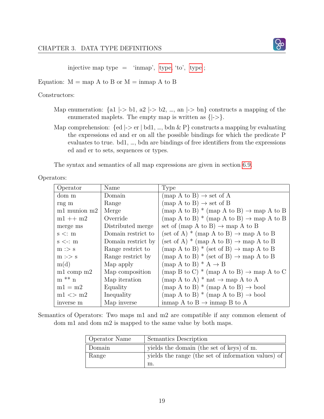

injective map [type](#page-194-1)  $=$  'inmap', [type,](#page-194-1) 'to', type;

Equation:  $M = \text{map } A$  to B or  $M = \text{inmap } A$  to B

Constructors:

- Map enumeration:  $\{a1 \mid > b1, a2 \mid > b2, ..., an \mid > bn\}$  constructs a mapping of the enumerated maplets. The empty map is written as  $\{-\}$ .
- Map comprehension:  $\{ed \mid > \text{er} \mid bd1, ..., bdn \& P\}$  constructs a mapping by evaluating the expressions ed and er on all the possible bindings for which the predicate P evaluates to true. bd1, …, bdn are bindings of free identifiers from the expressions ed and er to sets, sequences or types.

The syntax and semantics of all map expressions are given in section [6.9.](#page-73-0)

Operators:

| Operator       | Name               | Type                                                                                                      |
|----------------|--------------------|-----------------------------------------------------------------------------------------------------------|
| dom m          | Domain             | $(\text{map A to B}) \rightarrow \text{set of A}$                                                         |
| rng m          | Range              | $(\text{map A to B}) \rightarrow \text{set of B}$                                                         |
| m1 munion m2   | Merge              | $(\text{map A to B}) * (\text{map A to B}) \rightarrow \text{map A to B}$                                 |
| $m1 + m2$      | Override           | $(\text{map A to B}) * (\text{map A to B}) \rightarrow \text{map A to B}$                                 |
| merge ms       | Distributed merge  | set of (map A to B) $\rightarrow$ map A to B                                                              |
| $s \leq m$     | Domain restrict to | $(\text{set of A}) * (\text{map A to B}) \rightarrow \text{map A to B}$                                   |
| $s \leq m$     | Domain restrict by | $(\text{set of A}) * (\text{map A to B}) \rightarrow \text{map A to B}$                                   |
| m : > s        | Range restrict to  | $(\text{map A to B})^* (\text{set of B}) \rightarrow \text{map A to B}$                                   |
| $m :-> s$      | Range restrict by  | $(\text{map } A \text{ to } B) * (\text{set of } B) \rightarrow \text{map } A \text{ to } B$              |
| m(d)           | Map apply          | (map A to B) $* A \rightarrow B$                                                                          |
| $m1$ comp $m2$ | Map composition    | $(\text{map } B \text{ to } C)$ * $(\text{map } A \text{ to } B) \rightarrow \text{map } A \text{ to } C$ |
| $m$ ** $n$     | Map iteration      | $(\text{map A to A})^*$ nat $\rightarrow$ map A to A                                                      |
| $m1 = m2$      | Equality           | $(\text{map A to B}) * (\text{map A to B}) \rightarrow \text{bool}$                                       |
| $ml \ll m2$    | Inequality         | $(\text{map A to B}) * (\text{map A to B}) \rightarrow \text{bool}$                                       |
| inverse m      | Map inverse        | inmap A to $B \rightarrow \text{immap } B$ to A                                                           |

Semantics of Operators: Two maps m1 and m2 are compatible if any common element of dom m1 and dom m2 is mapped to the same value by both maps.

| Operator Name | Semantics Description                               |  |
|---------------|-----------------------------------------------------|--|
| Domain        | yields the domain (the set of keys) of m.           |  |
| Range         | yields the range (the set of information values) of |  |
|               | m.                                                  |  |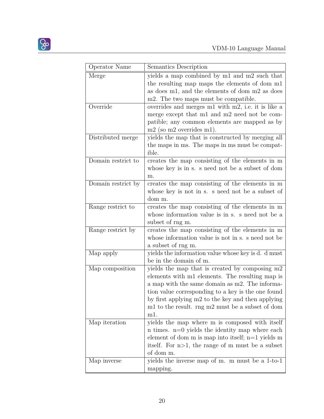| Operator Name      | Semantics Description                                                                                                                                                                                                                                                                                                        |
|--------------------|------------------------------------------------------------------------------------------------------------------------------------------------------------------------------------------------------------------------------------------------------------------------------------------------------------------------------|
| Merge              | yields a map combined by m1 and m2 such that<br>the resulting map maps the elements of dom m1<br>as does m1, and the elements of dom m2 as does<br>m2. The two maps must be compatible.                                                                                                                                      |
| Override           | overrides and merges m1 with m2, i.e. it is like a<br>merge except that m1 and m2 need not be com-<br>patible; any common elements are mapped as by<br>$m2$ (so m2 overrides m1).                                                                                                                                            |
| Distributed merge  | yields the map that is constructed by merging all<br>the maps in ms. The maps in ms must be compat-<br>ible.                                                                                                                                                                                                                 |
| Domain restrict to | creates the map consisting of the elements in m<br>whose key is in s. s need not be a subset of dom<br>m.                                                                                                                                                                                                                    |
| Domain restrict by | creates the map consisting of the elements in m<br>whose key is not in s. s need not be a subset of<br>dom m.                                                                                                                                                                                                                |
| Range restrict to  | creates the map consisting of the elements in m<br>whose information value is in s. s need not be a<br>subset of rng m.                                                                                                                                                                                                      |
| Range restrict by  | creates the map consisting of the elements in m<br>whose information value is not in s. s need not be<br>a subset of rng m.                                                                                                                                                                                                  |
| Map apply          | yields the information value whose key is d. d must<br>be in the domain of m.                                                                                                                                                                                                                                                |
| Map composition    | yields the map that is created by composing m2<br>elements with m1 elements. The resulting map is<br>a map with the same domain as m2. The informa-<br>tion value corresponding to a key is the one found<br>by first applying m2 to the key and then applying<br>m1 to the result. rng m2 must be a subset of dom<br>$m1$ . |
| Map iteration      | yields the map where m is composed with itself<br>n times. $n=0$ yields the identity map where each<br>element of dom m is map into itself; $n=1$ yields m<br>itself. For $n>1$ , the range of m must be a subset<br>of dom m.                                                                                               |
| Map inverse        | yields the inverse map of m. m must be a 1-to-1<br>mapping.                                                                                                                                                                                                                                                                  |

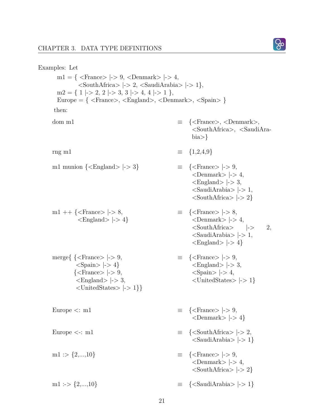

| Examples: Let                                                                                                                                                                                                                                                                                                                                                                                       |   |                                                                                                                                                                                                                             |
|-----------------------------------------------------------------------------------------------------------------------------------------------------------------------------------------------------------------------------------------------------------------------------------------------------------------------------------------------------------------------------------------------------|---|-----------------------------------------------------------------------------------------------------------------------------------------------------------------------------------------------------------------------------|
| $m1 = \{ \langle \text{France} \rangle \mid > 9, \langle \text{Denmark} \rangle \mid > 4,$<br>$\langle$ SouthAfrica> $ -> 2, \langle$ SaudiArabia> $ -> 1\rangle,$<br>$m2 = \{ 1 \mid > 2, 2 \mid > 3, 3 \mid > 4, 4 \mid > 1 \},$<br>Europe = $\{ \langle$ <france>, <math>\langle</math>England&gt;, <math>\langle</math>Denmark&gt;, <math>\langle</math>Spain&gt; <math>\rangle</math></france> |   |                                                                                                                                                                                                                             |
| then:                                                                                                                                                                                                                                                                                                                                                                                               |   |                                                                                                                                                                                                                             |
| dom m1                                                                                                                                                                                                                                                                                                                                                                                              |   | $\equiv \{ \langle \text{France} \rangle, \langle \text{Denmark} \rangle, \}$<br>$\langle$ SouthAfrica>, $\langle$ SaudiAra-<br>$bias\}$                                                                                    |
| $rng$ m1                                                                                                                                                                                                                                                                                                                                                                                            |   | $\equiv \{1,2,4,9\}$                                                                                                                                                                                                        |
| m1 munion $\{\langle$ England> $ $ -> 3 $\}$                                                                                                                                                                                                                                                                                                                                                        |   | $\equiv \left\{ \langle \text{France} \rangle \right\} > 9,$<br>$\langle$ Denmark $\rangle$  - $> 4$ ,<br>$\text{England}>  -3,$<br>$\langle$ SaudiArabia> $\vert$ -> 1,<br>$\langle$ SouthAfrica> $\vert$ ->2}             |
| m1 + $\{\langle$ France > $ $ - > 8,<br>$\langle$ England $\rangle$  -> 4}                                                                                                                                                                                                                                                                                                                          |   | $\equiv \left\{ \langle \text{France} \rangle \right\} > 8,$<br>$\langle$ Denmark $\rangle$  - $> 4$ ,<br>$\langle$ SouthAfrica> $ $ -><br>2,<br>$\langle$ SaudiArabia> $\vert$ -> 1,<br>$\langle$ England $\rangle$  -> 4} |
| merge $\{\ \{\text{&France}\}\ \mid\geq 9,\ \ \}$<br>$\langle$ Spain $\rangle$  -> 4}<br>$\{\langle \text{France} \rangle \mid > 9,$<br>$\text{England}>  -3,$<br>$\langle$ UnitedStates > $\vert$ -> 1}}                                                                                                                                                                                           |   | $\equiv \{ \langle \text{France} \rangle   \geq 9, \}$<br>$\mathsf{England}\mathsf{S} \rightarrow 3,$<br>$\langle$ Spain $\rangle$  -> 4,<br>$\langle$ UnitedStates > $\vert$ -> 1}                                         |
| Europe $\lt$ : m1                                                                                                                                                                                                                                                                                                                                                                                   |   | $\equiv \left\{ \langle \text{France} \rangle \right\} > 9,$<br>$\langle$ Denmark $>$  -> 4}                                                                                                                                |
| Europe $\lt$ -: m1                                                                                                                                                                                                                                                                                                                                                                                  |   | $\equiv \{ \langle \text{SouthAfrica} \rangle   \geq 2,$<br>$\langle$ SaudiArabia> $\vert$ -> 1}                                                                                                                            |
| $m1$ :> $\{2,,10\}$                                                                                                                                                                                                                                                                                                                                                                                 |   | $\equiv \{ \langle \text{France} \rangle   \geq 9,$<br>$\langle$ Denmark> $\vert$ ->4,<br>$\langle$ SouthAfrica> $\vert$ ->2}                                                                                               |
| $m1$ :-> $\{2,,10\}$                                                                                                                                                                                                                                                                                                                                                                                | 三 | $\{\langle$ SaudiArabia> $ $ -> 1}                                                                                                                                                                                          |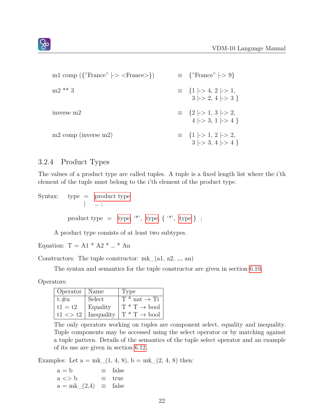m1 comp ({"France"  $|->$  <France>})  $\equiv$  {"France"  $|-> 9\rangle$ m2 \*\* 3  $\equiv \{1 \mid -\ge 4, 2 \mid -\ge 1,$  $3 \mid > 2, 4 \mid > 3$ inverse m2  $\equiv \{2 \mid > 1, 3 \mid > 2,$  $4 \mid > 3, 1 \mid > 4$ m2 comp (inverse m2)  $\equiv \{1 \mid -\ge 1, 2 \mid -\ge 2,$  $3 \mid > 3, 4 \mid > 4$ 

#### <span id="page-30-0"></span>3.2.4 Product Types

The values of a product type are called tuples. A tuple is a fixed length list where the i'th element of the tuple must belong to the i'th element of the product type.

Syntax: type = [product type](#page-194-2) | … ; product type = [type,](#page-194-1)  $\langle \cdot \rangle^*$ , [type](#page-194-1),  $\langle \cdot \rangle^*$ , type  $\}$ ;

A product type consists of at least two subtypes.

Equation:  $T = A1 * A2 * ... * An$ 

Constructors: The tuple constructor: mk\_(a1, a2, …, an)

The syntax and semantics for the tuple constructor are given in section [6.10.](#page-74-0)

Operators:

| Operator   Name |            | Type                       |
|-----------------|------------|----------------------------|
| $t.\#n$         | Select     | $T^*$ nat $\rightarrow$ Ti |
| $t1 = t2$       | Equality   | $T * T \rightarrow bool$   |
| $t1 \ll t2$     | Inequality | $T * T \rightarrow bool$   |

The only operators working on tuples are component select, equality and inequality. Tuple components may be accessed using the select operator or by matching against a tuple pattern. Details of the semantics of the tuple select operator and an example of its use are given in section [6.12.](#page-76-0)

Examples: Let  $a = mk(1, 4, 8)$ ,  $b = mk(2, 4, 8)$  then:

 $a = b$   $\equiv$  false  $a \leq b$   $\equiv$  true  $a = mk_2(2,4) \equiv false$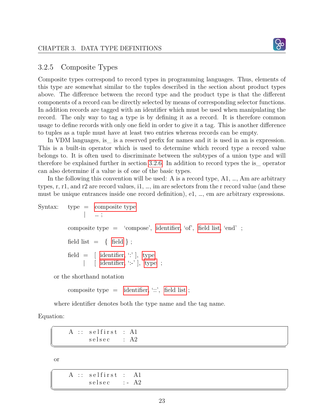

#### <span id="page-31-0"></span>3.2.5 Composite Types

Composite types correspond to record types in programming languages. Thus, elements of this type are somewhat similar to the tuples described in the section about product types above. The difference between the record type and the product type is that the different components of a record can be directly selected by means of corresponding selector functions. In addition records are tagged with an identifier which must be used when manipulating the record. The only way to tag a type is by defining it as a record. It is therefore common usage to define records with only one field in order to give it a tag. This is another difference to tuples as a tuple must have at least two entries whereas records can be empty.

In VDM languages, is is a reserved prefix for names and it is used in an is expression. This is a built-in operator which is used to determine which record type a record value belongs to. It is often used to discriminate between the subtypes of a union type and will therefore be explained further in section [3.2.6.](#page-34-0) In addition to record types the is\_ operator can also determine if a value is of one of the basic types.

In the following this convention will be used: A is a record type, A1, …, Am are arbitrary types, r, r1, and r2 are record values, i1, …, im are selectors from the r record value (and these must be unique entrances inside one record definition), e1, …, em are arbitrary expressions.

 $Syntax:$  type  $=$  [composite type](#page-194-3) | … ; composite type = 'compose', [identifier,](#page-217-1) 'of', [field list,](#page-194-4) 'end' ; field list  $= \{$  [field](#page-194-5)  $\};$ field $=$  [ [identifier,](#page-217-1)  $\because$  ], [type](#page-194-1)  $\lceil$  [identifier,](#page-217-1) ':-'  $\rceil$ , [type](#page-194-1) ;

or the shorthand notation

composite type  $=$  [identifier,](#page-217-1)  $\therefore$  [field list](#page-194-4);

where identifier denotes both the type name and the tag name.

Equation:

 $\overline{a}$ 

|  | A :: selfirst : AI |  |  |
|--|--------------------|--|--|
|  | selsec : A2        |  |  |
|  |                    |  |  |

 $\overline{\phantom{a}}$   $\overline{\phantom{a}}$   $\overline{\phantom{a}}$   $\overline{\phantom{a}}$   $\overline{\phantom{a}}$   $\overline{\phantom{a}}$   $\overline{\phantom{a}}$   $\overline{\phantom{a}}$   $\overline{\phantom{a}}$   $\overline{\phantom{a}}$   $\overline{\phantom{a}}$   $\overline{\phantom{a}}$   $\overline{\phantom{a}}$   $\overline{\phantom{a}}$   $\overline{\phantom{a}}$   $\overline{\phantom{a}}$   $\overline{\phantom{a}}$   $\overline{\phantom{a}}$   $\overline{\$ 

or

 $\overline{a}$ 

 $A :: selfirst : AI$  $s$  e l  $s$  e c  $\cdots$   $A2$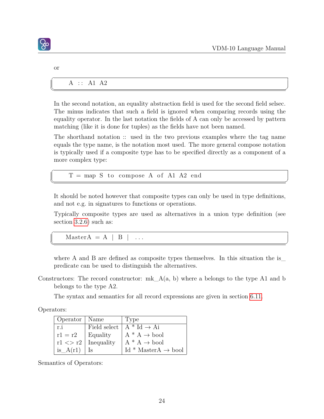

or

 $\overline{a}$ 

 $\overline{a}$ 

 $\overline{a}$ 

#### $A$  :: A1 A2

In the second notation, an equality abstraction field is used for the second field selsec. The minus indicates that such a field is ignored when comparing records using the equality operator. In the last notation the fields of A can only be accessed by pattern matching (like it is done for tuples) as the fields have not been named.

 $\overline{\phantom{a}}$ 

The shorthand notation :: used in the two previous examples where the tag name equals the type name, is the notation most used. The more general compose notation is typically used if a composite type has to be specified directly as a component of a more complex type:

 $T =$  map S to compose A of A1 A2 end

It should be noted however that composite types can only be used in type definitions, and not e.g. in signatures to functions or operations.

 $\overline{\phantom{a}}$   $\overline{\phantom{a}}$   $\overline{\phantom{a}}$   $\overline{\phantom{a}}$   $\overline{\phantom{a}}$   $\overline{\phantom{a}}$   $\overline{\phantom{a}}$   $\overline{\phantom{a}}$   $\overline{\phantom{a}}$   $\overline{\phantom{a}}$   $\overline{\phantom{a}}$   $\overline{\phantom{a}}$   $\overline{\phantom{a}}$   $\overline{\phantom{a}}$   $\overline{\phantom{a}}$   $\overline{\phantom{a}}$   $\overline{\phantom{a}}$   $\overline{\phantom{a}}$   $\overline{\$ 

Typically composite types are used as alternatives in a union type definition (see section [3.2.6\)](#page-34-0) such as:

 $Master A = A \mid B \mid ...$ 

where A and B are defined as composite types themselves. In this situation the is predicate can be used to distinguish the alternatives.

 $\overline{\phantom{a}}$   $\overline{\phantom{a}}$   $\overline{\phantom{a}}$   $\overline{\phantom{a}}$   $\overline{\phantom{a}}$   $\overline{\phantom{a}}$   $\overline{\phantom{a}}$   $\overline{\phantom{a}}$   $\overline{\phantom{a}}$   $\overline{\phantom{a}}$   $\overline{\phantom{a}}$   $\overline{\phantom{a}}$   $\overline{\phantom{a}}$   $\overline{\phantom{a}}$   $\overline{\phantom{a}}$   $\overline{\phantom{a}}$   $\overline{\phantom{a}}$   $\overline{\phantom{a}}$   $\overline{\$ 

Constructors: The record constructor: mk  $A(a, b)$  where a belongs to the type A1 and b belongs to the type A2.

The syntax and semantics for all record expressions are given in section [6.11.](#page-74-1)

Operators:

| Operator   Name      |                              | Type                                               |  |
|----------------------|------------------------------|----------------------------------------------------|--|
| r.i                  |                              | Field select $A^* \text{Id} \rightarrow \text{Ai}$ |  |
| $r1 = r2$   Equality |                              | $A^* A \rightarrow \text{bool}$                    |  |
|                      | r1 $\langle$ r2   Inequality | $A^* A \rightarrow bool$                           |  |
| is $A(r1)$   Is      |                              | Id * MasterA $\rightarrow$ bool                    |  |

Semantics of Operators: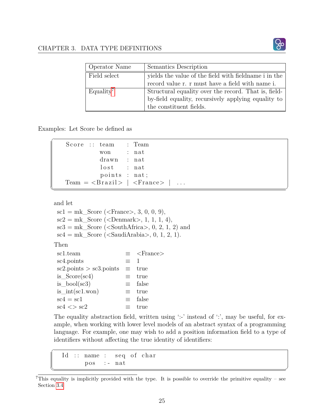

| Operator Name         | Semantics Description                                  |  |  |
|-----------------------|--------------------------------------------------------|--|--|
| Field select          | yields the value of the field with field name i in the |  |  |
|                       | record value r. r must have a field with name i.       |  |  |
| Equality <sup>7</sup> | Structural equality over the record. That is, field-   |  |  |
|                       | by-field equality, recursively applying equality to    |  |  |
|                       | the constituent fields.                                |  |  |

Examples: Let Score be defined as

| Score :: team : Team |                                              |
|----------------------|----------------------------------------------|
| won : nat            |                                              |
| drawn : nat          |                                              |
| $\lambda$ lost : nat |                                              |
| points : nat;        |                                              |
|                      | Team = $\langle$ Brazil>   $\langle$ France> |

and let

 $\overline{a}$ 

```
\text{sc}1 = \text{mk}\_\text{Score}(\langle \text{France}\rangle, 3, 0, 0, 9),\text{sc}2 = \text{mk} Score (<Denmark>, 1, 1, 1, 4),
 \text{sc}3 = \text{mk\_Score} (<SouthAfrica>, 0, 2, 1, 2) and
 \text{sc}4 = \text{mk\_Score} (<SaudiArabia>, 0, 1, 2, 1).
Then
 sc1.team \equiv <France>
 sc4.points \equiv 1\text{sc2}.\text{points} > \text{sc3}.\text{points} \equiv \text{true}is_Score(sc4) \equiv true
 is_bool(sc3) \equiv false
 is int(scl.won) \equiv true
 \mathrm{sc}4 = \mathrm{sc}1 \equiv false
 \mathrm{sc}4 \leq \mathrm{sc}2 \equiv true
```
The equality abstraction field, written using ':-' instead of ':', may be useful, for example, when working with lower level models of an abstract syntax of a programming language. For example, one may wish to add a position information field to a type of identifiers without affecting the true identity of identifiers:

 $\overline{\phantom{a}}$   $\overline{\phantom{a}}$   $\overline{\phantom{a}}$   $\overline{\phantom{a}}$   $\overline{\phantom{a}}$   $\overline{\phantom{a}}$   $\overline{\phantom{a}}$   $\overline{\phantom{a}}$   $\overline{\phantom{a}}$   $\overline{\phantom{a}}$   $\overline{\phantom{a}}$   $\overline{\phantom{a}}$   $\overline{\phantom{a}}$   $\overline{\phantom{a}}$   $\overline{\phantom{a}}$   $\overline{\phantom{a}}$   $\overline{\phantom{a}}$   $\overline{\phantom{a}}$   $\overline{\$ 

```
Id : name : seq of char
      pos : - na t
```
<span id="page-33-0"></span><sup>&</sup>lt;sup>7</sup>This equality is implicitly provided with the type. It is possible to override the primitive equality – see Section [3.4](#page-40-0)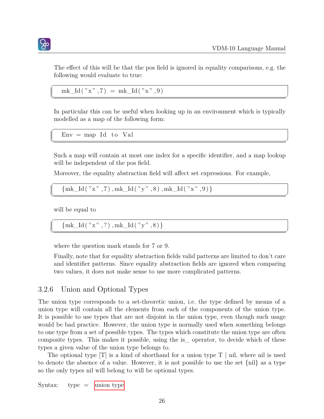$\overline{a}$ 

 $\overline{a}$ 

 $\overline{a}$ 

 $\overline{a}$ 

The effect of this will be that the pos field is ignored in equality comparisons, e.g. the following would evaluate to true:

 $mk_{\text{I}}d("x", 7) = mk_{\text{I}}d("x", 9)$ 

In particular this can be useful when looking up in an environment which is typically modelled as a map of the following form:

 $\overline{\phantom{a}}$   $\overline{\phantom{a}}$   $\overline{\phantom{a}}$   $\overline{\phantom{a}}$   $\overline{\phantom{a}}$   $\overline{\phantom{a}}$   $\overline{\phantom{a}}$   $\overline{\phantom{a}}$   $\overline{\phantom{a}}$   $\overline{\phantom{a}}$   $\overline{\phantom{a}}$   $\overline{\phantom{a}}$   $\overline{\phantom{a}}$   $\overline{\phantom{a}}$   $\overline{\phantom{a}}$   $\overline{\phantom{a}}$   $\overline{\phantom{a}}$   $\overline{\phantom{a}}$   $\overline{\$ 

```
Env = map Id to Val
```
Such a map will contain at most one index for a specific identifier, and a map lookup will be independent of the pos field.

 $\overline{\phantom{a}}$   $\overline{\phantom{a}}$   $\overline{\phantom{a}}$   $\overline{\phantom{a}}$   $\overline{\phantom{a}}$   $\overline{\phantom{a}}$   $\overline{\phantom{a}}$   $\overline{\phantom{a}}$   $\overline{\phantom{a}}$   $\overline{\phantom{a}}$   $\overline{\phantom{a}}$   $\overline{\phantom{a}}$   $\overline{\phantom{a}}$   $\overline{\phantom{a}}$   $\overline{\phantom{a}}$   $\overline{\phantom{a}}$   $\overline{\phantom{a}}$   $\overline{\phantom{a}}$   $\overline{\$ 

 $\overline{\phantom{a}}$ 

 $\overline{\phantom{a}}$   $\overline{\phantom{a}}$   $\overline{\phantom{a}}$   $\overline{\phantom{a}}$   $\overline{\phantom{a}}$   $\overline{\phantom{a}}$   $\overline{\phantom{a}}$   $\overline{\phantom{a}}$   $\overline{\phantom{a}}$   $\overline{\phantom{a}}$   $\overline{\phantom{a}}$   $\overline{\phantom{a}}$   $\overline{\phantom{a}}$   $\overline{\phantom{a}}$   $\overline{\phantom{a}}$   $\overline{\phantom{a}}$   $\overline{\phantom{a}}$   $\overline{\phantom{a}}$   $\overline{\$ 

Moreover, the equality abstraction field will affect set expressions. For example,

 $\{m k_{\text{old}}("x", 7), mk_{\text{old}}("y", 8), mk_{\text{old}}("x", 9) \}$ 

will be equal to

 $\{\mathrm{mk\_Id}(\text{ "x" }, ? )\}$  ,  $\mathrm{mk\_Id}(\text{ "y" }, 8)$ 

where the question mark stands for 7 or 9.

Finally, note that for equality abstraction fields valid patterns are limited to don't care and identifier patterns. Since equality abstraction fields are ignored when comparing two values, it does not make sense to use more complicated patterns.

#### <span id="page-34-0"></span>3.2.6 Union and Optional Types

The union type corresponds to a set-theoretic union, i.e. the type defined by means of a union type will contain all the elements from each of the components of the union type. It is possible to use types that are not disjoint in the union type, even though such usage would be bad practice. However, the union type is normally used when something belongs to one type from a set of possible types. The types which constitute the union type are often composite types. This makes it possible, using the is\_ operator, to decide which of these types a given value of the union type belongs to.

The optional type  $[T]$  is a kind of shorthand for a union type  $T \mid \text{nil}$ , where nil is used to denote the absence of a value. However, it is not possible to use the set {nil} as a type so the only types nil will belong to will be optional types.

Syntax:  $type = union type$  $type = union type$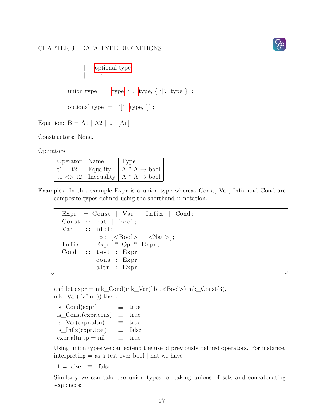

| [optional type](#page-194-7) | … ; union type = [type,](#page-194-1) '|', [type](#page-194-1),  $\{$  '|', type  $\}$  ; optional type  $=$  '[', [type,](#page-194-1) ']';

Equation:  $B = A1 | A2 | ... | [An]$ 

Constructors: None.

Operators:

 $\overline{a}$ 

| Operator   Name |          | Type                                                |
|-----------------|----------|-----------------------------------------------------|
| $t1 = t2$       | Equality | $A^* A \rightarrow \text{bool}$                     |
|                 |          | $t1 \ll t2$   Inequality   A $* A \rightarrow$ bool |

Examples: In this example Expr is a union type whereas Const, Var, Infix and Cond are composite types defined using the shorthand :: notation.

```
\text{Expr} = \text{Const} \mid \text{Var} \mid \text{Infix} \mid \text{Cond};Const :: nat \vert bool;
       Var :: id: Idtp: [<\text{Bool}>|<\text{Nat}>];In fix :: Expr * Op * Expr;Cond :: test : Exprcons : Expr
                                  altn : Expr\overline{\phantom{a}} \overline{\phantom{a}} \overline{\phantom{a}} \overline{\phantom{a}} \overline{\phantom{a}} \overline{\phantom{a}} \overline{\phantom{a}} \overline{\phantom{a}} \overline{\phantom{a}} \overline{\phantom{a}} \overline{\phantom{a}} \overline{\phantom{a}} \overline{\phantom{a}} \overline{\phantom{a}} \overline{\phantom{a}} \overline{\phantom{a}} \overline{\phantom{a}} \overline{\phantom{a}} \overline{\
```
and let  $\exp r = mk\_Cond(mk\_Var("b", Bool})$ , mk  $Const(3)$ , mk  $Var("v", nil))$  then:

is\_Cond(expr)  $\equiv$  true is  $Const(exp.coms) \equiv true$ is\_Var(expr.altn)  $\equiv$  true is\_Infix(expr.test)  $\equiv$  false  $expr.altn.tp = nil \equiv true$ 

Using union types we can extend the use of previously defined operators. For instance, interpreting  $=$  as a test over bool  $\vert$  nat we have

 $1 = false \equiv false$ 

Similarly we can take use union types for taking unions of sets and concatenating sequences: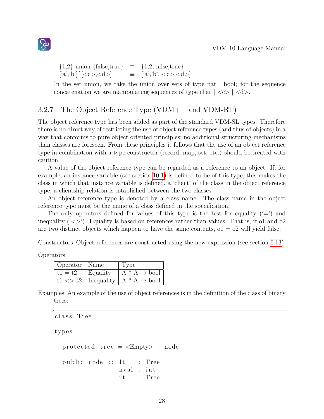

 ${1,2}$  union  ${false, true} \equiv {1,2, false, true}$  $[a', 'b']^{\frown}[\langle c \rangle, \langle d \rangle] \equiv [a', 'b', \langle c \rangle, \langle d \rangle]$ 

In the set union, we take the union over sets of type nat  $\vert$  bool; for the sequence concatenation we are manipulating sequences of type char  $| \langle \langle c \rangle | \langle d \rangle$ .

### 3.2.7 The Object Reference Type (VDM++ and VDM-RT)

The object reference type has been added as part of the standard VDM-SL types. Therefore there is no direct way of restricting the use of object reference types (and thus of objects) in a way that conforms to pure object oriented principles; no additional structuring mechanisms than classes are foreseen. From these principles it follows that the use of an object reference type in combination with a type constructor (record, map, set, etc.) should be treated with caution.

A value of the object reference type can be regarded as a reference to an object. If, for example, an instance variable (see section [10.1\)](#page-107-0) is defined to be of this type, this makes the class in which that instance variable is defined, a 'client' of the class in the object reference type; a clientship relation is established between the two classes.

An object reference type is denoted by a class name. The class name in the object reference type must be the name of a class defined in the specification.

The only operators defined for values of this type is the test for equality  $(2)$  and inequality  $(\leq >')$ . Equality is based on references rather than values. That is, if of and o2 are two distinct objects which happen to have the same contents,  $01 = 02$  will yield false.

Constructors Object references are constructed using the new expression (see section [6.13\)](#page-77-0).

Operators

| Operator   Name      | Type                                                |
|----------------------|-----------------------------------------------------|
| $t1 = t2$   Equality | $A^* A \rightarrow \text{bool}$                     |
|                      | $t1 \ll t2$   Inequality   A $* A \rightarrow$ bool |

Examples An example of the use of object references is in the definition of the class of binary trees:

```
\overline{a}class Tree
t y p e s
   \text{protected} tree = \text{<} \text{Empty}> | node;
   public node :: lt : Tree
                        nval : int
                        rt : Tree
```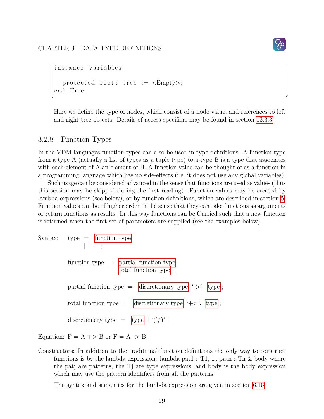

```
instance variables
```

```
protected root: tree := \langleEmpty>;
end Tree
```
Here we define the type of nodes, which consist of a node value, and references to left and right tree objects. Details of access specifiers may be found in section [13.3.3.](#page-166-0)

 $\overline{\phantom{a}}$   $\overline{\phantom{a}}$   $\overline{\phantom{a}}$   $\overline{\phantom{a}}$   $\overline{\phantom{a}}$   $\overline{\phantom{a}}$   $\overline{\phantom{a}}$   $\overline{\phantom{a}}$   $\overline{\phantom{a}}$   $\overline{\phantom{a}}$   $\overline{\phantom{a}}$   $\overline{\phantom{a}}$   $\overline{\phantom{a}}$   $\overline{\phantom{a}}$   $\overline{\phantom{a}}$   $\overline{\phantom{a}}$   $\overline{\phantom{a}}$   $\overline{\phantom{a}}$   $\overline{\$ 

#### 3.2.8 Function Types

In the VDM languages function types can also be used in type definitions. A function type from a type A (actually a list of types as a tuple type) to a type B is a type that associates with each element of A an element of B. A function value can be thought of as a function in a programming language which has no side-effects (i.e. it does not use any global variables).

Such usage can be considered advanced in the sense that functions are used as values (thus this section may be skipped during the first reading). Function values may be created by lambda expressions (see below), or by function definitions, which are described in section [5.](#page-49-0) Function values can be of higher order in the sense that they can take functions as arguments or return functions as results. In this way functions can be Curried such that a new function is returned when the first set of parameters are supplied (see the examples below).

 $Syntax:$  type  $=$  [function type](#page-195-0) | … ; function type  $=$  [partial function type](#page-195-1) | [total function type](#page-195-2) ; partial function [type](#page-194-0)  $=$  [discretionary type,](#page-195-3)  $\div$ , type; total function [type](#page-194-0)  $=$  [discretionary type,](#page-195-3)  $\div$   $\div$ , type ; discretionary [type](#page-194-0) = type  $| (^\prime, ^\prime)^\prime ;$ 

Equation:  $F = A \Rightarrow B$  or  $F = A \Rightarrow B$ 

Constructors: In addition to the traditional function definitions the only way to construct functions is by the lambda expression: lambda pat1 : T1, ..., patn : Tn  $\&$  body where the patj are patterns, the Tj are type expressions, and body is the body expression which may use the pattern identifiers from all the patterns.

The syntax and semantics for the lambda expression are given in section [6.16.](#page-81-0)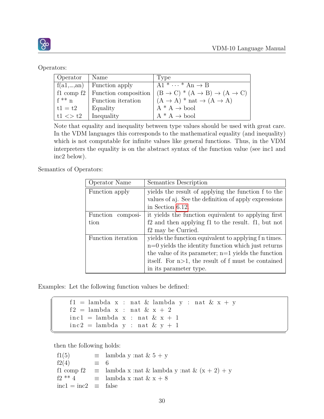

Operators:

| Operator    | Name                                          | Type                                                      |
|-------------|-----------------------------------------------|-----------------------------------------------------------|
|             | $f(a1,,an)$ Function apply                    | $A1 * \cdots * An \rightarrow B$                          |
|             | $\mid$ f1 comp f2 $\mid$ Function composition | $(B \to C)$ * $(A \to B) \to (A \to C)$                   |
| $f^*$ n     | Function iteration                            | $(A \rightarrow A)$ * nat $\rightarrow (A \rightarrow A)$ |
| $t1 = t2$   | Equality                                      | $A^* A \rightarrow$ bool                                  |
| $t1 \ll t2$ | Inequality                                    | $A^* A \rightarrow \text{bool}$                           |

Note that equality and inequality between type values should be used with great care. In the VDM languages this corresponds to the mathematical equality (and inequality) which is not computable for infinite values like general functions. Thus, in the VDM interpreters the equality is on the abstract syntax of the function value (see inc1 and inc2 below).

Semantics of Operators:

 $\overline{a}$ 

| Operator Name      | Semantics Description                                 |  |
|--------------------|-------------------------------------------------------|--|
| Function apply     | yields the result of applying the function f to the   |  |
|                    | values of aj. See the definition of apply expressions |  |
|                    | in Section $6.12$ .                                   |  |
| Function composi-  | it yields the function equivalent to applying first   |  |
| tion               | f2 and then applying f1 to the result. f1, but not    |  |
|                    | f <sub>2</sub> may be Curried.                        |  |
| Function iteration | yields the function equivalent to applying f n times. |  |
|                    | $n=0$ yields the identity function which just returns |  |
|                    | the value of its parameter; $n=1$ yields the function |  |
|                    | itself. For $n>1$ , the result of f must be contained |  |
|                    | in its parameter type.                                |  |

Examples: Let the following function values be defined:

```
f1 = lambda x : nat & lambda y : nat & x + y
             f2 =lambda x : nat & x + 2
             inc 1 = lambda x : nat & x + 1inc2 = lambda y : nat & y + 1
\overline{\phantom{a}} \overline{\phantom{a}} \overline{\phantom{a}} \overline{\phantom{a}} \overline{\phantom{a}} \overline{\phantom{a}} \overline{\phantom{a}} \overline{\phantom{a}} \overline{\phantom{a}} \overline{\phantom{a}} \overline{\phantom{a}} \overline{\phantom{a}} \overline{\phantom{a}} \overline{\phantom{a}} \overline{\phantom{a}} \overline{\phantom{a}} \overline{\phantom{a}} \overline{\phantom{a}} \overline{\
```
then the following holds:

f1(5)  $\equiv$  lambda y :nat & 5 + y f2(4)  $\equiv$  6 f1 comp f2  $\equiv$  lambda x :nat & lambda y :nat &  $(x + 2) + y$ f2 \*\* 4  $\equiv$  lambda x :nat & x + 8  $\text{inc1} = \text{inc2} \equiv \text{false}$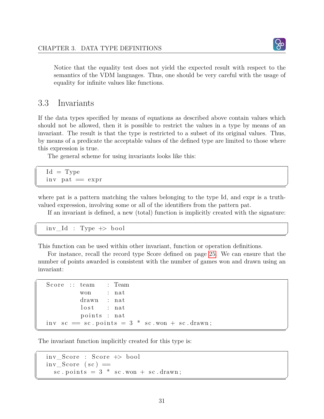

Notice that the equality test does not yield the expected result with respect to the semantics of the VDM languages. Thus, one should be very careful with the usage of equality for infinite values like functions.

### 3.3 Invariants

If the data types specified by means of equations as described above contain values which should not be allowed, then it is possible to restrict the values in a type by means of an invariant. The result is that the type is restricted to a subset of its original values. Thus, by means of a predicate the acceptable values of the defined type are limited to those where this expression is true.

The general scheme for using invariants looks like this:

 $Id = Type$  $inv$  pat  $=$  expr

 $\overline{a}$ 

 $\overline{a}$ 

 $\overline{a}$ 

where pat is a pattern matching the values belonging to the type Id, and expr is a truthvalued expression, involving some or all of the identifiers from the pattern pat.

 $\overline{\phantom{a}}$   $\overline{\phantom{a}}$   $\overline{\phantom{a}}$   $\overline{\phantom{a}}$   $\overline{\phantom{a}}$   $\overline{\phantom{a}}$   $\overline{\phantom{a}}$   $\overline{\phantom{a}}$   $\overline{\phantom{a}}$   $\overline{\phantom{a}}$   $\overline{\phantom{a}}$   $\overline{\phantom{a}}$   $\overline{\phantom{a}}$   $\overline{\phantom{a}}$   $\overline{\phantom{a}}$   $\overline{\phantom{a}}$   $\overline{\phantom{a}}$   $\overline{\phantom{a}}$   $\overline{\$ 

If an invariant is defined, a new (total) function is implicitly created with the signature:

inv Id : Type  $\Rightarrow$  bool

This function can be used within other invariant, function or operation definitions.

For instance, recall the record type Score defined on page [25.](#page-33-0) We can ensure that the number of points awarded is consistent with the number of games won and drawn using an invariant:

 $\overline{\phantom{a}}$   $\overline{\phantom{a}}$   $\overline{\phantom{a}}$   $\overline{\phantom{a}}$   $\overline{\phantom{a}}$   $\overline{\phantom{a}}$   $\overline{\phantom{a}}$   $\overline{\phantom{a}}$   $\overline{\phantom{a}}$   $\overline{\phantom{a}}$   $\overline{\phantom{a}}$   $\overline{\phantom{a}}$   $\overline{\phantom{a}}$   $\overline{\phantom{a}}$   $\overline{\phantom{a}}$   $\overline{\phantom{a}}$   $\overline{\phantom{a}}$   $\overline{\phantom{a}}$   $\overline{\$ 

 $\overline{a}$ Score :: team : Team won : nat drawn : na t  $\lambda$  lost : nat points : nat inv  $sc = sc.points = 3 * sc.won + sc.drawn;$  $\overline{\phantom{a}}$   $\overline{\phantom{a}}$   $\overline{\phantom{a}}$   $\overline{\phantom{a}}$   $\overline{\phantom{a}}$   $\overline{\phantom{a}}$   $\overline{\phantom{a}}$   $\overline{\phantom{a}}$   $\overline{\phantom{a}}$   $\overline{\phantom{a}}$   $\overline{\phantom{a}}$   $\overline{\phantom{a}}$   $\overline{\phantom{a}}$   $\overline{\phantom{a}}$   $\overline{\phantom{a}}$   $\overline{\phantom{a}}$   $\overline{\phantom{a}}$   $\overline{\phantom{a}}$   $\overline{\$ 

The invariant function implicitly created for this type is:

```
inv\_Score : Score \Rightarrow bool
inv\_Score (sc) =sc. points = 3 * sc. won + sc. drawn;
```
 $\overline{\phantom{a}}$   $\overline{\phantom{a}}$   $\overline{\phantom{a}}$   $\overline{\phantom{a}}$   $\overline{\phantom{a}}$   $\overline{\phantom{a}}$   $\overline{\phantom{a}}$   $\overline{\phantom{a}}$   $\overline{\phantom{a}}$   $\overline{\phantom{a}}$   $\overline{\phantom{a}}$   $\overline{\phantom{a}}$   $\overline{\phantom{a}}$   $\overline{\phantom{a}}$   $\overline{\phantom{a}}$   $\overline{\phantom{a}}$   $\overline{\phantom{a}}$   $\overline{\phantom{a}}$   $\overline{\$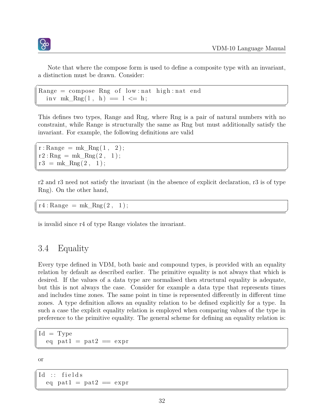

Note that where the compose form is used to define a composite type with an invariant, a distinction must be drawn. Consider:

```
\overline{a}Range = \text{composite } \text{Rng} \text{ of } \text{low} : \text{nat } \text{high} : \text{nat } \text{end}inv mk Rng(1, h) = 1 \le h;
```
This defines two types, Range and Rng, where Rng is a pair of natural numbers with no constraint, while Range is structurally the same as Rng but must additionally satisfy the invariant. For example, the following definitions are valid

 $\overline{\phantom{a}}$   $\overline{\phantom{a}}$   $\overline{\phantom{a}}$   $\overline{\phantom{a}}$   $\overline{\phantom{a}}$   $\overline{\phantom{a}}$   $\overline{\phantom{a}}$   $\overline{\phantom{a}}$   $\overline{\phantom{a}}$   $\overline{\phantom{a}}$   $\overline{\phantom{a}}$   $\overline{\phantom{a}}$   $\overline{\phantom{a}}$   $\overline{\phantom{a}}$   $\overline{\phantom{a}}$   $\overline{\phantom{a}}$   $\overline{\phantom{a}}$   $\overline{\phantom{a}}$   $\overline{\$ 

```
\overline{a}r : \text{Range} = \text{mk}\_\text{Rng}(1, 2);r2 : \text{Rng} = \text{mk\_Rng}(2, 1);r3 = mk_Rng(2, 1);\overline{\phantom{a}}
```
r2 and r3 need not satisfy the invariant (in the absence of explicit declaration, r3 is of type Rng). On the other hand,

 $\overline{\phantom{a}}$   $\overline{\phantom{a}}$   $\overline{\phantom{a}}$   $\overline{\phantom{a}}$   $\overline{\phantom{a}}$   $\overline{\phantom{a}}$   $\overline{\phantom{a}}$   $\overline{\phantom{a}}$   $\overline{\phantom{a}}$   $\overline{\phantom{a}}$   $\overline{\phantom{a}}$   $\overline{\phantom{a}}$   $\overline{\phantom{a}}$   $\overline{\phantom{a}}$   $\overline{\phantom{a}}$   $\overline{\phantom{a}}$   $\overline{\phantom{a}}$   $\overline{\phantom{a}}$   $\overline{\$ 

 $\overline{a}$  $r4$ : Range = mk\_Rng $(2, 1)$ ;

is invalid since r4 of type Range violates the invariant.

### 3.4 Equality

Every type defined in VDM, both basic and compound types, is provided with an equality relation by default as described earlier. The primitive equality is not always that which is desired. If the values of a data type are normalised then structural equality is adequate, but this is not always the case. Consider for example a data type that represents times and includes time zones. The same point in time is represented differently in different time zones. A type definition allows an equality relation to be defined explicitly for a type. In such a case the explicit equality relation is employed when comparing values of the type in preference to the primitive equality. The general scheme for defining an equality relation is:

 $\overline{a}$  $Id = Type$ eq pat $1 =$  pat $2 =$  expr

or

 $\overline{a}$  $Id :: fields$ eq pat $1 =$  pat $2 =$  expr

 $\overline{\phantom{a}}$   $\overline{\phantom{a}}$   $\overline{\phantom{a}}$   $\overline{\phantom{a}}$   $\overline{\phantom{a}}$   $\overline{\phantom{a}}$   $\overline{\phantom{a}}$   $\overline{\phantom{a}}$   $\overline{\phantom{a}}$   $\overline{\phantom{a}}$   $\overline{\phantom{a}}$   $\overline{\phantom{a}}$   $\overline{\phantom{a}}$   $\overline{\phantom{a}}$   $\overline{\phantom{a}}$   $\overline{\phantom{a}}$   $\overline{\phantom{a}}$   $\overline{\phantom{a}}$   $\overline{\$ 

 $\overline{\phantom{a}}$   $\overline{\phantom{a}}$   $\overline{\phantom{a}}$   $\overline{\phantom{a}}$   $\overline{\phantom{a}}$   $\overline{\phantom{a}}$   $\overline{\phantom{a}}$   $\overline{\phantom{a}}$   $\overline{\phantom{a}}$   $\overline{\phantom{a}}$   $\overline{\phantom{a}}$   $\overline{\phantom{a}}$   $\overline{\phantom{a}}$   $\overline{\phantom{a}}$   $\overline{\phantom{a}}$   $\overline{\phantom{a}}$   $\overline{\phantom{a}}$   $\overline{\phantom{a}}$   $\overline{\$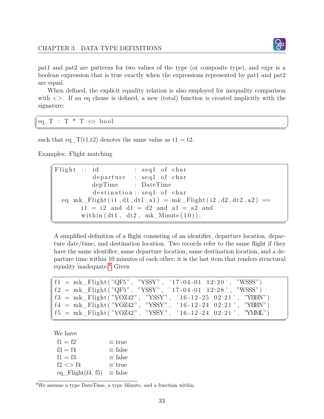

pat1 and pat2 are patterns for two values of the type (or composite type), and expr is a boolean expression that is true exactly when the expressions represented by pat1 and pat2 are equal.

When defined, the explicit equality relation is also employed for inequality comparison with  $\langle \rangle$ . If an eq clause is defined, a new (total) function is created implicitly with the signature:

 $\overline{\phantom{a}}$   $\overline{\phantom{a}}$   $\overline{\phantom{a}}$   $\overline{\phantom{a}}$   $\overline{\phantom{a}}$   $\overline{\phantom{a}}$   $\overline{\phantom{a}}$   $\overline{\phantom{a}}$   $\overline{\phantom{a}}$   $\overline{\phantom{a}}$   $\overline{\phantom{a}}$   $\overline{\phantom{a}}$   $\overline{\phantom{a}}$   $\overline{\phantom{a}}$   $\overline{\phantom{a}}$   $\overline{\phantom{a}}$   $\overline{\phantom{a}}$   $\overline{\phantom{a}}$   $\overline{\$ 

 $\mathrm{eq\_T}$  : T  $^*$  T  $\text{+>}$  bool

 $\overline{a}$ 

such that eq\_T(t1,t2) denotes the same value as t1 = t2.

Examples: Flight matching

| Flight :: id : seq1 of char |                                                        |  |
|-----------------------------|--------------------------------------------------------|--|
| departure : seq1 of char    |                                                        |  |
| depTime : DateTime          |                                                        |  |
| destination: seq1 of char   |                                                        |  |
|                             | eq mk_Flight(i1,d1,dt1,a1) = mk_Flight(i2,d2,dt2,a2) = |  |
|                             | $i1 = i2$ and $d1 = d2$ and $a1 = a2$ and              |  |
|                             | within $(dt1, dt2, mk_Minute(10));$                    |  |
|                             |                                                        |  |

A simplified definition of a flight consisting of an identifier, departure location, departure date/time, and destination location. Two records refer to the same flight if they have the same identifier, same departure location, same destination location, and a departure time within 10 minutes of each other; it is the last item that renders structural equality inadequate.[8](#page-41-0) Given

| $\begin{bmatrix} f1 = mk_F\text{light}("QF5", "YSSY", '17-04-01 12:20", "WSSS"\end{bmatrix}$      |  |
|---------------------------------------------------------------------------------------------------|--|
| $\text{f2 = mk\_Flight}("QF5", "YSSY", '17-04-01 12:28", "WSSS")$                                 |  |
| $\begin{bmatrix} 163 = mk_F\text{light}("VOZ42", "YSSY", '16-12-25 02:21", "YBBN") \end{bmatrix}$ |  |
| $\left  \text{ f4 = mk\_Flight}(\text{"VOZ42", "YSSY", '16-12-24 02:21", "YBBN")} \right $        |  |
| $\text{if } 5 = \text{mk\_Flight}("VOZ42", "YSSY", '16-12-24 02:21", "YMML")$                     |  |
|                                                                                                   |  |

We have

 $f1 = f2$   $\equiv$  true  $f3 = f4$   $\equiv$  false  $f1 = f3$   $\equiv$  false f2  $\langle$  > f4  $\equiv$  true eq\_Flight(f4, f5)  $\equiv$  false

<span id="page-41-0"></span><sup>8</sup>We assume a type DateTime, a type Minute, and a function within.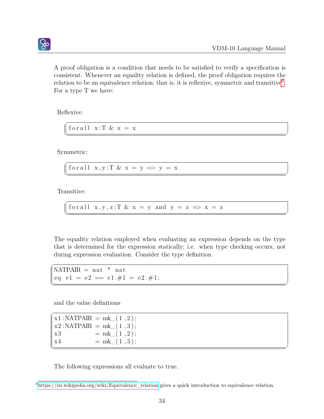A proof obligation is a condition that needs to be satisfied to verify a specification is consistent. Whenever an equality relation is defined, the proof obligation requires the relation to be an equivalence relation; that is, it is reflexive, symmetric and transitive<sup>[9](#page-42-0)</sup>. For a type T we have:

Reflexive:

 $\left[ 8\right]$ 

 $\overline{a}$ for all  $x : T \& x = x$  $\sqrt{2\pi\left(\frac{1}{2}\right)^{2}+2\left(1+\frac{1}{2}\right)^{2}}$ 

Symmetric:

 $\overline{a}$ for all  $x, y: T \& x = y \Rightarrow y = x$  $\overline{\phantom{a}}$   $\overline{\phantom{a}}$   $\overline{\phantom{a}}$   $\overline{\phantom{a}}$   $\overline{\phantom{a}}$   $\overline{\phantom{a}}$   $\overline{\phantom{a}}$   $\overline{\phantom{a}}$   $\overline{\phantom{a}}$   $\overline{\phantom{a}}$   $\overline{\phantom{a}}$   $\overline{\phantom{a}}$   $\overline{\phantom{a}}$   $\overline{\phantom{a}}$   $\overline{\phantom{a}}$   $\overline{\phantom{a}}$   $\overline{\phantom{a}}$   $\overline{\phantom{a}}$   $\overline{\$ 

Transitive:

 $\overline{a}$ for all  $x, y, z: T \& x = y$  and  $y = z \Rightarrow x = z$  $\sqrt{2\pi\left(\frac{1}{2}\right)^{2}+1}$ 

The equality relation employed when evaluating an expression depends on the type that is determined for the expression statically; i.e. when type checking occurs, not during expression evaluation. Consider the type definition

 $\overline{\phantom{a}}$   $\overline{\phantom{a}}$   $\overline{\phantom{a}}$   $\overline{\phantom{a}}$   $\overline{\phantom{a}}$   $\overline{\phantom{a}}$   $\overline{\phantom{a}}$   $\overline{\phantom{a}}$   $\overline{\phantom{a}}$   $\overline{\phantom{a}}$   $\overline{\phantom{a}}$   $\overline{\phantom{a}}$   $\overline{\phantom{a}}$   $\overline{\phantom{a}}$   $\overline{\phantom{a}}$   $\overline{\phantom{a}}$   $\overline{\phantom{a}}$   $\overline{\phantom{a}}$   $\overline{\$ 

 $\overline{a}$  $NATPAIR = nat * nat$ eq e1 = e2 = e1. $\#1 = e2 \cdot \#1;$ 

and the value definitions

```
\overline{a}x1 : \text{NATPAIR} = \text{mk} \ (1, 2);
  x2: NATPAIR = mk_(1,3);
  x3 = mk(1,2);x4 = mk(1, 3);
\overline{\phantom{a}} \overline{\phantom{a}} \overline{\phantom{a}} \overline{\phantom{a}} \overline{\phantom{a}} \overline{\phantom{a}} \overline{\phantom{a}} \overline{\phantom{a}} \overline{\phantom{a}} \overline{\phantom{a}} \overline{\phantom{a}} \overline{\phantom{a}} \overline{\phantom{a}} \overline{\phantom{a}} \overline{\phantom{a}} \overline{\phantom{a}} \overline{\phantom{a}} \overline{\phantom{a}} \overline{\
```
The following expressions all evaluate to true.

<span id="page-42-0"></span> $9$ https://en.wikipedia.org/wiki/Equivalence relation gives a quick introduction to equivalence relation.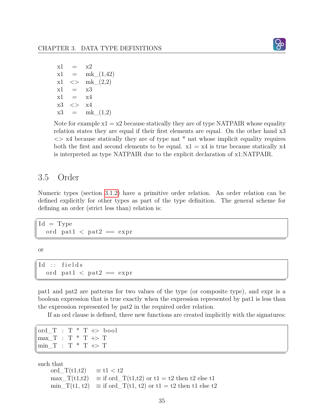

 $x1 = x2$  $x1 = mk(1,42)$  $x1 \leq x \leq m k \quad (2,2)$  $x1 = x3$  $x1 = x4$  $x3 \leq x4$  $x3 = m k(1,2)$ 

Note for example  $x1 = x2$  because statically they are of type NATPAIR whose equality relation states they are equal if their first elements are equal. On the other hand x3  $\langle \rangle$  x4 because statically they are of type nat  $*$  nat whose implicit equality requires both the first and second elements to be equal.  $x1 = x4$  is true because statically  $x4$ is interpreted as type NATPAIR due to the explicit declaration of x1:NATPAIR.

### 3.5 Order

Numeric types (section [3.1.2\)](#page-16-0) have a primitive order relation. An order relation can be defined explicitly for other types as part of the type definition. The general scheme for defining an order (strict less than) relation is:

 $\overline{\phantom{a}}$   $\overline{\phantom{a}}$   $\overline{\phantom{a}}$   $\overline{\phantom{a}}$   $\overline{\phantom{a}}$   $\overline{\phantom{a}}$   $\overline{\phantom{a}}$   $\overline{\phantom{a}}$   $\overline{\phantom{a}}$   $\overline{\phantom{a}}$   $\overline{\phantom{a}}$   $\overline{\phantom{a}}$   $\overline{\phantom{a}}$   $\overline{\phantom{a}}$   $\overline{\phantom{a}}$   $\overline{\phantom{a}}$   $\overline{\phantom{a}}$   $\overline{\phantom{a}}$   $\overline{\$ 

 $\overline{a}$  $Id = Type$ ord pat $1 <$  pat $2 =$  expr

or

 $\overline{a}$  $Id :: fields$ ord pat $1 \leq$  pat $2 \equiv$  expr

pat1 and pat2 are patterns for two values of the type (or composite type), and expr is a boolean expression that is true exactly when the expression represented by pat1 is less than the expression represented by pat2 in the required order relation.

 $\overline{\phantom{a}}$   $\overline{\phantom{a}}$   $\overline{\phantom{a}}$   $\overline{\phantom{a}}$   $\overline{\phantom{a}}$   $\overline{\phantom{a}}$   $\overline{\phantom{a}}$   $\overline{\phantom{a}}$   $\overline{\phantom{a}}$   $\overline{\phantom{a}}$   $\overline{\phantom{a}}$   $\overline{\phantom{a}}$   $\overline{\phantom{a}}$   $\overline{\phantom{a}}$   $\overline{\phantom{a}}$   $\overline{\phantom{a}}$   $\overline{\phantom{a}}$   $\overline{\phantom{a}}$   $\overline{\$ 

If an ord clause is defined, three new functions are created implicitly with the signatures:

 $\overline{\phantom{a}}$   $\overline{\phantom{a}}$   $\overline{\phantom{a}}$   $\overline{\phantom{a}}$   $\overline{\phantom{a}}$   $\overline{\phantom{a}}$   $\overline{\phantom{a}}$   $\overline{\phantom{a}}$   $\overline{\phantom{a}}$   $\overline{\phantom{a}}$   $\overline{\phantom{a}}$   $\overline{\phantom{a}}$   $\overline{\phantom{a}}$   $\overline{\phantom{a}}$   $\overline{\phantom{a}}$   $\overline{\phantom{a}}$   $\overline{\phantom{a}}$   $\overline{\phantom{a}}$   $\overline{\$ 

 $\overline{a}$ ord  $T : T^* T \rightarrow \text{bool}$ max  $T : T^* T \rightarrow T$ min  $T : T^* T \rightarrow T$ 

such that

ord\_T(t1,t2)  $\equiv$  t1 < t2 max  $T(t1,t2) \equiv$  if ord  $T(t1,t2)$  or t1 = t2 then t2 else t1 min\_T(t1, t2)  $\equiv$  if ord\_T(t1, t2) or t1 = t2 then t1 else t2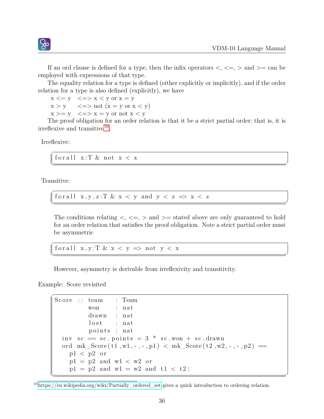

If an ord clause is defined for a type, then the infix operators  $\langle \langle \langle \rangle \rangle$  and  $\langle \rangle$  = can be employed with expressions of that type.

The equality relation for a type is defined (either explicitly or implicitly), and if the order relation for a type is also defined (explicitly), we have

 $x \le y \le \le x \le y$  or  $x = y$  $x > y$   $\iff$  not  $(x = y \text{ or } x < y)$  $x \ge y \iff x = y$  or not  $x \le y$ 

The proof obligation for an order relation is that it be a strict partial order; that is, it is irreflexive and transitive<sup>[10](#page-44-0)</sup>.

Irreflexive:

 $\overline{a}$ for all  $x: T \& not x < x$ 

Transitive:

 $\overline{a}$ 

 $\overline{a}$ 

$$
\text{for all } x, y, z: T \& x < y \text{ and } y < z \implies x < z
$$

The conditions relating  $\langle \xi, \xi \rangle = 0$  and  $\langle \xi \rangle = 0$  and above are only guaranteed to hold for an order relation that satisfies the proof obligation. Note a strict partial order must be asymmetric

 $\overline{\phantom{a}}$   $\overline{\phantom{a}}$   $\overline{\phantom{a}}$   $\overline{\phantom{a}}$   $\overline{\phantom{a}}$   $\overline{\phantom{a}}$   $\overline{\phantom{a}}$   $\overline{\phantom{a}}$   $\overline{\phantom{a}}$   $\overline{\phantom{a}}$   $\overline{\phantom{a}}$   $\overline{\phantom{a}}$   $\overline{\phantom{a}}$   $\overline{\phantom{a}}$   $\overline{\phantom{a}}$   $\overline{\phantom{a}}$   $\overline{\phantom{a}}$   $\overline{\phantom{a}}$   $\overline{\$ 

 $\overline{\phantom{a}}$   $\overline{\phantom{a}}$   $\overline{\phantom{a}}$   $\overline{\phantom{a}}$   $\overline{\phantom{a}}$   $\overline{\phantom{a}}$   $\overline{\phantom{a}}$   $\overline{\phantom{a}}$   $\overline{\phantom{a}}$   $\overline{\phantom{a}}$   $\overline{\phantom{a}}$   $\overline{\phantom{a}}$   $\overline{\phantom{a}}$   $\overline{\phantom{a}}$   $\overline{\phantom{a}}$   $\overline{\phantom{a}}$   $\overline{\phantom{a}}$   $\overline{\phantom{a}}$   $\overline{\$ 

 $\overline{\phantom{a}}$   $\overline{\phantom{a}}$   $\overline{\phantom{a}}$   $\overline{\phantom{a}}$   $\overline{\phantom{a}}$   $\overline{\phantom{a}}$   $\overline{\phantom{a}}$   $\overline{\phantom{a}}$   $\overline{\phantom{a}}$   $\overline{\phantom{a}}$   $\overline{\phantom{a}}$   $\overline{\phantom{a}}$   $\overline{\phantom{a}}$   $\overline{\phantom{a}}$   $\overline{\phantom{a}}$   $\overline{\phantom{a}}$   $\overline{\phantom{a}}$   $\overline{\phantom{a}}$   $\overline{\$ 

for all  $x, y: T \& x < y \Rightarrow$  not  $y < x$ 

However, asymmetry is derivable from irreflexivity and transitivity.

Example: Score revisited

```
\overline{a}Score :: team : Team
                      won : nat
                      drawn : nat
                      \lambda lost : nat
                      points : nat
      inv sc = sc.points = 3 * sc.won + sc.drawnord mk_Score(t1, w1, -, -, p1) < mk_Score(t2, w2, -, -, p2) =
          p1 < p2 or
          p1 = p2 and w1 < w2 or
          p1 = p2 and w1 = w2 and t1 < t2;
\overline{\phantom{a}} \overline{\phantom{a}} \overline{\phantom{a}} \overline{\phantom{a}} \overline{\phantom{a}} \overline{\phantom{a}} \overline{\phantom{a}} \overline{\phantom{a}} \overline{\phantom{a}} \overline{\phantom{a}} \overline{\phantom{a}} \overline{\phantom{a}} \overline{\phantom{a}} \overline{\phantom{a}} \overline{\phantom{a}} \overline{\phantom{a}} \overline{\phantom{a}} \overline{\phantom{a}} \overline{\
```

```
10https://en.wikipedia.org/wiki/Partially_ordered_set gives a quick introduction to ordering relation.
```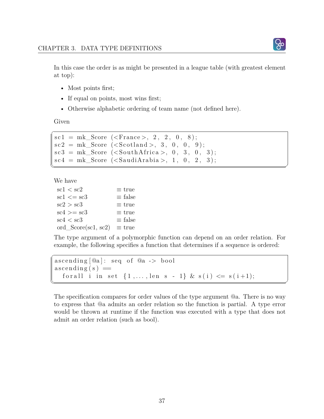

In this case the order is as might be presented in a league table (with greatest element at top):

- Most points first;
- If equal on points, most wins first;
- Otherwise alphabetic ordering of team name (not defined here).

Given

| $ sc1 = mk\_Score (\leq France > 2, 2, 0, 8);$<br>$ sc2 = mk\_Score \;(<3 cotland >, 3, 0, 0, 9);$<br>$\vert sc3 = \mathrm{mk\_Score}$ ( <southafrica>, 0, 3, 0, 3);<br/><math>\vert \text{sc}4 \vert = \text{mk\_Score}</math> (<saudiarabia>, 1, 0, 2, 3);</saudiarabia></southafrica> |
|------------------------------------------------------------------------------------------------------------------------------------------------------------------------------------------------------------------------------------------------------------------------------------------|
|------------------------------------------------------------------------------------------------------------------------------------------------------------------------------------------------------------------------------------------------------------------------------------------|

We have

| $\mathrm{sc}1 < \mathrm{sc}2$        | $\equiv$ true  |
|--------------------------------------|----------------|
| $\mathrm{sc}1 \leq$ $\mathrm{sc}3$   | $\equiv$ false |
| $\mathrm{sc}2 > \mathrm{sc}3$        | $\equiv$ true  |
| $\mathrm{sc}4 \geq$ $\mathrm{sc}3$   | $\equiv$ true  |
| $\mathrm{sc}4 < \mathrm{sc}3$        | $\equiv$ false |
| $ord\_Score(\text{sc1}, \text{sc2})$ | $\equiv$ true  |

The type argument of a polymorphic function can depend on an order relation. For example, the following specifies a function that determines if a sequence is ordered:

```
\overline{a}ascending [@a]: seq of @a \Rightarrow bool
\text{ascending}(s) \equivfor all i in set \{1, ..., len s - 1\} & s(i) \le s(i+1);\overline{\phantom{a}}
```
The specification compares for order values of the type argument @a. There is no way to express that @a admits an order relation so the function is partial. A type error would be thrown at runtime if the function was executed with a type that does not admit an order relation (such as bool).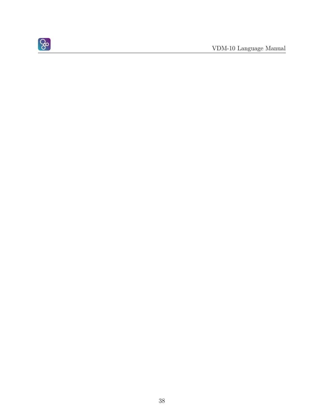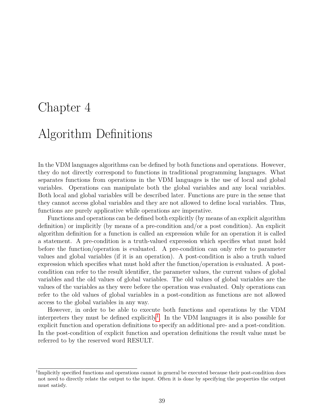## Chapter 4

# Algorithm Definitions

In the VDM languages algorithms can be defined by both functions and operations. However, they do not directly correspond to functions in traditional programming languages. What separates functions from operations in the VDM languages is the use of local and global variables. Operations can manipulate both the global variables and any local variables. Both local and global variables will be described later. Functions are pure in the sense that they cannot access global variables and they are not allowed to define local variables. Thus, functions are purely applicative while operations are imperative.

Functions and operations can be defined both explicitly (by means of an explicit algorithm definition) or implicitly (by means of a pre-condition and/or a post condition). An explicit algorithm definition for a function is called an expression while for an operation it is called a statement. A pre-condition is a truth-valued expression which specifies what must hold before the function/operation is evaluated. A pre-condition can only refer to parameter values and global variables (if it is an operation). A post-condition is also a truth valued expression which specifies what must hold after the function/operation is evaluated. A postcondition can refer to the result identifier, the parameter values, the current values of global variables and the old values of global variables. The old values of global variables are the values of the variables as they were before the operation was evaluated. Only operations can refer to the old values of global variables in a post-condition as functions are not allowed access to the global variables in any way.

However, in order to be able to execute both functions and operations by the VDM interpreters they must be defined explicitly<sup>[1](#page-47-0)</sup>. In the VDM languages it is also possible for explicit function and operation definitions to specify an additional pre- and a post-condition. In the post-condition of explicit function and operation definitions the result value must be referred to by the reserved word RESULT.

<span id="page-47-0"></span><sup>&</sup>lt;sup>1</sup>Implicitly specified functions and operations cannot in general be executed because their post-condition does not need to directly relate the output to the input. Often it is done by specifying the properties the output must satisfy.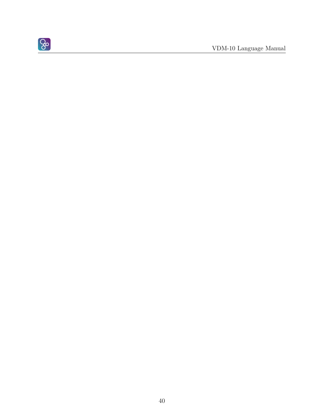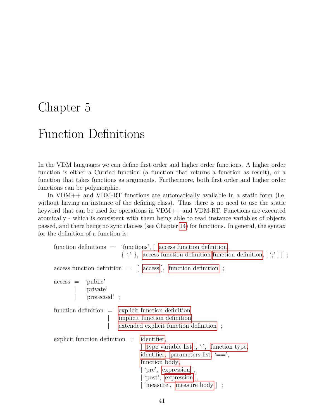## <span id="page-49-0"></span>Chapter 5

## Function Definitions

In the VDM languages we can define first order and higher order functions. A higher order function is either a Curried function (a function that returns a function as result), or a function that takes functions as arguments. Furthermore, both first order and higher order functions can be polymorphic.

In VDM++ and VDM-RT functions are automatically available in a static form (i.e. without having an instance of the defining class). Thus there is no need to use the static keyword that can be used for operations in VDM++ and VDM-RT. Functions are executed atomically - which is consistent with them being able to read instance variables of objects passed, and there being no sync clauses (see Chapter [14\)](#page-171-0) for functions. In general, the syntax for the definition of a function is:

functiondefinitions  $=$  'functions',  $\int$  [access function definition,](#page-228-0)  $\{\ \vdots\ \}$ , [access function definition](#page-228-0) [function definition,](#page-196-0)  $[\ \vdots\ \}$ ;  $access$ function definition  $=$  [ [access](#page-193-0) ], [function definition](#page-196-0) ;  $\mathrm{access} = \mathrm{'public'}$ | 'private' | 'protected' ; function definition = [explicit function definition](#page-196-1) | [implicit function definition](#page-196-2) [extended explicit function definition](#page-196-3); explicit function definition  $=$  [identifier,](#page-217-0) [ [type variable list](#page-196-4) ], ':', [function type,](#page-195-0) [identifier,](#page-217-0) [parameters list,](#page-197-0) '==', [function body,](#page-197-1) [ 'pre', [expression](#page-200-0) ], [ 'post', [expression](#page-200-0) ], ['measure', [measure body](#page-197-2) ] ;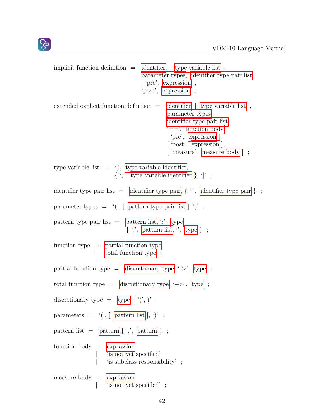

implicitfunction definition  $=$  [identifier,](#page-217-0)  $\lceil$  [type variable list](#page-196-4)  $\rceil$ , [parameter types,](#page-197-3) [identifier type pair list,](#page-197-4) [ 'pre', [expression](#page-200-0) ], 'post', [expression](#page-200-0) ; extendedexplicit function definition  $=$  [identifier,](#page-217-0)  $\lceil$  [type variable list](#page-196-4)  $\rceil$ , [parameter types,](#page-197-3) [identifier type pair list,](#page-197-4)  $'=='$ , [function body,](#page-197-1) [ 'pre', [expression](#page-200-0) ], [ 'post', [expression](#page-200-0) ], [ 'measure', [measure body](#page-197-2) ] ; type variable list  $=$  '[', [type variable identifier,](#page-217-1)  $\{\ \'$ , [type variable identifier](#page-217-1)  $\}$ ,  $\'$  ; identifier type pair list  $=$  [identifier type pair,](#page-196-5)  $\{\cdot,\cdot\}$ , [identifier type pair](#page-196-5)  $\}$ ; parametertypes  $=$  '(', [ [pattern type pair list](#page-197-5) ], ')' ; pattern type pair list  $=$  [pattern list,](#page-214-0)  $\cdot$ ; [type,](#page-194-0) { ',', [pattern list,](#page-214-0)':', [type](#page-194-0) } ; function type  $=$  [partial function type](#page-195-1) | [total function type](#page-195-2) ; partial function [type](#page-194-0)  $=$  [discretionary type,](#page-195-3)  $\langle - \rangle$ , type; total function [type](#page-194-0)  $=$  [discretionary type,](#page-195-3)  $\leftrightarrow$ , type; discretionary [type](#page-194-0) = type  $| (',')'$  ; parameters $=$  '(', [ [pattern list](#page-214-0) ], ')' ; pattern list = [pattern,](#page-213-0) $\{\, \cdot, \, \cdot, \, \text{pattern } \}$ ; function body  $=$  [expression](#page-200-0) 'is not yet specified' 'is subclass responsibility' ;  $measure body = expression$  $measure body = expression$ 'is not yet specified';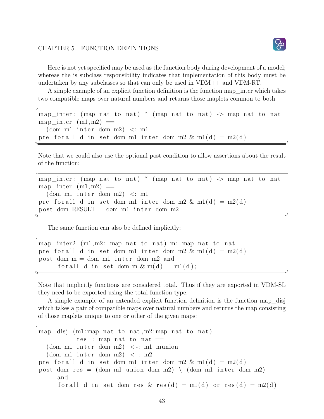$\overline{a}$ 



Here is not yet specified may be used as the function body during development of a model; whereas the is subclass responsibility indicates that implementation of this body must be undertaken by any subclasses so that can only be used in VDM++ and VDM-RT.

A simple example of an explicit function definition is the function map\_inter which takes two compatible maps over natural numbers and returns those maplets common to both

```
\overline{a}map_inter: (map nat to nat) * (map nat to nat) -> map nat to nat
 map\_inter (m1,m2) ==(\text{dom } m1 \text{ inter dom } m2) \leq m1pre for all d in set dom m1 inter dom m2 \& m1(d) = m2(d)
\overline{\phantom{a}} \overline{\phantom{a}} \overline{\phantom{a}} \overline{\phantom{a}} \overline{\phantom{a}} \overline{\phantom{a}} \overline{\phantom{a}} \overline{\phantom{a}} \overline{\phantom{a}} \overline{\phantom{a}} \overline{\phantom{a}} \overline{\phantom{a}} \overline{\phantom{a}} \overline{\phantom{a}} \overline{\phantom{a}} \overline{\phantom{a}} \overline{\phantom{a}} \overline{\phantom{a}} \overline{\
```
Note that we could also use the optional post condition to allow assertions about the result of the function:

```
map_inter: (map nat to nat) * (map nat to nat) -> map nat to nat
 map inter (m1,m2) =
      (\text{dom } m1 \text{ inter dom } m2) \leq m1pre for all d in set dom m1 inter dom m2 \& m1(d) = m2(d)
  post dom RESULT = dom m1 inter dom m2
\overline{\phantom{a}} \overline{\phantom{a}} \overline{\phantom{a}} \overline{\phantom{a}} \overline{\phantom{a}} \overline{\phantom{a}} \overline{\phantom{a}} \overline{\phantom{a}} \overline{\phantom{a}} \overline{\phantom{a}} \overline{\phantom{a}} \overline{\phantom{a}} \overline{\phantom{a}} \overline{\phantom{a}} \overline{\phantom{a}} \overline{\phantom{a}} \overline{\phantom{a}} \overline{\phantom{a}} \overline{\
```
The same function can also be defined implicitly:

```
map_inter2 (m1,m2: map nat to nat) m: map nat to nat
pre for all d in set dom m1 inter dom m2 \& m1(d) = m2(d)
post dom m = dom ml inter dom m2 and
     for all d in set dom m \& m(d) = m1(d);
```
Note that implicitly functions are considered total. Thus if they are exported in VDM-SL they need to be exported using the total function type.

✡✝ ✆

A simple example of an extended explicit function definition is the function map\_disj which takes a pair of compatible maps over natural numbers and returns the map consisting of those maplets unique to one or other of the given maps:

<span id="page-51-0"></span> $\overline{a}$ map\_disj  $(m1: map nat to nat,m2: mapnat to nat)$  $res$  : map nat to nat  $=$  $(\text{dom }\text{ml inter dom }\text{m2}) \leq \cdot$ : m1 munion  $(\text{dom } m1 \text{ inter dom } m2) \leq \cdot: m2$ pre for all d in set dom m1 inter dom m2  $\&$  m1(d) = m2(d) post dom res = (dom m1 union dom m2) \ (dom m1 inter dom m2) and for all d in set dom res  $\&$  res  $(d) = m1(d)$  or res  $(d) = m2(d)$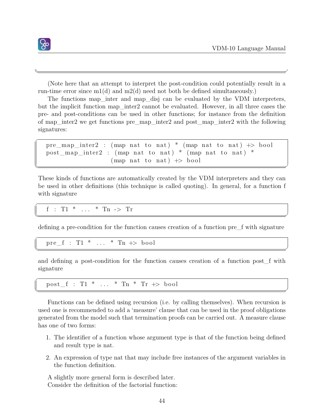

 $\overline{a}$ 

 $\overline{a}$ 

 $\overline{a}$ 

(Note here that an attempt to interpret the post-condition could potentially result in a run-time error since  $m1(d)$  and  $m2(d)$  need not both be defined simultaneously.)

 $\overline{\phantom{a}}$   $\overline{\phantom{a}}$   $\overline{\phantom{a}}$   $\overline{\phantom{a}}$   $\overline{\phantom{a}}$   $\overline{\phantom{a}}$   $\overline{\phantom{a}}$   $\overline{\phantom{a}}$   $\overline{\phantom{a}}$   $\overline{\phantom{a}}$   $\overline{\phantom{a}}$   $\overline{\phantom{a}}$   $\overline{\phantom{a}}$   $\overline{\phantom{a}}$   $\overline{\phantom{a}}$   $\overline{\phantom{a}}$   $\overline{\phantom{a}}$   $\overline{\phantom{a}}$   $\overline{\$ 

The functions map inter and map disj can be evaluated by the VDM interpreters, but the implicit function map\_inter2 cannot be evaluated. However, in all three cases the pre- and post-conditions can be used in other functions; for instance from the definition of map\_inter2 we get functions pre\_map\_inter2 and post\_map\_inter2 with the following signatures:

```
pre_map_inter2 : (map nat to nat) * (map nat to nat) \rightarrow bool
post_map_inter2 : (map nat to nat) * (map nat to nat) *
                   (map nat to nat) \Rightarrow bool
```
These kinds of functions are automatically created by the VDM interpreters and they can be used in other definitions (this technique is called quoting). In general, for a function f with signature

 $\overline{\phantom{a}}$   $\overline{\phantom{a}}$   $\overline{\phantom{a}}$   $\overline{\phantom{a}}$   $\overline{\phantom{a}}$   $\overline{\phantom{a}}$   $\overline{\phantom{a}}$   $\overline{\phantom{a}}$   $\overline{\phantom{a}}$   $\overline{\phantom{a}}$   $\overline{\phantom{a}}$   $\overline{\phantom{a}}$   $\overline{\phantom{a}}$   $\overline{\phantom{a}}$   $\overline{\phantom{a}}$   $\overline{\phantom{a}}$   $\overline{\phantom{a}}$   $\overline{\phantom{a}}$   $\overline{\$ 

f :  $T1 * ... * Tn \rightarrow Tr$ 

defining a pre-condition for the function causes creation of a function pre\_f with signature

 $\overline{\phantom{a}}$   $\overline{\phantom{a}}$   $\overline{\phantom{a}}$   $\overline{\phantom{a}}$   $\overline{\phantom{a}}$   $\overline{\phantom{a}}$   $\overline{\phantom{a}}$   $\overline{\phantom{a}}$   $\overline{\phantom{a}}$   $\overline{\phantom{a}}$   $\overline{\phantom{a}}$   $\overline{\phantom{a}}$   $\overline{\phantom{a}}$   $\overline{\phantom{a}}$   $\overline{\phantom{a}}$   $\overline{\phantom{a}}$   $\overline{\phantom{a}}$   $\overline{\phantom{a}}$   $\overline{\$ 

pre\_f : T1  $*$  ...  $*$  Tn  $\Rightarrow$  bool

and defining a post-condition for the function causes creation of a function post f with signature

 $\overline{\phantom{a}}$   $\overline{\phantom{a}}$   $\overline{\phantom{a}}$   $\overline{\phantom{a}}$   $\overline{\phantom{a}}$   $\overline{\phantom{a}}$   $\overline{\phantom{a}}$   $\overline{\phantom{a}}$   $\overline{\phantom{a}}$   $\overline{\phantom{a}}$   $\overline{\phantom{a}}$   $\overline{\phantom{a}}$   $\overline{\phantom{a}}$   $\overline{\phantom{a}}$   $\overline{\phantom{a}}$   $\overline{\phantom{a}}$   $\overline{\phantom{a}}$   $\overline{\phantom{a}}$   $\overline{\$ 

post\_f : T1  $*$  ...  $*$  Tn  $*$  Tr  $\Rightarrow$  bool

Functions can be defined using recursion (i.e. by calling themselves). When recursion is used one is recommended to add a 'measure' clause that can be used in the proof obligations generated from the model such that termination proofs can be carried out. A measure clause has one of two forms:

 $\overline{\phantom{a}}$   $\overline{\phantom{a}}$   $\overline{\phantom{a}}$   $\overline{\phantom{a}}$   $\overline{\phantom{a}}$   $\overline{\phantom{a}}$   $\overline{\phantom{a}}$   $\overline{\phantom{a}}$   $\overline{\phantom{a}}$   $\overline{\phantom{a}}$   $\overline{\phantom{a}}$   $\overline{\phantom{a}}$   $\overline{\phantom{a}}$   $\overline{\phantom{a}}$   $\overline{\phantom{a}}$   $\overline{\phantom{a}}$   $\overline{\phantom{a}}$   $\overline{\phantom{a}}$   $\overline{\$ 

- 1. The identifier of a function whose argument type is that of the function being defined and result type is nat.
- 2. An expression of type nat that may include free instances of the argument variables in the function definition.

A slightly more general form is described later. Consider the definition of the factorial function: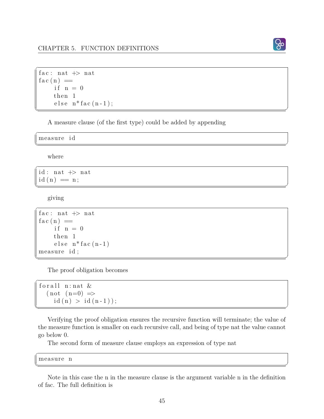

fac: nat  $\Rightarrow$  nat  $fac(n) ==$ if  $n = 0$ then 1 e l s e  $n * f$  a c  $(n - 1);$ 

A measure clause (of the first type) could be added by appending

 $\overline{\phantom{a}}$   $\overline{\phantom{a}}$   $\overline{\phantom{a}}$   $\overline{\phantom{a}}$   $\overline{\phantom{a}}$   $\overline{\phantom{a}}$   $\overline{\phantom{a}}$   $\overline{\phantom{a}}$   $\overline{\phantom{a}}$   $\overline{\phantom{a}}$   $\overline{\phantom{a}}$   $\overline{\phantom{a}}$   $\overline{\phantom{a}}$   $\overline{\phantom{a}}$   $\overline{\phantom{a}}$   $\overline{\phantom{a}}$   $\overline{\phantom{a}}$   $\overline{\phantom{a}}$   $\overline{\$ 

 $\overline{\phantom{a}}$   $\overline{\phantom{a}}$   $\overline{\phantom{a}}$   $\overline{\phantom{a}}$   $\overline{\phantom{a}}$   $\overline{\phantom{a}}$   $\overline{\phantom{a}}$   $\overline{\phantom{a}}$   $\overline{\phantom{a}}$   $\overline{\phantom{a}}$   $\overline{\phantom{a}}$   $\overline{\phantom{a}}$   $\overline{\phantom{a}}$   $\overline{\phantom{a}}$   $\overline{\phantom{a}}$   $\overline{\phantom{a}}$   $\overline{\phantom{a}}$   $\overline{\phantom{a}}$   $\overline{\$ 

 $\overline{\phantom{a}}$   $\overline{\phantom{a}}$   $\overline{\phantom{a}}$   $\overline{\phantom{a}}$   $\overline{\phantom{a}}$   $\overline{\phantom{a}}$   $\overline{\phantom{a}}$   $\overline{\phantom{a}}$   $\overline{\phantom{a}}$   $\overline{\phantom{a}}$   $\overline{\phantom{a}}$   $\overline{\phantom{a}}$   $\overline{\phantom{a}}$   $\overline{\phantom{a}}$   $\overline{\phantom{a}}$   $\overline{\phantom{a}}$   $\overline{\phantom{a}}$   $\overline{\phantom{a}}$   $\overline{\$ 

 $\overline{\phantom{a}}$ 

measure id

 $\overline{a}$ 

 $\overline{a}$ 

 $\overline{a}$ 

where

 $\overline{a}$  $id: nat \Rightarrow nat$  $id(n) == n;$ 

giving

```
fac: nat \rightarrow nat
fac(n) ==if n = 0then 1
    else n*fa c (n-1)measure id;
```
The proof obligation becomes

```
\overline{a}for all n : nat &(not (n=0) \Rightarrowid(n) > id(n-1));\overline{\phantom{a}} \overline{\phantom{a}} \overline{\phantom{a}} \overline{\phantom{a}} \overline{\phantom{a}} \overline{\phantom{a}} \overline{\phantom{a}} \overline{\phantom{a}} \overline{\phantom{a}} \overline{\phantom{a}} \overline{\phantom{a}} \overline{\phantom{a}} \overline{\phantom{a}} \overline{\phantom{a}} \overline{\phantom{a}} \overline{\phantom{a}} \overline{\phantom{a}} \overline{\phantom{a}} \overline{\
```
Verifying the proof obligation ensures the recursive function will terminate; the value of the measure function is smaller on each recursive call, and being of type nat the value cannot go below 0.

The second form of measure clause employs an expression of type nat

measure n

 $\overline{a}$ 

Note in this case the n in the measure clause is the argument variable n in the definition of fac. The full definition is

 $\overline{\phantom{a}}$   $\overline{\phantom{a}}$   $\overline{\phantom{a}}$   $\overline{\phantom{a}}$   $\overline{\phantom{a}}$   $\overline{\phantom{a}}$   $\overline{\phantom{a}}$   $\overline{\phantom{a}}$   $\overline{\phantom{a}}$   $\overline{\phantom{a}}$   $\overline{\phantom{a}}$   $\overline{\phantom{a}}$   $\overline{\phantom{a}}$   $\overline{\phantom{a}}$   $\overline{\phantom{a}}$   $\overline{\phantom{a}}$   $\overline{\phantom{a}}$   $\overline{\phantom{a}}$   $\overline{\$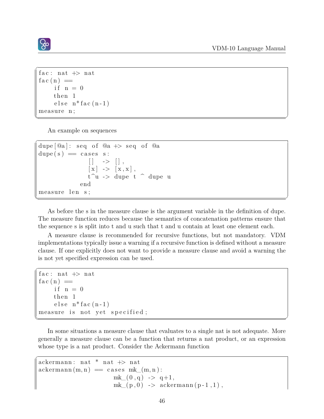```
\overline{a}fac: nat \Rightarrow nat
fac(n) ==if n = 0then 1
      e l s e n * f a c (n-1)measure n ;
```
 $[$ % $]$ 

An example on sequences

```
dupe [@a]: seq of @a \Rightarrow seq of @adue(s) == cases s:\begin{bmatrix} \end{bmatrix} \rightarrow \begin{bmatrix} \end{bmatrix}\begin{bmatrix} x \end{bmatrix} \rightarrow \begin{bmatrix} x, x \end{bmatrix}t \nightharpoonup u -> dupe t \hat{u} dupe u
                                             end
   measure len s;
\overline{\phantom{a}} \overline{\phantom{a}} \overline{\phantom{a}} \overline{\phantom{a}} \overline{\phantom{a}} \overline{\phantom{a}} \overline{\phantom{a}} \overline{\phantom{a}} \overline{\phantom{a}} \overline{\phantom{a}} \overline{\phantom{a}} \overline{\phantom{a}} \overline{\phantom{a}} \overline{\phantom{a}} \overline{\phantom{a}} \overline{\phantom{a}} \overline{\phantom{a}} \overline{\phantom{a}} \overline{\
```
As before the s in the measure clause is the argument variable in the definition of dupe. The measure function reduces because the semantics of concatenation patterns ensure that the sequence s is split into t and u such that t and u contain at least one element each.

 $\overline{\phantom{a}}$   $\overline{\phantom{a}}$   $\overline{\phantom{a}}$   $\overline{\phantom{a}}$   $\overline{\phantom{a}}$   $\overline{\phantom{a}}$   $\overline{\phantom{a}}$   $\overline{\phantom{a}}$   $\overline{\phantom{a}}$   $\overline{\phantom{a}}$   $\overline{\phantom{a}}$   $\overline{\phantom{a}}$   $\overline{\phantom{a}}$   $\overline{\phantom{a}}$   $\overline{\phantom{a}}$   $\overline{\phantom{a}}$   $\overline{\phantom{a}}$   $\overline{\phantom{a}}$   $\overline{\$ 

A measure clause is recommended for recursive functions, but not mandatory. VDM implementations typically issue a warning if a recursive function is defined without a measure clause. If one explicitly does not want to provide a measure clause and avoid a warning the is not yet specified expression can be used.

```
\overline{a}fac: nat \Rightarrow nat
  fac(n) ==if n = 0then 1
                 e l s e n * f a c (n-1)measure is not yet specified;
\overline{\phantom{a}} \overline{\phantom{a}} \overline{\phantom{a}} \overline{\phantom{a}} \overline{\phantom{a}} \overline{\phantom{a}} \overline{\phantom{a}} \overline{\phantom{a}} \overline{\phantom{a}} \overline{\phantom{a}} \overline{\phantom{a}} \overline{\phantom{a}} \overline{\phantom{a}} \overline{\phantom{a}} \overline{\phantom{a}} \overline{\phantom{a}} \overline{\phantom{a}} \overline{\phantom{a}} \overline{\
```
In some situations a measure clause that evaluates to a single nat is not adequate. More generally a measure clause can be a function that returns a nat product, or an expression whose type is a nat product. Consider the Ackermann function

```
\overline{a}ackermann: nat * nat \rightarrow nat
ackerman(n, n) == cases mk(m, n):
                              mk_0(0, q) \Rightarrow q+1,mk (p, 0) \rightarrow \text{ackermann}( p - 1, 1 ),
```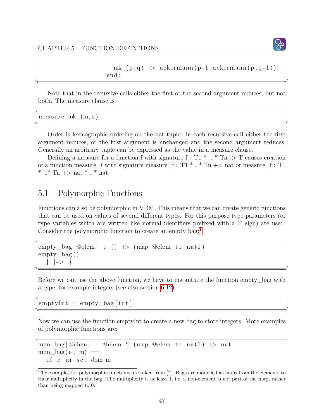

```
mk (p, q) -> ackermann (p - 1, \text{ackermann} ( p, q - 1 ) )
```

```
end ;
\overline{\phantom{a}} \overline{\phantom{a}} \overline{\phantom{a}} \overline{\phantom{a}} \overline{\phantom{a}} \overline{\phantom{a}} \overline{\phantom{a}} \overline{\phantom{a}} \overline{\phantom{a}} \overline{\phantom{a}} \overline{\phantom{a}} \overline{\phantom{a}} \overline{\phantom{a}} \overline{\phantom{a}} \overline{\phantom{a}} \overline{\phantom{a}} \overline{\phantom{a}} \overline{\phantom{a}} \overline{\
```
Note that in the recursive calls either the first or the second argument reduces, but not both. The measure clause is

 $\overline{a}$ measure mk\_(m, n )

Order is lexicographic ordering on the nat tuple: in each recursive call either the first argument reduces, or the first argument is unchanged and the second argument reduces. Generally an arbitrary tuple can be expressed as the value in a measure clause.

 $\overline{\phantom{a}}$   $\overline{\phantom{a}}$   $\overline{\phantom{a}}$   $\overline{\phantom{a}}$   $\overline{\phantom{a}}$   $\overline{\phantom{a}}$   $\overline{\phantom{a}}$   $\overline{\phantom{a}}$   $\overline{\phantom{a}}$   $\overline{\phantom{a}}$   $\overline{\phantom{a}}$   $\overline{\phantom{a}}$   $\overline{\phantom{a}}$   $\overline{\phantom{a}}$   $\overline{\phantom{a}}$   $\overline{\phantom{a}}$   $\overline{\phantom{a}}$   $\overline{\phantom{a}}$   $\overline{\$ 

Defining a measure for a function f with signature f:  $T1 * ... * Tn \rightarrow T$  causes creation of a function measure f with signature measure f: T1 \* …\* Tn +> nat or measure f: T1 \* ...\* Tn +> nat \* ...\* nat.

### 5.1 Polymorphic Functions

Functions can also be polymorphic in VDM. This means that we can create generic functions that can be used on values of several different types. For this purpose type parameters (or type variables which are written like normal identifiers prefixed with a @ sign) are used. Consider the polymorphic function to create an empty bag:<sup>[1](#page-55-0)</sup>

```
\overline{a}empty_bag [ @elem | : ( ) \Rightarrow (map @elem to nat1 )
empty_bag() ==\{ |-> \}
```
Before we can use the above function, we have to instantiate the function empty bag with a type, for example integers (see also section [6.12\)](#page-76-0):

 $\overline{\phantom{a}}$   $\overline{\phantom{a}}$   $\overline{\phantom{a}}$   $\overline{\phantom{a}}$   $\overline{\phantom{a}}$   $\overline{\phantom{a}}$   $\overline{\phantom{a}}$   $\overline{\phantom{a}}$   $\overline{\phantom{a}}$   $\overline{\phantom{a}}$   $\overline{\phantom{a}}$   $\overline{\phantom{a}}$   $\overline{\phantom{a}}$   $\overline{\phantom{a}}$   $\overline{\phantom{a}}$   $\overline{\phantom{a}}$   $\overline{\phantom{a}}$   $\overline{\phantom{a}}$   $\overline{\$ 

 $\overline{a}$  $emptyInt = empty$  bag [int]

Now we can use the function emptyInt to create a new bag to store integers. More examples of polymorphic functions are:

 $\overline{\phantom{a}}$   $\overline{\phantom{a}}$   $\overline{\phantom{a}}$   $\overline{\phantom{a}}$   $\overline{\phantom{a}}$   $\overline{\phantom{a}}$   $\overline{\phantom{a}}$   $\overline{\phantom{a}}$   $\overline{\phantom{a}}$   $\overline{\phantom{a}}$   $\overline{\phantom{a}}$   $\overline{\phantom{a}}$   $\overline{\phantom{a}}$   $\overline{\phantom{a}}$   $\overline{\phantom{a}}$   $\overline{\phantom{a}}$   $\overline{\phantom{a}}$   $\overline{\phantom{a}}$   $\overline{\$ 

```
\overline{a}num bag [@elem] : @elem * (map @elem to nat1) \Rightarrow nat
num bag ( e , m) ==if e in set dom m
```
<span id="page-55-0"></span><sup>&</sup>lt;sup>1</sup>The examples for polymorphic functions are taken from  $[?]$ . Bags are modelled as maps from the elements to their multiplicity in the bag. The multiplicity is at least 1, i.e. a non-element is not part of the map, rather than being mapped to 0.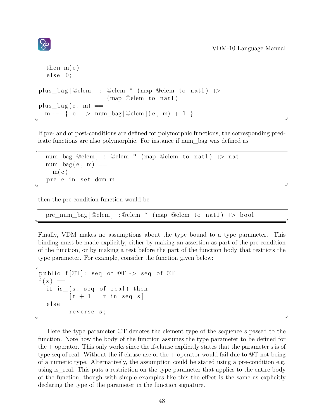```
then m( e )
   else 0;plus_bag [ @elem ] : @elem * (map @elem to nat1 ) \rightarrow(map \quad \text{Qelem} \quad to \quad nat1)plus_bag(e, m) ==m + \{ e \mid -\geq \text{num\_bag} [\text{@elem}](e, m) + 1 \}
```
If pre- and or post-conditions are defined for polymorphic functions, the corresponding predicate functions are also polymorphic. For instance if num\_bag was defined as

 $\overline{\phantom{a}}$   $\overline{\phantom{a}}$   $\overline{\phantom{a}}$   $\overline{\phantom{a}}$   $\overline{\phantom{a}}$   $\overline{\phantom{a}}$   $\overline{\phantom{a}}$   $\overline{\phantom{a}}$   $\overline{\phantom{a}}$   $\overline{\phantom{a}}$   $\overline{\phantom{a}}$   $\overline{\phantom{a}}$   $\overline{\phantom{a}}$   $\overline{\phantom{a}}$   $\overline{\phantom{a}}$   $\overline{\phantom{a}}$   $\overline{\phantom{a}}$   $\overline{\phantom{a}}$   $\overline{\$ 

 $\overline{\phantom{a}}$   $\overline{\phantom{a}}$   $\overline{\phantom{a}}$   $\overline{\phantom{a}}$   $\overline{\phantom{a}}$   $\overline{\phantom{a}}$   $\overline{\phantom{a}}$   $\overline{\phantom{a}}$   $\overline{\phantom{a}}$   $\overline{\phantom{a}}$   $\overline{\phantom{a}}$   $\overline{\phantom{a}}$   $\overline{\phantom{a}}$   $\overline{\phantom{a}}$   $\overline{\phantom{a}}$   $\overline{\phantom{a}}$   $\overline{\phantom{a}}$   $\overline{\phantom{a}}$   $\overline{\$ 

```
num_bag [ @elem ] : @elem * (map @elem to nat1 ) \Rightarrow nat
num\_bag(e, m) ==m(e)pre e in set dom m
```
then the pre-condition function would be

 $\overline{a}$ 

ႜၛၟ

 $\overline{a}$ 

pre\_num\_bag [  $@elem$   $\cdot$   $@elem$   $*$   $($  map  $@elem$  to nat1  $)$   $\rightarrow$  bool

Finally, VDM makes no assumptions about the type bound to a type parameter. This binding must be made explicitly, either by making an assertion as part of the pre-condition of the function, or by making a test before the part of the function body that restricts the type parameter. For example, consider the function given below:

 $\overline{\phantom{a}}$   $\overline{\phantom{a}}$   $\overline{\phantom{a}}$   $\overline{\phantom{a}}$   $\overline{\phantom{a}}$   $\overline{\phantom{a}}$   $\overline{\phantom{a}}$   $\overline{\phantom{a}}$   $\overline{\phantom{a}}$   $\overline{\phantom{a}}$   $\overline{\phantom{a}}$   $\overline{\phantom{a}}$   $\overline{\phantom{a}}$   $\overline{\phantom{a}}$   $\overline{\phantom{a}}$   $\overline{\phantom{a}}$   $\overline{\phantom{a}}$   $\overline{\phantom{a}}$   $\overline{\$ 

```
\overline{a}public f [QT]: seq of QT \rightarrow seq of QTf(s) ==if is (s, seq of real) then
                            \lceil r + 1 \rceil r in seq s
         e l s e
                            reverse s;
\overline{\phantom{a}} \overline{\phantom{a}} \overline{\phantom{a}} \overline{\phantom{a}} \overline{\phantom{a}} \overline{\phantom{a}} \overline{\phantom{a}} \overline{\phantom{a}} \overline{\phantom{a}} \overline{\phantom{a}} \overline{\phantom{a}} \overline{\phantom{a}} \overline{\phantom{a}} \overline{\phantom{a}} \overline{\phantom{a}} \overline{\phantom{a}} \overline{\phantom{a}} \overline{\phantom{a}} \overline{\
```
Here the type parameter @T denotes the element type of the sequence s passed to the function. Note how the body of the function assumes the type parameter to be defined for the + operator. This only works since the if-clause explicitly states that the parameter s is of type seq of real. Without the if-clause use of the  $+$  operator would fail due to  $\mathcal{Q}T$  not being of a numeric type. Alternatively, the assumption could be stated using a pre-condition e.g. using is real. This puts a restriction on the type parameter that applies to the entire body of the function, though with simple examples like this the effect is the same as explicitly declaring the type of the parameter in the function signature.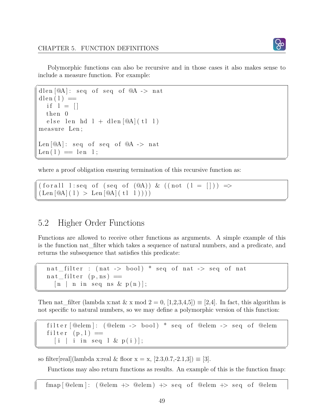

Polymorphic functions can also be recursive and in those cases it also makes sense to include a measure function. For example:

```
\overline{a}dlen [@A]: seq of seq of @A \rightarrow nat
\text{dlen}(1) ==if l = []then 0
   else len hd l + dlen [@A] (tl l)
measure Len ;
Len [@A]: seq of seq of @A -> nat
Len(1) == len 1;
```
where a proof obligation ensuring termination of this recursive function as:

 $\overline{a}$ ( for all l:seq of (seq of  $(QA)$ ) &  $((not (l = [])) \Rightarrow$  $(\text{Len}[\mathbb{Q}A](1) > \text{Len}[\mathbb{Q}A](t1)$ )  $\overline{\phantom{a}}$   $\overline{\phantom{a}}$   $\overline{\phantom{a}}$   $\overline{\phantom{a}}$   $\overline{\phantom{a}}$   $\overline{\phantom{a}}$   $\overline{\phantom{a}}$   $\overline{\phantom{a}}$   $\overline{\phantom{a}}$   $\overline{\phantom{a}}$   $\overline{\phantom{a}}$   $\overline{\phantom{a}}$   $\overline{\phantom{a}}$   $\overline{\phantom{a}}$   $\overline{\phantom{a}}$   $\overline{\phantom{a}}$   $\overline{\phantom{a}}$   $\overline{\phantom{a}}$   $\overline{\$ 

### 5.2 Higher Order Functions

 $\overline{a}$ 

 $\overline{a}$ 

 $\overline{a}$ 

Functions are allowed to receive other functions as arguments. A simple example of this is the function nat\_filter which takes a sequence of natural numbers, and a predicate, and returns the subsequence that satisfies this predicate:

 $\overline{\phantom{a}}$   $\overline{\phantom{a}}$   $\overline{\phantom{a}}$   $\overline{\phantom{a}}$   $\overline{\phantom{a}}$   $\overline{\phantom{a}}$   $\overline{\phantom{a}}$   $\overline{\phantom{a}}$   $\overline{\phantom{a}}$   $\overline{\phantom{a}}$   $\overline{\phantom{a}}$   $\overline{\phantom{a}}$   $\overline{\phantom{a}}$   $\overline{\phantom{a}}$   $\overline{\phantom{a}}$   $\overline{\phantom{a}}$   $\overline{\phantom{a}}$   $\overline{\phantom{a}}$   $\overline{\$ 

nat filter : (nat -> bool) \* seq of nat -> seq of nat  $nat\_filter$   $(p, ns) =$  $\lceil n \rceil$  n in seq ns & p(n)];  $\overline{\phantom{a}}$ 

Then nat\_filter (lambda x:nat & x mod  $2 = 0$ ,  $[1,2,3,4,5]$ )  $\equiv$  [2,4]. In fact, this algorithm is not specific to natural numbers, so we may define a polymorphic version of this function:

```
filter \lceil \text{@elem} \rceil: \lceil \text{@elem} \rceil > \text{bool} * seq of \lceil \text{@elem} \rceil > \text{seq} of \lceil \text{@elem} \rceilfilter (p, l) \equiv[i \mid i \text{ in seq } l \& p(i)];\overline{\phantom{a}} \overline{\phantom{a}} \overline{\phantom{a}} \overline{\phantom{a}} \overline{\phantom{a}} \overline{\phantom{a}} \overline{\phantom{a}} \overline{\phantom{a}} \overline{\phantom{a}} \overline{\phantom{a}} \overline{\phantom{a}} \overline{\phantom{a}} \overline{\phantom{a}} \overline{\phantom{a}} \overline{\phantom{a}} \overline{\phantom{a}} \overline{\phantom{a}} \overline{\phantom{a}} \overline{\
```
so filter[real](lambda x:real & floor  $x = x$ , [2.3,0.7,-2.1,3])  $\equiv$  [3].

Functions may also return functions as results. An example of this is the function fmap:

 $fmap [Qelem] : (Qelem) \Rightarrow Qelem) \Rightarrow seq of Qelem \Rightarrow seq of Qelem$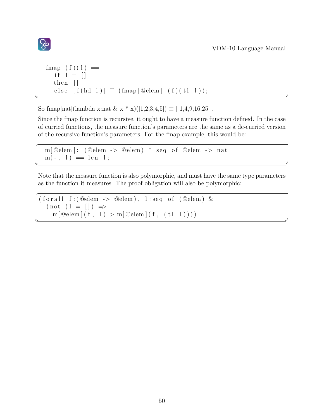

 $fmap (f)(1) ==$ if  $l = []$ then [] else  $[f(hd_1)] \cap (fmap[@elem] (f)(t1_1));$  $\overline{\phantom{a}}$   $\overline{\phantom{a}}$   $\overline{\phantom{a}}$   $\overline{\phantom{a}}$   $\overline{\phantom{a}}$   $\overline{\phantom{a}}$   $\overline{\phantom{a}}$   $\overline{\phantom{a}}$   $\overline{\phantom{a}}$   $\overline{\phantom{a}}$   $\overline{\phantom{a}}$   $\overline{\phantom{a}}$   $\overline{\phantom{a}}$   $\overline{\phantom{a}}$   $\overline{\phantom{a}}$   $\overline{\phantom{a}}$   $\overline{\phantom{a}}$   $\overline{\phantom{a}}$   $\overline{\$ 

So fmap[nat](lambda x:nat & x \* x)([1,2,3,4,5])  $\equiv$  [ 1,4,9,16,25 ].

Since the fmap function is recursive, it ought to have a measure function defined. In the case of curried functions, the measure function's parameters are the same as a de-curried version of the recursive function's parameters. For the fmap example, this would be:

 $m[@elem]:$  ( $@elem \rightarrow @elem" * seq of @elem \rightarrow nat$  $m(-, 1) == len 1;$  $\overline{\phantom{a}}$ 

Note that the measure function is also polymorphic, and must have the same type parameters as the function it measures. The proof obligation will also be polymorphic:

```
\overline{a}(for all f: (@elem -> @elem), l:seq of (@elem) \&(\text{not } (l = [] ) \Rightarrowm[\text{@elem}](f, 1) > m[\text{@elem}](f, (t1 1))))\overline{\phantom{a}} \overline{\phantom{a}} \overline{\phantom{a}} \overline{\phantom{a}} \overline{\phantom{a}} \overline{\phantom{a}} \overline{\phantom{a}} \overline{\phantom{a}} \overline{\phantom{a}} \overline{\phantom{a}} \overline{\phantom{a}} \overline{\phantom{a}} \overline{\phantom{a}} \overline{\phantom{a}} \overline{\phantom{a}} \overline{\phantom{a}} \overline{\phantom{a}} \overline{\phantom{a}} \overline{\
```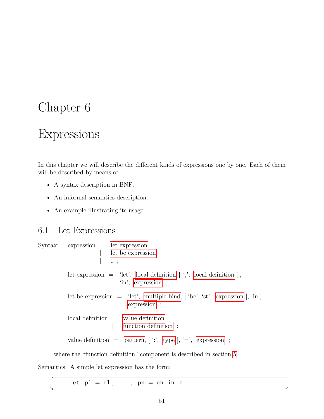# Chapter 6

# Expressions

In this chapter we will describe the different kinds of expressions one by one. Each of them will be described by means of:

- A syntax description in BNF.
- An informal semantics description.
- An example illustrating its usage.

### 6.1 Let Expressions

 $\overline{a}$ 

```
 let expression
                      let be expression
                      | … ;
         let expression = local definition \{\cdot,\cdot\}, local definition \},'in', expression ;
          expression = multiple bind, ['be', 'st', expression ], 'in',
                           expression ;
          value definitionfunction definition;
          pattern, [ type ], = expression ;
    where the "function definition" component is described in section 5.
```
Semantics: A simple let expression has the form:

let  $p1 = e1$ , ...,  $pn = en$  in e

 $\overline{\phantom{a}}$   $\overline{\phantom{a}}$   $\overline{\phantom{a}}$   $\overline{\phantom{a}}$   $\overline{\phantom{a}}$   $\overline{\phantom{a}}$   $\overline{\phantom{a}}$   $\overline{\phantom{a}}$   $\overline{\phantom{a}}$   $\overline{\phantom{a}}$   $\overline{\phantom{a}}$   $\overline{\phantom{a}}$   $\overline{\phantom{a}}$   $\overline{\phantom{a}}$   $\overline{\phantom{a}}$   $\overline{\phantom{a}}$   $\overline{\phantom{a}}$   $\overline{\phantom{a}}$   $\overline{\$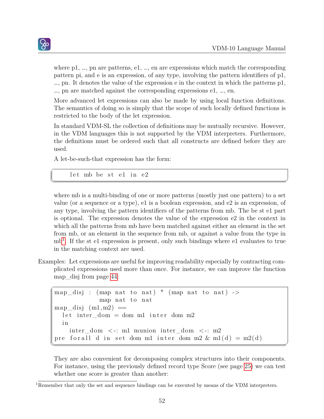

where p1, ..., pn are patterns, e1, ..., en are expressions which match the corresponding pattern pi, and e is an expression, of any type, involving the pattern identifiers of p1,  $...,$  pn. It denotes the value of the expression e in the context in which the patterns  $p1$ , …, pn are matched against the corresponding expressions e1, …, en.

More advanced let expressions can also be made by using local function definitions. The semantics of doing so is simply that the scope of such locally defined functions is restricted to the body of the let expression.

In standard VDM-SL the collection of definitions may be mutually recursive. However, in the VDM languages this is not supported by the VDM interpreters. Furthermore, the definitions must be ordered such that all constructs are defined before they are used.

A let-be-such-that expression has the form:

let mb be st e1 in  $e2$ 

where mb is a multi-binding of one or more patterns (mostly just one pattern) to a set value (or a sequence or a type), e1 is a boolean expression, and e2 is an expression, of any type, involving the pattern identifiers of the patterns from mb. The be st e1 part is optional. The expression denotes the value of the expression e2 in the context in which all the patterns from mb have been matched against either an element in the set from mb, or an element in the sequence from mb, or against a value from the type in mb<sup>[1](#page-60-0)</sup>. If the st e1 expression is present, only such bindings where e1 evaluates to true in the matching context are used.

 $\overline{\phantom{a}}$   $\overline{\phantom{a}}$   $\overline{\phantom{a}}$   $\overline{\phantom{a}}$   $\overline{\phantom{a}}$   $\overline{\phantom{a}}$   $\overline{\phantom{a}}$   $\overline{\phantom{a}}$   $\overline{\phantom{a}}$   $\overline{\phantom{a}}$   $\overline{\phantom{a}}$   $\overline{\phantom{a}}$   $\overline{\phantom{a}}$   $\overline{\phantom{a}}$   $\overline{\phantom{a}}$   $\overline{\phantom{a}}$   $\overline{\phantom{a}}$   $\overline{\phantom{a}}$   $\overline{\$ 

Examples: Let expressions are useful for improving readability especially by contracting complicated expressions used more than once. For instance, we can improve the function map disj from page [44:](#page-51-0)

```
\overline{a}map disj : (map nat to nat) * (map nat to nat) ->
                             map nat to nat
 map disj (m1,m2) =
      let inter dom = dom m1 inter dom m2
      i n
           inter_dom < -: m1 munion inter_dom < -: m2
 pre for all d in set dom m1 inter dom m2 \& m1(d) = m2(d)
\overline{\phantom{a}} \overline{\phantom{a}} \overline{\phantom{a}} \overline{\phantom{a}} \overline{\phantom{a}} \overline{\phantom{a}} \overline{\phantom{a}} \overline{\phantom{a}} \overline{\phantom{a}} \overline{\phantom{a}} \overline{\phantom{a}} \overline{\phantom{a}} \overline{\phantom{a}} \overline{\phantom{a}} \overline{\phantom{a}} \overline{\phantom{a}} \overline{\phantom{a}} \overline{\phantom{a}} \overline{\
```
They are also convenient for decomposing complex structures into their components. For instance, using the previously defined record type Score (see page [25\)](#page-33-0) we can test whether one score is greater than another:

<span id="page-60-0"></span><sup>&</sup>lt;sup>1</sup>Remember that only the set and sequence bindings can be executed by means of the VDM interpreters.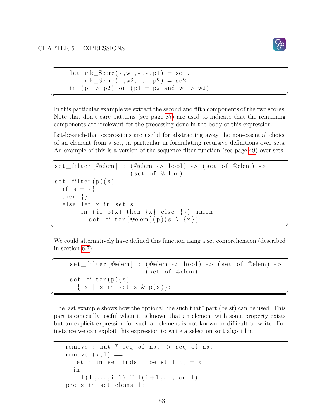$\overline{a}$ 

 $\overline{a}$ 



```
let mk_Score(-, w1, -, -, p1) = sc1,
     mk\_Score(-, w2, -, -, p2) = sc2in \left( p1 > p2 \right) or \left( p1 = p2 \text{ and } w1 > w2 \right)
```
In this particular example we extract the second and fifth components of the two scores. Note that don't care patterns (see page [87\)](#page-95-0) are used to indicate that the remaining components are irrelevant for the processing done in the body of this expression.

 $\overline{\phantom{a}}$   $\overline{\phantom{a}}$   $\overline{\phantom{a}}$   $\overline{\phantom{a}}$   $\overline{\phantom{a}}$   $\overline{\phantom{a}}$   $\overline{\phantom{a}}$   $\overline{\phantom{a}}$   $\overline{\phantom{a}}$   $\overline{\phantom{a}}$   $\overline{\phantom{a}}$   $\overline{\phantom{a}}$   $\overline{\phantom{a}}$   $\overline{\phantom{a}}$   $\overline{\phantom{a}}$   $\overline{\phantom{a}}$   $\overline{\phantom{a}}$   $\overline{\phantom{a}}$   $\overline{\$ 

Let-be-such-that expressions are useful for abstracting away the non-essential choice of an element from a set, in particular in formulating recursive definitions over sets. An example of this is a version of the sequence filter function (see page [49\)](#page-57-0) over sets:

```
\overline{a}set filter [ @elem ] : ( @elem -> bool ) -> ( set of @elem ) ->
                          (set of @elem)
set_{\text{filter}(p)(s)} =if s = \{\}then {}
   else let x in set s
         in ( if p(x) then \{x\} else \{\}\) union
            set_{\text{filter}}[ @elem \mid (p) ( s \ {x} );
```
We could alternatively have defined this function using a set comprehension (described in section [6.7\)](#page-69-0):

 $\overline{\phantom{a}}$   $\overline{\phantom{a}}$   $\overline{\phantom{a}}$   $\overline{\phantom{a}}$   $\overline{\phantom{a}}$   $\overline{\phantom{a}}$   $\overline{\phantom{a}}$   $\overline{\phantom{a}}$   $\overline{\phantom{a}}$   $\overline{\phantom{a}}$   $\overline{\phantom{a}}$   $\overline{\phantom{a}}$   $\overline{\phantom{a}}$   $\overline{\phantom{a}}$   $\overline{\phantom{a}}$   $\overline{\phantom{a}}$   $\overline{\phantom{a}}$   $\overline{\phantom{a}}$   $\overline{\$ 

set\_filter [@elem] : (@elem -> bool) -> (set of @elem) ->  $(set of @elem)$  $set_{\text{filter}(p)(s)} ==$  $\{ x \mid x \text{ in set } s \& p(x) \};$  $\overline{\phantom{a}}$   $\overline{\phantom{a}}$   $\overline{\phantom{a}}$   $\overline{\phantom{a}}$   $\overline{\phantom{a}}$   $\overline{\phantom{a}}$   $\overline{\phantom{a}}$   $\overline{\phantom{a}}$   $\overline{\phantom{a}}$   $\overline{\phantom{a}}$   $\overline{\phantom{a}}$   $\overline{\phantom{a}}$   $\overline{\phantom{a}}$   $\overline{\phantom{a}}$   $\overline{\phantom{a}}$   $\overline{\phantom{a}}$   $\overline{\phantom{a}}$   $\overline{\phantom{a}}$   $\overline{\$ 

The last example shows how the optional "be such that" part (be st) can be used. This part is especially useful when it is known that an element with some property exists but an explicit expression for such an element is not known or difficult to write. For instance we can exploit this expression to write a selection sort algorithm:

```
remove : nat * seq of nat \rightarrow seq of nat
remove (x, l) ==let i in set inds l be st l(i) = xi n
     l ( 1 , \ldots , i - 1 ) \cap l ( i + 1 , \ldots , len l )pre x in set elems l;
```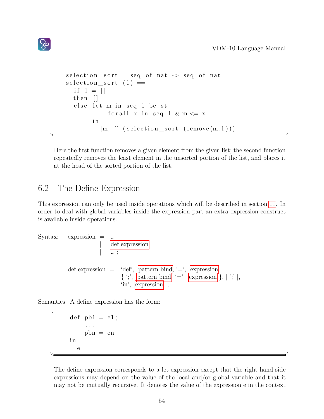

```
selection_sort : seq of nat -> seq of nat
          \text{selection\_sort} (1) =if l = []then []
               else let m in seq l be st
                                        for all x in seq l \& m \leq xi n
                                  [m] \hat{ } (selection sort (remove (m, l ) ))
\overline{\phantom{a}} \overline{\phantom{a}} \overline{\phantom{a}} \overline{\phantom{a}} \overline{\phantom{a}} \overline{\phantom{a}} \overline{\phantom{a}} \overline{\phantom{a}} \overline{\phantom{a}} \overline{\phantom{a}} \overline{\phantom{a}} \overline{\phantom{a}} \overline{\phantom{a}} \overline{\phantom{a}} \overline{\phantom{a}} \overline{\phantom{a}} \overline{\phantom{a}} \overline{\phantom{a}} \overline{\
```
Here the first function removes a given element from the given list; the second function repeatedly removes the least element in the unsorted portion of the list, and places it at the head of the sorted portion of the list.

### 6.2 The Define Expression

This expression can only be used inside operations which will be described in section [11.](#page-111-0) In order to deal with global variables inside the expression part an extra expression construct is available inside operations.

Syntax: expression = … | [def expression](#page-202-2) | … ; def expression  $=$  'def', [pattern bind,](#page-214-2) '=', [expression,](#page-200-0)  $\{\ \cdot, \cdot\} \text{, pattern bind, } \mathrel{\mathop:}= \mathrel{\mathop,}\text{, expression } \},$  $\{\ \cdot, \cdot\} \text{, pattern bind, } \mathrel{\mathop:}= \mathrel{\mathop,}\text{, expression } \},$  $\{\ \cdot, \cdot\} \text{, pattern bind, } \mathrel{\mathop:}= \mathrel{\mathop,}\text{, expression } \},$  $\{\ \cdot, \cdot\} \text{, pattern bind, } \mathrel{\mathop:}= \mathrel{\mathop,}\text{, expression } \},$  $\{\ \cdot, \cdot\} \text{, pattern bind, } \mathrel{\mathop:}= \mathrel{\mathop,}\text{, expression } \},$   $[\ \cdot, \cdot \ ] ,$ 'in', [expression](#page-200-0) ;

Semantics: A define expression has the form:

```
def pb1 = e1;
                                              . . .
                                           pbn = en
                       i n
                                 e
\overline{\phantom{a}} \overline{\phantom{a}} \overline{\phantom{a}} \overline{\phantom{a}} \overline{\phantom{a}} \overline{\phantom{a}} \overline{\phantom{a}} \overline{\phantom{a}} \overline{\phantom{a}} \overline{\phantom{a}} \overline{\phantom{a}} \overline{\phantom{a}} \overline{\phantom{a}} \overline{\phantom{a}} \overline{\phantom{a}} \overline{\phantom{a}} \overline{\phantom{a}} \overline{\phantom{a}} \overline{\
```
 $\overline{a}$ 

The define expression corresponds to a let expression except that the right hand side expressions may depend on the value of the local and/or global variable and that it may not be mutually recursive. It denotes the value of the expression e in the context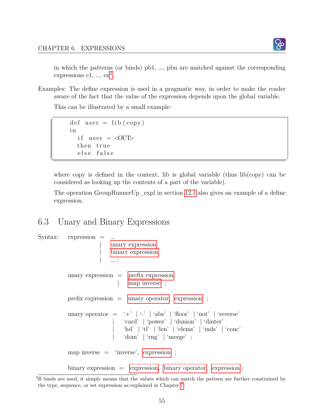

in which the patterns (or binds) pb1, …, pbn are matched against the corresponding expressions  $e1, ..., en^2$  $e1, ..., en^2$ .

Examples: The define expression is used in a pragmatic way, in order to make the reader aware of the fact that the value of the expression depends upon the global variable.

This can be illustrated by a small example:

```
def user = lib (copy)i n
  if user = <OUT>
  then true
  else false
```
where copy is defined in the context, lib is global variable (thus lib(copy) can be considered as looking up the contents of a part of the variable).

 $\overline{\phantom{a}}$   $\overline{\phantom{a}}$   $\overline{\phantom{a}}$   $\overline{\phantom{a}}$   $\overline{\phantom{a}}$   $\overline{\phantom{a}}$   $\overline{\phantom{a}}$   $\overline{\phantom{a}}$   $\overline{\phantom{a}}$   $\overline{\phantom{a}}$   $\overline{\phantom{a}}$   $\overline{\phantom{a}}$   $\overline{\phantom{a}}$   $\overline{\phantom{a}}$   $\overline{\phantom{a}}$   $\overline{\phantom{a}}$   $\overline{\phantom{a}}$   $\overline{\phantom{a}}$   $\overline{\$ 

The operation GroupRunnerUp  $\exp$  in section [12.1](#page-119-0) also gives an example of a define expression.

### 6.3 Unary and Binary Expressions

 $Syntax:$  expression  $=$ | [unary expression](#page-202-3) | [binary expression](#page-204-0) | … ; unary expression  $=$  [prefix expression](#page-202-4) | [map inverse](#page-203-0) ; prefix [expression](#page-200-0)  $=$  [unary operator,](#page-202-5) expression; unary operator = '+' | '-' | 'abs' | 'floor' | 'not' | 'reverse' | 'card' | 'power' | 'dunion' | 'dinter' | 'hd' | 'tl' | 'len' | 'elems' | 'inds' | 'conc' | 'dom' | 'rng' | 'merge' ; map inverse  $=$  'inverse', [expression](#page-200-0) ;  $binary expression = expression, binary operator, expression;$  $binary expression = expression, binary operator, expression;$  $binary expression = expression, binary operator, expression;$  $binary expression = expression, binary operator, expression;$  $binary expression = expression, binary operator, expression;$ 

<span id="page-63-0"></span><sup>&</sup>lt;sup>2</sup>If binds are used, it simply means that the values which can match the pattern are further constrained by the type, sequence, or set expression as explained in Chapter [7.](#page-95-0)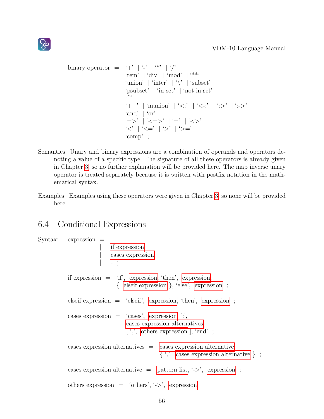

- Semantics: Unary and binary expressions are a combination of operands and operators denoting a value of a specific type. The signature of all these operators is already given in Chapter [3,](#page-13-0) so no further explanation will be provided here. The map inverse unary operator is treated separately because it is written with postfix notation in the mathematical syntax.
- Examples: Examples using these operators were given in Chapter [3,](#page-13-0) so none will be provided here.

### 6.4 Conditional Expressions

```
Syntax: expression = …
                       | if expression
                       | cases expression
                       | … ;
           if expression = 'if', expression, 'then', expression,
                             { elseif expression }, 'else', expression ;
           elseif expression = 'elseif', expression, 'then', expression ;
           cases expression = expression, ":",
                                 cases expression alternatives,
                                 [\, \cdot\, ] others expression ], 'end' ;
           \csc expression alternatives \csc cases expression alternative,
                                             \{\quad\ \cdotp,\quad \text{cases expression alternative }\};
            expression alternative = pattern list, \rightarrow, expression;
            expression = 'others', '->', expression ;
```
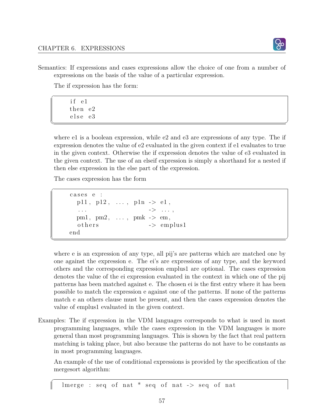$\overline{a}$ 

 $\overline{a}$ 



Semantics: If expressions and cases expressions allow the choice of one from a number of expressions on the basis of the value of a particular expression.

The if expression has the form:

| $:\mathfrak{c}$<br>$^{\circ}$ e $1$<br>1Ι |  |  |
|-------------------------------------------|--|--|
| then e2                                   |  |  |
| else e3                                   |  |  |
|                                           |  |  |

where e1 is a boolean expression, while e2 and e3 are expressions of any type. The if expression denotes the value of e2 evaluated in the given context if e1 evaluates to true in the given context. Otherwise the if expression denotes the value of e3 evaluated in the given context. The use of an elseif expression is simply a shorthand for a nested if then else expression in the else part of the expression.

The cases expression has the form

```
cases e :
                       p11, p12, \ldots, p1n -> e1,
                                                                                       \rightarrow ...,
                      pm1, pm2, ..., pmk \rightarrow em,
                       \text{others} \rightarrow emplus1
                end
\overline{\phantom{a}} \overline{\phantom{a}} \overline{\phantom{a}} \overline{\phantom{a}} \overline{\phantom{a}} \overline{\phantom{a}} \overline{\phantom{a}} \overline{\phantom{a}} \overline{\phantom{a}} \overline{\phantom{a}} \overline{\phantom{a}} \overline{\phantom{a}} \overline{\phantom{a}} \overline{\phantom{a}} \overline{\phantom{a}} \overline{\phantom{a}} \overline{\phantom{a}} \overline{\phantom{a}} \overline{\
```
where e is an expression of any type, all pij's are patterns which are matched one by one against the expression e. The ei's are expressions of any type, and the keyword others and the corresponding expression emplus1 are optional. The cases expression denotes the value of the ei expression evaluated in the context in which one of the pij patterns has been matched against e. The chosen ei is the first entry where it has been possible to match the expression e against one of the patterns. If none of the patterns match e an others clause must be present, and then the cases expression denotes the value of emplus1 evaluated in the given context.

Examples: The if expression in the VDM languages corresponds to what is used in most programming languages, while the cases expression in the VDM languages is more general than most programming languages. This is shown by the fact that real pattern matching is taking place, but also because the patterns do not have to be constants as in most programming languages.

An example of the use of conditional expressions is provided by the specification of the mergesort algorithm:

lmerge : seq of nat  $*$  seq of nat  $\rightarrow$  seq of nat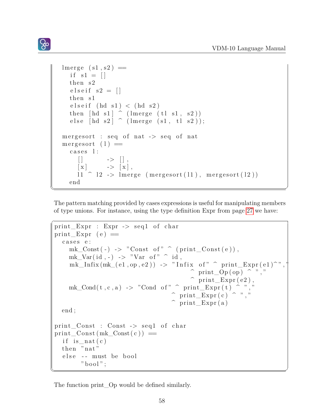```
\text{Imerge (s1, s2)} =if s1 = []then s2
    else if s2 = []then s1
    else if (hd s1) < (hd s2)then [hd s1] \hat{ } (lmerge (tl s1, s2))
    else [hd s2] \hat{ } (lmerge (s1, tl s2));
merges ort : seq of nat \rightarrow seq of nat
mergesort (1) ==cases l:
        \begin{array}{ccccc} & & & & \\ \left[ \begin{array}{ccc} & & & \\ \end{array} \right] & & & & \\ \end{array} \hspace{-2em} \rightarrow & \begin{array}{ccc} & & \\ \end{array} \left[ \begin{array}{ccc} \end{array} \right] \; , \end{array}\begin{bmatrix} x \end{bmatrix} -> \begin{bmatrix} x \end{bmatrix},
        11 \degree 12 -> lmerge (mergesort (11), mergesort (12))
    end
```
 $\infty$ 

The pattern matching provided by cases expressions is useful for manipulating members of type unions. For instance, using the type definition Expr from page [27](#page-35-0) we have:

 $\overline{\phantom{a}}$   $\overline{\phantom{a}}$   $\overline{\phantom{a}}$   $\overline{\phantom{a}}$   $\overline{\phantom{a}}$   $\overline{\phantom{a}}$   $\overline{\phantom{a}}$   $\overline{\phantom{a}}$   $\overline{\phantom{a}}$   $\overline{\phantom{a}}$   $\overline{\phantom{a}}$   $\overline{\phantom{a}}$   $\overline{\phantom{a}}$   $\overline{\phantom{a}}$   $\overline{\phantom{a}}$   $\overline{\phantom{a}}$   $\overline{\phantom{a}}$   $\overline{\phantom{a}}$   $\overline{\$ 

```
\overline{a}print_Expr : Expr -> seq1 of char
 print<sub>Expr</sub> (e) =cases e:
         mk\_Const(-) -> "Const of" \hat{ } (print_Const(e)),
         mk_Var(id,-) -> "Var of" \hat{ } id,
         mk_I_nfix(mk_{-}(e1, op, e2)) \Rightarrow "Infix of" \cap print_Expr(e1)^{\sim v},\hat{\ } print Op ( op ) \hat{\ } ", "
                                                                         \widehat{\text{print\_Expr}(\text{e2})},mk\_Cond(t, c, a) \Rightarrow "Cond of" \hat{\ } print\_Expr(t) \hat{\ } "\hat{ } print \mathbb{E}xpr(c) \hat{ } ", "
                                                                  \hat{r} print Expr ( a )end ;
 print\_Const : Const \rightarrow seq1 of char
 print Const(mk \text{ Const } (c)) ==if is\_nat(c)then "nat"
      else -- must be bool
                " bool";
\overline{\phantom{a}} \overline{\phantom{a}} \overline{\phantom{a}} \overline{\phantom{a}} \overline{\phantom{a}} \overline{\phantom{a}} \overline{\phantom{a}} \overline{\phantom{a}} \overline{\phantom{a}} \overline{\phantom{a}} \overline{\phantom{a}} \overline{\phantom{a}} \overline{\phantom{a}} \overline{\phantom{a}} \overline{\phantom{a}} \overline{\phantom{a}} \overline{\phantom{a}} \overline{\phantom{a}} \overline{\
```
The function print Op would be defined similarly.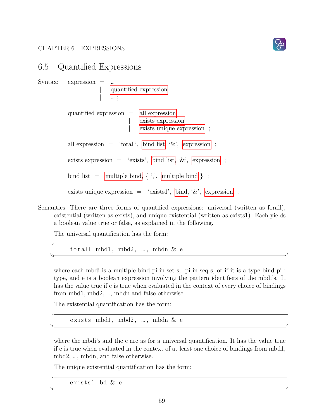

### 6.5 Quantified Expressions

Syntax:  $\exp$ ression  $=$ | [quantified expression](#page-206-0) | … ;

> quantified expression = [all expression](#page-206-1) | [exists expression](#page-206-2) | [exists unique expression](#page-206-3) ; all [expression](#page-200-0)  $=$  'forall', [bind list,](#page-214-3)  $\&mathcal{X}$ ', expression ; exists [expression](#page-200-0)  $=$  'exists', [bind list,](#page-214-3) ' $\&$ ', expression ; bind list  $=$  [multiple bind,](#page-214-1)  $\{\cdot,\cdot\}$ , [multiple bind](#page-214-1)  $\}$ ; exists unique [expression](#page-200-0)  $=$  'exists1', [bind,](#page-214-4) ' $\&$ ', expression ;

Semantics: There are three forms of quantified expressions: universal (written as forall), existential (written as exists), and unique existential (written as exists1). Each yields a boolean value true or false, as explained in the following.

The universal quantification has the form:

 $\overline{a}$ 

 $\overline{a}$ 

 $\overline{a}$ 

for all mbd1, mbd2, …, mbdn  $\&$  e

where each mbdi is a multiple bind pi in set s, pi in seq s, or if it is a type bind pi : type, and e is a boolean expression involving the pattern identifiers of the mbdi's. It has the value true if e is true when evaluated in the context of every choice of bindings from mbd1, mbd2, …, mbdn and false otherwise.

 $\overline{\phantom{a}}$ 

The existential quantification has the form:

exists mbd1, mbd2, ..., mbdn & e

where the mbdi's and the e are as for a universal quantification. It has the value true if e is true when evaluated in the context of at least one choice of bindings from mbd1, mbd2, …, mbdn, and false otherwise.

 $\overline{\phantom{a}}$   $\overline{\phantom{a}}$   $\overline{\phantom{a}}$   $\overline{\phantom{a}}$   $\overline{\phantom{a}}$   $\overline{\phantom{a}}$   $\overline{\phantom{a}}$   $\overline{\phantom{a}}$   $\overline{\phantom{a}}$   $\overline{\phantom{a}}$   $\overline{\phantom{a}}$   $\overline{\phantom{a}}$   $\overline{\phantom{a}}$   $\overline{\phantom{a}}$   $\overline{\phantom{a}}$   $\overline{\phantom{a}}$   $\overline{\phantom{a}}$   $\overline{\phantom{a}}$   $\overline{\$ 

 $\overline{\phantom{a}}$ 

The unique existential quantification has the form:

 $exists 1$  bd  $\&$  e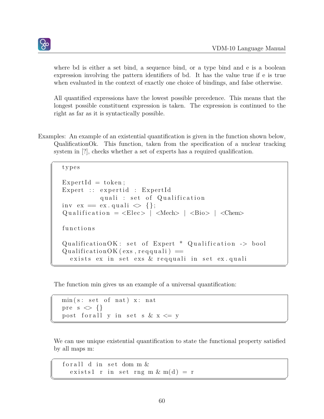

 $[$ % $]$ 

 $\overline{a}$ 

 $\overline{a}$ 

 $\overline{a}$ 

where bd is either a set bind, a sequence bind, or a type bind and e is a boolean expression involving the pattern identifiers of bd. It has the value true if e is true when evaluated in the context of exactly one choice of bindings, and false otherwise.

All quantified expressions have the lowest possible precedence. This means that the longest possible constituent expression is taken. The expression is continued to the right as far as it is syntactically possible.

Examples: An example of an existential quantification is given in the function shown below, QualificationOk. This function, taken from the specification of a nuclear tracking system in [?], checks whether a set of experts has a required qualification.

```
t y p e s
Expected = token;Expert :: expertid : ExpertId
            quali : set of Qualification
inv ex = ex. quali \langle \rangle { };
Qualification = <Elec> | <i>Mech</i> | <i>Bio</i> | <i>Chem</i>functions
Qualification OK: set of Expert * Qualification \rightarrow bool
\text{QualificationOK}(\text{exs}, \text{reqquali}) =exists ex in set exs & reqquali in set ex.quali
```
The function min gives us an example of a universal quantification:

```
min(s: set of nat) x: natpre s \langle \rangle {}
           post for all y in set s & x \le y\overline{\phantom{a}} \overline{\phantom{a}} \overline{\phantom{a}} \overline{\phantom{a}} \overline{\phantom{a}} \overline{\phantom{a}} \overline{\phantom{a}} \overline{\phantom{a}} \overline{\phantom{a}} \overline{\phantom{a}} \overline{\phantom{a}} \overline{\phantom{a}} \overline{\phantom{a}} \overline{\phantom{a}} \overline{\phantom{a}} \overline{\phantom{a}} \overline{\phantom{a}} \overline{\phantom{a}} \overline{\
```
We can use unique existential quantification to state the functional property satisfied by all maps m:

 $\overline{\phantom{a}}$   $\overline{\phantom{a}}$   $\overline{\phantom{a}}$   $\overline{\phantom{a}}$   $\overline{\phantom{a}}$   $\overline{\phantom{a}}$   $\overline{\phantom{a}}$   $\overline{\phantom{a}}$   $\overline{\phantom{a}}$   $\overline{\phantom{a}}$   $\overline{\phantom{a}}$   $\overline{\phantom{a}}$   $\overline{\phantom{a}}$   $\overline{\phantom{a}}$   $\overline{\phantom{a}}$   $\overline{\phantom{a}}$   $\overline{\phantom{a}}$   $\overline{\phantom{a}}$   $\overline{\$ 

 $\overline{\phantom{a}}$   $\overline{\phantom{a}}$   $\overline{\phantom{a}}$   $\overline{\phantom{a}}$   $\overline{\phantom{a}}$   $\overline{\phantom{a}}$   $\overline{\phantom{a}}$   $\overline{\phantom{a}}$   $\overline{\phantom{a}}$   $\overline{\phantom{a}}$   $\overline{\phantom{a}}$   $\overline{\phantom{a}}$   $\overline{\phantom{a}}$   $\overline{\phantom{a}}$   $\overline{\phantom{a}}$   $\overline{\phantom{a}}$   $\overline{\phantom{a}}$   $\overline{\phantom{a}}$   $\overline{\$ 

```
for all d in set dom m \&exists1 r in set rng m \& m(d) = r
```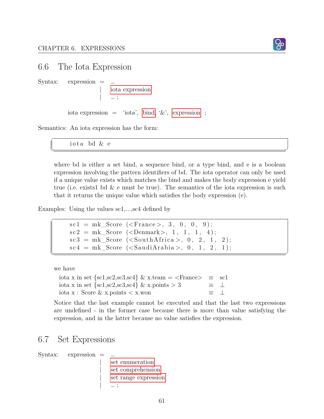

#### 6.6 The Iota Expression

Syntax:  $\exp$ ression  $=$ | [iota expression](#page-206-4) | … ; iota [expression](#page-200-0)  $=$  'iota', [bind,](#page-214-4) ' $\&$ ', expression ;

Semantics: An iota expression has the form:

iota bd  $\&$  e

 $\overline{a}$ 

 $\overline{a}$ 

where bd is either a set bind, a sequence bind, or a type bind, and e is a boolean expression involving the pattern identifiers of bd. The iota operator can only be used if a unique value exists which matches the bind and makes the body expression e yield true (i.e. exists  $1 \text{ bd } \& e \text{ must be true}$ ). The semantics of the iota expression is such that it returns the unique value which satisfies the body expression (e).

 $\overline{\phantom{a}}$   $\overline{\phantom{a}}$   $\overline{\phantom{a}}$   $\overline{\phantom{a}}$   $\overline{\phantom{a}}$   $\overline{\phantom{a}}$   $\overline{\phantom{a}}$   $\overline{\phantom{a}}$   $\overline{\phantom{a}}$   $\overline{\phantom{a}}$   $\overline{\phantom{a}}$   $\overline{\phantom{a}}$   $\overline{\phantom{a}}$   $\overline{\phantom{a}}$   $\overline{\phantom{a}}$   $\overline{\phantom{a}}$   $\overline{\phantom{a}}$   $\overline{\phantom{a}}$   $\overline{\$ 

Examples: Using the values sc1,...,sc4 defined by

 $\text{sc } 1 = \text{mk\_Score} \ (\text{~France} >, 3, 0, 0, 9);$  $\text{sc}2 = \text{mk}\_\text{Score}$  (<Denmark>, 1, 1, 1, 4);  $sc 3 = mk\_Score \;(**South Africa**>, 0, 2, 1, 2);$  $\text{sc } 4 = \text{mk}$  Score (< SaudiA rabia >, 0, 1, 2, 1);

we have

iota x in set  $\{sc1, sc2, sc3, sc4\} \& x.$ team =  $\langle$ France $\rangle$  = sc1 iota x in set  $\{sc1, sc2, sc3, sc4\} \& x.$ points > 3  $\equiv \perp$ iota x : Score & x.points < x.won ≡ ⊥

Notice that the last example cannot be executed and that the last two expressions are undefined - in the former case because there is more than value satisfying the expression, and in the latter because no value satisfies the expression.

 $\overline{\phantom{a}}$   $\overline{\phantom{a}}$   $\overline{\phantom{a}}$   $\overline{\phantom{a}}$   $\overline{\phantom{a}}$   $\overline{\phantom{a}}$   $\overline{\phantom{a}}$   $\overline{\phantom{a}}$   $\overline{\phantom{a}}$   $\overline{\phantom{a}}$   $\overline{\phantom{a}}$   $\overline{\phantom{a}}$   $\overline{\phantom{a}}$   $\overline{\phantom{a}}$   $\overline{\phantom{a}}$   $\overline{\phantom{a}}$   $\overline{\phantom{a}}$   $\overline{\phantom{a}}$   $\overline{\$ 

### <span id="page-69-0"></span>6.7 Set Expressions

Syntax:  $\exp$  expression  $=$ set enumeration | set comprehension | [set range expression](#page-206-5) | … ;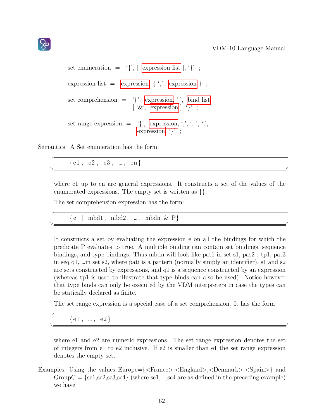

 $\overline{a}$ 

 $\overline{a}$ 

```
 enumeration = \{ \{ \}, [ expression list ], \{ \}' ;
expression list = expression, { ',', expression } ;
set comprehension = expression, bind list,
                        expression}], \mathcal{L};
set range expression = expression, ',', '...', ',',
                         expression, '}' ;
```
Semantics: A Set enumeration has the form:

 $\{e1, e2, e3, ..., en\}$ 

where e1 up to en are general expressions. It constructs a set of the values of the enumerated expressions. The empty set is written as {}.

 $\overline{\phantom{a}}$ 

 $\overline{\phantom{a}}$   $\overline{\phantom{a}}$   $\overline{\phantom{a}}$   $\overline{\phantom{a}}$   $\overline{\phantom{a}}$   $\overline{\phantom{a}}$   $\overline{\phantom{a}}$   $\overline{\phantom{a}}$   $\overline{\phantom{a}}$   $\overline{\phantom{a}}$   $\overline{\phantom{a}}$   $\overline{\phantom{a}}$   $\overline{\phantom{a}}$   $\overline{\phantom{a}}$   $\overline{\phantom{a}}$   $\overline{\phantom{a}}$   $\overline{\phantom{a}}$   $\overline{\phantom{a}}$   $\overline{\$ 

The set comprehension expression has the form:

 ${e \mid mbd1, mbd2, ..., mbdn & P}$ 

It constructs a set by evaluating the expression e on all the bindings for which the predicate P evaluates to true. A multiple binding can contain set bindings, sequence bindings, and type bindings. Thus mbdn will look like pat1 in set s1, pat2 : tp1, pat3 in seq q1, …in set s2, where pati is a pattern (normally simply an identifier), s1 and s2 are sets constructed by expressions, and q1 is a sequence constructed by an expression (whereas tp1 is used to illustrate that type binds can also be used). Notice however that type binds can only be executed by the VDM interpreters in case the types can be statically declared as finite.

The set range expression is a special case of a set comprehension. It has the form

 $\{e1, ..., e2\}$ 

where e1 and e2 are numeric expressions. The set range expression denotes the set of integers from e1 to e2 inclusive. If e2 is smaller than e1 the set range expression denotes the empty set.

 $\overline{\phantom{a}}$ 

Examples: Using the values Europe={<France>,<England>,<Denmark>,<Spain>} and GroupC =  $\{sc1, sc2, sc3, sc4\}$  (where  $sc1, \ldots, sc4$  are as defined in the preceding example) we have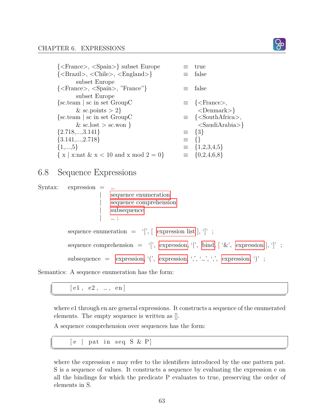

| $\{\langle$ France>, $\langle$ Spain>} subset Europe                                           | true                              |
|------------------------------------------------------------------------------------------------|-----------------------------------|
| $\{\langle \text{Brazil}\rangle, \langle \text{Chile}\rangle, \langle \text{England}\rangle\}$ | $\equiv$ false                    |
| subset Europe                                                                                  |                                   |
| $\{\langle$ France>, $\langle$ Spain>, "France"}                                               | $\equiv$ false                    |
| subset Europe                                                                                  |                                   |
| $\{sc. team \mid sc in set GroupC\}$                                                           | $\equiv \langle \langle$ France>, |
| & sc.points $> 2$ }                                                                            | $\langle$ Denmark $\rangle$       |
| $\{sc. team \mid sc in set GroupC\}$                                                           | $\equiv \{\leq}$ SouthAfrica>,    |
| & sc.lost $>$ sc.won }                                                                         | $\langle$ SaudiArabia $\rangle$   |
| $\{2.718,,3.141\}$                                                                             | $\equiv \{3\}$                    |
| ${3.141,,2.718}$                                                                               | $\equiv \{ \}$                    |
| $\{1,\ldots,5\}$                                                                               | $\equiv \{1,2,3,4,5\}$            |
| $\{x \mid x:\text{nat } \& x < 10 \text{ and } x \mod 2 = 0\}$                                 | $\equiv \{0,2,4,6,8\}$            |

### 6.8 Sequence Expressions

```
Syntax: expression = …
                           sequence enumeration
                           sequence comprehension
                           | subsequence
                           | … ;
            enumeration = expression list ], ']' ;
           sequence comprehension = expression, bind, expression ], ']' ;
            expression, } `( \text{'}, \text{ expression, } ` , ` , ` ... {}\text{'}, ` , " \text{ expression, } ` )` \enspace ;
```
Semantics: A sequence enumeration has the form:

 $[ 0.1, 0.2, ..., 0.01]$  $\overline{\phantom{a}}$ 

 $\overline{a}$ 

 $\overline{a}$ 

where e1 through en are general expressions. It constructs a sequence of the enumerated elements. The empty sequence is written as [].

A sequence comprehension over sequences has the form:

 $[e \mid$  pat in seq S & P]

where the expression e may refer to the identifiers introduced by the one pattern pat. S is a sequence of values. It constructs a sequence by evaluating the expression e on all the bindings for which the predicate P evaluates to true, preserving the order of elements in S.

 $\overline{\phantom{a}}$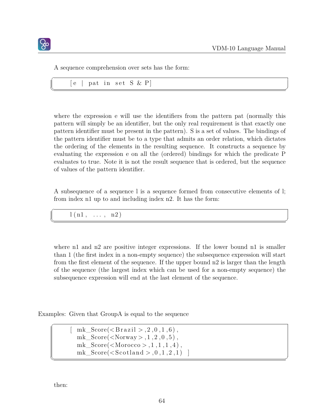

 $\overline{a}$ 

A sequence comprehension over sets has the form:

 $[e \mid$  pat in set S & P  $]$ 

where the expression e will use the identifiers from the pattern pat (normally this pattern will simply be an identifier, but the only real requirement is that exactly one pattern identifier must be present in the pattern). S is a set of values. The bindings of the pattern identifier must be to a type that admits an order relation, which dictates the ordering of the elements in the resulting sequence. It constructs a sequence by evaluating the expression e on all the (ordered) bindings for which the predicate P evaluates to true. Note it is not the result sequence that is ordered, but the sequence of values of the pattern identifier.

 $\overline{\phantom{a}}$ 

A subsequence of a sequence l is a sequence formed from consecutive elements of l; from index n1 up to and including index n2. It has the form:

 $\overline{\phantom{a}}$ 

 $l ( n1, \ldots, n2 )$ 

where n1 and n2 are positive integer expressions. If the lower bound n1 is smaller than 1 (the first index in a non-empty sequence) the subsequence expression will start from the first element of the sequence. If the upper bound n2 is larger than the length of the sequence (the largest index which can be used for a non-empty sequence) the subsequence expression will end at the last element of the sequence.

Examples: Given that GroupA is equal to the sequence

 $mk\_Score(<\text{Brazil} > 0.1, 0.1, 6)$ ,  $mk\_Score(<\text{Norway} > 1, 2, 0, 5)$ ,  $mk\_Score( 1, 1, 1, 1, 4)$ ,  $mk\_Score(< Scotland > 0, 1, 2, 1)$ 

then:

 $\overline{a}$ 

<span id="page-72-0"></span> $\overline{\phantom{a}}$   $\overline{\phantom{a}}$   $\overline{\phantom{a}}$   $\overline{\phantom{a}}$   $\overline{\phantom{a}}$   $\overline{\phantom{a}}$   $\overline{\phantom{a}}$   $\overline{\phantom{a}}$   $\overline{\phantom{a}}$   $\overline{\phantom{a}}$   $\overline{\phantom{a}}$   $\overline{\phantom{a}}$   $\overline{\phantom{a}}$   $\overline{\phantom{a}}$   $\overline{\phantom{a}}$   $\overline{\phantom{a}}$   $\overline{\phantom{a}}$   $\overline{\phantom{a}}$   $\overline{\$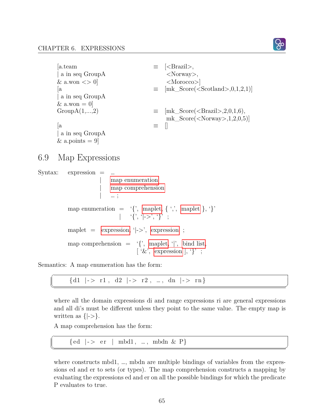

[a.team | a in seq GroupA  $&$  a.won  $&$  0  $\equiv$  [<Brazil>, <Norway>, <Morocco>]  $|a|$ a in seq GroupA  $&$  a.won  $= 0$  $\equiv$  [mk\_Score(<Scotland>,0,1,2,1)] GroupA $(1,...,2)$   $\equiv$   $\int \text{mk} \quad \text{Score}(\langle \text{Brazil}\rangle, 2,0,1,6),$ mk\_Score $(<\N{or}way>1,2,0,5)$ ] [a | a in seq GroupA  $&$  a.points = 9] ≡ []

#### 6.9 Map Expressions

```
Syntax: \expression =| map enumeration
                                    | map comprehension
                                    | … ;
               map enumeration = maplet, maplet }, '}'
                                         |\quad {\rm '}\{\dot{}},\dot{\,}|->\dot{},\dot{}\,\} \rangle;
                expression, \langle - \rangle expression;
              map comprehension = maplet, bind list,
                                                 \left[\left( \mathcal{X}, \right) expression \left[ \cdot \right], \left[ \cdot \right], \left[ \cdot \right]
```
Semantics: A map enumeration has the form:

 $\overline{a}$ 

 $\overline{a}$ 

 $\{d1 \mid -\rangle \text{ r1}, \ d2 \mid -\rangle \text{ r2}, \dots, \ d n \mid -\rangle \text{ rn} \}$  $\overline{\phantom{a}}$   $\overline{\phantom{a}}$   $\overline{\phantom{a}}$   $\overline{\phantom{a}}$   $\overline{\phantom{a}}$   $\overline{\phantom{a}}$   $\overline{\phantom{a}}$   $\overline{\phantom{a}}$   $\overline{\phantom{a}}$   $\overline{\phantom{a}}$   $\overline{\phantom{a}}$   $\overline{\phantom{a}}$   $\overline{\phantom{a}}$   $\overline{\phantom{a}}$   $\overline{\phantom{a}}$   $\overline{\phantom{a}}$   $\overline{\phantom{a}}$   $\overline{\phantom{a}}$   $\overline{\$ 

where all the domain expressions di and range expressions ri are general expressions and all di's must be different unless they point to the same value. The empty map is written as  $\{|-\rangle\}.$ 

A map comprehension has the form:

 $\{ \text{ed } |-> \text{er } | \text{mbd1}, ..., \text{mbdn } \& P \}$ 

where constructs mbd1, ..., mbdn are multiple bindings of variables from the expressions ed and er to sets (or types). The map comprehension constructs a mapping by evaluating the expressions ed and er on all the possible bindings for which the predicate P evaluates to true.

 $\overline{\phantom{a}}$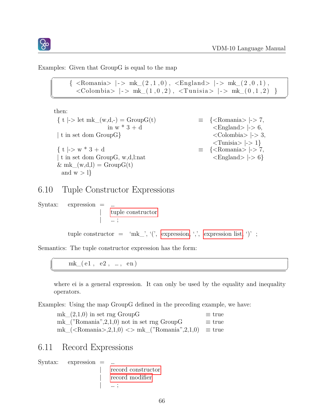

#### Examples: Given that GroupG is equal to the map

<span id="page-74-0"></span>

| { $\langle$ Romania>  -> mk_(2,1,0), $\langle$ England>  -> mk_(2,0,1),                             |
|-----------------------------------------------------------------------------------------------------|
| $\langle \text{Colombia} \rangle$  -> mk_(1,0,2), $\langle \text{Tunisia} \rangle$  -> mk_(0,1,2) } |
|                                                                                                     |

then:

 $\overline{a}$ 

 $\overline{a}$ 

| $\{ t \mid -\geq \text{let mk}(w,d,-) = \text{GroupG}(t) \}$ | $\equiv \{\langle \text{Romania} \rangle   \geq 7,$        |
|--------------------------------------------------------------|------------------------------------------------------------|
| in $w * 3 + d$                                               | $\langle$ England $\rangle$  - $\rangle$ 6,                |
| $\vert$ t in set dom Group $\vert$                           | $\langle$ Colombia> $\vert$ -> 3,                          |
|                                                              | $\langle$ Tunisia $\rangle$  -> 1}                         |
| $\{t \mid -> w * 3 + d\}$                                    | $\equiv \{\langle \text{Romania} \rangle   \rightarrow 7,$ |
| t in set dom GroupG, w,d,l:nat                               | $\text{England}>  -> 6$                                    |
| & mk_(w,d,l) = $GroupG(t)$                                   |                                                            |
| and $w > l$                                                  |                                                            |

#### 6.10 Tuple Constructor Expressions

Syntax: expression = … | [tuple constructor](#page-207-0) | … ;

tuple constructor  $=$  'mk\_', '(', [expression,](#page-200-0) ',', [expression list,](#page-200-1) ')' ;

Semantics: The tuple constructor expression has the form:

 $mk_{-}(e1, e2, ..., en)$  $\overline{\phantom{a}}$ 

where ei is a general expression. It can only be used by the equality and inequality operators.

Examples: Using the map GroupG defined in the preceding example, we have:

mk\_(2,1,0) in set rng GroupG  $\equiv$  true mk\_("Romania",2,1,0) not in set rng GroupG  $\equiv$  true mk\_( $\langle$ Romania>,2,1,0)  $\langle$  mk\_("Romania",2,1,0) = true

#### 6.11 Record Expressions

Syntax: expression = … | [record constructor](#page-207-1) [record modifier](#page-207-2) | … ;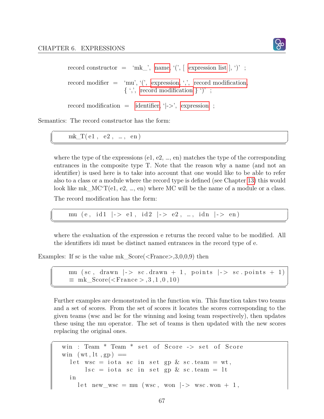$\overline{a}$ 

 $\overline{a}$ 

 $\overline{a}$ 



record constructor = 'mk', [name,](#page-209-0)'(',  $\lceil$  [expression list](#page-200-1)  $\rceil$ , ')' ; record modifier = 'mu', '(', [expression,](#page-200-0) ',', [record modification,](#page-207-3)  $\{\ \'$ , [record modification](#page-207-3)  $\}$  ')'; record modification = [identifier,](#page-217-0)  $\langle |- \rangle$ , [expression](#page-200-0) ;

Semantics: The record constructor has the form:

 $mk_T( e1, e2, ..., en)$  $\overline{\phantom{a}}$ 

where the type of the expressions  $(e1, e2, ..., en)$  matches the type of the corresponding entrances in the composite type T. Note that the reason why a name (and not an identifier) is used here is to take into account that one would like to be able to refer also to a class or a module where the record type is defined (see Chapter [13\)](#page-149-0) this would look like mk\_MC $T$ (e1, e2, ..., en) where MC will be the name of a module or a class.

The record modification has the form:

mu (e, id1 | -> e1, id2 | -> e2, ..., idn | -> en)

where the evaluation of the expression e returns the record value to be modified. All the identifiers idi must be distinct named entrances in the record type of e.

 $\overline{\phantom{a}}$   $\overline{\phantom{a}}$   $\overline{\phantom{a}}$   $\overline{\phantom{a}}$   $\overline{\phantom{a}}$   $\overline{\phantom{a}}$   $\overline{\phantom{a}}$   $\overline{\phantom{a}}$   $\overline{\phantom{a}}$   $\overline{\phantom{a}}$   $\overline{\phantom{a}}$   $\overline{\phantom{a}}$   $\overline{\phantom{a}}$   $\overline{\phantom{a}}$   $\overline{\phantom{a}}$   $\overline{\phantom{a}}$   $\overline{\phantom{a}}$   $\overline{\phantom{a}}$   $\overline{\$ 

Examples: If sc is the value mk  $Score(3,0,0,9)$  then

```
mu (sc, drawn |-> sc.drawn + 1, points |-> sc.points + 1)
\equiv mk_Score(<France > ,3,1,0,10)
```
 $\overline{\phantom{a}}$   $\overline{\phantom{a}}$   $\overline{\phantom{a}}$   $\overline{\phantom{a}}$   $\overline{\phantom{a}}$   $\overline{\phantom{a}}$   $\overline{\phantom{a}}$   $\overline{\phantom{a}}$   $\overline{\phantom{a}}$   $\overline{\phantom{a}}$   $\overline{\phantom{a}}$   $\overline{\phantom{a}}$   $\overline{\phantom{a}}$   $\overline{\phantom{a}}$   $\overline{\phantom{a}}$   $\overline{\phantom{a}}$   $\overline{\phantom{a}}$   $\overline{\phantom{a}}$   $\overline{\$ 

Further examples are demonstrated in the function win. This function takes two teams and a set of scores. From the set of scores it locates the scores corresponding to the given teams (wsc and lsc for the winning and losing team respectively), then updates these using the mu operator. The set of teams is then updated with the new scores replacing the original ones.

```
win : Team * Team * set of Score -> set of Score
win (wt, lt, gp) =let wsc = iota sc in set gp \& sc team = wt,
       \text{lsc} = \text{iota} \text{sc in set gp} \& \text{sc} \text{.team} = \text{lt}i n
     let new wsc = mu (wsc, won |-> wsc. won + 1,
```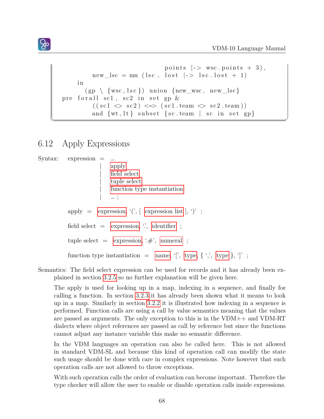```
points |-> wsc. points +3),
         new\_lsc = mu ( lsc , lost |- > lsc.lost + 1)i n
       (gp \ \{ ssc, lsc \}) union {new\_wsc, new\_lsc}pre for all sc1, sc2 in set gp \&(( sc1 \leq sc2 ) \leq > ( sc1. \text{team} \leq sc2. \text{team}))and \{wt,lt\} subset \{sc.team \mid sc in set gp\}
```
 $\overline{\phantom{a}}$   $\overline{\phantom{a}}$   $\overline{\phantom{a}}$   $\overline{\phantom{a}}$   $\overline{\phantom{a}}$   $\overline{\phantom{a}}$   $\overline{\phantom{a}}$   $\overline{\phantom{a}}$   $\overline{\phantom{a}}$   $\overline{\phantom{a}}$   $\overline{\phantom{a}}$   $\overline{\phantom{a}}$   $\overline{\phantom{a}}$   $\overline{\phantom{a}}$   $\overline{\phantom{a}}$   $\overline{\phantom{a}}$   $\overline{\phantom{a}}$   $\overline{\phantom{a}}$   $\overline{\$ 

#### 6.12 Apply Expressions

 $8<sup>o</sup>$ 

 $Syntax:$  expression  $=$ | [apply](#page-207-4) [field select](#page-207-5) [tuple select](#page-207-6) [function type instantiation](#page-207-7) | … ; apply = [expression,](#page-200-0) $\langle \cdot, [$  [expression list](#page-200-1)  $], \cdot \rangle$  ; field select  $=$  [expression,](#page-200-0)  $\therefore$  [identifier](#page-217-0) ; tuple select  $=$  [expression,](#page-200-0)  $\div \#$ , [numeral](#page-218-0); function [type](#page-194-0) instantiation  $=$  [name,](#page-209-0) '[', [type,](#page-194-0) { ',', type }, ']' ;

Semantics: The field select expression can be used for records and it has already been explained in section [3.2.5](#page-31-0) so no further explanation will be given here.

The apply is used for looking up in a map, indexing in a sequence, and finally for calling a function. In section [3.2.3](#page-26-0) it has already been shown what it means to look up in a map. Similarly in section [3.2.2](#page-24-0) it is illustrated how indexing in a sequence is performed. Function calls are using a call by value semantics meaning that the values are passed as arguments. The only exception to this is in the VDM++ and VDM-RT dialects where object references are passed as call by reference but since the functions cannot adjust any instance variable this make no semantic difference.

In the VDM languages an operation can also be called here. This is not allowed in standard VDM-SL and because this kind of operation call can modify the state such usage should be done with care in complex expressions. Note however that such operation calls are not allowed to throw exceptions.

With such operation calls the order of evaluation can become important. Therefore the type checker will allow the user to enable or disable operation calls inside expressions.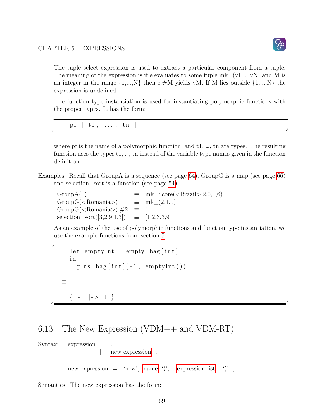$\overline{a}$ 



The tuple select expression is used to extract a particular component from a tuple. The meaning of the expression is if e evaluates to some tuple  $mk_{\perp}(v_1,...,v_N)$  and M is an integer in the range  $\{1,...,N\}$  then e.#M yields vM. If M lies outside  $\{1,...,N\}$  the expression is undefined.

The function type instantiation is used for instantiating polymorphic functions with the proper types. It has the form:

pf  $\begin{bmatrix} t1, \ldots, tn \end{bmatrix}$  $\overline{\phantom{a}}$   $\overline{\phantom{a}}$   $\overline{\phantom{a}}$   $\overline{\phantom{a}}$   $\overline{\phantom{a}}$   $\overline{\phantom{a}}$   $\overline{\phantom{a}}$   $\overline{\phantom{a}}$   $\overline{\phantom{a}}$   $\overline{\phantom{a}}$   $\overline{\phantom{a}}$   $\overline{\phantom{a}}$   $\overline{\phantom{a}}$   $\overline{\phantom{a}}$   $\overline{\phantom{a}}$   $\overline{\phantom{a}}$   $\overline{\phantom{a}}$   $\overline{\phantom{a}}$   $\overline{\$ 

where pf is the name of a polymorphic function, and t1, …, tn are types. The resulting function uses the types t1, …, tn instead of the variable type names given in the function definition.

Examples: Recall that GroupA is a sequence (see page [64\)](#page-72-0), GroupG is a map (see page [66\)](#page-74-0) and selection sort is a function (see page [54\)](#page-62-0):

GroupA(1)  $\equiv$  mk\_Score(<Brazil>,2,0,1,6) GroupG( $\langle$ Romania>)  $\equiv$  mk $(2,1,0)$ GroupG( $\langle$ Romania>).#2  $\equiv$  1 selection sort $([3,2,9,1,3]) \equiv [1,2,3,3,9]$ 

As an example of the use of polymorphic functions and function type instantiation, we use the example functions from section [5:](#page-49-0)

```
let emptyInt = empty_bag [int]
   i n
     plus\_bag [int] (-1, emptyInt())≡
   \{-1 \mid -\geq 1 \}\overline{\phantom{a}}
```
#### 6.13 The New Expression (VDM++ and VDM-RT)

```
Syntax: expression =new expression ;
```

```
 expression = name, '(', [ expression list ], ')' ;
```
Semantics: The new expression has the form: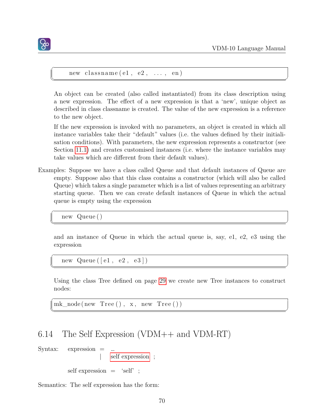

 $\overline{a}$ 

 $\overline{a}$ 

new classname  $(e1, e2, \ldots, en)$  $\overline{\phantom{a}}$   $\overline{\phantom{a}}$   $\overline{\phantom{a}}$   $\overline{\phantom{a}}$   $\overline{\phantom{a}}$   $\overline{\phantom{a}}$   $\overline{\phantom{a}}$   $\overline{\phantom{a}}$   $\overline{\phantom{a}}$   $\overline{\phantom{a}}$   $\overline{\phantom{a}}$   $\overline{\phantom{a}}$   $\overline{\phantom{a}}$   $\overline{\phantom{a}}$   $\overline{\phantom{a}}$   $\overline{\phantom{a}}$   $\overline{\phantom{a}}$   $\overline{\phantom{a}}$   $\overline{\$ 

An object can be created (also called instantiated) from its class description using a new expression. The effect of a new expression is that a 'new', unique object as described in class classname is created. The value of the new expression is a reference to the new object.

If the new expression is invoked with no parameters, an object is created in which all instance variables take their "default" values (i.e. the values defined by their initialisation conditions). With parameters, the new expression represents a constructor (see Section [11.1\)](#page-118-0) and creates customised instances (i.e. where the instance variables may take values which are different from their default values).

Examples: Suppose we have a class called Queue and that default instances of Queue are empty. Suppose also that this class contains a constructor (which will also be called Queue) which takes a single parameter which is a list of values representing an arbitrary starting queue. Then we can create default instances of Queue in which the actual queue is empty using the expression

new Queue ( )  $\overline{\phantom{a}}$ 

and an instance of Queue in which the actual queue is, say, e1, e2, e3 using the expression

```
new Queue (\lceil e1, e2, e3 \rceil)
```
Using the class Tree defined on page [29](#page-37-0) we create new Tree instances to construct nodes:

 $\overline{\phantom{a}}$ 

 $\overline{\phantom{a}}$ 

```
\overline{a}mk\_node(new Tree(), x, new Tree())
```
### 6.14 The Self Expression (VDM++ and VDM-RT)

 $Svntax:$  expression  $=$ 

[self expression](#page-207-9) ;

 $self expression = 'self'$ ;

Semantics: The self expression has the form: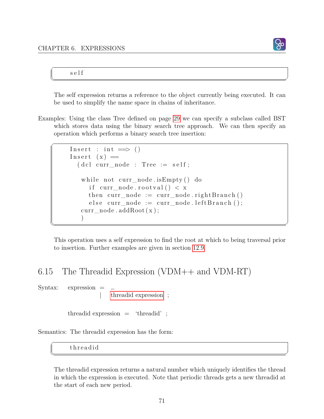

s e l f

 $\overline{a}$ 

 $\overline{a}$ 

The self expression returns a reference to the object currently being executed. It can be used to simplify the name space in chains of inheritance.

 $\overline{\phantom{a}}$   $\overline{\phantom{a}}$   $\overline{\phantom{a}}$   $\overline{\phantom{a}}$   $\overline{\phantom{a}}$   $\overline{\phantom{a}}$   $\overline{\phantom{a}}$   $\overline{\phantom{a}}$   $\overline{\phantom{a}}$   $\overline{\phantom{a}}$   $\overline{\phantom{a}}$   $\overline{\phantom{a}}$   $\overline{\phantom{a}}$   $\overline{\phantom{a}}$   $\overline{\phantom{a}}$   $\overline{\phantom{a}}$   $\overline{\phantom{a}}$   $\overline{\phantom{a}}$   $\overline{\$ 

Examples: Using the class Tree defined on page [29](#page-37-0) we can specify a subclass called BST which stores data using the binary search tree approach. We can then specify an operation which performs a binary search tree insertion:

```
Insert : int \implies ()
    Insert (x) ==(\text{dcl curr}\_\text{node} : \text{Tree} := \text{self};while not curr node isEmpty() do
         if curr node rootval () < xthen curr_node := curr_node.rightBranch()
         else curr_node := curr_node.leftBranch();
       curr node.addRoot(x);
        )
\overline{\phantom{a}}
```
This operation uses a self expression to find the root at which to being traversal prior to insertion. Further examples are given in section [12.9.](#page-134-0)

#### 6.15 The Threadid Expression (VDM++ and VDM-RT)

Syntax:  $expression =$ [threadid expression](#page-207-10) ;

threadid expression = 'threadid' ;

Semantics: The threadid expression has the form:

t h r e a di d

 $\overline{a}$ 

The threadid expression returns a natural number which uniquely identifies the thread in which the expression is executed. Note that periodic threads gets a new threadid at the start of each new period.

 $\overline{\phantom{a}}$   $\overline{\phantom{a}}$   $\overline{\phantom{a}}$   $\overline{\phantom{a}}$   $\overline{\phantom{a}}$   $\overline{\phantom{a}}$   $\overline{\phantom{a}}$   $\overline{\phantom{a}}$   $\overline{\phantom{a}}$   $\overline{\phantom{a}}$   $\overline{\phantom{a}}$   $\overline{\phantom{a}}$   $\overline{\phantom{a}}$   $\overline{\phantom{a}}$   $\overline{\phantom{a}}$   $\overline{\phantom{a}}$   $\overline{\phantom{a}}$   $\overline{\phantom{a}}$   $\overline{\$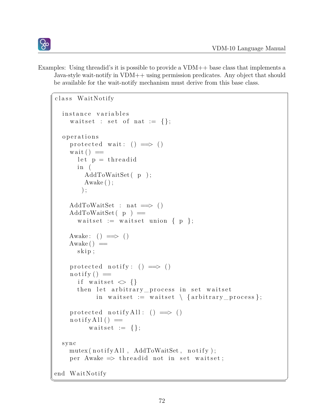

Examples: Using threadid's it is possible to provide a VDM++ base class that implements a Java-style wait-notify in VDM++ using permission predicates. Any object that should be available for the wait-notify mechanism must derive from this base class.

```
class WaitNotify
  instance variables
    waitset : set of nat := \{\};o p e r a t i o n s
    protected wait: () \implies ()
    wait () ==let p = threadidin (AddToWaitSet(p);
         Awake ( ) ;
        ) ;
    AddToWaitSet : nat \implies ()
    AddToWaitSet ( p ) =waitset := waitset union \{p\};
    Awake: () \implies ()
    Awake() ==skip;protected notify: () \implies ()
    \text{notify}() ==if waitset \langle \rangle {}
       then let arbitrary process in set waitset
             in waitset := waitset \setminus {arbitrary process };
    protected notifyAll: () \implies ()
     \text{notifyAll}() ==waitset := \{\};sync
    mutex ( n o t if y All, AddToWaitSet, n o t if y );
    per Awake \Rightarrow threadid not in set waitset;
end WaitNotify
```
 $\overline{\phantom{a}}$   $\overline{\phantom{a}}$   $\overline{\phantom{a}}$   $\overline{\phantom{a}}$   $\overline{\phantom{a}}$   $\overline{\phantom{a}}$   $\overline{\phantom{a}}$   $\overline{\phantom{a}}$   $\overline{\phantom{a}}$   $\overline{\phantom{a}}$   $\overline{\phantom{a}}$   $\overline{\phantom{a}}$   $\overline{\phantom{a}}$   $\overline{\phantom{a}}$   $\overline{\phantom{a}}$   $\overline{\phantom{a}}$   $\overline{\phantom{a}}$   $\overline{\phantom{a}}$   $\overline{\$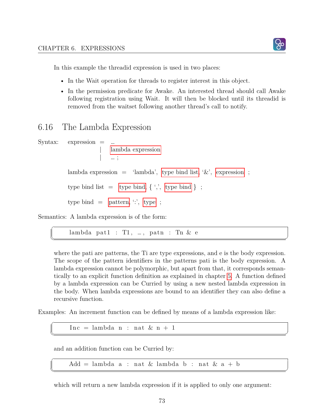

In this example the threadid expression is used in two places:

- In the Wait operation for threads to register interest in this object.
- In the permission predicate for Awake. An interested thread should call Awake following registration using Wait. It will then be blocked until its threadid is removed from the waitset following another thread's call to notify.

#### 6.16 The Lambda Expression

Syntax:  $expression =$ | [lambda expression](#page-207-11) | … ;

lambda expression = 'lambda', [type bind list,](#page-214-1) ' $\&$ ', [expression](#page-200-0) ;

type bind list = [type bind,](#page-214-2)  $\{\cdot, \cdot\}$ , [type bind](#page-214-2)  $\}$ ;

type bind  $=$  [pattern,](#page-213-0)  $\therefore$  [type](#page-194-0) ;

Semantics: A lambda expression is of the form:

 $\overline{a}$ 

 $\overline{a}$ 

 $\overline{a}$ 

lambda pat $1 : T1, ...,$  patn : Tn  $\&$  e

where the pati are patterns, the Ti are type expressions, and e is the body expression. The scope of the pattern identifiers in the patterns pati is the body expression. A lambda expression cannot be polymorphic, but apart from that, it corresponds semantically to an explicit function definition as explained in chapter [5.](#page-49-0) A function defined by a lambda expression can be Curried by using a new nested lambda expression in the body. When lambda expressions are bound to an identifier they can also define a recursive function.

 $\overline{\phantom{a}}$   $\overline{\phantom{a}}$   $\overline{\phantom{a}}$   $\overline{\phantom{a}}$   $\overline{\phantom{a}}$   $\overline{\phantom{a}}$   $\overline{\phantom{a}}$   $\overline{\phantom{a}}$   $\overline{\phantom{a}}$   $\overline{\phantom{a}}$   $\overline{\phantom{a}}$   $\overline{\phantom{a}}$   $\overline{\phantom{a}}$   $\overline{\phantom{a}}$   $\overline{\phantom{a}}$   $\overline{\phantom{a}}$   $\overline{\phantom{a}}$   $\overline{\phantom{a}}$   $\overline{\$ 

 $\overline{\phantom{a}}$   $\overline{\phantom{a}}$   $\overline{\phantom{a}}$   $\overline{\phantom{a}}$   $\overline{\phantom{a}}$   $\overline{\phantom{a}}$   $\overline{\phantom{a}}$   $\overline{\phantom{a}}$   $\overline{\phantom{a}}$   $\overline{\phantom{a}}$   $\overline{\phantom{a}}$   $\overline{\phantom{a}}$   $\overline{\phantom{a}}$   $\overline{\phantom{a}}$   $\overline{\phantom{a}}$   $\overline{\phantom{a}}$   $\overline{\phantom{a}}$   $\overline{\phantom{a}}$   $\overline{\$ 

 $\overline{\phantom{a}}$   $\overline{\phantom{a}}$   $\overline{\phantom{a}}$   $\overline{\phantom{a}}$   $\overline{\phantom{a}}$   $\overline{\phantom{a}}$   $\overline{\phantom{a}}$   $\overline{\phantom{a}}$   $\overline{\phantom{a}}$   $\overline{\phantom{a}}$   $\overline{\phantom{a}}$   $\overline{\phantom{a}}$   $\overline{\phantom{a}}$   $\overline{\phantom{a}}$   $\overline{\phantom{a}}$   $\overline{\phantom{a}}$   $\overline{\phantom{a}}$   $\overline{\phantom{a}}$   $\overline{\$ 

Examples: An increment function can be defined by means of a lambda expression like:

 $Inc = lambda n : nat & n + 1$ 

and an addition function can be Curried by:

Add = lambda a : nat  $\&$  lambda b : nat  $\&$  a + b

which will return a new lambda expression if it is applied to only one argument: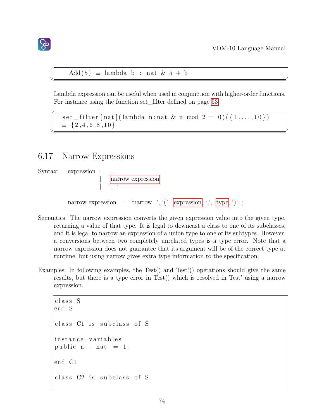

 $\overline{a}$ 

Add  $(5) \equiv$  lambda b : nat & 5 + b

Lambda expression can be useful when used in conjunction with higher-order functions. For instance using the function set filter defined on page [53:](#page-61-0)

 $\overline{\phantom{a}}$   $\overline{\phantom{a}}$   $\overline{\phantom{a}}$   $\overline{\phantom{a}}$   $\overline{\phantom{a}}$   $\overline{\phantom{a}}$   $\overline{\phantom{a}}$   $\overline{\phantom{a}}$   $\overline{\phantom{a}}$   $\overline{\phantom{a}}$   $\overline{\phantom{a}}$   $\overline{\phantom{a}}$   $\overline{\phantom{a}}$   $\overline{\phantom{a}}$   $\overline{\phantom{a}}$   $\overline{\phantom{a}}$   $\overline{\phantom{a}}$   $\overline{\phantom{a}}$   $\overline{\$ 

 $set_{\text{filter}}[\text{nat}](\text{lambda n}:\text{nat } \& \text{ n mod } 2 = 0)(\{1, ..., 10\})$  $\equiv \{2, 4, 6, 8, 10\}$  $\overline{\phantom{a}}$   $\overline{\phantom{a}}$   $\overline{\phantom{a}}$   $\overline{\phantom{a}}$   $\overline{\phantom{a}}$   $\overline{\phantom{a}}$   $\overline{\phantom{a}}$   $\overline{\phantom{a}}$   $\overline{\phantom{a}}$   $\overline{\phantom{a}}$   $\overline{\phantom{a}}$   $\overline{\phantom{a}}$   $\overline{\phantom{a}}$   $\overline{\phantom{a}}$   $\overline{\phantom{a}}$   $\overline{\phantom{a}}$   $\overline{\phantom{a}}$   $\overline{\phantom{a}}$   $\overline{\$ 

#### 6.17 Narrow Expressions

 $Syntax:$  expression  $=$ [narrow expression](#page-207-12)  $\ldots$ ;

narrow expression = 'narrow\_', '(', [expression,](#page-200-0) ',', [type,](#page-194-0) ')' ;

- Semantics: The narrow expression converts the given expression value into the given type, returning a value of that type. It is legal to downcast a class to one of its subclasses, and it is legal to narrow an expression of a union type to one of its subtypes. However, a conversions between two completely unrelated types is a type error. Note that a narrow expression does not guarantee that its argument will be of the correct type at runtime, but using narrow gives extra type information to the specification.
- Examples: In following examples, the Test() and Test'() operations should give the same results, but there is a type error in Test() which is resolved in Test' using a narrow expression.

```
\overline{a}c l a s s S
end S
class C1 is subclass of S
instance variables
public a : nat := 1;
end C1
class C2 is subclass of S
```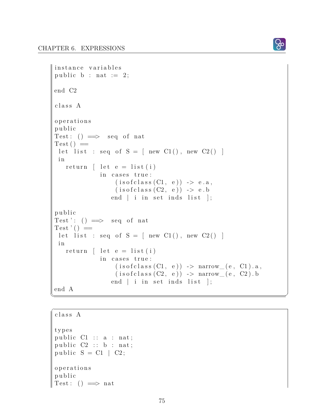

```
instance variables
public b : nat := 2;
end C2
class A
o p e r a t i o n s
public
Test: () \implies seq of nat
Test() ==let list : seq of S = \lceil \text{ new } C1(\rceil), new C2(\rceil)i n
   return \left[ let e = list(i)in cases true:
                    (i \text{softclass} (C1, e)) \Rightarrow e.a,(i s o f c l a s s (C2, e) \rightarrow e . b
                   end | i in set inds list |;
public
Test': () \implies seq of nat
Test '() ==let list : seq of S = \lceil \text{ new } C1 \rceil, new C2 \rceili n
   return \left[ let e = list(i)in cases true:
                    (isof class (C1, e)) \Rightarrow narrow_e(e, C1).a,(isof class (C2, e)) \Rightarrow narrow_e(e, C2).end | i in set inds list ];
end A
```
 $\overline{a}$ c l a s s A t y p e s public  $C1$  : : a : nat; public  $C2 :: b : nat;$ public  $S = C1$  |  $C2$ ; o p e r a t i o n s public Test : ( )  $\implies$  nat

 $\overline{\phantom{a}}$   $\overline{\phantom{a}}$   $\overline{\phantom{a}}$   $\overline{\phantom{a}}$   $\overline{\phantom{a}}$   $\overline{\phantom{a}}$   $\overline{\phantom{a}}$   $\overline{\phantom{a}}$   $\overline{\phantom{a}}$   $\overline{\phantom{a}}$   $\overline{\phantom{a}}$   $\overline{\phantom{a}}$   $\overline{\phantom{a}}$   $\overline{\phantom{a}}$   $\overline{\phantom{a}}$   $\overline{\phantom{a}}$   $\overline{\phantom{a}}$   $\overline{\phantom{a}}$   $\overline{\$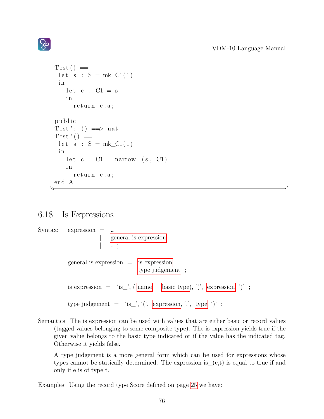```
Test() ==let \ s : S = mk_C1(1)i n
   let c : Cl = si n
     return c.a;
public
Test ': ( ) \implies nat
Test '() ==let s : S = mk_C1(1)i n
   let c : Cl = narrow_{s} (s, Cl)i n
     return c.a;
end A
```
#### 6.18 Is Expressions

ႜၛၟ

Syntax:  $\exp$ ression  $=$ | [general is expression](#page-208-0) | … ;  $general$  [is expression](#page-208-1)  $=$  is expression | [type judgement](#page-208-2) ; isexpression  $=$  'is\_', ( [name](#page-209-0) | [basic type\)](#page-194-1), '(', [expression,](#page-200-0) ')' ; type judgement = 'is\_', '(', [expression,](#page-200-0) ',', [type,](#page-194-0) ')' ;

Semantics: The is expression can be used with values that are either basic or record values (tagged values belonging to some composite type). The is expression yields true if the given value belongs to the basic type indicated or if the value has the indicated tag. Otherwise it yields false.

A type judgement is a more general form which can be used for expressions whose types cannot be statically determined. The expression is\_(e,t) is equal to true if and only if e is of type t.

 $\overline{\phantom{a}}$   $\overline{\phantom{a}}$   $\overline{\phantom{a}}$   $\overline{\phantom{a}}$   $\overline{\phantom{a}}$   $\overline{\phantom{a}}$   $\overline{\phantom{a}}$   $\overline{\phantom{a}}$   $\overline{\phantom{a}}$   $\overline{\phantom{a}}$   $\overline{\phantom{a}}$   $\overline{\phantom{a}}$   $\overline{\phantom{a}}$   $\overline{\phantom{a}}$   $\overline{\phantom{a}}$   $\overline{\phantom{a}}$   $\overline{\phantom{a}}$   $\overline{\phantom{a}}$   $\overline{\$ 

Examples: Using the record type Score defined on page [25](#page-33-0) we have: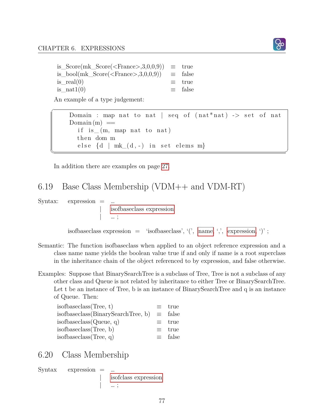

is\_Score(mk\_Score( $\leq$ France $>$ ,3,0,0,9))  $\equiv$  true is\_bool(mk\_Score( $\langle$ France $>$ ,3,0,0,9))  $\equiv$  false is real(0)  $\equiv$  true is\_nat1(0)  $\equiv$  false

An example of a type judgement:

Domain : map nat to nat | seq of  $(nat*nat)$  -> set of nat  $Domain(m) \equiv$ if is  $(m, map nat to nat)$ then dom m else  $\{d \mid mk_{d}, -\}$  in set elems m  $\overline{\phantom{a}}$   $\overline{\phantom{a}}$   $\overline{\phantom{a}}$   $\overline{\phantom{a}}$   $\overline{\phantom{a}}$   $\overline{\phantom{a}}$   $\overline{\phantom{a}}$   $\overline{\phantom{a}}$   $\overline{\phantom{a}}$   $\overline{\phantom{a}}$   $\overline{\phantom{a}}$   $\overline{\phantom{a}}$   $\overline{\phantom{a}}$   $\overline{\phantom{a}}$   $\overline{\phantom{a}}$   $\overline{\phantom{a}}$   $\overline{\phantom{a}}$   $\overline{\phantom{a}}$   $\overline{\$ 

In addition there are examples on page [27.](#page-35-0)

#### <span id="page-85-0"></span>6.19 Base Class Membership (VDM++ and VDM-RT)

Syntax:  $expression =$ | [isofbaseclass expression](#page-208-3) | … ;

isofbaseclass expression  $=$  'isofbaseclass', '(', [name,](#page-209-0) ',', [expression,](#page-200-0) ')' ;

- Semantic: The function isofbaseclass when applied to an object reference expression and a class name name yields the boolean value true if and only if name is a root superclass in the inheritance chain of the object referenced to by expression, and false otherwise.
- Examples: Suppose that BinarySearchTree is a subclass of Tree, Tree is not a subclass of any other class and Queue is not related by inheritance to either Tree or BinarySearchTree. Let t be an instance of Tree, b is an instance of BinarySearchTree and q is an instance of Queue. Then:

 $isof base class(Tree, t) \equiv true$  $isof base class(BinarySearchTree, b) \equiv false$  $isof base class(Queue, q) \equiv true$  $isof base class$ (Tree, b)  $\equiv$  true  $isof base class(Tree, q) \equiv false$ 

6.20 Class Membership

 $Syntax$  expression  $=$ | [isofclass expression](#page-208-4) | … ;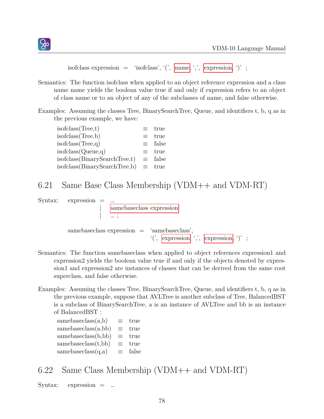

isofclass expression  $=$  'isofclass', '(', [name,](#page-209-0) ',', [expression,](#page-200-0) ')' ;

- Semantics: The function isofclass when applied to an object reference expression and a class name name yields the boolean value true if and only if expression refers to an object of class name or to an object of any of the subclasses of name, and false otherwise.
- Examples: Assuming the classes Tree, BinarySearchTree, Queue, and identifiers t, b, q as in the previous example, we have:

| is of class (Tree, t)         | 三        | true           |
|-------------------------------|----------|----------------|
| isofclass(Tree,b)             | 三        | true           |
| $isof class(\text{Tree},q)$   | $\equiv$ | false          |
| isofclass(Queue,q)            | $\equiv$ | true           |
| isofclass(BinarySearchTree,t) |          | $\equiv$ false |
| isofclass(BinarySearchTree,b) | $\equiv$ | true           |

### 6.21 Same Base Class Membership (VDM++ and VDM-RT)

 $Syntax:$  expression  $=$ | [samebaseclass expression](#page-208-5) | … ; samebaseclass expression  $=$  'samebaseclass',  $'$ (', [expression,](#page-200-0) ',', expression, ')' ;

- Semantics: The function samebaseclass when applied to object references expression1 and expression2 yields the boolean value true if and only if the objects denoted by expression1 and expression2 are instances of classes that can be derived from the same root superclass, and false otherwise.
- Examples: Assuming the classes Tree, BinarySearchTree, Queue, and identifiers t, b, q as in the previous example, suppose that AVLTree is another subclass of Tree, BalancedBST is a subclass of BinarySearchTree, a is an instance of AVLTree and bb is an instance of BalancedBST :

samebaseclass(a,b)  $\equiv$  true  $same base class(a, bb) \equiv true$ samebaseclass(b,bb)  $\equiv$  true  $same base class(t, bb) \equiv true$ samebaseclass(q,a)  $\equiv$  false

### 6.22 Same Class Membership (VDM++ and VDM-RT)

Syntax:  $\exp$  expression  $=$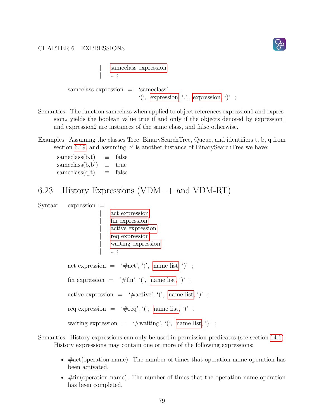

[sameclass expression](#page-208-6) | … ; sameclass expression = 'sameclass',  $'$ (', [expression,](#page-200-0) ',', expression, ')';

- Semantics: The function sameclass when applied to object references expression1 and expression2 yields the boolean value true if and only if the objects denoted by expression1 and expression2 are instances of the same class, and false otherwise.
- Examples: Assuming the classes Tree, BinarySearchTree, Queue, and identifiers t, b, q from section [6.19,](#page-85-0) and assuming b' is another instance of BinarySearchTree we have:

sameclass(b,t)  $\equiv$  false sameclass $(b,b') \equiv$  true sameclass $(q,t) \equiv$  false

## 6.23 History Expressions (VDM++ and VDM-RT)

 $Syntax:$  expression  $=$ | [act expression](#page-208-7) [fin expression](#page-208-8) | [active expression](#page-208-9) | [req expression](#page-208-10) | [waiting expression](#page-208-11) | … ; act expression  $=$  '#act', '(', [name list,](#page-209-1) ')' ; fin expression = '#fin', '(', [name list,](#page-209-1) ')' ; active expression  $=$  '#active', '(', [name list,](#page-209-1) ')' ; req expression  $=$  '#req', '(', [name list,](#page-209-1) ')' ; waiting expression  $=$  '#waiting', '(', [name list,](#page-209-1) ')' ;

- Semantics: History expressions can only be used in permission predicates (see section [14.1\)](#page-172-0). History expressions may contain one or more of the following expressions:
	- $\#act(operation name)$ . The number of times that operation name operation has been activated.
	- #fin(operation name). The number of times that the operation name operation has been completed.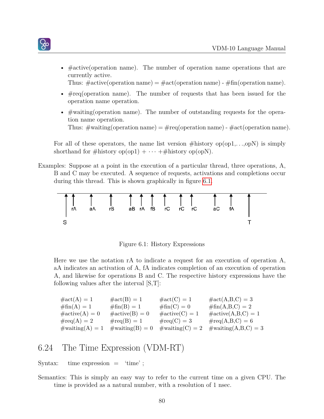- #active(operation name). The number of operation name operations that are currently active. Thus:  $\#active(operation name) = \#act(operation name) - \#fin(operation name).$
- #req(operation name). The number of requests that has been issued for the operation name operation.
- #waiting(operation name). The number of outstanding requests for the operation name operation.

Thus:  $\# \text{waiting}(\text{operation name}) = \# \text{req}(\text{operation name}) - \# \text{act}(\text{operation name}).$ 

For all of these operators, the name list version  $\#$ history op(op1,...,opN) is simply shorthand for  $\#$ history op(op1) +  $\cdots$  +  $\#$ history op(opN).

Examples: Suppose at a point in the execution of a particular thread, three operations, A, B and C may be executed. A sequence of requests, activations and completions occur during this thread. This is shown graphically in figure [6.1.](#page-88-0)



<span id="page-88-0"></span>Figure 6.1: History Expressions

Here we use the notation rA to indicate a request for an execution of operation A, aA indicates an activation of A, fA indicates completion of an execution of operation A, and likewise for operations B and C. The respective history expressions have the following values after the interval [S,T]:

 $\# \text{act}(A) = 1$   $\# \text{act}(B) = 1$   $\# \text{act}(C) = 1$   $\# \text{act}(A, B, C) = 3$  $\#\text{fin}(A) = 1$   $\#\text{fin}(B) = 1$   $\#\text{fin}(C) = 0$   $\#\text{fin}(A, B, C) = 2$  $\#\text{active}(A) = 0$   $\#\text{active}(B) = 0$   $\#\text{active}(C) = 1$   $\#\text{active}(A, B, C) = 1$  $\# \text{req}(A) = 2$   $\# \text{req}(B) = 1$   $\# \text{req}(C) = 3$   $\# \text{req}(A, B, C) = 6$  $\#\text{waiting}(A) = 1$   $\#\text{waiting}(B) = 0$   $\#\text{waiting}(C) = 2$   $\#\text{waiting}(A, B, C) = 3$ 

#### 6.24 The Time Expression (VDM-RT)

Syntax: time expression  $=$  'time';

ြမ္း

Semantics: This is simply an easy way to refer to the current time on a given CPU. The time is provided as a natural number, with a resolution of 1 nsec.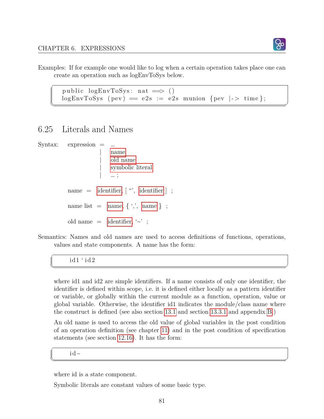

Examples: If for example one would like to log when a certain operation takes place one can create an operation such as logEnvToSys below.

public  $logEnvToSys:$  nat  $\implies$  ()  $logEnvToSys$  (pev) = e2s := e2s munion {pev |-> time};

 $\overline{\phantom{a}}$   $\overline{\phantom{a}}$   $\overline{\phantom{a}}$   $\overline{\phantom{a}}$   $\overline{\phantom{a}}$   $\overline{\phantom{a}}$   $\overline{\phantom{a}}$   $\overline{\phantom{a}}$   $\overline{\phantom{a}}$   $\overline{\phantom{a}}$   $\overline{\phantom{a}}$   $\overline{\phantom{a}}$   $\overline{\phantom{a}}$   $\overline{\phantom{a}}$   $\overline{\phantom{a}}$   $\overline{\phantom{a}}$   $\overline{\phantom{a}}$   $\overline{\phantom{a}}$   $\overline{\$ 

#### 6.25 Literals and Names

```
Syntax: expression =| name
                        | old name
                        symbolic literal
                        | … ;
         name = identifier, \lceil identifier \rceil;
          name,  name} \};
          old name = identifier, \sim ;
```
Semantics: Names and old names are used to access definitions of functions, operations, values and state components. A name has the form:

id1 ' i d 2

 $\overline{a}$ 

 $\overline{a}$ 

where id1 and id2 are simple identifiers. If a name consists of only one identifier, the identifier is defined within scope, i.e. it is defined either locally as a pattern identifier or variable, or globally within the current module as a function, operation, value or global variable. Otherwise, the identifier id1 indicates the module/class name where the construct is defined (see also section [13.1](#page-149-1) and section [13.3.1](#page-161-0) and appendix [B.](#page-215-0))

 $\overline{\phantom{a}}$ 

An old name is used to access the old value of global variables in the post condition of an operation definition (see chapter [11\)](#page-111-0) and in the post condition of specification statements (see section [12.16\)](#page-144-0). It has the form:

 $\overline{\phantom{a}}$   $\overline{\phantom{a}}$   $\overline{\phantom{a}}$   $\overline{\phantom{a}}$   $\overline{\phantom{a}}$   $\overline{\phantom{a}}$   $\overline{\phantom{a}}$   $\overline{\phantom{a}}$   $\overline{\phantom{a}}$   $\overline{\phantom{a}}$   $\overline{\phantom{a}}$   $\overline{\phantom{a}}$   $\overline{\phantom{a}}$   $\overline{\phantom{a}}$   $\overline{\phantom{a}}$   $\overline{\phantom{a}}$   $\overline{\phantom{a}}$   $\overline{\phantom{a}}$   $\overline{\$ 

 $id \sim$ 

where id is a state component.

Symbolic literals are constant values of some basic type.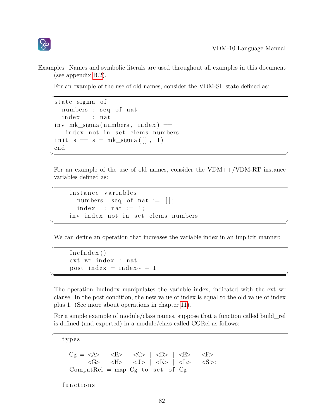

 $\overline{a}$ 

 $\overline{a}$ 

Examples: Names and symbolic literals are used throughout all examples in this document (see appendix [B.2\)](#page-217-1).

For an example of the use of old names, consider the VDM-SL state defined as:

```
\overline{a}state sigma of
  numbers : seq of nat
  index : nat
inv mk_sigma (numbers, index) =index not in set elems numbers
in it s = s = mk \sigma(|, 1)end
```
For an example of the use of old names, consider the  $VDM++/VDM-RT$  instance variables defined as:

 $\overline{\phantom{a}}$   $\overline{\phantom{a}}$   $\overline{\phantom{a}}$   $\overline{\phantom{a}}$   $\overline{\phantom{a}}$   $\overline{\phantom{a}}$   $\overline{\phantom{a}}$   $\overline{\phantom{a}}$   $\overline{\phantom{a}}$   $\overline{\phantom{a}}$   $\overline{\phantom{a}}$   $\overline{\phantom{a}}$   $\overline{\phantom{a}}$   $\overline{\phantom{a}}$   $\overline{\phantom{a}}$   $\overline{\phantom{a}}$   $\overline{\phantom{a}}$   $\overline{\phantom{a}}$   $\overline{\$ 

```
instance variables
 numbers: seq of nat := [ ];
  index : nat := 1;inv index not in set elems numbers;
```
We can define an operation that increases the variable index in an implicit manner:

 $\overline{\phantom{a}}$   $\overline{\phantom{a}}$   $\overline{\phantom{a}}$   $\overline{\phantom{a}}$   $\overline{\phantom{a}}$   $\overline{\phantom{a}}$   $\overline{\phantom{a}}$   $\overline{\phantom{a}}$   $\overline{\phantom{a}}$   $\overline{\phantom{a}}$   $\overline{\phantom{a}}$   $\overline{\phantom{a}}$   $\overline{\phantom{a}}$   $\overline{\phantom{a}}$   $\overline{\phantom{a}}$   $\overline{\phantom{a}}$   $\overline{\phantom{a}}$   $\overline{\phantom{a}}$   $\overline{\$ 

```
Inclndex ()
ext wr index : nat
post index = index \sim +1
```
The operation IncIndex manipulates the variable index, indicated with the ext wr clause. In the post condition, the new value of index is equal to the old value of index plus 1. (See more about operations in chapter [11\)](#page-111-0).

 $\overline{\phantom{a}}$   $\overline{\phantom{a}}$   $\overline{\phantom{a}}$   $\overline{\phantom{a}}$   $\overline{\phantom{a}}$   $\overline{\phantom{a}}$   $\overline{\phantom{a}}$   $\overline{\phantom{a}}$   $\overline{\phantom{a}}$   $\overline{\phantom{a}}$   $\overline{\phantom{a}}$   $\overline{\phantom{a}}$   $\overline{\phantom{a}}$   $\overline{\phantom{a}}$   $\overline{\phantom{a}}$   $\overline{\phantom{a}}$   $\overline{\phantom{a}}$   $\overline{\phantom{a}}$   $\overline{\$ 

For a simple example of module/class names, suppose that a function called build\_rel is defined (and exported) in a module/class called CGRel as follows:

```
t y p e s
     Cg = \langle A \rangle \mid \langle B \rangle \mid \langle C \rangle \mid \langle D \rangle \mid \langle E \rangle \mid \langle F \rangle \mid\langle \text{C} \rangle | \langle \text{H} \rangle | \langle \text{J} \rangle | \langle \text{K} \rangle | \langle \text{L} \rangle | \langle \text{S} \rangle;
     CompatRel = map C_g to set of C_gfunctions
```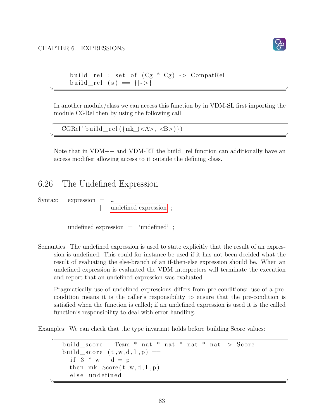$\overline{a}$ 



```
build rel : set of (Cg * Cg) -> CompatRel
                  build _{\rm rel} (s) = {|->}
\overline{\phantom{a}} \overline{\phantom{a}} \overline{\phantom{a}} \overline{\phantom{a}} \overline{\phantom{a}} \overline{\phantom{a}} \overline{\phantom{a}} \overline{\phantom{a}} \overline{\phantom{a}} \overline{\phantom{a}} \overline{\phantom{a}} \overline{\phantom{a}} \overline{\phantom{a}} \overline{\phantom{a}} \overline{\phantom{a}} \overline{\phantom{a}} \overline{\phantom{a}} \overline{\phantom{a}} \overline{\
```
In another module/class we can access this function by in VDM-SL first importing the module CGRel then by using the following call

```
CGRel' build_{rel}({mk_(<\mathbf{A}>, <\mathbf{B}>})})
```
Note that in  $VDM++$  and  $VDM-RT$  the build rel function can additionally have an access modifier allowing access to it outside the defining class.

 $\overline{\phantom{a}}$   $\overline{\phantom{a}}$   $\overline{\phantom{a}}$   $\overline{\phantom{a}}$   $\overline{\phantom{a}}$   $\overline{\phantom{a}}$   $\overline{\phantom{a}}$   $\overline{\phantom{a}}$   $\overline{\phantom{a}}$   $\overline{\phantom{a}}$   $\overline{\phantom{a}}$   $\overline{\phantom{a}}$   $\overline{\phantom{a}}$   $\overline{\phantom{a}}$   $\overline{\phantom{a}}$   $\overline{\phantom{a}}$   $\overline{\phantom{a}}$   $\overline{\phantom{a}}$   $\overline{\$ 

#### 6.26 The Undefined Expression

 $Syntax:$  expression  $=$ [undefined expression](#page-208-12) ;

undefined expression = 'undefined' ;

Semantics: The undefined expression is used to state explicitly that the result of an expression is undefined. This could for instance be used if it has not been decided what the result of evaluating the else-branch of an if-then-else expression should be. When an undefined expression is evaluated the VDM interpreters will terminate the execution and report that an undefined expression was evaluated.

Pragmatically use of undefined expressions differs from pre-conditions: use of a precondition means it is the caller's responsibility to ensure that the pre-condition is satisfied when the function is called; if an undefined expression is used it is the called function's responsibility to deal with error handling.

Examples: We can check that the type invariant holds before building Score values:

```
build_score : Team * nat * nat * nat * nat -> Score
        build score (t, w, d, l, p) =
              if 3 * w + d = pthen mk\_Score(t, w, d, l, p)else undefined
\overline{\phantom{a}} \overline{\phantom{a}} \overline{\phantom{a}} \overline{\phantom{a}} \overline{\phantom{a}} \overline{\phantom{a}} \overline{\phantom{a}} \overline{\phantom{a}} \overline{\phantom{a}} \overline{\phantom{a}} \overline{\phantom{a}} \overline{\phantom{a}} \overline{\phantom{a}} \overline{\phantom{a}} \overline{\phantom{a}} \overline{\phantom{a}} \overline{\phantom{a}} \overline{\phantom{a}} \overline{\
```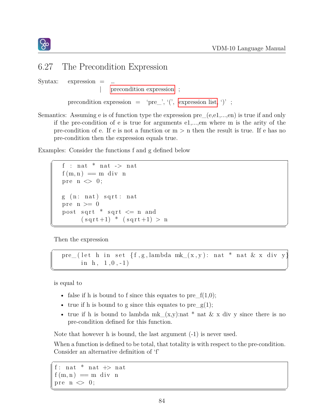

 $\overline{a}$ 

#### 6.27 The Precondition Expression

```
Syntax: expression = …
                       precondition expression ;
```
Semantics: Assuming e is of function type the expression pre $(e, e1, \ldots, en)$  is true if and only if the pre-condition of e is true for arguments e1,...,em where m is the arity of the pre-condition of e. If e is not a function or  $m > n$  then the result is true. If e has no

precondition expression  $=$  'pre $'$ , '(', [expression list,](#page-200-1) ')' ;

pre-condition then the expression equals true.

Examples: Consider the functions f and g defined below

 $f$  : nat  $*$  nat  $\rightarrow$  nat  $f(m, n) = m$  div n pre  $n \leq 0$ ;  $g$  (n: nat) sqrt: nat pre  $n \geq 0$ post sqrt  $*$  sqrt  $\leq$  n and  $(sqrt +1) * (sqrt +1) > n$  $\overline{\phantom{a}}$   $\overline{\phantom{a}}$   $\overline{\phantom{a}}$   $\overline{\phantom{a}}$   $\overline{\phantom{a}}$   $\overline{\phantom{a}}$   $\overline{\phantom{a}}$   $\overline{\phantom{a}}$   $\overline{\phantom{a}}$   $\overline{\phantom{a}}$   $\overline{\phantom{a}}$   $\overline{\phantom{a}}$   $\overline{\phantom{a}}$   $\overline{\phantom{a}}$   $\overline{\phantom{a}}$   $\overline{\phantom{a}}$   $\overline{\phantom{a}}$   $\overline{\phantom{a}}$   $\overline{\$ 

Then the expression

```
pre_(let h in set \{f, g, \text{lambda mk}(x, y) : \text{nat} * \text{nat} \& x \text{ div } y\}in h, 1,0,-1)
```
 $\overline{\phantom{a}}$ 

is equal to

- false if h is bound to f since this equates to pre $_f(1,0)$ ;
- true if h is bound to g since this equates to pre  $g(1)$ ;
- true if h is bound to lambda mk  $(x,y)$ :nat \* nat & x div y since there is no pre-condition defined for this function.

Note that however h is bound, the last argument  $(-1)$  is never used.

When a function is defined to be total, that totality is with respect to the pre-condition. Consider an alternative definition of 'f'

 $\overline{\phantom{a}}$   $\overline{\phantom{a}}$   $\overline{\phantom{a}}$   $\overline{\phantom{a}}$   $\overline{\phantom{a}}$   $\overline{\phantom{a}}$   $\overline{\phantom{a}}$   $\overline{\phantom{a}}$   $\overline{\phantom{a}}$   $\overline{\phantom{a}}$   $\overline{\phantom{a}}$   $\overline{\phantom{a}}$   $\overline{\phantom{a}}$   $\overline{\phantom{a}}$   $\overline{\phantom{a}}$   $\overline{\phantom{a}}$   $\overline{\phantom{a}}$   $\overline{\phantom{a}}$   $\overline{\$ 

 $\overline{a}$ f: nat  $*$  nat  $\rightarrow$  nat  $f(m, n) == m$  div n pre  $n \leq 0$ ;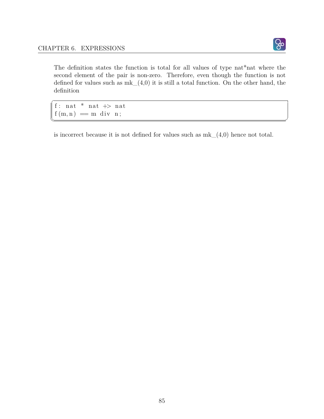

The definition states the function is total for all values of type nat\*nat where the second element of the pair is non-zero. Therefore, even though the function is not defined for values such as  $mk_{(4,0)}$  it is still a total function. On the other hand, the definition

 $\overline{\phantom{a}}$   $\overline{\phantom{a}}$   $\overline{\phantom{a}}$   $\overline{\phantom{a}}$   $\overline{\phantom{a}}$   $\overline{\phantom{a}}$   $\overline{\phantom{a}}$   $\overline{\phantom{a}}$   $\overline{\phantom{a}}$   $\overline{\phantom{a}}$   $\overline{\phantom{a}}$   $\overline{\phantom{a}}$   $\overline{\phantom{a}}$   $\overline{\phantom{a}}$   $\overline{\phantom{a}}$   $\overline{\phantom{a}}$   $\overline{\phantom{a}}$   $\overline{\phantom{a}}$   $\overline{\$ 

 $\overline{a}$ f: nat  $*$  nat  $\Rightarrow$  nat  $f(m, n) == m$  div n;

is incorrect because it is not defined for values such as mk\_(4,0) hence not total.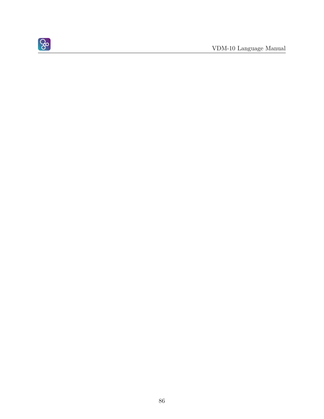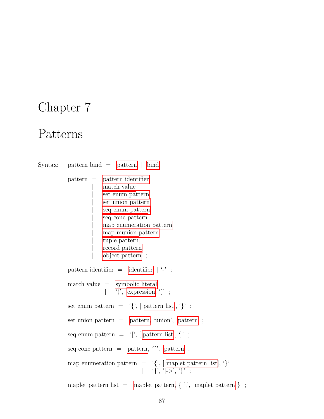## Chapter 7

## Patterns

Syntax: [pattern](#page-213-0) [bind](#page-214-3)  $=$  pattern  $\vert$  bind; pattern = [pattern identifier](#page-213-1) [match value](#page-213-2) set enum pattern [set union pattern](#page-213-3) seq enum pattern seq conc pattern | [map enumeration pattern](#page-214-4) | [map munion pattern](#page-214-5) | [tuple pattern](#page-214-6) [record pattern](#page-214-7) | [object pattern](#page-214-8) ; pattern [identifier](#page-217-0)  $=$  identifier  $| '$ ;  $% \begin{array}{lcl} {\bf \small match~ value & = & symbolic~ \end{array}$  $|\cdot|$  '(', [expression,](#page-200-0) ')' ; set enum pattern = '{',[ [pattern list\]](#page-214-9), '}' ;  $set$  union pattern = [pattern,](#page-213-0) 'union', [pattern](#page-213-0); seqenum pattern  $=$  '[', [ [pattern list\]](#page-214-9), ']' ; seq conc pattern = [pattern,](#page-213-0)  $\hat{\cdot}$ , [pattern](#page-213-0) ; mapenumeration pattern  $= \{ \langle \cdot, \cdot \rangle \}$  maplet pattern list,  $\langle \cdot \rangle$  $|\quad {\rm '}\{\rangle, \{-\rangle, \cdot\} \rangle$ ;

 $\label{eq:multi} \vspace{-0.2cm} \textbf{maplet pattern list} \ = \ \vspace{-0.2cm} \textbf{maplet pattern,} \ \{\ ``\,,\text{'}\, \textbf{maplet pattern} \ \} \hspace{0.2cm} \textbf{in} \ \vspace{-0.2cm} \textbf{in} \ \textbf{maplet pattern} \ \vspace{-0.2cm} \} \hspace{0.2cm} \textbf{in} \ \vspace{-0.2cm}$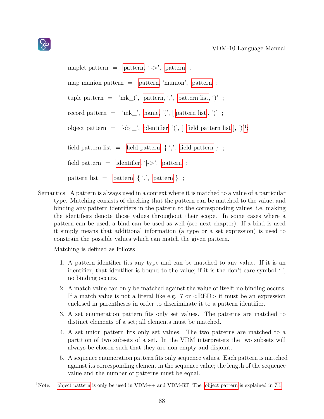```
 pattern = pattern, \langle - \rangle, pattern;
 pattern = pattern, 'munion', pattern;
tuple pattern = pattern, pattern list, ')' ;
 pattern = name, pattern list], ')' ;
 identifier, '(', \lceil field pattern list \rceil1</sup>;
 field pattern, \{\,\cdot\,,\,\cdot\,\} field pattern \};
 pattern = identifier, \langle |- \rangle, pattern;
 pattern, \{\,\cdot\,,\,\cdot\,\} pattern \};
```
Semantics: A pattern is always used in a context where it is matched to a value of a particular type. Matching consists of checking that the pattern can be matched to the value, and binding any pattern identifiers in the pattern to the corresponding values, i.e. making the identifiers denote those values throughout their scope. In some cases where a pattern can be used, a bind can be used as well (see next chapter). If a bind is used it simply means that additional information (a type or a set expression) is used to constrain the possible values which can match the given pattern.

Matching is defined as follows

- 1. A pattern identifier fits any type and can be matched to any value. If it is an identifier, that identifier is bound to the value; if it is the don't-care symbol '-', no binding occurs.
- 2. A match value can only be matched against the value of itself; no binding occurs. If a match value is not a literal like e.g. 7 or  $\langle RED \rangle$  it must be an expression enclosed in parentheses in order to discriminate it to a pattern identifier.
- 3. A set enumeration pattern fits only set values. The patterns are matched to distinct elements of a set; all elements must be matched.
- 4. A set union pattern fits only set values. The two patterns are matched to a partition of two subsets of a set. In the VDM interpreters the two subsets will always be chosen such that they are non-empty and disjoint.
- 5. A sequence enumeration pattern fits only sequence values. Each pattern is matched against its corresponding element in the sequence value; the length of the sequence value and the number of patterns must be equal.

<span id="page-96-0"></span><sup>&</sup>lt;sup>1</sup>Note: [object pattern](#page-214-8) is only be used in VDM++ and VDM-RT. The object pattern is explained in [7.1](#page-100-0)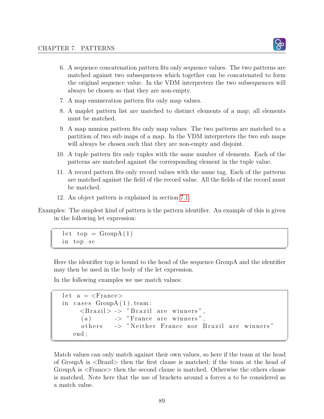

- 6. A sequence concatenation pattern fits only sequence values. The two patterns are matched against two subsequences which together can be concatenated to form the original sequence value. In the VDM interpreters the two subsequences will always be chosen so that they are non-empty.
- 7. A map enumeration pattern fits only map values.
- 8. A maplet pattern list are matched to distinct elements of a map; all elements must be matched.
- 9. A map munion pattern fits only map values. The two patterns are matched to a partition of two sub maps of a map. In the VDM interpreters the two sub maps will always be chosen such that they are non-empty and disjoint.
- 10. A tuple pattern fits only tuples with the same number of elements. Each of the patterns are matched against the corresponding element in the tuple value.
- 11. A record pattern fits only record values with the same tag. Each of the patterns are matched against the field of the record value. All the fields of the record must be matched.
- 12. An object pattern is explained in section [7.1](#page-100-0)
- Examples: The simplest kind of pattern is the pattern identifier. An example of this is given in the following let expression:

let top =  $GroupA(1)$ in top.sc

 $\overline{a}$ 

 $\overline{a}$ 

Here the identifier top is bound to the head of the sequence GroupA and the identifier may then be used in the body of the let expression.

 $\overline{\phantom{a}}$   $\overline{\phantom{a}}$   $\overline{\phantom{a}}$   $\overline{\phantom{a}}$   $\overline{\phantom{a}}$   $\overline{\phantom{a}}$   $\overline{\phantom{a}}$   $\overline{\phantom{a}}$   $\overline{\phantom{a}}$   $\overline{\phantom{a}}$   $\overline{\phantom{a}}$   $\overline{\phantom{a}}$   $\overline{\phantom{a}}$   $\overline{\phantom{a}}$   $\overline{\phantom{a}}$   $\overline{\phantom{a}}$   $\overline{\phantom{a}}$   $\overline{\phantom{a}}$   $\overline{\$ 

In the following examples we use match values:

```
let a = \langleFrance>
        in cases GroupA(1). team:
                     \langle \text{Brazil}\rangle \rightarrow "Brazil are winners",
                      (a) \longrightarrow "France are winners",
                      others -> "Neither France nor Brazil are winners"
                end ;
\overline{\phantom{a}} \overline{\phantom{a}} \overline{\phantom{a}} \overline{\phantom{a}} \overline{\phantom{a}} \overline{\phantom{a}} \overline{\phantom{a}} \overline{\phantom{a}} \overline{\phantom{a}} \overline{\phantom{a}} \overline{\phantom{a}} \overline{\phantom{a}} \overline{\phantom{a}} \overline{\phantom{a}} \overline{\phantom{a}} \overline{\phantom{a}} \overline{\phantom{a}} \overline{\phantom{a}} \overline{\
```
Match values can only match against their own values, so here if the team at the head of GroupA is  $\langle$ Brazil $\rangle$  then the first clause is matched; if the team at the head of GroupA is <France> then the second clause is matched. Otherwise the others clause is matched. Note here that the use of brackets around a forces a to be considered as a match value.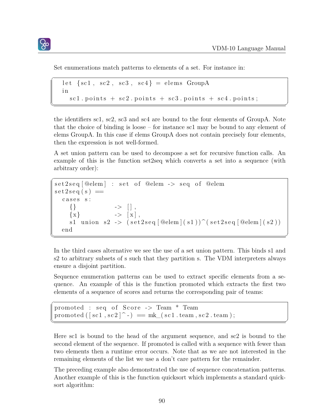Set enumerations match patterns to elements of a set. For instance in:

 $\overline{a}$ 

 $[$   $\mathcal{S}^{\circ}]$ 

```
let \{ \text{sc} 1, \text{sc} 2, \text{sc} 3, \text{sc} 4 \} = \text{elems GroupA}i n
                  \text{sc}1.\text{points} + \text{sc}2.\text{points} + \text{sc}3.\text{points} + \text{sc}4.\text{points};\overline{\phantom{a}} \overline{\phantom{a}} \overline{\phantom{a}} \overline{\phantom{a}} \overline{\phantom{a}} \overline{\phantom{a}} \overline{\phantom{a}} \overline{\phantom{a}} \overline{\phantom{a}} \overline{\phantom{a}} \overline{\phantom{a}} \overline{\phantom{a}} \overline{\phantom{a}} \overline{\phantom{a}} \overline{\phantom{a}} \overline{\phantom{a}} \overline{\phantom{a}} \overline{\phantom{a}} \overline{\
```
the identifiers sc1, sc2, sc3 and sc4 are bound to the four elements of GroupA. Note that the choice of binding is loose – for instance sc1 may be bound to any element of elems GroupA. In this case if elems GroupA does not contain precisely four elements, then the expression is not well-formed.

A set union pattern can be used to decompose a set for recursive function calls. An example of this is the function set2seq which converts a set into a sequence (with arbitrary order):

```
\overline{a}\text{set2seq} [ @elem ] : set of @elem -> seq of @elem
  set2seq(s) =cases s:
               \{\} -> [ ],{x} -> [x],
              s1 union s2 -> \left( \frac{\text{set2seq}}{\text{0elem}} \right) (s1) \left( \frac{\text{set2seq}}{\text{0elem}} \right) (set 2 seq \left[ \frac{\text{0elem}}{\text{0elem}} \right) (s2))
        end
\overline{\phantom{a}} \overline{\phantom{a}} \overline{\phantom{a}} \overline{\phantom{a}} \overline{\phantom{a}} \overline{\phantom{a}} \overline{\phantom{a}} \overline{\phantom{a}} \overline{\phantom{a}} \overline{\phantom{a}} \overline{\phantom{a}} \overline{\phantom{a}} \overline{\phantom{a}} \overline{\phantom{a}} \overline{\phantom{a}} \overline{\phantom{a}} \overline{\phantom{a}} \overline{\phantom{a}} \overline{\
```
In the third cases alternative we see the use of a set union pattern. This binds s1 and s2 to arbitrary subsets of s such that they partition s. The VDM interpreters always ensure a disjoint partition.

Sequence enumeration patterns can be used to extract specific elements from a sequence. An example of this is the function promoted which extracts the first two elements of a sequence of scores and returns the corresponding pair of teams:

 $\overline{a}$ promoted : seq of Score  $\rightarrow$  Team  $*$  Team promoted ( $[sc1, sc2]$  - ) = mk\_(sc1.team,sc2.team);

Here sc1 is bound to the head of the argument sequence, and sc2 is bound to the second element of the sequence. If promoted is called with a sequence with fewer than two elements then a runtime error occurs. Note that as we are not interested in the remaining elements of the list we use a don't care pattern for the remainder.

 $\overline{\phantom{a}}$   $\overline{\phantom{a}}$   $\overline{\phantom{a}}$   $\overline{\phantom{a}}$   $\overline{\phantom{a}}$   $\overline{\phantom{a}}$   $\overline{\phantom{a}}$   $\overline{\phantom{a}}$   $\overline{\phantom{a}}$   $\overline{\phantom{a}}$   $\overline{\phantom{a}}$   $\overline{\phantom{a}}$   $\overline{\phantom{a}}$   $\overline{\phantom{a}}$   $\overline{\phantom{a}}$   $\overline{\phantom{a}}$   $\overline{\phantom{a}}$   $\overline{\phantom{a}}$   $\overline{\$ 

The preceding example also demonstrated the use of sequence concatenation patterns. Another example of this is the function quicksort which implements a standard quicksort algorithm: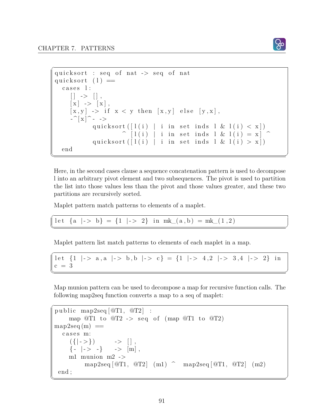

```
quicksort : seq of nat \rightarrow seq of nat
quicksort (1) =
   cases l:
       \begin{bmatrix} \end{bmatrix} \rightarrow \begin{bmatrix} \end{bmatrix},
       \lceil x \rceil \rightarrow \lceil x \rceil,
       [x, y] \rightarrow if x < y then [x, y] else [y, x],-\hat{ } |x| - ->
                   quicks ort ([l(i) \mid i \text{ in set } s] \& l(i) < x])\hat{I} \cap [ l(i) | i \text{ in set ind } s l \& l(i) = x ]quicksort ( \begin{bmatrix} 1 & i \end{bmatrix} \begin{bmatrix} i & i \end{bmatrix} i in set inds \begin{bmatrix} 1 & k & l & l & i \end{bmatrix}end
```
Here, in the second cases clause a sequence concatenation pattern is used to decompose l into an arbitrary pivot element and two subsequences. The pivot is used to partition the list into those values less than the pivot and those values greater, and these two partitions are recursively sorted.

 $\overline{\phantom{a}}$   $\overline{\phantom{a}}$   $\overline{\phantom{a}}$   $\overline{\phantom{a}}$   $\overline{\phantom{a}}$   $\overline{\phantom{a}}$   $\overline{\phantom{a}}$   $\overline{\phantom{a}}$   $\overline{\phantom{a}}$   $\overline{\phantom{a}}$   $\overline{\phantom{a}}$   $\overline{\phantom{a}}$   $\overline{\phantom{a}}$   $\overline{\phantom{a}}$   $\overline{\phantom{a}}$   $\overline{\phantom{a}}$   $\overline{\phantom{a}}$   $\overline{\phantom{a}}$   $\overline{\$ 

Maplet pattern match patterns to elements of a maplet.

 $\overline{a}$ let  $\{a \mid -> b\} = \{1 \mid -> 2\}$  in  $mk(a, b) = mk(1, 2)$ 

Maplet pattern list match patterns to elements of each maplet in a map.

 $\overline{a}$ let  $\{1 \mid -> a, a \mid -> b, b \mid -> c\} = \{1 \mid -> 4, 2 \mid -> 3, 4 \mid -> 2\}$  in  $c = 3$ 

 $\overline{\phantom{a}}$   $\overline{\phantom{a}}$   $\overline{\phantom{a}}$   $\overline{\phantom{a}}$   $\overline{\phantom{a}}$   $\overline{\phantom{a}}$   $\overline{\phantom{a}}$   $\overline{\phantom{a}}$   $\overline{\phantom{a}}$   $\overline{\phantom{a}}$   $\overline{\phantom{a}}$   $\overline{\phantom{a}}$   $\overline{\phantom{a}}$   $\overline{\phantom{a}}$   $\overline{\phantom{a}}$   $\overline{\phantom{a}}$   $\overline{\phantom{a}}$   $\overline{\phantom{a}}$   $\overline{\$ 

Map munion pattern can be used to decompose a map for recursive function calls. The following map2seq function converts a map to a seq of maplet:

 $\overline{\phantom{a}}$ 

```
\overline{a}public map2seq [QT1, QT2]:
             map \mathbb{Q}T1 to \mathbb{Q}T2 \rightarrow seq of (map \mathbb{Q}T1 to \mathbb{Q}T2)
 map2seq(m) ==cases m:
              (\{ |- \rangle \}) -> | \, | \, ,\{ - |-> - \} -> [m],m1 munion m2 ->
                         map2seq \lceil \mathcal{Q}T1, \mathcal{Q}T2 \rceil \ (ml) \ \text{map2seq} \lceil \mathcal{Q}T1, \mathcal{Q}T2 \rceil \ (ml)end ;
\overline{\phantom{a}} \overline{\phantom{a}} \overline{\phantom{a}} \overline{\phantom{a}} \overline{\phantom{a}} \overline{\phantom{a}} \overline{\phantom{a}} \overline{\phantom{a}} \overline{\phantom{a}} \overline{\phantom{a}} \overline{\phantom{a}} \overline{\phantom{a}} \overline{\phantom{a}} \overline{\phantom{a}} \overline{\phantom{a}} \overline{\phantom{a}} \overline{\phantom{a}} \overline{\phantom{a}} \overline{\
```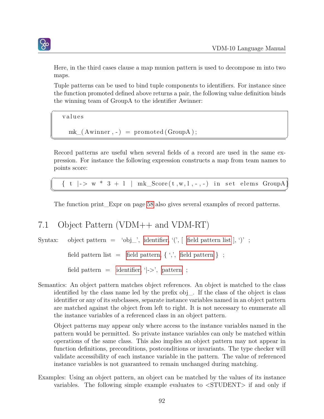

Here, in the third cases clause a map munion pattern is used to decompose m into two maps.

Tuple patterns can be used to bind tuple components to identifiers. For instance since the function promoted defined above returns a pair, the following value definition binds the winning team of GroupA to the identifier Awinner:



Record patterns are useful when several fields of a record are used in the same expression. For instance the following expression constructs a map from team names to points score:

 $t$   $\vert -\rangle$  w  $*$  3 + 1 | mk\_Score( $t, w, l, -, -$ ) in set elems GroupA]  $\overline{\phantom{a}}$ 

The function print Expr on page [58](#page-66-0) also gives several examples of record patterns.

### <span id="page-100-0"></span>7.1 Object Pattern (VDM++ and VDM-RT)

Syntax: object pattern = 'obj\_', [identifier,](#page-217-0)'(',  $\lceil$  [field pattern list](#page-214-12)  $\rceil$ , ')' ;

field pattern list = [field pattern,](#page-214-13)  $\{\, \cdot, \, \cdot, \, \text{ field pattern } \}$  $\{\, \cdot, \, \cdot, \, \text{ field pattern } \}$  $\{\, \cdot, \, \cdot, \, \text{ field pattern } \}$ ;

field [pattern](#page-213-0)  $=$  [identifier,](#page-217-0)  $\langle - \rangle$ , pattern;

Semantics: An object pattern matches object references. An object is matched to the class identified by the class name led by the prefix obj\_. If the class of the object is class identifier or any of its subclasses, separate instance variables named in an object pattern are matched against the object from left to right. It is not necessary to enumerate all the instance variables of a referenced class in an object pattern.

Object patterns may appear only where access to the instance variables named in the pattern would be permitted. So private instance variables can only be matched within operations of the same class. This also implies an object pattern may not appear in function definitions, preconditions, postconditions or invariants. The type checker will validate accessibility of each instance variable in the pattern. The value of referenced instance variables is not guaranteed to remain unchanged during matching.

Examples: Using an object pattern, an object can be matched by the values of its instance variables. The following simple example evaluates to <STUDENT> if and only if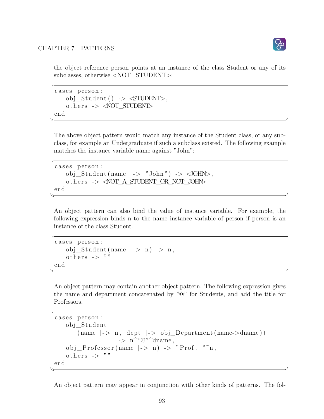

the object reference person points at an instance of the class Student or any of its subclasses, otherwise <NOT\_STUDENT>:

```
\overline{a}cases person:
               obj\_Student() \rightarrow \langle STUDENT \rangle,others -> <NOT STUDENT>
   end
\overline{\phantom{a}} \overline{\phantom{a}} \overline{\phantom{a}} \overline{\phantom{a}} \overline{\phantom{a}} \overline{\phantom{a}} \overline{\phantom{a}} \overline{\phantom{a}} \overline{\phantom{a}} \overline{\phantom{a}} \overline{\phantom{a}} \overline{\phantom{a}} \overline{\phantom{a}} \overline{\phantom{a}} \overline{\phantom{a}} \overline{\phantom{a}} \overline{\phantom{a}} \overline{\phantom{a}} \overline{\
```
The above object pattern would match any instance of the Student class, or any subclass, for example an Undergraduate if such a subclass existed. The following example matches the instance variable name against "John":

```
\overline{a}cases person:
    obj Student (name |-> "John") -> <JOHN>,
    others -> \langle NOT\_A\_STUDENT\_OR\_NOT\_JOHDend
```
An object pattern can also bind the value of instance variable. For example, the following expression binds n to the name instance variable of person if person is an instance of the class Student.

 $\overline{\phantom{a}}$   $\overline{\phantom{a}}$   $\overline{\phantom{a}}$   $\overline{\phantom{a}}$   $\overline{\phantom{a}}$   $\overline{\phantom{a}}$   $\overline{\phantom{a}}$   $\overline{\phantom{a}}$   $\overline{\phantom{a}}$   $\overline{\phantom{a}}$   $\overline{\phantom{a}}$   $\overline{\phantom{a}}$   $\overline{\phantom{a}}$   $\overline{\phantom{a}}$   $\overline{\phantom{a}}$   $\overline{\phantom{a}}$   $\overline{\phantom{a}}$   $\overline{\phantom{a}}$   $\overline{\$ 

```
cases person:
    obj\_Student(name \mid-> n) \Rightarrow n,others \rightarrow ""
end
```
An object pattern may contain another object pattern. The following expression gives the name and department concatenated by "@" for Students, and add the title for Professors.

 $\overline{\phantom{a}}$   $\overline{\phantom{a}}$   $\overline{\phantom{a}}$   $\overline{\phantom{a}}$   $\overline{\phantom{a}}$   $\overline{\phantom{a}}$   $\overline{\phantom{a}}$   $\overline{\phantom{a}}$   $\overline{\phantom{a}}$   $\overline{\phantom{a}}$   $\overline{\phantom{a}}$   $\overline{\phantom{a}}$   $\overline{\phantom{a}}$   $\overline{\phantom{a}}$   $\overline{\phantom{a}}$   $\overline{\phantom{a}}$   $\overline{\phantom{a}}$   $\overline{\phantom{a}}$   $\overline{\$ 

```
\overline{a}cases person:
    obj_S tuden t
         (name \mid > n, \text{ dept} \mid > \text{obj\_Department} (name > \text{dname}))\rightarrow n<sup>\sim"@"\simdname,</sup>
     obj_Professor(name \vert -\rangle n) \vert -\rangle "Prof. "^n,
     \text{others} -> ""
end
\overline{\phantom{a}}
```
An object pattern may appear in conjunction with other kinds of patterns. The fol-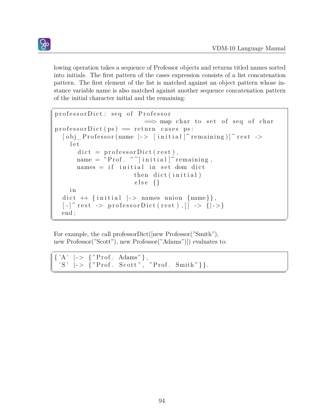

lowing operation takes a sequence of Professor objects and returns titled names sorted into initials. The first pattern of the cases expression consists of a list concatenation pattern. The first element of the list is matched against an object pattern whose instance variable name is also matched against another sequence concatenation pattern of the initial character initial and the remaining:

```
professorDict: seq of Professor
                                \implies map char to set of seq of char
\text{professorDict}(\text{ps}) = \text{return cases} ps:
  [obj\_Professor(name \mid-> [initial]<sup>-</sup>remaining)| `rest ->
     l e t
        \text{dict} = \text{professorDict}(\text{rest}),name = "\text{Prof.} "\hat{\ } [initial] \hat{\ } remaining,
        names = if initial in set dom dictthen dict (initial)
                            else \{\}i n
  dict + {initial |-> names union {name}},
  \lceil - \rceil rest -> professor Dict (rest), \lceil - \rceil -> \lceil - \rceilend ;
```
 $\overline{\phantom{a}}$ 

 $\overline{\phantom{a}}$   $\overline{\phantom{a}}$   $\overline{\phantom{a}}$   $\overline{\phantom{a}}$   $\overline{\phantom{a}}$   $\overline{\phantom{a}}$   $\overline{\phantom{a}}$   $\overline{\phantom{a}}$   $\overline{\phantom{a}}$   $\overline{\phantom{a}}$   $\overline{\phantom{a}}$   $\overline{\phantom{a}}$   $\overline{\phantom{a}}$   $\overline{\phantom{a}}$   $\overline{\phantom{a}}$   $\overline{\phantom{a}}$   $\overline{\phantom{a}}$   $\overline{\phantom{a}}$   $\overline{\$ 

For example, the call professorDict( $[new Professor("Smith"),$ new Professor("Scott"), new Professor("Adams")]) evaluates to:

 $\overline{a}$ 'A'  $\vert - \rangle$  {"Prof. Adams" }, 'S'  $\vert -\rangle$  {"Prof. Scott", "Prof. Smith"}}.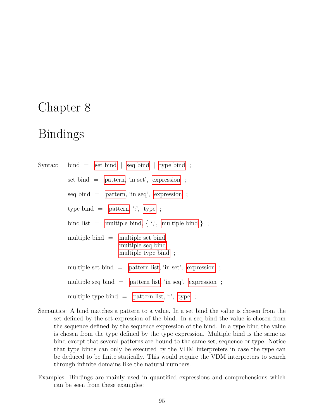# Chapter 8

# Bindings

Syntax: bind = set bind  $\vert$  seq bind  $\vert$  [type bind](#page-214-2) ; set bind  $=$  [pattern,](#page-213-0) 'in set', [expression](#page-200-0) ;  $seq$  bind  $=$  [pattern,](#page-213-0) 'in seq', [expression](#page-200-0) ; type bind  $=$  [pattern,](#page-213-0)  $\because$ ; [type](#page-194-0) ; bind list  $=$  [multiple bind,](#page-214-14)  $\{\,\cdot\,,\,\cdot\}$  [multiple bind](#page-214-14)  $\}$ ; multiple bind  $=$  [multiple set bind](#page-214-15) | [multiple seq bind](#page-214-16) | [multiple type bind](#page-214-17) ; multiple set bind  $=$  [pattern list,](#page-214-9) 'in set', [expression](#page-200-0) ; multiple seq bind  $=$  [pattern list,](#page-214-9) 'in seq', [expression](#page-200-0) ; multiple [type](#page-194-0) bind  $=$  [pattern list,](#page-214-9)  $\because$ ; type ;

- Semantics: A bind matches a pattern to a value. In a set bind the value is chosen from the set defined by the set expression of the bind. In a seq bind the value is chosen from the sequence defined by the sequence expression of the bind. In a type bind the value is chosen from the type defined by the type expression. Multiple bind is the same as bind except that several patterns are bound to the same set, sequence or type. Notice that type binds can only be executed by the VDM interpreters in case the type can be deduced to be finite statically. This would require the VDM interpreters to search through infinite domains like the natural numbers.
- Examples: Bindings are mainly used in quantified expressions and comprehensions which can be seen from these examples: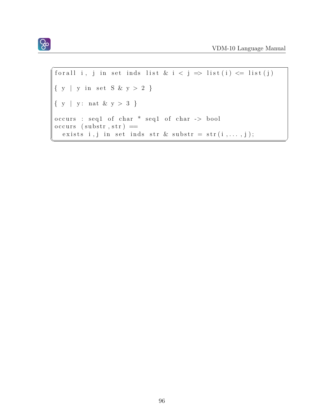```
\overline{a}for all i, j in set inds list \& i \lt j \Rightarrow list(i) \lt = list(j)
\{ \begin{array}{ccc} y & y \text{ in set } S & \& y > 2 \end{array} \}\left| \left\{ \begin{array}{c|c} y & y: \ \text{nat} \ \& \ y > 3 \end{array} \right\} \right|occurs : seq1 of char * seq1 of char -> bool
occurs ( substr, str) ==exists i, j in set inds str \& substr = str(i,...,j);
```
 $\overline{\phantom{a}}$   $\overline{\phantom{a}}$   $\overline{\phantom{a}}$   $\overline{\phantom{a}}$   $\overline{\phantom{a}}$   $\overline{\phantom{a}}$   $\overline{\phantom{a}}$   $\overline{\phantom{a}}$   $\overline{\phantom{a}}$   $\overline{\phantom{a}}$   $\overline{\phantom{a}}$   $\overline{\phantom{a}}$   $\overline{\phantom{a}}$   $\overline{\phantom{a}}$   $\overline{\phantom{a}}$   $\overline{\phantom{a}}$   $\overline{\phantom{a}}$   $\overline{\phantom{a}}$   $\overline{\$ 

80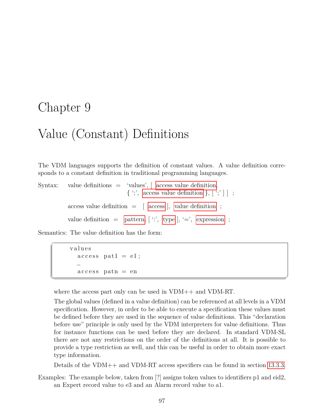## Chapter 9

 $\overline{a}$ 

# Value (Constant) Definitions

The VDM languages supports the definition of constant values. A value definition corresponds to a constant definition in traditional programming languages.

Syntax:value definitions = 'values', [ [access value definition,](#page-228-0)  $\{\ \vdots\ ;\ \right.$  [access value definition](#page-228-0)  $\},\ [\ \vdots\ ;\ ]$  ; access value definition =[ [access](#page-193-0) ], [value definition](#page-196-0) ; value definition  $=$  [pattern,](#page-213-0)  $[\cdot;\cdot]$ , [type](#page-194-0)  $], \cdot = \cdot$ , [expression](#page-200-0) ;

Semantics: The value definition has the form:

```
v a l u e s
                               access pat1 = e1;
                               …
                               access patn = en
\overline{\phantom{a}} \overline{\phantom{a}} \overline{\phantom{a}} \overline{\phantom{a}} \overline{\phantom{a}} \overline{\phantom{a}} \overline{\phantom{a}} \overline{\phantom{a}} \overline{\phantom{a}} \overline{\phantom{a}} \overline{\phantom{a}} \overline{\phantom{a}} \overline{\phantom{a}} \overline{\phantom{a}} \overline{\phantom{a}} \overline{\phantom{a}} \overline{\phantom{a}} \overline{\phantom{a}} \overline{\
```
where the access part only can be used in VDM++ and VDM-RT.

The global values (defined in a value definition) can be referenced at all levels in a VDM specification. However, in order to be able to execute a specification these values must be defined before they are used in the sequence of value definitions. This "declaration before use" principle is only used by the VDM interpreters for value definitions. Thus for instance functions can be used before they are declared. In standard VDM-SL there are not any restrictions on the order of the definitions at all. It is possible to provide a type restriction as well, and this can be useful in order to obtain more exact type information.

Details of the VDM++ and VDM-RT access specifiers can be found in section [13.3.3.](#page-166-0)

Examples: The example below, taken from [?] assigns token values to identifiers p1 and eid2, an Expert record value to e3 and an Alarm record value to a1.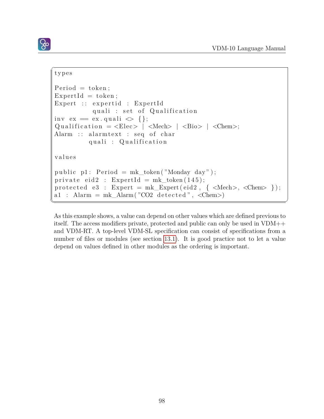

```
\overline{a}t y p e s
 Period = token;Expected = token;Expert :: expertid : ExpertId
                    quali : set of Qualification
 inv ex = ex. quali \leq \{\};\text{Qualification} = \text{<Elec} > | \text{<Mech}> | \text{<Bio}> | \text{<Chem}>;Alarm \cdots alarmtext : seq of char
                  quali : Qualification
 v a l u e s
 public p1: Period = mk_token ("Monday day");
 private eid2 : ExpertId = mk\_token(145);protected e3 : Expert = mk Expert (eid2, { <Mech>, <Chem> });
 a1 : Alarm = mk_Alarm ("CO2 detected", <Chem>)
\overline{\phantom{a}} \overline{\phantom{a}} \overline{\phantom{a}} \overline{\phantom{a}} \overline{\phantom{a}} \overline{\phantom{a}} \overline{\phantom{a}} \overline{\phantom{a}} \overline{\phantom{a}} \overline{\phantom{a}} \overline{\phantom{a}} \overline{\phantom{a}} \overline{\phantom{a}} \overline{\phantom{a}} \overline{\phantom{a}} \overline{\phantom{a}} \overline{\phantom{a}} \overline{\phantom{a}} \overline{\
```
As this example shows, a value can depend on other values which are defined previous to itself. The access modifiers private, protected and public can only be used in VDM++ and VDM-RT. A top-level VDM-SL specification can consist of specifications from a number of files or modules (see section [13.1\)](#page-149-1). It is good practice not to let a value depend on values defined in other modules as the ordering is important.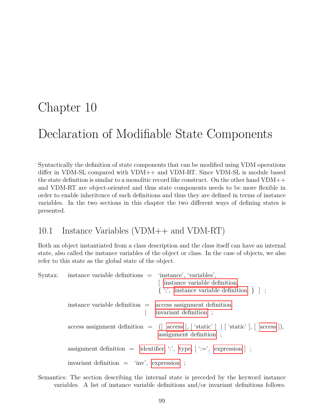## Chapter 10

# Declaration of Modifiable State Components

Syntactically the definition of state components that can be modified using VDM operations differ in VDM-SL compared with VDM++ and VDM-RT. Since VDM-SL is module based the state definition is similar to a monolitic record like construct. On the other hand VDM++ and VDM-RT are object-oriented and thus state components needs to be more flexible in order to enable inheritence of such definitions and thus they are defined in terms of instance variables. In the two sections in this chapter the two different ways of defining states is presented.

#### 10.1 Instance Variables (VDM++ and VDM-RT)

Both an object instantiated from a class description and the class itself can have an internal state, also called the instance variables of the object or class. In the case of objects, we also refer to this state as the global state of the object.

|  | Syntax: instance variable definitions $=$ 'instance', 'variables',<br>instance variable definition,<br>$\{\ \vdots\ \vdots\ \mathsf{instance}\ \text{variable definition}\ \}$ ; |
|--|----------------------------------------------------------------------------------------------------------------------------------------------------------------------------------|
|  | instance variable definition $=$ access assignment definition<br>invariant definition;                                                                                           |
|  | access assignment definition $=$ ([ access ], [ 'static' ]   [ 'static' ], [ access ]),<br>assignment definition;                                                                |
|  | assignment definition = identifier, $\therefore$ , type, $\vert :=$ , expression $\vert$ ;                                                                                       |
|  | invariant definition $=$ 'inv', expression ;                                                                                                                                     |

Semantics: The section describing the internal state is preceded by the keyword instance variables. A list of instance variable definitions and/or invariant definitions follows.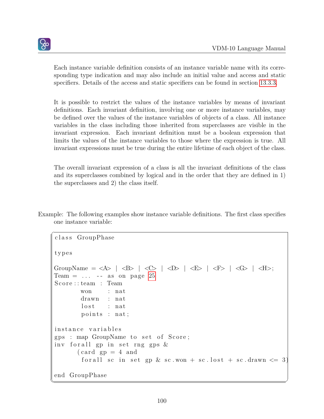

Each instance variable definition consists of an instance variable name with its corresponding type indication and may also include an initial value and access and static specifiers. Details of the access and static specifiers can be found in section [13.3.3.](#page-166-0)

It is possible to restrict the values of the instance variables by means of invariant definitions. Each invariant definition, involving one or more instance variables, may be defined over the values of the instance variables of objects of a class. All instance variables in the class including those inherited from superclasses are visible in the invariant expression. Each invariant definition must be a boolean expression that limits the values of the instance variables to those where the expression is true. All invariant expressions must be true during the entire lifetime of each object of the class.

The overall invariant expression of a class is all the invariant definitions of the class and its superclasses combined by logical and in the order that they are defined in 1) the superclasses and 2) the class itself.

Example: The following examples show instance variable definitions. The first class specifies one instance variable:

```
\overline{a}class GroupPhase
t y p e s
GroupName = \langle A \rangle | \langle B \rangle | \langle C \rangle | \langle D \rangle | \langle E \rangle | \langle F \rangle | \langle G \rangle | \langle H \rangle;
Team = ... - 25
Score::team : Team
          won : nat
          drawn : nat
          \lambda lost : nat
          points : nat;
instance variables
gps : map GroupName to set of Score;
inv for all gp in set rng gps \&\int \c{card} g p = 4 and
          for all sc in set gp & sc won + sc . lost + sc . drawn \leq 3end GroupPhase
```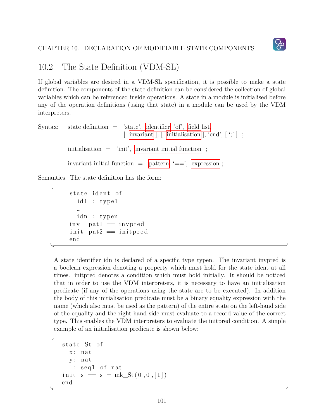

## 10.2 The State Definition (VDM-SL)

If global variables are desired in a VDM-SL specification, it is possible to make a state definition. The components of the state definition can be considered the collection of global variables which can be referenced inside operations. A state in a module is initialised before any of the operation definitions (using that state) in a module can be used by the VDM interpreters.

Syntax: state definition  $=$  'state', [identifier,](#page-217-0) 'of', [field list,](#page-194-0) [ [invariant](#page-195-0)],  $\lceil$  [initialisation](#page-195-1) ], 'end',  $\lceil$  ';'  $\rceil$  ; initialisation = 'init', [invariant initial function](#page-195-2) ; invariant initial function  $=$  [pattern,](#page-213-0)  $'=='$ , [expression](#page-200-0);

Semantics: The state definition has the form:

 $\overline{a}$ 

 $\overline{a}$ 

```
state ident of
  id1 : type1
  …
  idn: typen
inv patl = invpredinit pat2 = initpredend
```
A state identifier idn is declared of a specific type typen. The invariant invpred is a boolean expression denoting a property which must hold for the state ident at all times. initpred denotes a condition which must hold initially. It should be noticed that in order to use the VDM interpreters, it is necessary to have an initialisation predicate (if any of the operations using the state are to be executed). In addition the body of this initialisation predicate must be a binary equality expression with the name (which also must be used as the pattern) of the entire state on the left-hand side of the equality and the right-hand side must evaluate to a record value of the correct type. This enables the VDM interpreters to evaluate the initpred condition. A simple example of an initialisation predicate is shown below:

```
state St of
                 x : na t
                  y : na t
                  l: seq1 of nat
          in it s = s = mk_f(t(0, 0, 1))end
\overline{\phantom{a}} \overline{\phantom{a}} \overline{\phantom{a}} \overline{\phantom{a}} \overline{\phantom{a}} \overline{\phantom{a}} \overline{\phantom{a}} \overline{\phantom{a}} \overline{\phantom{a}} \overline{\phantom{a}} \overline{\phantom{a}} \overline{\phantom{a}} \overline{\phantom{a}} \overline{\phantom{a}} \overline{\phantom{a}} \overline{\phantom{a}} \overline{\phantom{a}} \overline{\phantom{a}} \overline{\
```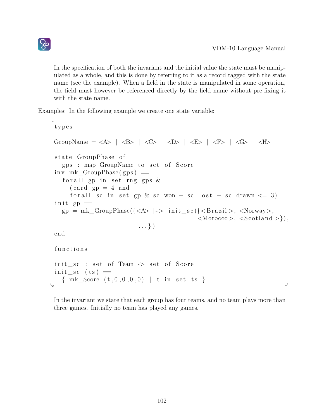

In the specification of both the invariant and the initial value the state must be manipulated as a whole, and this is done by referring to it as a record tagged with the state name (see the example). When a field in the state is manipulated in some operation, the field must however be referenced directly by the field name without pre-fixing it with the state name.

Examples: In the following example we create one state variable:

 $\overline{a}$ t y p e s GroupName =  $\langle A \rangle$  |  $\langle B \rangle$  |  $\langle C \rangle$  |  $\langle D \rangle$  |  $\langle E \rangle$  |  $\langle F \rangle$  |  $\langle G \rangle$  |  $\langle H \rangle$ state GroupPhase of gps : map GroupName to set of Score  $inv$  mk\_GroupPhase (gps)  $=$ for all gp in set rng gps  $\&$  $\arctan g$  gp = 4 and for all sc in set gp & sc won + sc . lost + sc . drawn  $\leq$  3)  $init$  gp  $=$  $gp = mk_GroupPhase({<\&A>|->init_Sc({}, **Norway>},**$  $\langle\text{Moreover}\rangle, \langle\text{Scotland}\rangle\}$  $\ldots$ }) end functions  $init\_sc$  : set of Team  $\rightarrow$  set of Score  $init\_sc$  (ts)  $=$  $\{ m k \text{ Score } ( t , 0 , 0 , 0 , 0 ) \mid t \text{ in set } ts \}$  $\overline{\phantom{a}}$   $\overline{\phantom{a}}$   $\overline{\phantom{a}}$   $\overline{\phantom{a}}$   $\overline{\phantom{a}}$   $\overline{\phantom{a}}$   $\overline{\phantom{a}}$   $\overline{\phantom{a}}$   $\overline{\phantom{a}}$   $\overline{\phantom{a}}$   $\overline{\phantom{a}}$   $\overline{\phantom{a}}$   $\overline{\phantom{a}}$   $\overline{\phantom{a}}$   $\overline{\phantom{a}}$   $\overline{\phantom{a}}$   $\overline{\phantom{a}}$   $\overline{\phantom{a}}$   $\overline{\$ 

In the invariant we state that each group has four teams, and no team plays more than three games. Initially no team has played any games.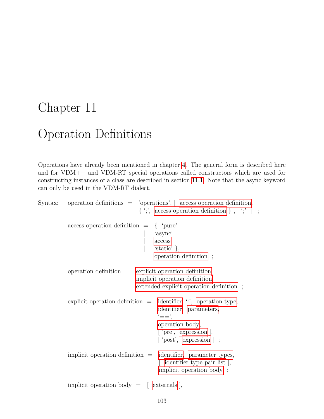# Chapter 11

# Operation Definitions

Operations have already been mentioned in chapter [4.](#page-47-0) The general form is described here and for VDM++ and VDM-RT special operations called constructors which are used for constructing instances of a class are described in section [11.1.](#page-118-0) Note that the async keyword can only be used in the VDM-RT dialect.

| Syntax: | operation definitions $=$ 'operations', $\int$ access operation definition,<br>{ ';', access operation definition } , [ ';' ] ] ;                                                                               |
|---------|-----------------------------------------------------------------------------------------------------------------------------------------------------------------------------------------------------------------|
|         | $access operation definition = \{ 'pure' \}$<br>$\begin{tabular}{c} & 'async' \\ & access \\ & 'static' \end{tabular}$<br>operation definition;                                                                 |
|         | $\alpha$ operation definition $\alpha$ = explicit operation definition<br>implicit operation definition<br>extended explicit operation definition;                                                              |
|         | explicit operation definition $=$ identifier, $\therefore$ , operation type,<br>identifier, parameters,<br>$'==',$<br>operation body,<br>$\lceil$ 'pre', expression],<br>$\lceil$ 'post', expression $\rceil$ ; |
|         | implicit operation definition $=$ identifier, parameter types,<br>identifier type pair list,<br>implicit operation body;                                                                                        |
|         | implicit operation body $=$ [externals],                                                                                                                                                                        |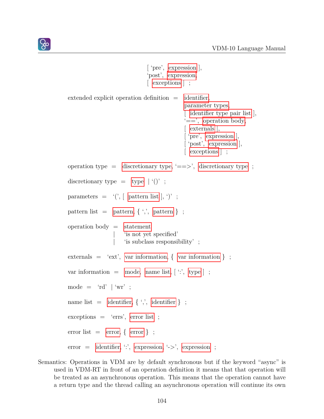

```
[ 'pre', expression ],
                              'post', expression,
                              [ exceptions ] ;
extended explicit operation definition = identifier,
                                            parameter types,
                                            [ identifier type pair list ],
                                            '==', operation body,
                                            [ externals ],
                                            [ 'pre', expression ],
                                            [ 'post', expression ],
                                            [ exceptions ] ;
operation type = discretionary type, \epsilon = \epsilon discretionary type;
 type = type | ( )' ;
 \text{parameters} \ = \ \ (^\prime\!, \ [\ \ \text{pattern list}\ ], \ ')^\prime \ \ ; pattern, \{\,\cdot\,,\,\cdot\,\} pattern \};
operation body = statement
                 | 'is not yet specified'
                 | 'is subclass responsibility' ;
externals = 'ext', var information, { var information } ;
var information = mode, name list, [ :  type ];
mode = 'rd' | 'wr' ;name list = identifier, \{\cdot,\cdot\} identifier \};
exceptions = 'errs', error list ;
 error, error},;
 identifier, expression, expression ;
```
Semantics: Operations in VDM are by default synchronous but if the keyword "async" is used in VDM-RT in front of an operation definition it means that that operation will be treated as an asynchronous operation. This means that the operation cannot have a return type and the thread calling an asynchronous operation will continue its own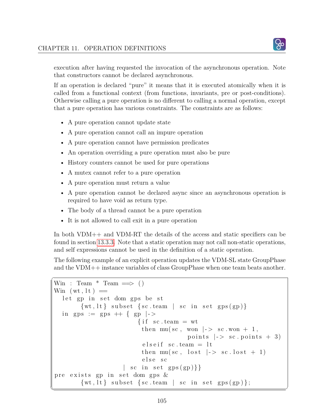

execution after having requested the invocation of the asynchronous operation. Note that constructors cannot be declared asynchronous.

If an operation is declared "pure" it means that it is executed atomically when it is called from a functional context (from functions, invariants, pre or post-conditions). Otherwise calling a pure operation is no different to calling a normal operation, except that a pure operation has various constraints. The constraints are as follows:

- A pure operation cannot update state
- A pure operation cannot call an impure operation
- A pure operation cannot have permission predicates
- An operation overriding a pure operation must also be pure
- History counters cannot be used for pure operations
- A mutex cannot refer to a pure operation
- A pure operation must return a value
- A pure operation cannot be declared async since an asynchronous operation is required to have void as return type.
- The body of a thread cannot be a pure operation
- It is not allowed to call exit in a pure operation

In both VDM++ and VDM-RT the details of the access and static specifiers can be found in section [13.3.3.](#page-166-0) Note that a static operation may not call non-static operations, and self expressions cannot be used in the definition of a static operation.

The following example of an explicit operation updates the VDM-SL state GroupPhase and the VDM++ instance variables of class GroupPhase when one team beats another.

```
\overline{a}Win : Team * Team \implies ()
 \operatorname{Win} (wt, lt) =let gp in set dom gps be st
                \{wt,lt\} subset \{sc.team \mid sc \text{ in set} _{gps}(gp)\}in gps := gps ++ { gp \vert->
                                               \{if \text{sc}.\,team = wt\}then mu(sc, won \mid > sc.won + 1,points |-> sc. points +3)else if sc. team = 1t
                                                 then mu(sc, \text{lost } |-> sc.\text{lost } + 1)e l s e s c
                                       | sc in set gps(gp)}}
 pre exists gp in set dom gps \&\{wt,lt\} subset \{sc. team \mid sc in set gps(gp)\};\overline{\phantom{a}} \overline{\phantom{a}} \overline{\phantom{a}} \overline{\phantom{a}} \overline{\phantom{a}} \overline{\phantom{a}} \overline{\phantom{a}} \overline{\phantom{a}} \overline{\phantom{a}} \overline{\phantom{a}} \overline{\phantom{a}} \overline{\phantom{a}} \overline{\phantom{a}} \overline{\phantom{a}} \overline{\phantom{a}} \overline{\phantom{a}} \overline{\phantom{a}} \overline{\phantom{a}} \overline{\
```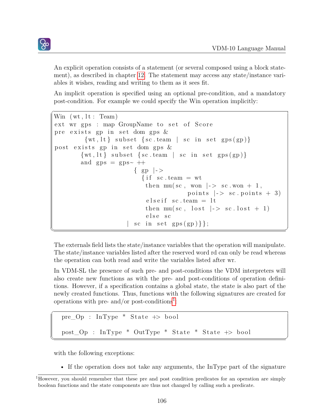An explicit operation consists of a statement (or several composed using a block statement), as described in chapter [12.](#page-119-0) The statement may access any state/instance variables it wishes, reading and writing to them as it sees fit.

An implicit operation is specified using an optional pre-condition, and a mandatory post-condition. For example we could specify the Win operation implicitly:

```
\overline{a}Win (wt, 1t : Team)ext wr gps : map GroupName to set of Score
pre exists gp in set dom gps \&\{wt,lt\} subset \{sc.team \mid sc \infty set qps(qp)\}post exists gp in set dom gps \&\{wt,lt\} subset \{sc.team \mid sc \text{ in } set \text{ gps}(gp)\}and gps = gps \sim ++\{ gp |->\{ \text{ if } \text{sc} \cdot \text{team} = \text{wt} \}then mu(sc, won \mid > sc.won + 1,points |-> sc. points +3)else if se. team = ltthen mu(sc, \text{lost } |-> sc.\text{lost } + 1)e lse sc
                            sc in set gps(gp)};
```
The externals field lists the state/instance variables that the operation will manipulate. The state/instance variables listed after the reserved word rd can only be read whereas the operation can both read and write the variables listed after wr.

 $\overline{\phantom{a}}$   $\overline{\phantom{a}}$   $\overline{\phantom{a}}$   $\overline{\phantom{a}}$   $\overline{\phantom{a}}$   $\overline{\phantom{a}}$   $\overline{\phantom{a}}$   $\overline{\phantom{a}}$   $\overline{\phantom{a}}$   $\overline{\phantom{a}}$   $\overline{\phantom{a}}$   $\overline{\phantom{a}}$   $\overline{\phantom{a}}$   $\overline{\phantom{a}}$   $\overline{\phantom{a}}$   $\overline{\phantom{a}}$   $\overline{\phantom{a}}$   $\overline{\phantom{a}}$   $\overline{\$ 

In VDM-SL the presence of such pre- and post-conditions the VDM interpreters will also create new functions as with the pre- and post-conditions of operation definitions. However, if a specification contains a global state, the state is also part of the newly created functions. Thus, functions with the following signatures are created for operations with pre- and/or post-conditions<sup>[1](#page-114-0)</sup>:

```
pre\_Op : InType * State +\gt bool
post Op : InType * OutType * State * State +> bool
```
with the following exceptions:

 $\overline{a}$ 

 $[$   $\mathcal{S}^{\circ}]$ 

• If the operation does not take any arguments, the InType part of the signature

<span id="page-114-0"></span><sup>1</sup>However, you should remember that these pre and post condition predicates for an operation are simply boolean functions and the state components are thus not changed by calling such a predicate.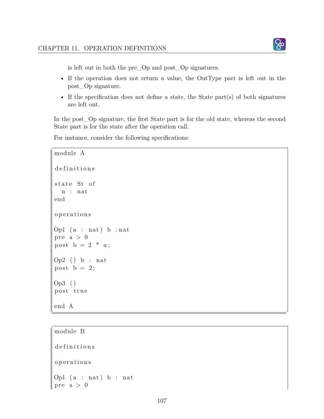

is left out in both the pre\_Op and post\_Op signatures.

- If the operation does not return a value, the OutType part is left out in the post\_Op signature.
- If the specification does not define a state, the State part(s) of both signatures are left out.

In the post\_Op signature, the first State part is for the old state, whereas the second State part is for the state after the operation call.

For instance, consider the following specifications:

```
\overline{a}module A
definitions
state St of
  n : na t
end
o p e r a t i o n s
Op1 (a : \text{nat}) b : \text{nat}pre a > 0post b = 2 * a;
Op2 () b : nat
post b = 2;
Op3 ()
post true
end A
```

```
\overline{\phantom{a}}\overline{a}module B
d e finitions
o p e r a t i o n s
Op1 (a : nat) b : natpre a > 0
```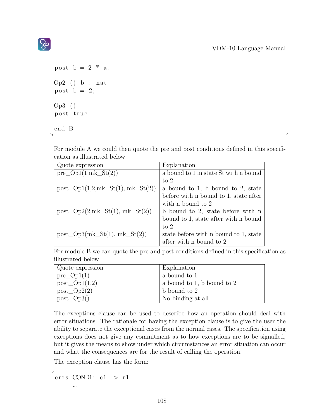```
post b = 2 * a;
Op2 () b : nat
post b = 2;
Op3 ( )
post true
end B
```
For module A we could then quote the pre and post conditions defined in this specification as illustrated below

 $\overline{\phantom{a}}$   $\overline{\phantom{a}}$   $\overline{\phantom{a}}$   $\overline{\phantom{a}}$   $\overline{\phantom{a}}$   $\overline{\phantom{a}}$   $\overline{\phantom{a}}$   $\overline{\phantom{a}}$   $\overline{\phantom{a}}$   $\overline{\phantom{a}}$   $\overline{\phantom{a}}$   $\overline{\phantom{a}}$   $\overline{\phantom{a}}$   $\overline{\phantom{a}}$   $\overline{\phantom{a}}$   $\overline{\phantom{a}}$   $\overline{\phantom{a}}$   $\overline{\phantom{a}}$   $\overline{\$ 

| Quote expression                     | Explanation                           |
|--------------------------------------|---------------------------------------|
| $pre\_Op1(1,mk\_St(2))$              | a bound to 1 in state St with n bound |
|                                      | to $2$                                |
| $post\_Op1(1,2,mk\_St(1),mk\_St(2))$ | a bound to 1, b bound to 2, state     |
|                                      | before with n bound to 1, state after |
|                                      | with n bound to 2                     |
| $post\_Op2(2,mk\_St(1), mk\_St(2))$  | b bound to 2, state before with n     |
|                                      | bound to 1, state after with n bound  |
|                                      | to $2$                                |
| $post\_Op3(mk\_St(1), mk\_St(2))$    | state before with n bound to 1, state |
|                                      | after with n bound to 2               |

For module B we can quote the pre and post conditions defined in this specification as illustrated below

| Quote expression               | Explanation                |
|--------------------------------|----------------------------|
| $\text{pre\_Op1}(1)$           | a bound to 1               |
| $\vert$ post_Op1 $(1,2)$       | a bound to 1, b bound to 2 |
| $\log_{10}$ post $\log_{2}(2)$ | $\vert$ b bound to 2       |
| $\vert$ post_Op3()             | No binding at all          |

The exceptions clause can be used to describe how an operation should deal with error situations. The rationale for having the exception clause is to give the user the ability to separate the exceptional cases from the normal cases. The specification using exceptions does not give any commitment as to how exceptions are to be signalled, but it gives the means to show under which circumstances an error situation can occur and what the consequences are for the result of calling the operation.

The exception clause has the form:

 $\overline{a}$ errs  $COMD1: c1 \rightarrow r1$ 

…

 $[$   $\%$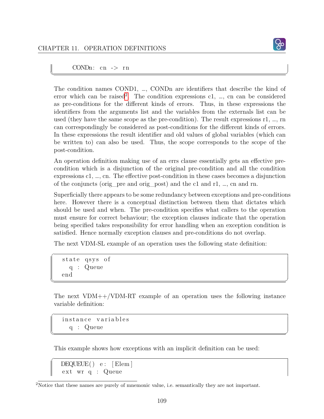

CONDn: cn -> rn  $\overline{\phantom{a}}$   $\overline{\phantom{a}}$   $\overline{\phantom{a}}$   $\overline{\phantom{a}}$   $\overline{\phantom{a}}$   $\overline{\phantom{a}}$   $\overline{\phantom{a}}$   $\overline{\phantom{a}}$   $\overline{\phantom{a}}$   $\overline{\phantom{a}}$   $\overline{\phantom{a}}$   $\overline{\phantom{a}}$   $\overline{\phantom{a}}$   $\overline{\phantom{a}}$   $\overline{\phantom{a}}$   $\overline{\phantom{a}}$   $\overline{\phantom{a}}$   $\overline{\phantom{a}}$   $\overline{\$ 

The condition names COND1, …, CONDn are identifiers that describe the kind of error which can be raised<sup>[2](#page-117-0)</sup>. The condition expressions  $c1$ , ..., cn can be considered as pre-conditions for the different kinds of errors. Thus, in these expressions the identifiers from the arguments list and the variables from the externals list can be used (they have the same scope as the pre-condition). The result expressions r1, …, rn can correspondingly be considered as post-conditions for the different kinds of errors. In these expressions the result identifier and old values of global variables (which can be written to) can also be used. Thus, the scope corresponds to the scope of the post-condition.

An operation definition making use of an errs clause essentially gets an effective precondition which is a disjunction of the original pre-condition and all the condition expressions c1, …, cn. The effective post-condition in these cases becomes a disjunction of the conjuncts (orig pre and orig post) and the c1 and r1,  $\dots$ , cn and rn.

Superficially there appears to be some redundancy between exceptions and pre-conditions here. However there is a conceptual distinction between them that dictates which should be used and when. The pre-condition specifies what callers to the operation must ensure for correct behaviour; the exception clauses indicate that the operation being specified takes responsibility for error handling when an exception condition is satisfied. Hence normally exception clauses and pre-conditions do not overlap.

The next VDM-SL example of an operation uses the following state definition:

```
state qsys of
  q : Queue
end
```
 $\overline{a}$ 

 $\overline{a}$ 

 $\overline{a}$ 

The next VDM++/VDM-RT example of an operation uses the following instance variable definition:

 $\overline{\phantom{a}}$   $\overline{\phantom{a}}$   $\overline{\phantom{a}}$   $\overline{\phantom{a}}$   $\overline{\phantom{a}}$   $\overline{\phantom{a}}$   $\overline{\phantom{a}}$   $\overline{\phantom{a}}$   $\overline{\phantom{a}}$   $\overline{\phantom{a}}$   $\overline{\phantom{a}}$   $\overline{\phantom{a}}$   $\overline{\phantom{a}}$   $\overline{\phantom{a}}$   $\overline{\phantom{a}}$   $\overline{\phantom{a}}$   $\overline{\phantom{a}}$   $\overline{\phantom{a}}$   $\overline{\$ 

 $\overline{\phantom{a}}$   $\overline{\phantom{a}}$   $\overline{\phantom{a}}$   $\overline{\phantom{a}}$   $\overline{\phantom{a}}$   $\overline{\phantom{a}}$   $\overline{\phantom{a}}$   $\overline{\phantom{a}}$   $\overline{\phantom{a}}$   $\overline{\phantom{a}}$   $\overline{\phantom{a}}$   $\overline{\phantom{a}}$   $\overline{\phantom{a}}$   $\overline{\phantom{a}}$   $\overline{\phantom{a}}$   $\overline{\phantom{a}}$   $\overline{\phantom{a}}$   $\overline{\phantom{a}}$   $\overline{\$ 

instance variables q : Queue

This example shows how exceptions with an implicit definition can be used:

 $DEQUEUE()$  e :  $[Element]$ ext wr q : Queue

<span id="page-117-0"></span><sup>&</sup>lt;sup>2</sup>Notice that these names are purely of mnemonic value, i.e. semantically they are not important.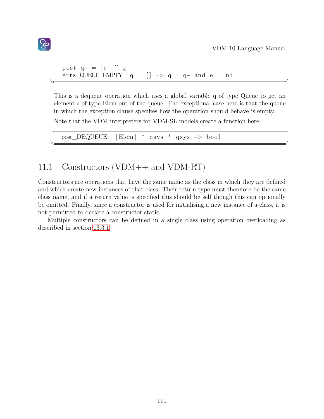

post  $q \sim$  = [e]  $\hat{q}$ errs QUEUE\_EMPTY:  $q = [] \Rightarrow q = q \sim$  and  $e = nil$  $\overline{\phantom{a}}$ 

This is a dequeue operation which uses a global variable q of type Queue to get an element e of type Elem out of the queue. The exceptional case here is that the queue in which the exception clause specifies how the operation should behave is empty.

 $\overline{\phantom{a}}$   $\overline{\phantom{a}}$   $\overline{\phantom{a}}$   $\overline{\phantom{a}}$   $\overline{\phantom{a}}$   $\overline{\phantom{a}}$   $\overline{\phantom{a}}$   $\overline{\phantom{a}}$   $\overline{\phantom{a}}$   $\overline{\phantom{a}}$   $\overline{\phantom{a}}$   $\overline{\phantom{a}}$   $\overline{\phantom{a}}$   $\overline{\phantom{a}}$   $\overline{\phantom{a}}$   $\overline{\phantom{a}}$   $\overline{\phantom{a}}$   $\overline{\phantom{a}}$   $\overline{\$ 

Note that the VDM interpreters for VDM-SL models create a function here:

post\_DEQUEUE: [Elem] \*  $qsys$  \*  $qsys$   $\rightarrow$  bool

### <span id="page-118-0"></span>11.1 Constructors (VDM++ and VDM-RT)

Constructors are operations that have the same name as the class in which they are defined and which create new instances of that class. Their return type must therefore be the same class name, and if a return value is specified this should be self though this can optionally be omitted. Finally, since a constructor is used for initialising a new instance of a class, it is not permitted to declare a constructor static.

Multiple constructors can be defined in a single class using operation overloading as described in section [13.3.1.](#page-161-0)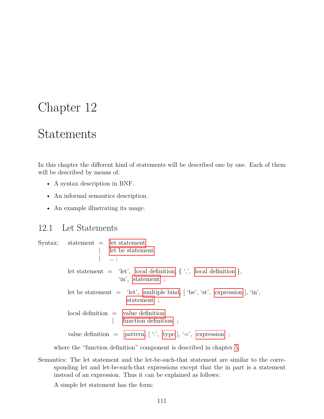# <span id="page-119-0"></span>Chapter 12

## Statements

In this chapter the different kind of statements will be described one by one. Each of them will be described by means of:

- A syntax description in BNF.
- An informal semantics description.
- An example illustrating its usage.

### 12.1 Let Statements

|  | $Syntax:$ statement = let statement<br>  let be statement<br>   ;                                             |
|--|---------------------------------------------------------------------------------------------------------------|
|  | let statement = 'let', local definition, $\{\, \cdot,\, \cdot\}$ local definition $\},\$<br>'in', statement ; |
|  | let be statement $=$ 'let', multiple bind, $\lceil$ 'be', 'st', expression $\lceil$ , 'in',<br>statement ;    |
|  | $\alpha$ local definition $=$ value definition<br>function definition;                                        |
|  | value definition = pattern, $ \cdot\rangle$ ; type $ \cdot\rangle$ ; expression;                              |

where the "function definition" component is described in chapter [5.](#page-49-0)

Semantics: The let statement and the let-be-such-that statement are similar to the corresponding let and let-be-such-that expressions except that the in part is a statement instead of an expression. Thus it can be explained as follows:

A simple let statement has the form: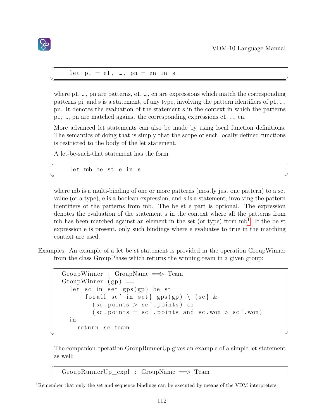

 $\overline{a}$ 

 $\overline{a}$ 

 $\overline{a}$ 

let  $p1 = e1$ , ...,  $pn = en$  in s

where p1, ..., pn are patterns, e1, ..., en are expressions which match the corresponding patterns pi, and s is a statement, of any type, involving the pattern identifiers of p1, …, pn. It denotes the evaluation of the statement s in the context in which the patterns p1, …, pn are matched against the corresponding expressions e1, …, en.

 $\overline{\phantom{a}}$   $\overline{\phantom{a}}$   $\overline{\phantom{a}}$   $\overline{\phantom{a}}$   $\overline{\phantom{a}}$   $\overline{\phantom{a}}$   $\overline{\phantom{a}}$   $\overline{\phantom{a}}$   $\overline{\phantom{a}}$   $\overline{\phantom{a}}$   $\overline{\phantom{a}}$   $\overline{\phantom{a}}$   $\overline{\phantom{a}}$   $\overline{\phantom{a}}$   $\overline{\phantom{a}}$   $\overline{\phantom{a}}$   $\overline{\phantom{a}}$   $\overline{\phantom{a}}$   $\overline{\$ 

More advanced let statements can also be made by using local function definitions. The semantics of doing that is simply that the scope of such locally defined functions is restricted to the body of the let statement.

A let-be-such-that statement has the form

let mb be st e in s

where mb is a multi-binding of one or more patterns (mostly just one pattern) to a set value (or a type), e is a boolean expression, and s is a statement, involving the pattern identifiers of the patterns from mb. The be st e part is optional. The expression denotes the evaluation of the statement s in the context where all the patterns from mb has been matched against an element in the set (or type) from  $mb<sup>1</sup>$  $mb<sup>1</sup>$  $mb<sup>1</sup>$ . If the be st expression e is present, only such bindings where e evaluates to true in the matching context are used.

 $\overline{\phantom{a}}$   $\overline{\phantom{a}}$   $\overline{\phantom{a}}$   $\overline{\phantom{a}}$   $\overline{\phantom{a}}$   $\overline{\phantom{a}}$   $\overline{\phantom{a}}$   $\overline{\phantom{a}}$   $\overline{\phantom{a}}$   $\overline{\phantom{a}}$   $\overline{\phantom{a}}$   $\overline{\phantom{a}}$   $\overline{\phantom{a}}$   $\overline{\phantom{a}}$   $\overline{\phantom{a}}$   $\overline{\phantom{a}}$   $\overline{\phantom{a}}$   $\overline{\phantom{a}}$   $\overline{\$ 

Examples: An example of a let be st statement is provided in the operation GroupWinner from the class GroupPhase which returns the winning team in a given group:

```
GroupWinner : GroupName \implies TeamGroupWinner (gp) =
            let sc in set qps(qp) be st
                        for all sc ' in set } gps (gp) \setminus {sc } &
                             (\text{sc. points} > \text{sc}'; \text{points}) or
                             (\text{sc. points} = \text{sc'.points} \text{ and } \text{sc.won} > \text{sc'.won})i n
                  return sc.team
\overline{\phantom{a}} \overline{\phantom{a}} \overline{\phantom{a}} \overline{\phantom{a}} \overline{\phantom{a}} \overline{\phantom{a}} \overline{\phantom{a}} \overline{\phantom{a}} \overline{\phantom{a}} \overline{\phantom{a}} \overline{\phantom{a}} \overline{\phantom{a}} \overline{\phantom{a}} \overline{\phantom{a}} \overline{\phantom{a}} \overline{\phantom{a}} \overline{\phantom{a}} \overline{\phantom{a}} \overline{\
```
The companion operation GroupRunnerUp gives an example of a simple let statement as well:

GroupRunnerUp\_expl : GroupName ==> Team

<span id="page-120-0"></span><sup>&</sup>lt;sup>1</sup>Remember that only the set and sequence bindings can be executed by means of the VDM interpreters.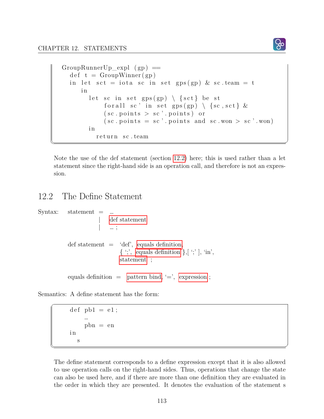

```
GroupRunnerUp \exp (gp) =\det t = \text{GroupWinner}(\text{gp})in let sct = iota sc in set qps(qp) & sc team = t
       i n
          let sc in set qps(qp) \setminus \{sct\} be st
               for all sc ' in set gps(gp) \setminus \{sc, sct\} &
               (\text{sc. points} > \text{sc}'; \text{points}) or
               (\text{sc. points} = \text{sc'.points} \text{ and } \text{sc.won} > \text{sc'.won})i n
            return sc.team
```
Note the use of the def statement (section [12.2\)](#page-121-0) here; this is used rather than a let statement since the right-hand side is an operation call, and therefore is not an expression.

 $\overline{\phantom{a}}$   $\overline{\phantom{a}}$   $\overline{\phantom{a}}$   $\overline{\phantom{a}}$   $\overline{\phantom{a}}$   $\overline{\phantom{a}}$   $\overline{\phantom{a}}$   $\overline{\phantom{a}}$   $\overline{\phantom{a}}$   $\overline{\phantom{a}}$   $\overline{\phantom{a}}$   $\overline{\phantom{a}}$   $\overline{\phantom{a}}$   $\overline{\phantom{a}}$   $\overline{\phantom{a}}$   $\overline{\phantom{a}}$   $\overline{\phantom{a}}$   $\overline{\phantom{a}}$   $\overline{\$ 

### <span id="page-121-0"></span>12.2 The Define Statement

 $Syntax:$  statement  $=$ [def statement](#page-210-3) | … ;  $\text{def statement} = \text{def}, \text{ equals definition},$  $\{\ ;\ ;\ \mathrm{equals\ definition}\ \},\ [\ ;\ ;\ \mathrm{in}\ \$ [statement](#page-209-0) ;

equals definition  $=$  [pattern bind,](#page-214-2)  $=$ , [expression](#page-200-0);

Semantics: A define statement has the form:

 $def$  pb1 =  $e1$ ; …  $pbn = en$ i n s  $\overline{\phantom{a}}$ 

 $\overline{a}$ 

The define statement corresponds to a define expression except that it is also allowed to use operation calls on the right-hand sides. Thus, operations that change the state can also be used here, and if there are more than one definition they are evaluated in the order in which they are presented. It denotes the evaluation of the statement s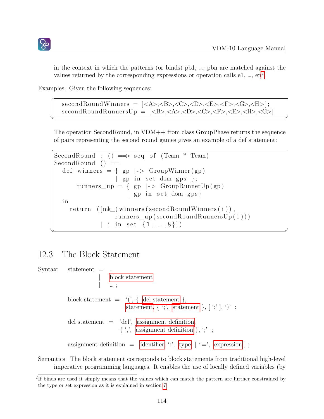

in the context in which the patterns (or binds) pb1, …, pbn are matched against the values returned by the corresponding expressions or operation calls  $e1, ..., en^2$  $e1, ..., en^2$ .

Examples: Given the following sequences:

 $secondRoundWinners = \lbrace \langle A \rangle, \langle B \rangle, \langle C \rangle, \langle D \rangle, \langle E \rangle, \langle F \rangle, \langle G \rangle, \langle H \rangle \rbrace;$ secondRoundRunnersUp = [<B>,<A>,<D>,<C>,<F>,<E>,<H>,<G>]

The operation SecondRound, in VDM++ from class GroupPhase returns the sequence of pairs representing the second round games gives an example of a def statement:

 $\overline{\phantom{a}}$   $\overline{\phantom{a}}$   $\overline{\phantom{a}}$   $\overline{\phantom{a}}$   $\overline{\phantom{a}}$   $\overline{\phantom{a}}$   $\overline{\phantom{a}}$   $\overline{\phantom{a}}$   $\overline{\phantom{a}}$   $\overline{\phantom{a}}$   $\overline{\phantom{a}}$   $\overline{\phantom{a}}$   $\overline{\phantom{a}}$   $\overline{\phantom{a}}$   $\overline{\phantom{a}}$   $\overline{\phantom{a}}$   $\overline{\phantom{a}}$   $\overline{\phantom{a}}$   $\overline{\$ 

```
\overline{a}SecondRound : () \implies seq of (Team * Team)
 SecondRound() \equivdef winners = { gp |-> GroupWinner (gp)
                                 | gp in set dom gps \};
              runners_up = { gp |-> GroupRunnerUp(gp)
                                         \{ gp in set dom gps}
      i n
          return (\lceil mk_{\text{winners}}(secondRoundWinners(i)) \rceil),
                                     runners_up ( secondRoundRunnersUp ( i ) ) )
                            | i in set \{1, \ldots, 8\}])
\overline{\phantom{a}} \overline{\phantom{a}} \overline{\phantom{a}} \overline{\phantom{a}} \overline{\phantom{a}} \overline{\phantom{a}} \overline{\phantom{a}} \overline{\phantom{a}} \overline{\phantom{a}} \overline{\phantom{a}} \overline{\phantom{a}} \overline{\phantom{a}} \overline{\phantom{a}} \overline{\phantom{a}} \overline{\phantom{a}} \overline{\phantom{a}} \overline{\phantom{a}} \overline{\phantom{a}} \overline{\
```
### 12.3 The Block Statement

 $Syntax:$  statement  $=$ | [block statement](#page-210-5) | … ; block statement  $=$  '(', { [dcl statement](#page-210-6) }, [statement,](#page-209-0)  $\{ \cdot ; \cdot \}$ , [statement](#page-209-0)  $\}, [ \cdot ; \cdot ] , \cdot \rangle'$ ; dcl statement  $=$  'dcl', [assignment definition,](#page-210-7)  $\{\ \'$ , [assignment definition](#page-210-7)  $\}$ ,  $\gamma$ ; assignment definition  $=$  [identifier,](#page-217-0)  $\therefore$ , [type,](#page-194-1)  $[ \cdot := \cdot ]$ , [expression](#page-200-0)  $]$ ;

Semantics: The block statement corresponds to block statements from traditional high-level imperative programming languages. It enables the use of locally defined variables (by

<span id="page-122-0"></span><sup>&</sup>lt;sup>2</sup>If binds are used it simply means that the values which can match the pattern are further constrained by the type or set expression as it is explained in section [7.](#page-95-0)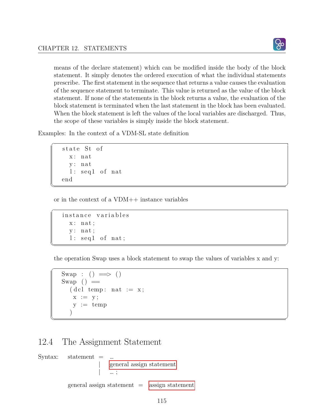

means of the declare statement) which can be modified inside the body of the block statement. It simply denotes the ordered execution of what the individual statements prescribe. The first statement in the sequence that returns a value causes the evaluation of the sequence statement to terminate. This value is returned as the value of the block statement. If none of the statements in the block returns a value, the evaluation of the block statement is terminated when the last statement in the block has been evaluated. When the block statement is left the values of the local variables are discharged. Thus, the scope of these variables is simply inside the block statement.

 $\overline{\phantom{a}}$ 

Examples: In the context of a VDM-SL state definition

```
state St of
  x : na t
  y : na t
  l: seq1 of nat
end
```
 $\overline{a}$ 

 $\overline{a}$ 

 $\overline{a}$ 

or in the context of a  $VDM++$  instance variables

```
instance variables
 x: nat;y: nat;l: seq1 of nat;
```
the operation Swap uses a block statement to swap the values of variables x and y:

<span id="page-123-0"></span> $\overline{\phantom{a}}$   $\overline{\phantom{a}}$   $\overline{\phantom{a}}$   $\overline{\phantom{a}}$   $\overline{\phantom{a}}$   $\overline{\phantom{a}}$   $\overline{\phantom{a}}$   $\overline{\phantom{a}}$   $\overline{\phantom{a}}$   $\overline{\phantom{a}}$   $\overline{\phantom{a}}$   $\overline{\phantom{a}}$   $\overline{\phantom{a}}$   $\overline{\phantom{a}}$   $\overline{\phantom{a}}$   $\overline{\phantom{a}}$   $\overline{\phantom{a}}$   $\overline{\phantom{a}}$   $\overline{\$ 

 $\overline{\phantom{a}}$ 

```
Swap : ( ) \implies ( )
Swap () ==(\text{dcl temp: nat} := x;x := y;y := temp)
```
### 12.4 The Assignment Statement

 $Syntax:$  statement  $=$ | [general assign statement](#page-210-8) | … ;

general [assign statement](#page-210-9)  $=$  assign statement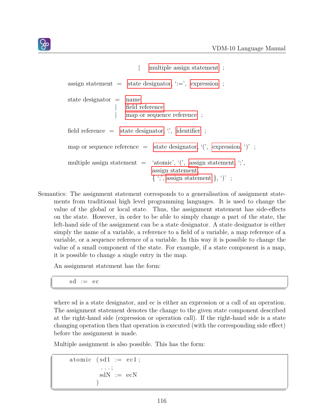

Semantics: The assignment statement corresponds to a generalisation of assignment statements from traditional high level programming languages. It is used to change the value of the global or local state. Thus, the assignment statement has side-effects on the state. However, in order to be able to simply change a part of the state, the left-hand side of the assignment can be a state designator. A state designator is either simply the name of a variable, a reference to a field of a variable, a map reference of a variable, or a sequence reference of a variable. In this way it is possible to change the value of a small component of the state. For example, if a state component is a map, it is possible to change a single entry in the map.

 $\{\ ;\, ;\,$  [assign statement](#page-210-9)  $\},\ ')'$ ;

An assignment statement has the form:

 $sd := ec$  $\overline{\phantom{a}}$ 

 $\overline{a}$ 

ႜၛၟ

 $\overline{a}$ 

where sd is a state designator, and ec is either an expression or a call of an operation. The assignment statement denotes the change to the given state component described at the right-hand side (expression or operation call). If the right-hand side is a state changing operation then that operation is executed (with the corresponding side effect) before the assignment is made.

Multiple assignment is also possible. This has the form:

```
atomic (sd1 := ec1;
                                                              . . . ;
                                                            sdN := ecN)
\overline{\phantom{a}} \overline{\phantom{a}} \overline{\phantom{a}} \overline{\phantom{a}} \overline{\phantom{a}} \overline{\phantom{a}} \overline{\phantom{a}} \overline{\phantom{a}} \overline{\phantom{a}} \overline{\phantom{a}} \overline{\phantom{a}} \overline{\phantom{a}} \overline{\phantom{a}} \overline{\phantom{a}} \overline{\phantom{a}} \overline{\phantom{a}} \overline{\phantom{a}} \overline{\phantom{a}} \overline{\
```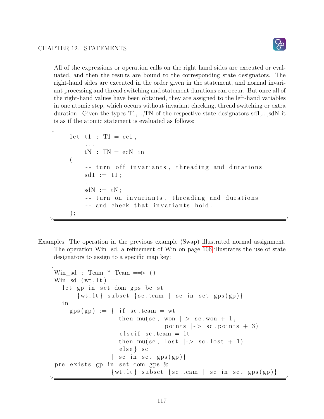

All of the expressions or operation calls on the right hand sides are executed or evaluated, and then the results are bound to the corresponding state designators. The right-hand sides are executed in the order given in the statement, and normal invariant processing and thread switching and statement durations can occur. But once all of the right-hand values have been obtained, they are assigned to the left-hand variables in one atomic step, which occurs without invariant checking, thread switching or extra duration. Given the types  $T_1, \ldots, T_N$  of the respective state designators sd1,...,sdN it is as if the atomic statement is evaluated as follows:

```
let t1 : T1 = ec1,. . .
    tN : TN = ecN in
(
    -- turn off invariants, threading and durations
    sd1 := t1;. . .
    sdN := tN:
    -- turn on invariants, threading and durations
    -- and check that invariants hold.
);
```
Examples: The operation in the previous example (Swap) illustrated normal assignment. The operation Win\_sd, a refinement of Win on page [106](#page-113-0) illustrates the use of state designators to assign to a specific map key:

 $\overline{\phantom{a}}$ 

```
\overline{a}Win\_sd : Team * Team ==>()Win sd (wt, l t) ==let gp in set dom gps be st
        \{wt,lt\} subset \{sc.team \mid sc \text{ in set } gps(gp)\}i n
     gps (gp) := \{ \text{ if } sc.\, team = wt \}then mu(sc, won |-> sc.won +1,
                                     points |-> sc. points + 3)
                      else if sc. team = 1t
                     then mu(sc, lost |\rightarrow sc. lost +1)
                      e l s e } s c
                   | sc in set gps(gp)}
pre exists gp in set dom gps \&\{wt,lt\} subset \{sc.team \mid sc \text{ in set} _{gps}(gp)\}
```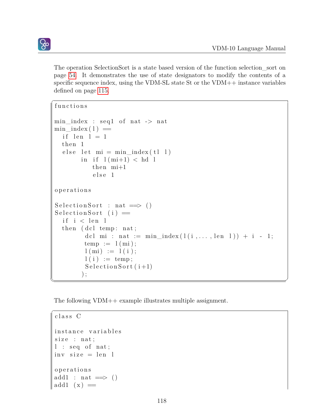

The operation SelectionSort is a state based version of the function selection\_sort on page [54.](#page-62-0) It demonstrates the use of state designators to modify the contents of a specific sequence index, using the VDM-SL state St or the VDM++ instance variables defined on page [115.](#page-123-0)

```
functions
min\_index : seq1 of nat -> natmin index ( 1 ) ==if len l = 1then 1
  else let mi = min_index(t1 1)in if l (mi+1) < hd l
             then mi+1
             else 1
o p e r a t i o n s
S^{electionSort} : nat \implies ()
S^{electionSort} (i) =\begin{minipage}{.4\linewidth} i f & i & < \text{len} \quad l \end{minipage}then (\text{dcl temp: nat};d c l mi : nat := min_index (1(i, \ldots, len 1)) + i - 1;temp := l (mi);l (mi) := l (i);
           l(i) := temp;S^{electionSort(i+1)});
```
 $\overline{\phantom{a}}$ 

The following VDM++ example illustrates multiple assignment.

class C instance variables  $size: nat;$  $l : seq of nat;$  $inv$  size = len l o p e r a t i o n s add1 : nat  $\implies$  () add1  $(x)$  =

 $\overline{a}$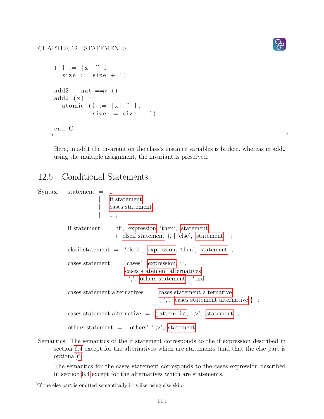```
( 1 := [x] ^{\frown} 1;size := size + 1);add2 : nat \Longrightarrow ()
   add2 (x) =atomic (1 := [x] ^ l;
                                   size := size + 1)end C
\overline{\phantom{a}} \overline{\phantom{a}} \overline{\phantom{a}} \overline{\phantom{a}} \overline{\phantom{a}} \overline{\phantom{a}} \overline{\phantom{a}} \overline{\phantom{a}} \overline{\phantom{a}} \overline{\phantom{a}} \overline{\phantom{a}} \overline{\phantom{a}} \overline{\phantom{a}} \overline{\phantom{a}} \overline{\phantom{a}} \overline{\phantom{a}} \overline{\phantom{a}} \overline{\phantom{a}} \overline{\
```
Here, in add1 the invariant on the class's instance variables is broken, whereas in add2 using the multiple assignment, the invariant is preserved.

### 12.5 Conditional Statements

Syntax: statement = … | [if statement](#page-211-0) | [cases statement](#page-211-1) | … ; if statement  $=$  'if', [expression,](#page-200-0) 'then', [statement,](#page-209-0) { [elseif statement](#page-211-2) }, [ 'else', [statement](#page-209-0) ] ; elseif statement = 'elseif', [expression,](#page-200-0) 'then', [statement](#page-209-0) ; cases statement  $=$  'cases', [expression,](#page-200-0) ":", [cases statement alternatives,](#page-211-3)  $[\ ,\cdot ,\cdot ,\ \text{others statement}\ ],\ \text{`end'}$  ; cases statement alternatives = [cases statement alternative,](#page-211-5)  $\{\ \cdot, \cdot, \ \text{ cases statement alternative } \} \hspace{0.1cm}$  $\{\ \cdot, \cdot, \ \text{ cases statement alternative } \} \hspace{0.1cm}$  $\{\ \cdot, \cdot, \ \text{ cases statement alternative } \} \hspace{0.1cm}$  ; cases [statement](#page-209-0) alternative  $=$  [pattern list,](#page-214-0)  $\div$ , statement; others [statement](#page-209-0)  $=$  'others', '->', statement ;

Semantics: The semantics of the if statement corresponds to the if expression described in section [6.4](#page-64-0) except for the alternatives which are statements (and that the else part is  $optional)^3$  $optional)^3$ .

The semantics for the cases statement corresponds to the cases expression described in section [6.4](#page-64-0) except for the alternatives which are statements.

<span id="page-127-0"></span><sup>&</sup>lt;sup>3</sup>If the else part is omitted semantically it is like using else skip.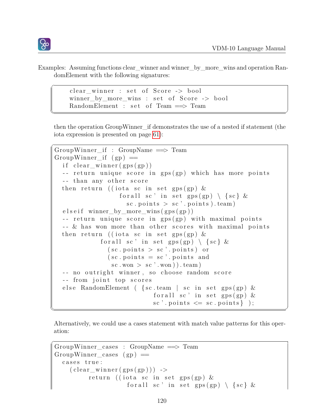Examples: Assuming functions clear\_winner and winner\_by\_more\_wins and operation RandomElement with the following signatures:

```
clear winner : set of Score \rightarrow bool
winner_by_more_wins : set of Score -> bool
RandomElement : set of Team \implies Team
```
then the operation GroupWinner\_if demonstrates the use of a nested if statement (the iota expression is presented on page [61\)](#page-69-0):

 $\overline{\phantom{a}}$   $\overline{\phantom{a}}$   $\overline{\phantom{a}}$   $\overline{\phantom{a}}$   $\overline{\phantom{a}}$   $\overline{\phantom{a}}$   $\overline{\phantom{a}}$   $\overline{\phantom{a}}$   $\overline{\phantom{a}}$   $\overline{\phantom{a}}$   $\overline{\phantom{a}}$   $\overline{\phantom{a}}$   $\overline{\phantom{a}}$   $\overline{\phantom{a}}$   $\overline{\phantom{a}}$   $\overline{\phantom{a}}$   $\overline{\phantom{a}}$   $\overline{\phantom{a}}$   $\overline{\$ 

```
\overline{a}GroupWinner if : GroupName \Longrightarrow Team
GroupWinner if (gp) =
   if clear\_winner(gps(gp))-- return unique score in qps(qp) which has more points
   -- than any other score
   then return ((iota sc in set gps (gp) \&for all sc ' in set qps(qp) \setminus \{sc\} &
                         \text{sc } \cdot \text{ points } > \text{ sc } ' \text{ points } ). \text{ team }e l s e i f winner by more wins (gps (gp) )-- return unique score in qps(qp) with maximal points
   - & has won more than other scores with maximal points
   then return ((iota sc in set gps (gp) \&for all sc ' in set gps ( gp) \setminus \{ sc \} &
                   (\text{sc. points} > \text{sc}'; \text{points}) or
                   (\text{sc. points} = \text{sc}^{\prime} \cdot \text{points} \text{ and}\text{sc won} > \text{sc}' \cdot \text{won}). team
   -- no outright winner, so choose random score
   -- from joint top scores
   else RandomElement ( {sc. team | sc in set gps(gp) &
                                  for all sc ' in set qps(qp) &
                                  sc'. points \leq sc. points \} );
```
Alternatively, we could use a cases statement with match value patterns for this operation:

 $\overline{\phantom{a}}$ 

```
\overline{a}GroupWinner cases : GroupName ==> Team
GroupWinner cases (gp) =
   cases true:
     (\text{clear\_winner}(\text{gps}(\text{gp}))) ->
            return ((iota sc in set gps (gp) \&for all sc ' in set qps(qp) \setminus \{sc\} &
```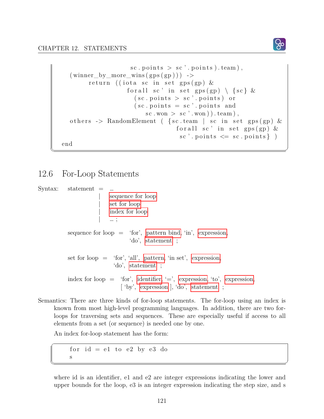

```
\text{sc } \cdot \text{ points} > \text{sc } ' \cdot \text{ points}. team ),
   (\text{winner}\_\text{by}\_\text{more}\_\text{wins}(\text{gps}(\text{gp}))) \rightarrowreturn ((iota sc in set gps (gp) \&for all sc ' in set gps(gp) \setminus \{sc\} \&(\text{sc. points} > \text{sc}'; \text{points}) or
                               (\text{sc. points} = \text{sc}, points and
                                    \text{sc won} > \text{sc}' \cdot \text{won}). team ),
   others \rightarrow RandomElement ( {sc.team | sc in set gps (gp) &
                                                 for all sc ' in set gps (gp) &
                                                   sc'. points \leq sc. points \})
end
```
 $\overline{\phantom{a}}$   $\overline{\phantom{a}}$   $\overline{\phantom{a}}$   $\overline{\phantom{a}}$   $\overline{\phantom{a}}$   $\overline{\phantom{a}}$   $\overline{\phantom{a}}$   $\overline{\phantom{a}}$   $\overline{\phantom{a}}$   $\overline{\phantom{a}}$   $\overline{\phantom{a}}$   $\overline{\phantom{a}}$   $\overline{\phantom{a}}$   $\overline{\phantom{a}}$   $\overline{\phantom{a}}$   $\overline{\phantom{a}}$   $\overline{\phantom{a}}$   $\overline{\phantom{a}}$   $\overline{\$ 

### 12.6 For-Loop Statements

Syntax: statement = … | [sequence for loop](#page-211-6) set for loop | [index for loop](#page-211-7) | … ; sequence for  $loop = 'for'$ , [pattern bind,](#page-214-2) 'in', [expression,](#page-200-0) 'do', [statement](#page-209-0) ; set for  $loop = 'for', 'all', pattern, 'in set', expression,$  $loop = 'for', 'all', pattern, 'in set', expression,$  $loop = 'for', 'all', pattern, 'in set', expression,$  $loop = 'for', 'all', pattern, 'in set', expression,$ 'do', [statement](#page-209-0) ; index for loop  $=$  'for', [identifier,](#page-217-0)  $=$ ', [expression,](#page-200-0) 'to', expression, [ 'by', [expression](#page-200-0) ], 'do', [statement](#page-209-0) ;

Semantics: There are three kinds of for-loop statements. The for-loop using an index is known from most high-level programming languages. In addition, there are two forloops for traversing sets and sequences. These are especially useful if access to all elements from a set (or sequence) is needed one by one.

An index for-loop statement has the form:

 $\overline{a}$ 

for  $id = e1$  to  $e2$  by  $e3$  do s

where id is an identifier, e1 and e2 are integer expressions indicating the lower and upper bounds for the loop, e3 is an integer expression indicating the step size, and s

 $\overline{\phantom{a}}$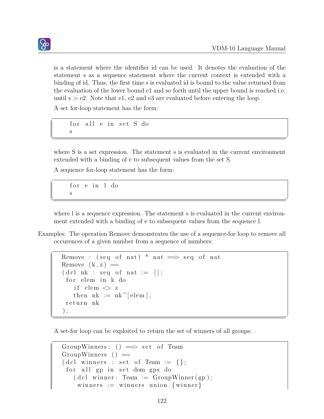

 $\overline{a}$ 

 $\overline{a}$ 

 $\overline{a}$ 

is a statement where the identifier id can be used. It denotes the evaluation of the statement s as a sequence statement where the current context is extended with a binding of id. Thus, the first time s is evaluated id is bound to the value returned from the evaluation of the lower bound e1 and so forth until the upper bound is reached i.e. until  $s > e$ . Note that  $e$ 1,  $e$ 2 and  $e$ 3 are evaluated before entering the loop.

A set for-loop statement has the form:

```
for all e in set S do
s
```
where S is a set expression. The statement s is evaluated in the current environment extended with a binding of e to subsequent values from the set S.

 $\overline{\phantom{a}}$ 

A sequence for-loop statement has the form:

```
for e in 1 do
                          s
\overline{\phantom{a}} \overline{\phantom{a}} \overline{\phantom{a}} \overline{\phantom{a}} \overline{\phantom{a}} \overline{\phantom{a}} \overline{\phantom{a}} \overline{\phantom{a}} \overline{\phantom{a}} \overline{\phantom{a}} \overline{\phantom{a}} \overline{\phantom{a}} \overline{\phantom{a}} \overline{\phantom{a}} \overline{\phantom{a}} \overline{\phantom{a}} \overline{\phantom{a}} \overline{\phantom{a}} \overline{\
```
where l is a sequence expression. The statement s is evaluated in the current environment extended with a binding of e to subsequent values from the sequence l.

Examples: The operation Remove demonstrates the use of a sequence-for loop to remove all occurences of a given number from a sequence of numbers:

```
Remove : (seq of nat) * nat \implies seq of nat
Remove (k, z) ==(\text{dcl nk : seq of nat :=})for elem in k do
    if elem \langle z \rangle z
   then nk := nk^{\frown}[elem ];
 return nk
) ;
```
<span id="page-130-0"></span>A set-for loop can be exploited to return the set of winners of all groups:

```
GroupWinners: () \implies set of Team
GroupWinners ( ) =(\text{dcl winners : set of Team := } \{\};for all gp in set dom gps do
   (\text{dcl winner: Team} := \text{GroupWinner(gp)};winners := winners union \{ winner \}
```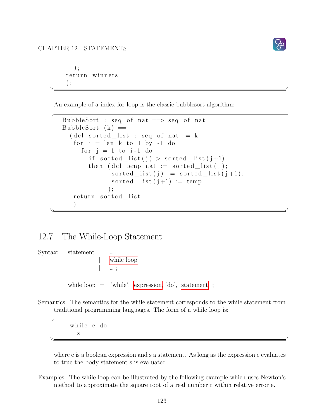

 $)$  : return winners  $)$  ;

An example of a index-for loop is the classic bubblesort algorithm:

 $\overline{\phantom{a}}$   $\overline{\phantom{a}}$   $\overline{\phantom{a}}$   $\overline{\phantom{a}}$   $\overline{\phantom{a}}$   $\overline{\phantom{a}}$   $\overline{\phantom{a}}$   $\overline{\phantom{a}}$   $\overline{\phantom{a}}$   $\overline{\phantom{a}}$   $\overline{\phantom{a}}$   $\overline{\phantom{a}}$   $\overline{\phantom{a}}$   $\overline{\phantom{a}}$   $\overline{\phantom{a}}$   $\overline{\phantom{a}}$   $\overline{\phantom{a}}$   $\overline{\phantom{a}}$   $\overline{\$ 

 $\overline{\phantom{a}}$   $\overline{\phantom{a}}$   $\overline{\phantom{a}}$   $\overline{\phantom{a}}$   $\overline{\phantom{a}}$   $\overline{\phantom{a}}$   $\overline{\phantom{a}}$   $\overline{\phantom{a}}$   $\overline{\phantom{a}}$   $\overline{\phantom{a}}$   $\overline{\phantom{a}}$   $\overline{\phantom{a}}$   $\overline{\phantom{a}}$   $\overline{\phantom{a}}$   $\overline{\phantom{a}}$   $\overline{\phantom{a}}$   $\overline{\phantom{a}}$   $\overline{\phantom{a}}$   $\overline{\$ 

```
BubbleSort : seq of nat \implies seq of nat
BubbleSort (k) =(\text{dcl sorted\_list : seq of nat := k};for i = len k to 1 by -1 do
     for j = 1 to i - 1 do
       if sorted list(j) > sorted\_list(j+1)then (dcl temp: nat := sorted list (j);
              sorted\_list(j) := sorted\_list(j+1);sorted\_list(j+1) := temp):
   return sorted_list
   \lambda
```
### 12.7 The While-Loop Statement

 $Syntax:$  statement  $=$ [while loop](#page-211-8) | … ; while loop  $=$  'while', [expression,](#page-200-0) 'do', [statement](#page-209-0) ;

Semantics: The semantics for the while statement corresponds to the while statement from traditional programming languages. The form of a while loop is:

> while e do s

 $\overline{a}$ 

where e is a boolean expression and s a statement. As long as the expression e evaluates to true the body statement s is evaluated.

 $\overline{\phantom{a}}$   $\overline{\phantom{a}}$   $\overline{\phantom{a}}$   $\overline{\phantom{a}}$   $\overline{\phantom{a}}$   $\overline{\phantom{a}}$   $\overline{\phantom{a}}$   $\overline{\phantom{a}}$   $\overline{\phantom{a}}$   $\overline{\phantom{a}}$   $\overline{\phantom{a}}$   $\overline{\phantom{a}}$   $\overline{\phantom{a}}$   $\overline{\phantom{a}}$   $\overline{\phantom{a}}$   $\overline{\phantom{a}}$   $\overline{\phantom{a}}$   $\overline{\phantom{a}}$   $\overline{\$ 

Examples: The while loop can be illustrated by the following example which uses Newton's method to approximate the square root of a real number r within relative error e.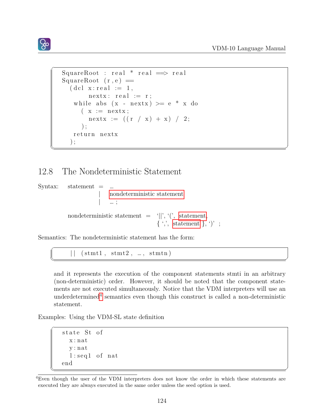

 $\overline{a}$ 

 $\overline{a}$ 

```
SquareRoot : real * real \implies real
SquareRoot (r, e) =(\text{dcl x: real} := 1,nextx: real := r;while abs (x - \text{next} x) \geq e^* x do
      (x := \text{next} x);nextx := ((r / x) + x) / 2;) ;
   return nextx
  ) ;
```
### 12.8 The Nondeterministic Statement

```
Syntax: statement = …
                          | nondeterministic statement
                          | … ;
          nondeterministic statement = statement,
                                           \{\cdot,\cdot\} statement \},\cdot)';
```
Semantics: The nondeterministic statement has the form:

 $||$  (stmt1, stmt2, ..., stmtn)

and it represents the execution of the component statements stmti in an arbitrary (non-deterministic) order. However, it should be noted that the component statements are not executed simultaneously. Notice that the VDM interpreters will use an underdetermined<sup>[4](#page-132-0)</sup> semantics even though this construct is called a non-deterministic statement.

 $\overline{\phantom{a}}$   $\overline{\phantom{a}}$   $\overline{\phantom{a}}$   $\overline{\phantom{a}}$   $\overline{\phantom{a}}$   $\overline{\phantom{a}}$   $\overline{\phantom{a}}$   $\overline{\phantom{a}}$   $\overline{\phantom{a}}$   $\overline{\phantom{a}}$   $\overline{\phantom{a}}$   $\overline{\phantom{a}}$   $\overline{\phantom{a}}$   $\overline{\phantom{a}}$   $\overline{\phantom{a}}$   $\overline{\phantom{a}}$   $\overline{\phantom{a}}$   $\overline{\phantom{a}}$   $\overline{\$ 

<span id="page-132-1"></span> $\overline{\phantom{a}}$ 

Examples: Using the VDM-SL state definition

```
state St of
  x : na t
  y : na t
  l : seq1 of nat
end
```
<span id="page-132-0"></span><sup>4</sup>Even though the user of the VDM interpreters does not know the order in which these statements are executed they are always executed in the same order unless the seed option is used.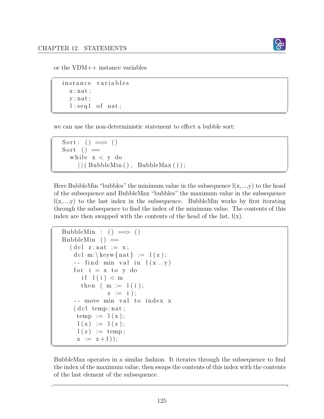$\overline{a}$ 

 $\overline{a}$ 

 $\overline{a}$ 



or the VDM++ instance variables

```
instance variables
  x : nat;y : nat;l : seq1 of nat;
```
we can use the non-deterministic statement to effect a bubble sort:

```
Sort : ( ) \implies ( )
  Sort () =while x < y do
      || ( \text{BubbleMin}() , \text{BubbleMax}() );\overline{\phantom{a}}
```
Here BubbleMin "bubbles" the minimum value in the subsequence  $l(x,...,y)$  to the head of the subsequence and BubbleMax "bubbles" the maximum value in the subsequence  $l(x,...,y)$  to the last index in the subsequence. BubbleMin works by first iterating through the subsequence to find the index of the minimum value. The contents of this index are then swapped with the contents of the head of the list,  $l(x)$ .

 $\overline{\phantom{a}}$   $\overline{\phantom{a}}$   $\overline{\phantom{a}}$   $\overline{\phantom{a}}$   $\overline{\phantom{a}}$   $\overline{\phantom{a}}$   $\overline{\phantom{a}}$   $\overline{\phantom{a}}$   $\overline{\phantom{a}}$   $\overline{\phantom{a}}$   $\overline{\phantom{a}}$   $\overline{\phantom{a}}$   $\overline{\phantom{a}}$   $\overline{\phantom{a}}$   $\overline{\phantom{a}}$   $\overline{\phantom{a}}$   $\overline{\phantom{a}}$   $\overline{\phantom{a}}$   $\overline{\$ 

```
BubbleMin : () \implies ()BubbleMin () =(\text{dcl } z : \text{nat } := x;d c l m: \ keyw { nat } := l(z);
   -- find min val in l(x \dots y)for i = x to y do
      if l(i) < mthen ( m := l(i);
              z := i );
   -- move min val to index x
   (dcl temp: nat;
    temp := l(x);l(x) := l(z);l(z) := temp;x := x + 1);
```
BubbleMax operates in a similar fashion. It iterates through the subsequence to find the index of the maximum value, then swaps the contents of this index with the contents of the last element of the subsequence.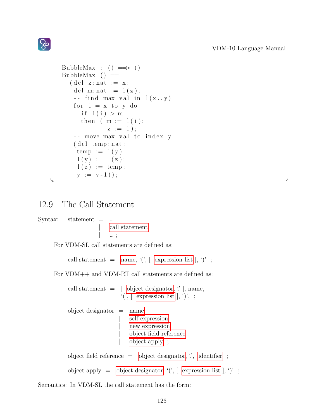

```
BubbleMax : () \implies ()BubbleMax () ==(\text{dcl } z:\text{nat } := x;d c l m: nat := l(z);
             -- find max val in l(x \tcdot y)for i = x to y do
                  if l(i) > mthen ( m := l(i);
                                  z := i );
             -- move max val to index y
             (dcl temp: nat;
               temp := l(y);
               l(y) := l(z);
               l(z) := \text{temp};y := y - 1) ;
\overline{\phantom{a}} \overline{\phantom{a}} \overline{\phantom{a}} \overline{\phantom{a}} \overline{\phantom{a}} \overline{\phantom{a}} \overline{\phantom{a}} \overline{\phantom{a}} \overline{\phantom{a}} \overline{\phantom{a}} \overline{\phantom{a}} \overline{\phantom{a}} \overline{\phantom{a}} \overline{\phantom{a}} \overline{\phantom{a}} \overline{\phantom{a}} \overline{\phantom{a}} \overline{\phantom{a}} \overline{\
```
### 12.9 The Call Statement

Syntax: statement = … | [call statement](#page-211-10) | … ;

For VDM-SL call statements are defined as:

callstatement  $=$  [name,](#page-209-3)  $\langle \cdot, [$  [expression list](#page-200-1)  $], \cdot \rangle'$ ;

For VDM++ and VDM-RT call statements are defined as:

callstatement  $=$  [ [object designator,](#page-212-0)  $\degree$ ], name,  $'$ (', $\lceil$  [expression list](#page-200-1)  $\rceil$ , ')', ;

object designator = [name](#page-209-3)

[self expression](#page-207-0) | [new expression](#page-207-1) [object field reference](#page-212-1) | [object apply](#page-212-2) ;

object field reference  $=$  [object designator,](#page-212-0)  $\therefore$ , [identifier](#page-217-0) ;

```
 apply = object designator, \langle \cdot, \cdot \rangle expression list , \cdot \rangle ;
```
Semantics: In VDM-SL the call statement has the form: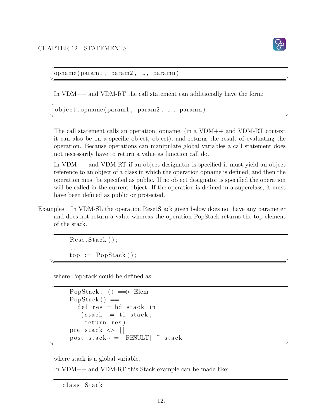

 $\overline{a}$ opname ( param1 , param2 , … , paramn )

In  $VDM++$  and  $VDM+RT$  the call statement can additionally have the form:

 $\overline{a}$ o bj e c t . opname ( param1 , param2 , … , paramn )

The call statement calls an operation, opname, (in a VDM++ and VDM-RT context it can also be on a specific object, object), and returns the result of evaluating the operation. Because operations can manipulate global variables a call statement does not necessarily have to return a value as function call do.

 $\overline{\phantom{a}}$   $\overline{\phantom{a}}$   $\overline{\phantom{a}}$   $\overline{\phantom{a}}$   $\overline{\phantom{a}}$   $\overline{\phantom{a}}$   $\overline{\phantom{a}}$   $\overline{\phantom{a}}$   $\overline{\phantom{a}}$   $\overline{\phantom{a}}$   $\overline{\phantom{a}}$   $\overline{\phantom{a}}$   $\overline{\phantom{a}}$   $\overline{\phantom{a}}$   $\overline{\phantom{a}}$   $\overline{\phantom{a}}$   $\overline{\phantom{a}}$   $\overline{\phantom{a}}$   $\overline{\$ 

 $\overline{\phantom{a}}$   $\overline{\phantom{a}}$   $\overline{\phantom{a}}$   $\overline{\phantom{a}}$   $\overline{\phantom{a}}$   $\overline{\phantom{a}}$   $\overline{\phantom{a}}$   $\overline{\phantom{a}}$   $\overline{\phantom{a}}$   $\overline{\phantom{a}}$   $\overline{\phantom{a}}$   $\overline{\phantom{a}}$   $\overline{\phantom{a}}$   $\overline{\phantom{a}}$   $\overline{\phantom{a}}$   $\overline{\phantom{a}}$   $\overline{\phantom{a}}$   $\overline{\phantom{a}}$   $\overline{\$ 

In VDM++ and VDM-RT if an object designator is specified it must yield an object reference to an object of a class in which the operation opname is defined, and then the operation must be specified as public. If no object designator is specified the operation will be called in the current object. If the operation is defined in a superclass, it must have been defined as public or protected.

 $\overline{\phantom{a}}$ 

 $\overline{\phantom{a}}$ 

Examples: In VDM-SL the operation ResetStack given below does not have any parameter and does not return a value whereas the operation PopStack returns the top element of the stack.

> ResetStack(); . . .  $top := PopStack()$ ;

 $\overline{a}$ 

 $\overline{a}$ 

 $\overline{a}$ 

where PopStack could be defined as:

```
PopStack: () \implies \text{Elem}PopStack() \equivdef res = hd stack in
    (\text{stack} := t1 \text{ stack};return res)
pre stack \leq |post stack \sim = [RESULT] \hat{\sim} stack
```
where stack is a global variable.

In VDM++ and VDM-RT this Stack example can be made like:

class Stack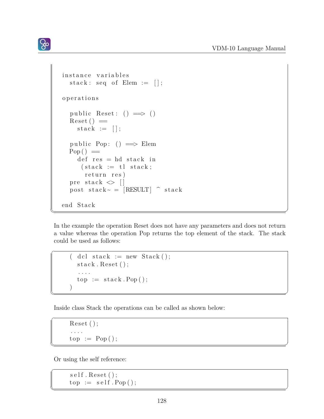```
instance variables
  stack: seq of Elem := [ ];
o p e r a t i o n s
  public Reset: () \implies ()
  \text{Reset}() ==\text{stack} := [];
  public Pop: () \implies Elem
  Pop() ==def res = hd stack in
      (\text{stack} := \text{tl state})return res)
  pre stack \leq |post stack \sim = [RESULT] \hat{ } stack
end Stack
```
In the example the operation Reset does not have any parameters and does not return a value whereas the operation Pop returns the top element of the stack. The stack could be used as follows:

 $\overline{\phantom{a}}$   $\overline{\phantom{a}}$   $\overline{\phantom{a}}$   $\overline{\phantom{a}}$   $\overline{\phantom{a}}$   $\overline{\phantom{a}}$   $\overline{\phantom{a}}$   $\overline{\phantom{a}}$   $\overline{\phantom{a}}$   $\overline{\phantom{a}}$   $\overline{\phantom{a}}$   $\overline{\phantom{a}}$   $\overline{\phantom{a}}$   $\overline{\phantom{a}}$   $\overline{\phantom{a}}$   $\overline{\phantom{a}}$   $\overline{\phantom{a}}$   $\overline{\phantom{a}}$   $\overline{\$ 

 $\overline{\phantom{a}}$ 

```
\left(\begin{array}{c}\mathrm{d}\mathrm{c}\mathrm{l} \;\mathrm{stack}\; :=\; \mathrm{new}\;\mathrm{Stack}\; (\mathrm{)}\, ;\end{array}\right.stack. Reset ();. . . .
     top := stack.Pop();)
```
Inside class Stack the operations can be called as shown below:

```
\text{Reset}(\cdot);. . . .
                         top := Pop();\overline{\phantom{a}} \overline{\phantom{a}} \overline{\phantom{a}} \overline{\phantom{a}} \overline{\phantom{a}} \overline{\phantom{a}} \overline{\phantom{a}} \overline{\phantom{a}} \overline{\phantom{a}} \overline{\phantom{a}} \overline{\phantom{a}} \overline{\phantom{a}} \overline{\phantom{a}} \overline{\phantom{a}} \overline{\phantom{a}} \overline{\phantom{a}} \overline{\phantom{a}} \overline{\phantom{a}} \overline{\
```
 $\overline{a}$ 

 $[$ % $]$ 

 $\overline{a}$ 

 $\overline{a}$ 

Or using the self reference: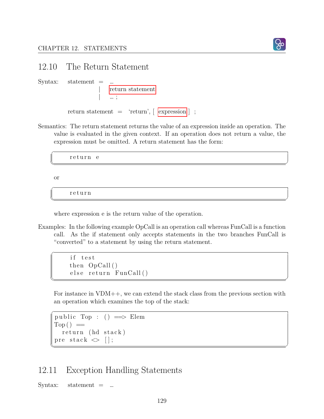

#### 12.10 The Return Statement

Syntax: statement = … | [return statement](#page-212-3) | … ;

return statement = 'return',[ [expression](#page-200-0) ] ;

Semantics: The return statement returns the value of an expression inside an operation. The value is evaluated in the given context. If an operation does not return a value, the expression must be omitted. A return statement has the form:

 $\overline{\phantom{a}}$   $\overline{\phantom{a}}$   $\overline{\phantom{a}}$   $\overline{\phantom{a}}$   $\overline{\phantom{a}}$   $\overline{\phantom{a}}$   $\overline{\phantom{a}}$   $\overline{\phantom{a}}$   $\overline{\phantom{a}}$   $\overline{\phantom{a}}$   $\overline{\phantom{a}}$   $\overline{\phantom{a}}$   $\overline{\phantom{a}}$   $\overline{\phantom{a}}$   $\overline{\phantom{a}}$   $\overline{\phantom{a}}$   $\overline{\phantom{a}}$   $\overline{\phantom{a}}$   $\overline{\$ 

 $\overline{\phantom{a}}$   $\overline{\phantom{a}}$   $\overline{\phantom{a}}$   $\overline{\phantom{a}}$   $\overline{\phantom{a}}$   $\overline{\phantom{a}}$   $\overline{\phantom{a}}$   $\overline{\phantom{a}}$   $\overline{\phantom{a}}$   $\overline{\phantom{a}}$   $\overline{\phantom{a}}$   $\overline{\phantom{a}}$   $\overline{\phantom{a}}$   $\overline{\phantom{a}}$   $\overline{\phantom{a}}$   $\overline{\phantom{a}}$   $\overline{\phantom{a}}$   $\overline{\phantom{a}}$   $\overline{\$ 

return e

or

 $\overline{a}$ 

 $\overline{a}$ 

 $\overline{a}$ 

r e turn

where expression e is the return value of the operation.

Examples: In the following example OpCall is an operation call whereas FunCall is a function call. As the if statement only accepts statements in the two branches FunCall is "converted" to a statement by using the return statement.

if test then OpCall ( ) else return FunCall()

For instance in VDM++, we can extend the stack class from the previous section with an operation which examines the top of the stack:

 $\overline{\phantom{a}}$ 

 $\overline{a}$ public Top :  $() \implies$  Elem  $Top() =$  $return (hd stack)$ pre stack  $\leq$  [];  $\overline{\phantom{a}}$   $\overline{\phantom{a}}$   $\overline{\phantom{a}}$   $\overline{\phantom{a}}$   $\overline{\phantom{a}}$   $\overline{\phantom{a}}$   $\overline{\phantom{a}}$   $\overline{\phantom{a}}$   $\overline{\phantom{a}}$   $\overline{\phantom{a}}$   $\overline{\phantom{a}}$   $\overline{\phantom{a}}$   $\overline{\phantom{a}}$   $\overline{\phantom{a}}$   $\overline{\phantom{a}}$   $\overline{\phantom{a}}$   $\overline{\phantom{a}}$   $\overline{\phantom{a}}$   $\overline{\$ 

### 12.11 Exception Handling Statements

Syntax: statement = …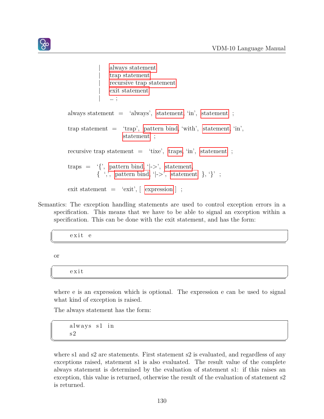

```
| always statement
              | trap statement
              | recursive trap statement
              | exit statement
              | … ;
always statement = 'always', statement, 'in', statement ;
trap statement = 'trap', pattern bind, 'with', statement, 'in',
                   statement ;
 statement = traps, 'in', statement ;
traps = pattern bind, statement,
           pattern bind, statement <math>\{\quad\}'</math>; statement = 'exit', \lceil expression \rceil;
```
Semantics: The exception handling statements are used to control exception errors in a specification. This means that we have to be able to signal an exception within a specification. This can be done with the exit statement, and has the form:

exit e

or

 $\overline{a}$ 

 $\overline{a}$ 

 $\overline{a}$ 

e x i t

where e is an expression which is optional. The expression e can be used to signal what kind of exception is raised.

 $\overline{\phantom{a}}$   $\overline{\phantom{a}}$   $\overline{\phantom{a}}$   $\overline{\phantom{a}}$   $\overline{\phantom{a}}$   $\overline{\phantom{a}}$   $\overline{\phantom{a}}$   $\overline{\phantom{a}}$   $\overline{\phantom{a}}$   $\overline{\phantom{a}}$   $\overline{\phantom{a}}$   $\overline{\phantom{a}}$   $\overline{\phantom{a}}$   $\overline{\phantom{a}}$   $\overline{\phantom{a}}$   $\overline{\phantom{a}}$   $\overline{\phantom{a}}$   $\overline{\phantom{a}}$   $\overline{\$ 

 $\overline{\phantom{a}}$   $\overline{\phantom{a}}$   $\overline{\phantom{a}}$   $\overline{\phantom{a}}$   $\overline{\phantom{a}}$   $\overline{\phantom{a}}$   $\overline{\phantom{a}}$   $\overline{\phantom{a}}$   $\overline{\phantom{a}}$   $\overline{\phantom{a}}$   $\overline{\phantom{a}}$   $\overline{\phantom{a}}$   $\overline{\phantom{a}}$   $\overline{\phantom{a}}$   $\overline{\phantom{a}}$   $\overline{\phantom{a}}$   $\overline{\phantom{a}}$   $\overline{\phantom{a}}$   $\overline{\$ 

The always statement has the form:

always s1 in s2

where s1 and s2 are statements. First statement s2 is evaluated, and regardless of any exceptions raised, statement s1 is also evaluated. The result value of the complete always statement is determined by the evaluation of statement s1: if this raises an exception, this value is returned, otherwise the result of the evaluation of statement s2 is returned.

 $\overline{\phantom{a}}$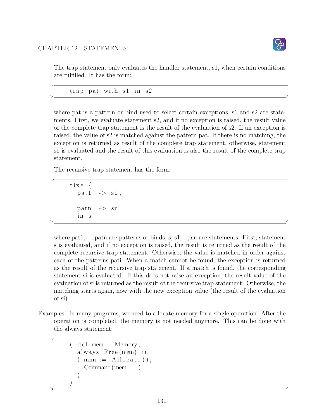$\overline{a}$ 

 $\overline{a}$ 



The trap statement only evaluates the handler statement, s1, when certain conditions are fulfilled. It has the form:

 $\overline{\phantom{a}}$   $\overline{\phantom{a}}$   $\overline{\phantom{a}}$   $\overline{\phantom{a}}$   $\overline{\phantom{a}}$   $\overline{\phantom{a}}$   $\overline{\phantom{a}}$   $\overline{\phantom{a}}$   $\overline{\phantom{a}}$   $\overline{\phantom{a}}$   $\overline{\phantom{a}}$   $\overline{\phantom{a}}$   $\overline{\phantom{a}}$   $\overline{\phantom{a}}$   $\overline{\phantom{a}}$   $\overline{\phantom{a}}$   $\overline{\phantom{a}}$   $\overline{\phantom{a}}$   $\overline{\$ 

```
trap pat with s1 in s2
```
where pat is a pattern or bind used to select certain exceptions, s1 and s2 are statements. First, we evaluate statement s2, and if no exception is raised, the result value of the complete trap statement is the result of the evaluation of s2. If an exception is raised, the value of s2 is matched against the pattern pat. If there is no matching, the exception is returned as result of the complete trap statement, otherwise, statement s1 is evaluated and the result of this evaluation is also the result of the complete trap statement.

The recursive trap statement has the form:

```
t i x e \rightarrowpat1 |-> s1,
                                 . . .
                                patn |-> sn
                             in s
\overline{\phantom{a}} \overline{\phantom{a}} \overline{\phantom{a}} \overline{\phantom{a}} \overline{\phantom{a}} \overline{\phantom{a}} \overline{\phantom{a}} \overline{\phantom{a}} \overline{\phantom{a}} \overline{\phantom{a}} \overline{\phantom{a}} \overline{\phantom{a}} \overline{\phantom{a}} \overline{\phantom{a}} \overline{\phantom{a}} \overline{\phantom{a}} \overline{\phantom{a}} \overline{\phantom{a}} \overline{\
```
where pat1,  $\ldots$ , patn are patterns or binds, s, s1,  $\ldots$ , sn are statements. First, statement s is evaluated, and if no exception is raised, the result is returned as the result of the complete recursive trap statement. Otherwise, the value is matched in order against each of the patterns pati. When a match cannot be found, the exception is returned as the result of the recursive trap statement. If a match is found, the corresponding statement si is evaluated. If this does not raise an exception, the result value of the evaluation of si is returned as the result of the recursive trap statement. Otherwise, the matching starts again, now with the new exception value (the result of the evaluation of si).

Examples: In many programs, we need to allocate memory for a single operation. After the operation is completed, the memory is not needed anymore. This can be done with the always statement:

```
d c l mem : Memory;
                         always Free (mem) in
                         ( mem := Allocate ();
                                Command(mem, … )
                          )
                  )
\overline{\phantom{a}} \overline{\phantom{a}} \overline{\phantom{a}} \overline{\phantom{a}} \overline{\phantom{a}} \overline{\phantom{a}} \overline{\phantom{a}} \overline{\phantom{a}} \overline{\phantom{a}} \overline{\phantom{a}} \overline{\phantom{a}} \overline{\phantom{a}} \overline{\phantom{a}} \overline{\phantom{a}} \overline{\phantom{a}} \overline{\phantom{a}} \overline{\phantom{a}} \overline{\phantom{a}} \overline{\
```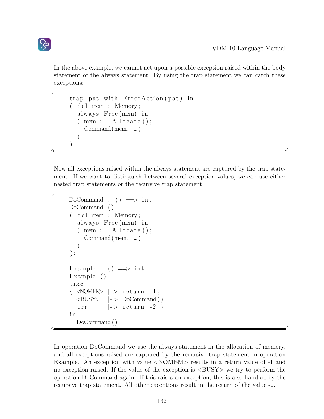

 $\overline{a}$ 

In the above example, we cannot act upon a possible exception raised within the body statement of the always statement. By using the trap statement we can catch these exceptions:

```
trap pat with ErrorAction(pat) in
\left(\begin{array}{c} dcl \end{array} \right. mem : Memory;
  always Free (mem) in
   ( mem := Allocate ();
     Command(mem, … )
   )
)
```
Now all exceptions raised within the always statement are captured by the trap statement. If we want to distinguish between several exception values, we can use either nested trap statements or the recursive trap statement:

 $\overline{\phantom{a}}$   $\overline{\phantom{a}}$   $\overline{\phantom{a}}$   $\overline{\phantom{a}}$   $\overline{\phantom{a}}$   $\overline{\phantom{a}}$   $\overline{\phantom{a}}$   $\overline{\phantom{a}}$   $\overline{\phantom{a}}$   $\overline{\phantom{a}}$   $\overline{\phantom{a}}$   $\overline{\phantom{a}}$   $\overline{\phantom{a}}$   $\overline{\phantom{a}}$   $\overline{\phantom{a}}$   $\overline{\phantom{a}}$   $\overline{\phantom{a}}$   $\overline{\phantom{a}}$   $\overline{\$ 

```
DoCommand : () \implies intDoCommand () =\left(\begin{array}{c}\text{d c1 mem : Memory}\right);always Free (mem) in
   ( mem := Allocate ( );
      Command(mem, … )
   )
);
Example : () \implies \text{int}Example () ==t i x e
\{\n\exists \text{COMEM} > |-> \text{return -1},\\langle \text{BUSY} \rangle \rightarrow DoCommand (),
   err |-> return -2 }
i n
   DoCommand ( )
```
In operation DoCommand we use the always statement in the allocation of memory, and all exceptions raised are captured by the recursive trap statement in operation Example. An exception with value <NOMEM> results in a return value of -1 and no exception raised. If the value of the exception is  $\langle BUSY \rangle$  we try to perform the operation DoCommand again. If this raises an exception, this is also handled by the recursive trap statement. All other exceptions result in the return of the value -2.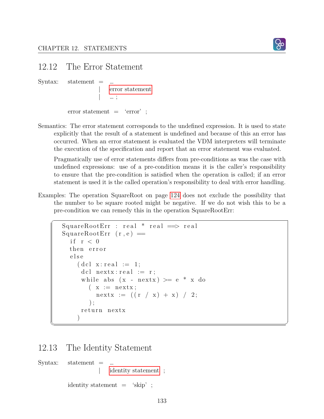

#### 12.12 The Error Statement

 $Syntax:$  statement  $=$ | [error statement](#page-213-6) | … ;

 $error statement = 'error':$ 

Semantics: The error statement corresponds to the undefined expression. It is used to state explicitly that the result of a statement is undefined and because of this an error has occurred. When an error statement is evaluated the VDM interpreters will terminate the execution of the specification and report that an error statement was evaluated.

Pragmatically use of error statements differs from pre-conditions as was the case with undefined expressions: use of a pre-condition means it is the caller's responsibility to ensure that the pre-condition is satisfied when the operation is called; if an error statement is used it is the called operation's responsibility to deal with error handling.

Examples: The operation SquareRoot on page [124](#page-132-1) does not exclude the possibility that the number to be square rooted might be negative. If we do not wish this to be a pre-condition we can remedy this in the operation SquareRootErr:

```
SquareRootErr : real * real == > realSquareRootErr (r, e) ==if r < 0then error
  e l s e
     (\text{del } x:\text{real } := 1;dcl nextx: real := r;
      while abs (x - \text{next} x) \geq e^* x do
        (x := \text{next} x);nextx := ((r / x) + x) / 2;) :
      return nextx
     )
```
#### 12.13 The Identity Statement

Syntax: statement = … [identity statement](#page-213-7) ;

identity statement = 'skip' ;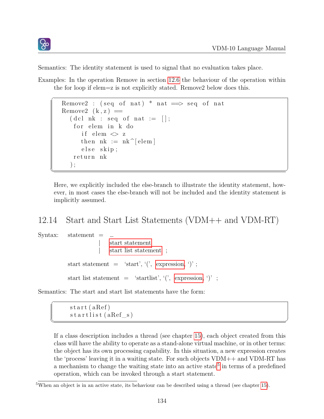



 $\overline{a}$ 

Semantics: The identity statement is used to signal that no evaluation takes place.

Examples: In the operation Remove in section [12.6](#page-130-0) the behaviour of the operation within the for loop if elem=z is not explicitly stated. Remove2 below does this.

```
Remove2 : (seq of nat) * nat \implies seq of nat
Remove2 (k, z) ==(\text{dcl nk : seq of nat := []};for elem in k do
      if elem \langle z \rangle z
      then nk := nk^{\frown}[elem]
      else skip;
   return nk
  ) ;
```
Here, we explicitly included the else-branch to illustrate the identity statement, however, in most cases the else-branch will not be included and the identity statement is implicitly assumed.

 $\overline{\phantom{a}}$   $\overline{\phantom{a}}$   $\overline{\phantom{a}}$   $\overline{\phantom{a}}$   $\overline{\phantom{a}}$   $\overline{\phantom{a}}$   $\overline{\phantom{a}}$   $\overline{\phantom{a}}$   $\overline{\phantom{a}}$   $\overline{\phantom{a}}$   $\overline{\phantom{a}}$   $\overline{\phantom{a}}$   $\overline{\phantom{a}}$   $\overline{\phantom{a}}$   $\overline{\phantom{a}}$   $\overline{\phantom{a}}$   $\overline{\phantom{a}}$   $\overline{\phantom{a}}$   $\overline{\$ 

## 12.14 Start and Start List Statements (VDM++ and VDM-RT)

Syntax: statement = … | [start statement](#page-212-4) [start list statement](#page-212-5) ; start statement  $=$  'start', '(', [expression,](#page-200-0) ')'; start list statement  $=$  'startlist', '(', [expression,](#page-200-0) ')' ;

Semantics: The start and start list statements have the form:

s t a r t ( aRef ) startlist (aRef\_s)

If a class description includes a thread (see chapter [15\)](#page-179-0), each object created from this class will have the ability to operate as a stand-alone virtual machine, or in other terms: the object has its own processing capability. In this situation, a new expression creates the 'process' leaving it in a waiting state. For such objects VDM++ and VDM-RT has a mechanism to change the waiting state into an active state<sup>[5](#page-142-0)</sup> in terms of a predefined operation, which can be invoked through a start statement.

<span id="page-142-0"></span><sup>&</sup>lt;sup>5</sup>When an object is in an active state, its behaviour can be described using a thread (see chapter [15\)](#page-179-0).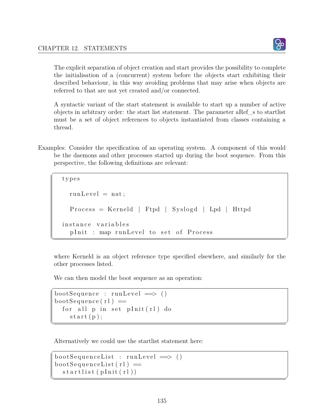

The explicit separation of object creation and start provides the possibility to complete the initialisation of a (concurrent) system before the objects start exhibiting their described behaviour, in this way avoiding problems that may arise when objects are referred to that are not yet created and/or connected.

A syntactic variant of the start statement is available to start up a number of active objects in arbitrary order: the start list statement. The parameter aRef\_s to startlist must be a set of object references to objects instantiated from classes containing a thread.

Examples: Consider the specification of an operating system. A component of this would be the daemons and other processes started up during the boot sequence. From this perspective, the following definitions are relevant:

```
t y p e s
   runLevel = nat;Process = Kernel d | Ftpd | Syslogd | Lpd | Httpd
  instance variables
    p Init : map runLevel to set of Process
\overline{\phantom{a}}
```
where Kerneld is an object reference type specified elsewhere, and similarly for the other processes listed.

We can then model the boot sequence as an operation:

```
\overline{a}bootSequence : runLevel \implies ()bootSequence(r1) \equivfor all p in set pInit(rl) do
    start(p);\overline{\phantom{a}}
```
Alternatively we could use the startlist statement here:

```
\overline{a}bootSequenceList : runLevel \implies ()bootSequenceList(r1) ==\text{startlist}(\text{plnit}(\text{rl}))\overline{\phantom{a}} \overline{\phantom{a}} \overline{\phantom{a}} \overline{\phantom{a}} \overline{\phantom{a}} \overline{\phantom{a}} \overline{\phantom{a}} \overline{\phantom{a}} \overline{\phantom{a}} \overline{\phantom{a}} \overline{\phantom{a}} \overline{\phantom{a}} \overline{\phantom{a}} \overline{\phantom{a}} \overline{\phantom{a}} \overline{\phantom{a}} \overline{\phantom{a}} \overline{\phantom{a}} \overline{\
```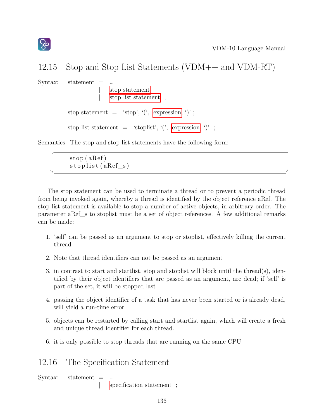# 12.15 Stop and Stop List Statements (VDM++ and VDM-RT)

```
Syntax: statement =| stop statement
                     stop list statement ;
        stop statement = expression, ')';
        stop list statement = expression, ')';
```
Semantics: The stop and stop list statements have the following form:

stop (aRef) stoplist (aRef\_s)

 $\overline{a}$ 

 $\left[ 3\right]$ 

The stop statement can be used to terminate a thread or to prevent a periodic thread from being invoked again, whereby a thread is identified by the object reference aRef. The stop list statement is available to stop a number of active objects, in arbitrary order. The parameter aRef\_s to stoplist must be a set of object references. A few additional remarks can be made:

 $\overline{\phantom{a}}$ 

- 1. 'self' can be passed as an argument to stop or stoplist, effectively killing the current thread
- 2. Note that thread identifiers can not be passed as an argument
- 3. in contrast to start and startlist, stop and stoplist will block until the thread(s), identified by their object identifiers that are passed as an argument, are dead; if 'self' is part of the set, it will be stopped last
- 4. passing the object identifier of a task that has never been started or is already dead, will yield a run-time error
- 5. objects can be restarted by calling start and startlist again, which will create a fresh and unique thread identifier for each thread.
- 6. it is only possible to stop threads that are running on the same CPU

## 12.16 The Specification Statement

 $Syntax:$  statement  $=$ 

[specification statement](#page-212-2) ;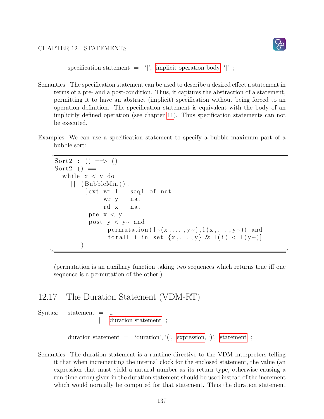

specification statement  $=$  '[', [implicit operation body,](#page-197-0) ']';

- Semantics: The specification statement can be used to describe a desired effect a statement in terms of a pre- and a post-condition. Thus, it captures the abstraction of a statement, permitting it to have an abstract (implicit) specification without being forced to an operation definition. The specification statement is equivalent with the body of an implicitly defined operation (see chapter [11\)](#page-111-0). Thus specification statements can not be executed.
- Examples: We can use a specification statement to specify a bubble maximum part of a bubble sort:

```
\overline{a}Sort2 : () \implies ()Sort2 () =
   while x < y do
     || (BubbleMin (),
          [ ext wr ] : seq1 of nat
                wr y : nat
                rd x : nat
           pre x < ypost y < y \sim and
                 permutation (1-(x, \ldots, y))(1(x, \ldots, y)) and
                  for all i in set \{x, ..., y\} & l(i) < l(y \sim)]
         )
```
(permutation is an auxiliary function taking two sequences which returns true iff one sequence is a permutation of the other.)

 $\overline{\phantom{a}}$   $\overline{\phantom{a}}$   $\overline{\phantom{a}}$   $\overline{\phantom{a}}$   $\overline{\phantom{a}}$   $\overline{\phantom{a}}$   $\overline{\phantom{a}}$   $\overline{\phantom{a}}$   $\overline{\phantom{a}}$   $\overline{\phantom{a}}$   $\overline{\phantom{a}}$   $\overline{\phantom{a}}$   $\overline{\phantom{a}}$   $\overline{\phantom{a}}$   $\overline{\phantom{a}}$   $\overline{\phantom{a}}$   $\overline{\phantom{a}}$   $\overline{\phantom{a}}$   $\overline{\$ 

## 12.17 The Duration Statement (VDM-RT)

```
Syntax: statement = …
```
[duration statement](#page-212-3) ;

duration [statement](#page-209-0)  $=$  'duration', '(', [expression,](#page-200-0) ')', statement ;

Semantics: The duration statement is a runtime directive to the VDM interpreters telling it that when incrementing the internal clock for the enclosed statement, the value (an expression that must yield a natural number as its return type, otherwise causing a run-time error) given in the duration statement should be used instead of the increment which would normally be computed for that statement. Thus the duration statement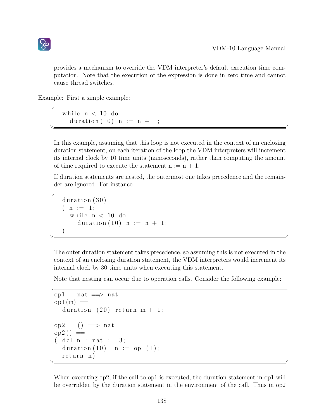

 $\overline{a}$ 

 $\overline{a}$ 

provides a mechanism to override the VDM interpreter's default execution time computation. Note that the execution of the expression is done in zero time and cannot cause thread switches.

Example: First a simple example:

while  $n < 10$  do duration (10)  $n := n + 1$ ;

In this example, assuming that this loop is not executed in the context of an enclosing duration statement, on each iteration of the loop the VDM interpreters will increment its internal clock by 10 time units (nanoseconds), rather than computing the amount of time required to execute the statement  $n := n + 1$ .

 $\overline{\phantom{a}}$ 

If duration statements are nested, the outermost one takes precedence and the remainder are ignored. For instance

```
duration (30)(n := 1);
  while n < 10 do
    duration (10) n := n + 1;
)
```
The outer duration statement takes precedence, so assuming this is not executed in the context of an enclosing duration statement, the VDM interpreters would increment its internal clock by 30 time units when executing this statement.

 $\overline{\phantom{a}}$ 

Note that nesting can occur due to operation calls. Consider the following example:

```
\text{op1} : nat \implies nat
  op1(m) ==duration (20) return m + 1;
  op2: () \implies natop2() =\left(\begin{array}{rcl} \text{dcl} & \text{n} \\ \text{mol} & \text{n} \end{array}\right) : nat := 3;
         duration (10) n := op1(1);
         return n)\overline{\phantom{a}} \overline{\phantom{a}} \overline{\phantom{a}} \overline{\phantom{a}} \overline{\phantom{a}} \overline{\phantom{a}} \overline{\phantom{a}} \overline{\phantom{a}} \overline{\phantom{a}} \overline{\phantom{a}} \overline{\phantom{a}} \overline{\phantom{a}} \overline{\phantom{a}} \overline{\phantom{a}} \overline{\phantom{a}} \overline{\phantom{a}} \overline{\phantom{a}} \overline{\phantom{a}} \overline{\
```
When executing op2, if the call to op1 is executed, the duration statement in op1 will be overridden by the duration statement in the environment of the call. Thus in op2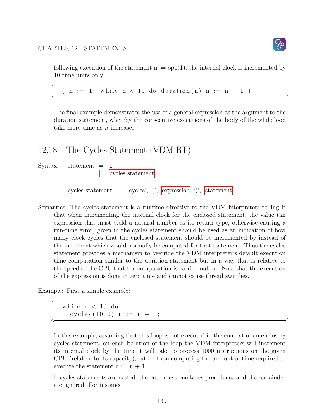

following execution of the statement  $n := op1(1)$ ; the internal clock is incremented by 10 time units only.

```
(n := 1; \text{ while } n < 10 \text{ do duration}(n) \text{ n } := n + 1)
```
The final example demonstrates the use of a general expression as the argument to the duration statement, whereby the consecutive executions of the body of the while loop take more time as  $n$  increases.

 $\overline{\phantom{a}}$   $\overline{\phantom{a}}$   $\overline{\phantom{a}}$   $\overline{\phantom{a}}$   $\overline{\phantom{a}}$   $\overline{\phantom{a}}$   $\overline{\phantom{a}}$   $\overline{\phantom{a}}$   $\overline{\phantom{a}}$   $\overline{\phantom{a}}$   $\overline{\phantom{a}}$   $\overline{\phantom{a}}$   $\overline{\phantom{a}}$   $\overline{\phantom{a}}$   $\overline{\phantom{a}}$   $\overline{\phantom{a}}$   $\overline{\phantom{a}}$   $\overline{\phantom{a}}$   $\overline{\$ 

# 12.18 The Cycles Statement (VDM-RT)

Syntax: statement = … | [cycles statement](#page-212-4) ;

cycles [statement](#page-209-0)  $=$  'cycles', '(', [expression,](#page-200-0) ')', statement ;

Semantics: The cycles statement is a runtime directive to the VDM interpreters telling it that when incrementing the internal clock for the enclosed statement, the value (an expression that must yield a natural number as its return type, otherwise causing a run-time error) given in the cycles statement should be used as an indication of how many clock cycles that the enclosed statement should be incremented by instead of the increment which would normally be computed for that statement. Thus the cycles statement provides a mechanism to override the VDM interpreter's default execution time computation similar to the duration statement but in a way that is relative to the speed of the CPU that the computation is carried out on. Note that the execution of the expression is done in zero time and cannot cause thread switches.

Example: First a simple example:

 $\overline{a}$ 

while  $n < 10$  do cycles (1000)  $n := n + 1$ ;

In this example, assuming that this loop is not executed in the context of an enclosing cycles statement, on each iteration of the loop the VDM interpreters will increment its internal clock by the time it will take to process 1000 instructions on the given CPU (relative to its capacity), rather than computing the amount of time required to execute the statement  $n := n + 1$ .

 $\overline{\phantom{a}}$ 

If cycles statements are nested, the outermost one takes precedence and the remainder are ignored. For instance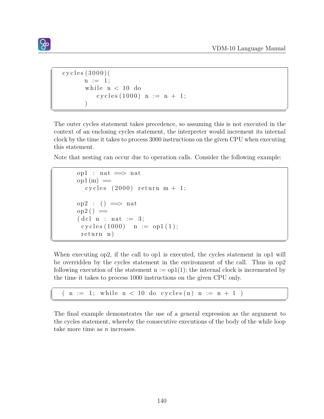$\overline{a}$ 

 $\overline{a}$ 

```
c y c l e s ( 3 0 0 0 ) (
       n := 1;
        while n < 10 do
            cycles (1000) n := n + 1;
        \lambda
```
The outer cycles statement takes precedence, so assuming this is not executed in the context of an enclosing cycles statement, the interpreter would increment its internal clock by the time it takes to process 3000 instructions on the given CPU when executing this statement.

 $\overline{\phantom{a}}$   $\overline{\phantom{a}}$   $\overline{\phantom{a}}$   $\overline{\phantom{a}}$   $\overline{\phantom{a}}$   $\overline{\phantom{a}}$   $\overline{\phantom{a}}$   $\overline{\phantom{a}}$   $\overline{\phantom{a}}$   $\overline{\phantom{a}}$   $\overline{\phantom{a}}$   $\overline{\phantom{a}}$   $\overline{\phantom{a}}$   $\overline{\phantom{a}}$   $\overline{\phantom{a}}$   $\overline{\phantom{a}}$   $\overline{\phantom{a}}$   $\overline{\phantom{a}}$   $\overline{\$ 

Note that nesting can occur due to operation calls. Consider the following example:

```
\text{op1} : nat \implies nat
                    op1(m) ==cycles (2000) return m + 1;
                    \text{op2} : () \implies nat
                    op2() ==(\text{dcl } n : \text{nat} := 3;c y c l e s (1000) n := op1(1);
                        return n)\overline{\phantom{a}} \overline{\phantom{a}} \overline{\phantom{a}} \overline{\phantom{a}} \overline{\phantom{a}} \overline{\phantom{a}} \overline{\phantom{a}} \overline{\phantom{a}} \overline{\phantom{a}} \overline{\phantom{a}} \overline{\phantom{a}} \overline{\phantom{a}} \overline{\phantom{a}} \overline{\phantom{a}} \overline{\phantom{a}} \overline{\phantom{a}} \overline{\phantom{a}} \overline{\phantom{a}} \overline{\
```
When executing op2, if the call to op1 is executed, the cycles statement in op1 will be overridden by the cycles statement in the environment of the call. Thus in op2 following execution of the statement  $n := op1(1)$ ; the internal clock is incremented by the time it takes to process 1000 instructions on the given CPU only.

 $(n := 1; \text{ while } n < 10 \text{ do cycles} (n) n := n + 1)$ 

The final example demonstrates the use of a general expression as the argument to the cycles statement, whereby the consecutive executions of the body of the while loop take more time as  $n$  increases.

 $\overline{\phantom{a}}$   $\overline{\phantom{a}}$   $\overline{\phantom{a}}$   $\overline{\phantom{a}}$   $\overline{\phantom{a}}$   $\overline{\phantom{a}}$   $\overline{\phantom{a}}$   $\overline{\phantom{a}}$   $\overline{\phantom{a}}$   $\overline{\phantom{a}}$   $\overline{\phantom{a}}$   $\overline{\phantom{a}}$   $\overline{\phantom{a}}$   $\overline{\phantom{a}}$   $\overline{\phantom{a}}$   $\overline{\phantom{a}}$   $\overline{\phantom{a}}$   $\overline{\phantom{a}}$   $\overline{\$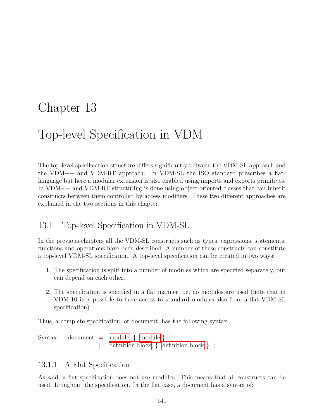# Chapter 13

# Top-level Specification in VDM

The top-level specification structure differs significantly between the VDM-SL approach and the VDM++ and VDM-RT approach. In VDM-SL the ISO standard prescribes a flatlanguage but here a modular extension is also enabled using imports and exports primitives. In VDM++ and VDM-RT structuring is done using object-oriented classes that can inherit constructs between them controlled by access modifiers. These two different approaches are explained in the two sections in this chapter.

#### 13.1 Top-level Specification in VDM-SL

In the previous chapters all the VDM-SL constructs such as types, expressions, statements, functions and operations have been described. A number of these constructs can constitute a top-level VDM-SL specification. A top-level specification can be created in two ways:

- 1. The specification is split into a number of modules which are specified separately, but can depend on each other.
- 2. The specification is specified in a flat manner, i.e. no modules are used (note that in VDM-10 it is possible to have access to standard modules also from a flat VDM-SL specification).

Thus, a complete specification, or document, has the following syntax.

Syntax: document = [module,](#page-191-0)  $\{$  [module](#page-191-0)  $\}$ [definition block,](#page-193-0)  $\{$  [definition block](#page-193-0)  $\}$  ;

#### 13.1.1 A Flat Specification

As said, a flat specification does not use modules. This means that all constructs can be used throughout the specification. In the flat case, a document has a syntax of: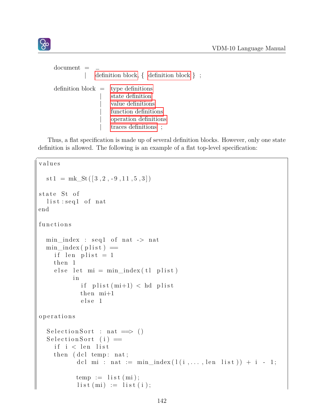

```
document =definition block, definition block } ;
 type definitionsstate definition
                   value definitions
                   function definitions
                   | operation definitions
                   traces definitions ;
```
Thus, a flat specification is made up of several definition blocks. However, only one state definition is allowed. The following is an example of a flat top-level specification:

```
v a l u e s
  \text{st} 1 = \text{mk} \ \text{St} ([ 3, 2, -9, 11, 5, 3] )state St of
  list : seq1 of natend
functions
  min\_index : seq1 of nat \rightarrow nat
  min\_index( \text{plist}) ==if len plist = 1then 1
     else let mi = min_index(t1 \text{ plist})i n
              if plist(mi+1) < hd plistthen mi+1
              else 1
o p e r a t i o n s
  S^{electionSort} : nat \implies ()
  S^{electionSort} (i) =if i < len list
     then (\text{dcl temp: nat};d c l mi : nat := min_index (1(i, \ldots, len \text{ list })) + i - 1;temp := list(mi);list (mi) := list (i);
```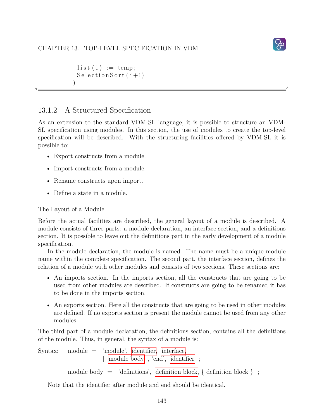

```
list (i) := temp;S^{electionSort(i+1)})
```
#### 13.1.2 A Structured Specification

As an extension to the standard VDM-SL language, it is possible to structure an VDM-SL specification using modules. In this section, the use of modules to create the top-level specification will be described. With the structuring facilities offered by VDM-SL it is possible to:

 $\overline{\phantom{a}}$   $\overline{\phantom{a}}$   $\overline{\phantom{a}}$   $\overline{\phantom{a}}$   $\overline{\phantom{a}}$   $\overline{\phantom{a}}$   $\overline{\phantom{a}}$   $\overline{\phantom{a}}$   $\overline{\phantom{a}}$   $\overline{\phantom{a}}$   $\overline{\phantom{a}}$   $\overline{\phantom{a}}$   $\overline{\phantom{a}}$   $\overline{\phantom{a}}$   $\overline{\phantom{a}}$   $\overline{\phantom{a}}$   $\overline{\phantom{a}}$   $\overline{\phantom{a}}$   $\overline{\$ 

- Export constructs from a module.
- Import constructs from a module.
- Rename constructs upon import.
- Define a state in a module.

The Layout of a Module

Before the actual facilities are described, the general layout of a module is described. A module consists of three parts: a module declaration, an interface section, and a definitions section. It is possible to leave out the definitions part in the early development of a module specification.

In the module declaration, the module is named. The name must be a unique module name within the complete specification. The second part, the interface section, defines the relation of a module with other modules and consists of two sections. These sections are:

- An imports section. In the imports section, all the constructs that are going to be used from other modules are described. If constructs are going to be renamed it has to be done in the imports section.
- An exports section. Here all the constructs that are going to be used in other modules are defined. If no exports section is present the module cannot be used from any other modules.

The third part of a module declaration, the definitions section, contains all the definitions of the module. Thus, in general, the syntax of a module is:

Syntax: module = 'module', [identifier,](#page-217-0) [interface,](#page-191-1) [ [module body](#page-193-2) ], 'end', [identifier](#page-217-0) ;

module body = 'definitions', [definition block,](#page-193-0)  $\{$  definition block  $\}$ ;

Note that the identifier after module and end should be identical.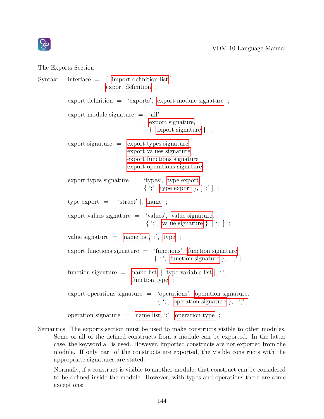

The Exports Section

```
 interface = import definition list],
                           export definition ;
            export definition = 'exports', export module signature ;
            \alpha export module signature \alpha 'all'
                                            | export signature,
                                            { export signature } ;
           \alpha export signature = export types signature
                               | export values signature
                               export functions signature<br>| export on the signature
                                   export operations signature ;
           \alpha export types signature = type export,
                                          \{\ \vdots\} type export \}, [\ \vdots\ ] ;
            type export = name;
            \alpha export values signature = value signature,
                                          \{\ ;\right\} value signature \}, [\ ;\right);
            value signature = name list, \because type ;
            \alpha export functions signature = function signature,
                                              \{\ \vdots\ ;\ \} function signature \},\ [\ \vdots\ ;\ ];
             signature = name list, \lceil type variable list \lceil, \lceil.
                                     function type ;
            \alpha export operations signature = operation signature,
                                               \{\ \ ;\ \ ,\ \ \text{operation signature}\ \},\ [\ \ ;\ ]\ \ ;operation signature = name list, \therefore operation type;
```
Semantics: The exports section must be used to make constructs visible to other modules. Some or all of the defined constructs from a module can be exported. In the latter case, the keyword all is used. However, imported constructs are not exported from the module. If only part of the constructs are exported, the visible constructs with the appropriate signatures are stated.

Normally, if a construct is visible to another module, that construct can be considered to be defined inside the module. However, with types and operations there are some exceptions: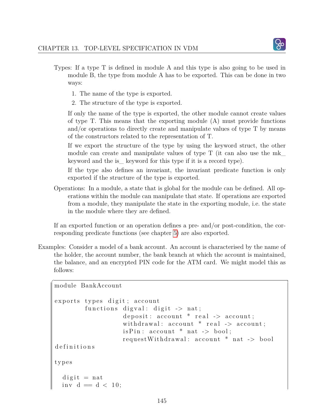

- Types: If a type T is defined in module A and this type is also going to be used in module B, the type from module A has to be exported. This can be done in two ways:
	- 1. The name of the type is exported.
	- 2. The structure of the type is exported.

If only the name of the type is exported, the other module cannot create values of type T. This means that the exporting module (A) must provide functions and/or operations to directly create and manipulate values of type T by means of the constructors related to the representation of T.

If we export the structure of the type by using the keyword struct, the other module can create and manipulate values of type T (it can also use the mk\_ keyword and the is\_ keyword for this type if it is a record type).

If the type also defines an invariant, the invariant predicate function is only exported if the structure of the type is exported.

Operations: In a module, a state that is global for the module can be defined. All operations within the module can manipulate that state. If operations are exported from a module, they manipulate the state in the exporting module, i.e. the state in the module where they are defined.

If an exported function or an operation defines a pre- and/or post-condition, the corresponding predicate functions (see chapter [5\)](#page-49-0) are also exported.

Examples: Consider a model of a bank account. An account is characterised by the name of the holder, the account number, the bank branch at which the account is maintained, the balance, and an encrypted PIN code for the ATM card. We might model this as follows:

 $\overline{a}$ module BankAccount

```
exports types digit; account
         functions digval: digit \rightarrow nat;
                    deposit: account * real -> account;withdrawal: account * real -> account;is Pin: account * nat -> bool;requestWithout a wall: account * nat -> boold e finitions
t y p e s
  \text{digit} = nat
  inv d = d < 10;
```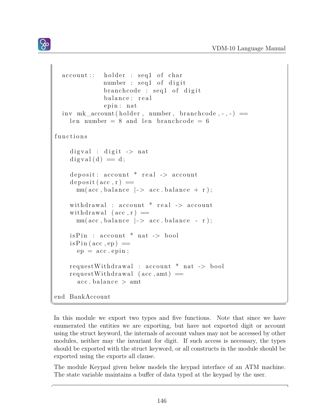```
account :: \quad holder : seq1 of charnumber : seq1 of digit
                 branchcode : seq1 of digit
                 balance: real
                 epin: nat
  inv mk_account(holder, number, branchcode,-,-) ==
     len number = 8 and len branchcode = 6functions
     \text{digital : digit } \rightarrow \text{nat}\text{digval}\left(\text{d}\right) \rightleftharpoons \text{d};
     deposit: account * real -> account\text{deposit}(\text{acc}, \text{r}) =mu( acc, balance | -> acc. balance + r );
     withdrawal : account * real \rightarrow accountwithdrawal (\text{acc}, r) \equivmu( acc, balance | -> acc. balance - r );is Pin : account * nat -> boolis Pin (acc, ep) \equivep = acc . epin ;requestWithdrawal : account * nat -> bool
     requestWithout a wall (acc, amt) =\mathrm{acc} \cdot \mathrm{balance} > \mathrm{amt}end BankAccount
```
In this module we export two types and five functions. Note that since we have enumerated the entities we are exporting, but have not exported digit or account using the struct keyword, the internals of account values may not be accessed by other modules, neither may the invariant for digit. If such access is necessary, the types should be exported with the struct keyword, or all constructs in the module should be exported using the exports all clause.

 $\overline{\phantom{a}}$ 

The module Keypad given below models the keypad interface of an ATM machine. The state variable maintains a buffer of data typed at the keypad by the user.

 $\overline{a}$ 

 $8<sup>o</sup>$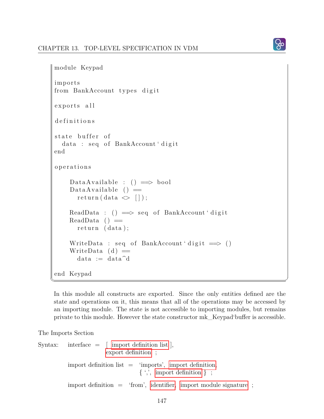

```
module Keypad
imports
from BankAccount types digit
exports all
d e finitions
state buffer of
  data : seq of BankAccount digit
end
o p e r a t i o n s
    DataAvailable : () \implies bool
    Data Available() ==return (data \leq | );
    ReadData : () \implies seq of BankAccount 'digitReadData () =return (data);WriteData : seq of BankAccount digit \implies ()
    WriteData (d) =
      data := data^dend Keypad
```
In this module all constructs are exported. Since the only entities defined are the state and operations on it, this means that all of the operations may be accessed by an importing module. The state is not accessible to importing modules, but remains private to this module. However the state constructor mk\_Keypad'buffer is accessible.

 $\overline{\phantom{a}}$   $\overline{\phantom{a}}$   $\overline{\phantom{a}}$   $\overline{\phantom{a}}$   $\overline{\phantom{a}}$   $\overline{\phantom{a}}$   $\overline{\phantom{a}}$   $\overline{\phantom{a}}$   $\overline{\phantom{a}}$   $\overline{\phantom{a}}$   $\overline{\phantom{a}}$   $\overline{\phantom{a}}$   $\overline{\phantom{a}}$   $\overline{\phantom{a}}$   $\overline{\phantom{a}}$   $\overline{\phantom{a}}$   $\overline{\phantom{a}}$   $\overline{\phantom{a}}$   $\overline{\$ 

The Imports Section

Syntax:interface  $=$  [ [import definition list](#page-191-2)], [export definition](#page-192-0) ; import definition list  $=$  'imports', [import definition,](#page-191-3)  $\{\, \cdot\, , \, \text{ import definition } \}$  $\{\, \cdot\, , \, \text{ import definition } \}$  $\{\, \cdot\, , \, \text{ import definition } \}$  ;  $\text{import definition} = \text{`from'}, \text{ identifier}, \text{import module signature } ;$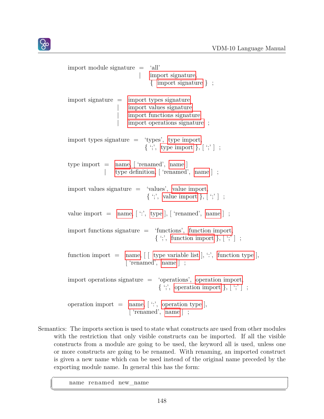

 $\text{import module signature} = \text{`all'}$ | [import signature,](#page-191-5) { [import signature](#page-191-5) } ;  $import$  signature  $=$  [import types signature](#page-191-6) | [import values signature](#page-192-11) [import functions signature](#page-192-12) [import operations signature](#page-192-13); import types signature = 'types', [type import,](#page-192-14)  $\{\ ;\ ;\ \text{type import }\}, [\ ;\ ;\ ]$ ; type import  $=$  [name,](#page-209-1)  $\lceil$  'renamed', [name](#page-209-1) | [type definition,](#page-194-1) [ 'renamed', [name](#page-209-1) ] ; import values signature  $=$  'values', [value import,](#page-192-15)  $\{\ ;\ \ ;\$  [value import](#page-192-15)  $\}, \ [\ ;\ ]$ ; value import  $=$  [name,](#page-209-1)  $[$  : ; [type](#page-194-0)  $]$ ,  $[$  'renamed', [name](#page-209-1)  $]$ ; import functions signature  $=$  'functions', [function import,](#page-192-16)  $\{\ ;\ ;\ \$  [function import](#page-192-16)  $\}, [\ ;\ ;\ ]$ ; function import = [name,](#page-209-1) $\left[ \begin{array}{cc} \end{array} \right]$  [ [type variable list](#page-196-2) ],  $\therefore$  [function type](#page-195-1) ], [ 'renamed', [name](#page-209-1) ] ; import operations signature = 'operations', [operation import,](#page-192-17)  $\{\ \ ;\ \ ,\ \ \text{operation import}\ \},\ [\ \ ;\ ]\ \ ;$ operation import  $=$  [name,](#page-209-1)  $[$  :  $]$ , [operation type](#page-198-0)  $]$ , [ 'renamed', [name](#page-209-1) ] ;

Semantics: The imports section is used to state what constructs are used from other modules with the restriction that only visible constructs can be imported. If all the visible constructs from a module are going to be used, the keyword all is used, unless one or more constructs are going to be renamed. With renaming, an imported construct is given a new name which can be used instead of the original name preceded by the exporting module name. In general this has the form:

name renamed new\_name

 $\overline{a}$ 

 $\overline{\phantom{a}}$   $\overline{\phantom{a}}$   $\overline{\phantom{a}}$   $\overline{\phantom{a}}$   $\overline{\phantom{a}}$   $\overline{\phantom{a}}$   $\overline{\phantom{a}}$   $\overline{\phantom{a}}$   $\overline{\phantom{a}}$   $\overline{\phantom{a}}$   $\overline{\phantom{a}}$   $\overline{\phantom{a}}$   $\overline{\phantom{a}}$   $\overline{\phantom{a}}$   $\overline{\phantom{a}}$   $\overline{\phantom{a}}$   $\overline{\phantom{a}}$   $\overline{\phantom{a}}$   $\overline{\$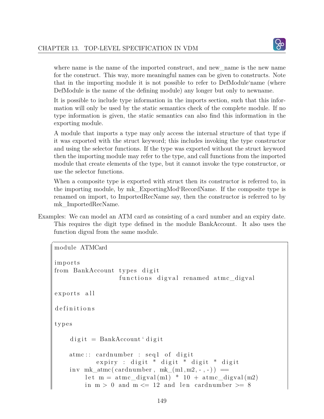

where name is the name of the imported construct, and new name is the new name for the construct. This way, more meaningful names can be given to constructs. Note that in the importing module it is not possible to refer to DefModule'name (where DefModule is the name of the defining module) any longer but only to newname.

It is possible to include type information in the imports section, such that this information will only be used by the static semantics check of the complete module. If no type information is given, the static semantics can also find this information in the exporting module.

A module that imports a type may only access the internal structure of that type if it was exported with the struct keyword; this includes invoking the type constructor and using the selector functions. If the type was exported without the struct keyword then the importing module may refer to the type, and call functions from the imported module that create elements of the type, but it cannot invoke the type constructor, or use the selector functions.

When a composite type is exported with struct then its constructor is referred to, in the importing module, by mk\_ExportingMod'RecordName. If the composite type is renamed on import, to ImportedRecName say, then the constructor is referred to by mk ImportedRecName.

Examples: We can model an ATM card as consisting of a card number and an expiry date. This requires the digit type defined in the module BankAccount. It also uses the function digval from the same module.

```
\overline{a}module ATMCard
imports
from BankAccount types digit
                     functions digval renamed atmc_digval
exports all
d e finitions
t y p e s
     \text{digit} = \text{BankAccount} \cdot \text{digit}atmc:: cardnumber : seq1 of digit
              expiry : digit * digit * digit * digit
     inv mk atmc (card number, mk (m1, m2, - , -)) ==let m = \text{atmc\_digyal} (ml) * 10 + \text{atmc\_digyal} (m2)in m > 0 and m \le 12 and len cardnumber \ge 8
```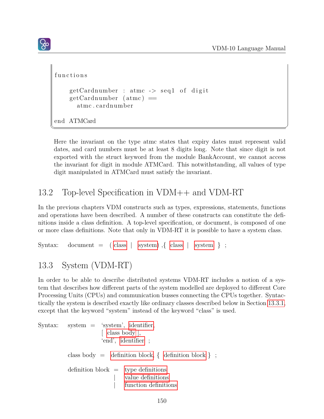

Here the invariant on the type atmc states that expiry dates must represent valid dates, and card numbers must be at least 8 digits long. Note that since digit is not exported with the struct keyword from the module BankAccount, we cannot access the invariant for digit in module ATMCard. This notwithstanding, all values of type digit manipulated in ATMCard must satisfy the invariant.

# 13.2 Top-level Specification in VDM++ and VDM-RT

In the previous chapters VDM constructs such as types, expressions, statements, functions and operations have been described. A number of these constructs can constitute the definitions inside a class definition. A top-level specification, or document, is composed of one or more class definitions. Note that only in VDM-RT it is possible to have a system class.

Syntax:document =  $( class \mid system)$  $( class \mid system)$  $( class \mid system)$  $( class \mid system)$ ,  ${ class \mid system }$  ${ class \mid system }$  ${ class \mid system }$ ;

# 13.3 System (VDM-RT)

ႜၛၟ

In order to be able to describe distributed systems VDM-RT includes a notion of a system that describes how different parts of the system modelled are deployed to different Core Processing Units (CPUs) and communication busses connecting the CPUs together. Syntactically the system is described exactly like ordinary classes described below in Section [13.3.1,](#page-161-0) except that the keyword "system" instead of the keyword "class" is used.

Syntax: system = 'system', [identifier,](#page-217-0) [ [class body](#page-193-5) ], 'end', [identifier](#page-217-0) ; class body = [definition block,](#page-193-0)  $\{$  [definition block](#page-193-0)  $\}$ ;  $definition block = type definitions$  $definition block = type definitions$ [value definitions](#page-196-0) [function definitions](#page-196-1)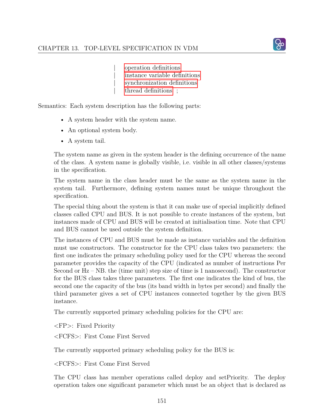

| [operation definitions](#page-197-1) [instance variable definitions](#page-198-1) | [synchronization definitions](#page-199-0) | [thread definitions](#page-179-0) ;

Semantics: Each system description has the following parts:

- A system header with the system name.
- An optional system body.
- A system tail.

The system name as given in the system header is the defining occurrence of the name of the class. A system name is globally visible, i.e. visible in all other classes/systems in the specification.

The system name in the class header must be the same as the system name in the system tail. Furthermore, defining system names must be unique throughout the specification.

The special thing about the system is that it can make use of special implicitly defined classes called CPU and BUS. It is not possible to create instances of the system, but instances made of CPU and BUS will be created at initialisation time. Note that CPU and BUS cannot be used outside the system definition.

The instances of CPU and BUS must be made as instance variables and the definition must use constructors. The constructor for the CPU class takes two parameters: the first one indicates the primary scheduling policy used for the CPU whereas the second parameter provides the capacity of the CPU (indicated as number of instructions Per Second or Hz – NB. the (time unit) step size of time is 1 nanosecond). The constructor for the BUS class takes three parameters. The first one indicates the kind of bus, the second one the capacity of the bus (its band width in bytes per second) and finally the third parameter gives a set of CPU instances connected together by the given BUS instance.

The currently supported primary scheduling policies for the CPU are:

<FP>: Fixed Priority

<FCFS>: First Come First Served

The currently supported primary scheduling policy for the BUS is:

<FCFS>: First Come First Served

The CPU class has member operations called deploy and setPriority. The deploy operation takes one significant parameter which must be an object that is declared as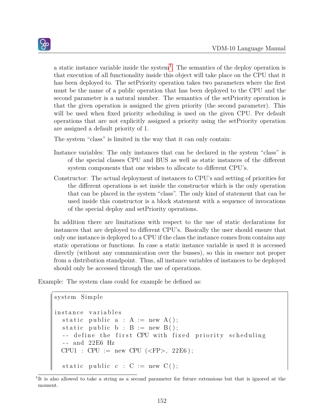

a static instance variable inside the system<sup>[1](#page-160-0)</sup>. The semantics of the deploy operation is that execution of all functionality inside this object will take place on the CPU that it has been deployed to. The setPriority operation takes two parameters where the first must be the name of a public operation that has been deployed to the CPU and the second parameter is a natural number. The semantics of the setPriority operation is that the given operation is assigned the given priority (the second parameter). This will be used when fixed priority scheduling is used on the given CPU. Per default operations that are not explicitly assigned a priority using the setPriority operation are assigned a default priority of 1.

The system "class" is limited in the way that it can only contain:

- Instance variables: The only instances that can be declared in the system "class" is of the special classes CPU and BUS as well as static instances of the different system components that one wishes to allocate to different CPU's.
- Constructor: The actual deployment of instances to CPU's and setting of priorities for the different operations is set inside the constructor which is the only operation that can be placed in the system "class". The only kind of statement that can be used inside this constructor is a block statement with a sequence of invocations of the special deploy and setPriority operations.

In addition there are limitations with respect to the use of static declarations for instances that are deployed to different CPU's. Basically the user should ensure that only one instance is deployed to a CPU if the class the instance comes from contains any static operations or functions. In case a static instance variable is used it is accessed directly (without any communication over the busses), so this in essence not proper from a distribution standpoint. Thus, all instance variables of instances to be deployed should only be accessed through the use of operations.

Example: The system class could for example be defined as:

```
system Simple
instance variables
  static public a : A := new A();
  static public b : B := new B();
  -- define the first CPU with fixed priority scheduling
  - - and 22E6 Hz
 \text{CPU1: CPU} := \text{ new CPU} (\text{ <FP>}, \text{ 22E6});static public c : C := new C();
```
<span id="page-160-0"></span><sup>&</sup>lt;sup>1</sup>It is also allowed to take a string as a second parameter for future extensions but that is ignored at the moment.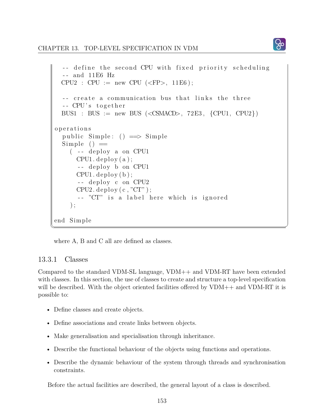

```
-- define the second CPU with fixed priority scheduling
  - - and 11E6 Hz
  CPU2 : CPU := new CPU (<FP>, 11E6);
  -- create a communication bus that links the three
   -- CPU's together
  BUS1 : BUS := new BUS (<b>CSMACD</b>), 72E3, {CPU1, CPU2}o p e r a t i o n s
  public Simple: () \implies Simple
  Simple () =( -- deploy a on CPU1
      CPU1.\text{ deploy}(a);-- deploy b on CPU1
      CPU1.\text{ deploy } (b);
       -- deploy c on CPU2
      CPU2.\text{ deploy}(c, "CT");
       - "CT" is a label here which is ignored
     ) ;
end Simple
\overline{\phantom{a}}
```
where A, B and C all are defined as classes.

#### <span id="page-161-0"></span>13.3.1 Classes

Compared to the standard VDM-SL language, VDM++ and VDM-RT have been extended with classes. In this section, the use of classes to create and structure a top-level specification will be described. With the object oriented facilities offered by  $VDM++$  and  $VDM-RT$  it is possible to:

- Define classes and create objects.
- Define associations and create links between objects.
- Make generalisation and specialisation through inheritance.
- Describe the functional behaviour of the objects using functions and operations.
- Describe the dynamic behaviour of the system through threads and synchronisation constraints.

Before the actual facilities are described, the general layout of a class is described.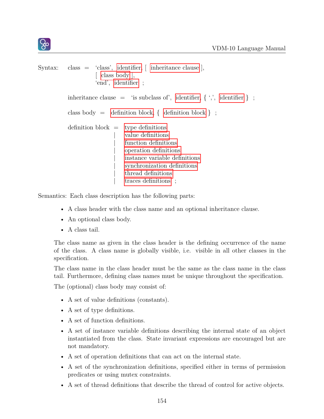Syntax:class  $=$  'class', [identifier,](#page-217-0)  $\lceil$  [inheritance clause](#page-193-6)  $\rceil$ , [ [class body](#page-193-5) ], 'end', [identifier](#page-217-0) ; inheritance clause  $=$  'is subclass of', [identifier,](#page-217-0)  $\{\cdot,\cdot\}$ , [identifier](#page-217-0)  $\}$ ; class body = [definition block,](#page-193-0)  $\{$  [definition block](#page-193-0)  $\}$ ;  $definition block = type definitions$  $definition block = type definitions$ [value definitions](#page-196-0) [function definitions](#page-196-1) | [operation definitions](#page-197-1) | [instance variable definitions](#page-198-1) [synchronization definitions](#page-199-0) | [thread definitions](#page-179-0) | [traces definitions](#page-187-0) ;

Semantics: Each class description has the following parts:

- A class header with the class name and an optional inheritance clause.
- An optional class body.
- A class tail.

 $[$   $\mathcal{S}^{\circ}]$ 

The class name as given in the class header is the defining occurrence of the name of the class. A class name is globally visible, i.e. visible in all other classes in the specification.

The class name in the class header must be the same as the class name in the class tail. Furthermore, defining class names must be unique throughout the specification.

The (optional) class body may consist of:

- A set of value definitions (constants).
- A set of type definitions.
- A set of function definitions.
- A set of instance variable definitions describing the internal state of an object instantiated from the class. State invariant expressions are encouraged but are not mandatory.
- A set of operation definitions that can act on the internal state.
- A set of the synchronization definitions, specified either in terms of permission predicates or using mutex constraints.
- A set of thread definitions that describe the thread of control for active objects.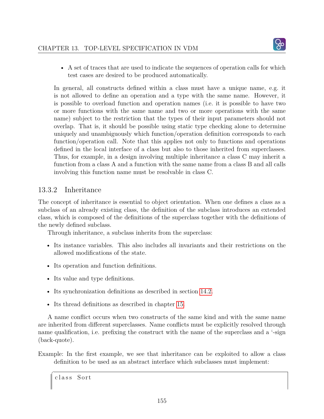

• A set of traces that are used to indicate the sequences of operation calls for which test cases are desired to be produced automatically.

In general, all constructs defined within a class must have a unique name, e.g. it is not allowed to define an operation and a type with the same name. However, it is possible to overload function and operation names (i.e. it is possible to have two or more functions with the same name and two or more operations with the same name) subject to the restriction that the types of their input parameters should not overlap. That is, it should be possible using static type checking alone to determine uniquely and unambiguously which function/operation definition corresponds to each function/operation call. Note that this applies not only to functions and operations defined in the local interface of a class but also to those inherited from superclasses. Thus, for example, in a design involving multiple inheritance a class C may inherit a function from a class A and a function with the same name from a class B and all calls involving this function name must be resolvable in class C.

#### 13.3.2 Inheritance

The concept of inheritance is essential to object orientation. When one defines a class as a subclass of an already existing class, the definition of the subclass introduces an extended class, which is composed of the definitions of the superclass together with the definitions of the newly defined subclass.

Through inheritance, a subclass inherits from the superclass:

- Its instance variables. This also includes all invariants and their restrictions on the allowed modifications of the state.
- Its operation and function definitions.
- Its value and type definitions.
- Its synchronization definitions as described in section [14.2.](#page-177-0)
- Its thread definitions as described in chapter [15.](#page-179-1)

A name conflict occurs when two constructs of the same kind and with the same name are inherited from different superclasses. Name conflicts must be explicitly resolved through name qualification, i.e. prefixing the construct with the name of the superclass and a '-sign (back-quote).

Example: In the first example, we see that inheritance can be exploited to allow a class definition to be used as an abstract interface which subclasses must implement: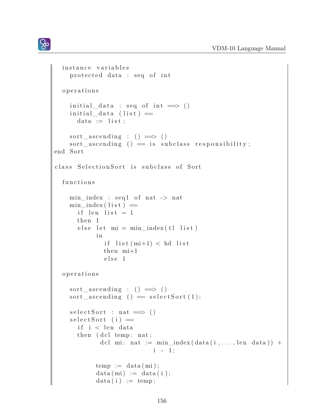```
instance variables
    protected data : seq of int
  o p e r a t i o n s
    initial\_data : seq of int \implies ()initial\_data (list) =data := list;
    sort\_ascending : () \implies ()sort_ascending () = is subclass responsibility;
end Sort
class SelectionSort is subclass of Sort
  functions
    min_index : seq1 of nat -> nat
    min\_index( list ) ==if len list = 1then 1
      else let mi = min\_index(t1 list)i n
              if list (mi+1) < hd list
              then mi+1
              else 1o p e r a t i o n s
    sort\_ascending : () \implies ()sort\_ascending () = selectSort(1);selectSort : nat \implies ()
    selectSort (i) =if i < len datathen (\text{dcl temp: nat};dcl mi: nat := min_index (data (i, \ldots, len data)) +
                            i - 1;
            temp := data(mi);data ( mi) := data ( i );data(i) := temp;
```
ႜၛၟ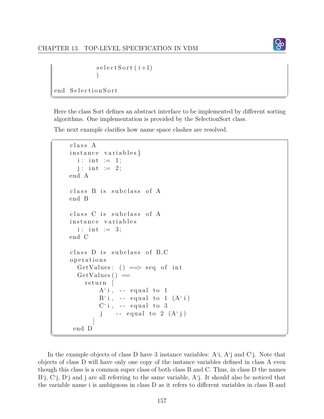

 $selectSort(i+1)$ )

end SelectionSort

 $\overline{a}$ 

Here the class Sort defines an abstract interface to be implemented by different sorting algorithms. One implementation is provided by the SelectionSort class.

 $\overline{\phantom{a}}$ 

The next example clarifies how name space clashes are resolved.

```
c l a s s A
instance variables }
  i : int := 1;j : int := 2;
end A
class B is subclass of A
end B
class C is subclass of A
instance variables
  i : int := 3;end C
class D is subclass of B, Co p e r a t i o n s
  GetValues: () \implies seq of int
  GetValues() ==return [
        A' i , -- equal to 1
        B' i , -- equal to 1 (A' i )
        C' i , -- equal to 3
         j -- equal to 2(A^{i} j)]
 end D
```
In the example objects of class D have 3 instance variables: A'i, A'j and C'j. Note that objects of class D will have only one copy of the instance variables defined in class A even though this class is a common super class of both class B and C. Thus, in class D the names  $B'$ j,  $C'$ j,  $D'$ j and j are all referring to the same variable,  $A'$ j. It should also be noticed that the variable name i is ambiguous in class D as it refers to different variables in class B and

 $\overline{\phantom{a}}$   $\overline{\phantom{a}}$   $\overline{\phantom{a}}$   $\overline{\phantom{a}}$   $\overline{\phantom{a}}$   $\overline{\phantom{a}}$   $\overline{\phantom{a}}$   $\overline{\phantom{a}}$   $\overline{\phantom{a}}$   $\overline{\phantom{a}}$   $\overline{\phantom{a}}$   $\overline{\phantom{a}}$   $\overline{\phantom{a}}$   $\overline{\phantom{a}}$   $\overline{\phantom{a}}$   $\overline{\phantom{a}}$   $\overline{\phantom{a}}$   $\overline{\phantom{a}}$   $\overline{\$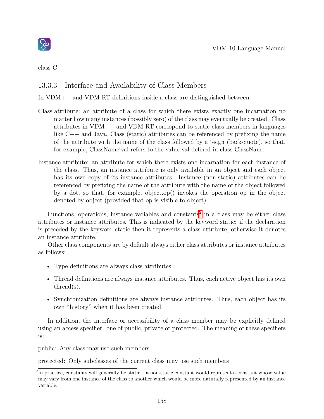class C.

 $[$ % $]$ 

#### 13.3.3 Interface and Availability of Class Members

In VDM++ and VDM-RT definitions inside a class are distinguished between:

- Class attribute: an attribute of a class for which there exists exactly one incarnation no matter how many instances (possibly zero) of the class may eventually be created. Class attributes in VDM++ and VDM-RT correspond to static class members in languages like C++ and Java. Class (static) attributes can be referenced by prefixing the name of the attribute with the name of the class followed by a '-sign (back-quote), so that, for example, ClassName'val refers to the value val defined in class ClassName.
- Instance attribute: an attribute for which there exists one incarnation for each instance of the class. Thus, an instance attribute is only available in an object and each object has its own copy of its instance attributes. Instance (non-static) attributes can be referenced by prefixing the name of the attribute with the name of the object followed by a dot, so that, for example, object.op() invokes the operation op in the object denoted by object (provided that op is visible to object).

Functions, operations, instance variables and constants<sup>[2](#page-166-0)</sup> in a class may be either class attributes or instance attributes. This is indicated by the keyword static: if the declaration is preceded by the keyword static then it represents a class attribute, otherwise it denotes an instance attribute.

Other class components are by default always either class attributes or instance attributes as follows:

- Type definitions are always class attributes.
- Thread definitions are always instance attributes. Thus, each active object has its own thread(s).
- Synchronization definitions are always instance attributes. Thus, each object has its own "history" when it has been created.

In addition, the interface or accessibility of a class member may be explicitly defined using an access specifier: one of public, private or protected. The meaning of these specifiers is:

public: Any class may use such members

protected: Only subclasses of the current class may use such members

<span id="page-166-0"></span> ${}^{2}$ In practice, constants will generally be static – a non-static constant would represent a constant whose value may vary from one instance of the class to another which would be more naturally represented by an instance variable.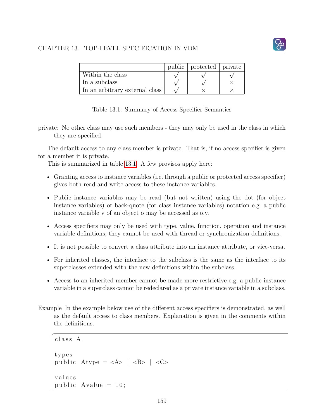

|                                | public   protected   private |  |
|--------------------------------|------------------------------|--|
| Within the class               |                              |  |
| In a subclass                  |                              |  |
| In an arbitrary external class |                              |  |

<span id="page-167-0"></span>

|  | Table 13.1: Summary of Access Specifier Semantics |  |  |
|--|---------------------------------------------------|--|--|
|  |                                                   |  |  |

private: No other class may use such members - they may only be used in the class in which they are specified.

The default access to any class member is private. That is, if no access specifier is given for a member it is private.

This is summarized in table [13.1.](#page-167-0) A few provisos apply here:

- Granting access to instance variables (i.e. through a public or protected access specifier) gives both read and write access to these instance variables.
- Public instance variables may be read (but not written) using the dot (for object instance variables) or back-quote (for class instance variables) notation e.g. a public instance variable v of an object o may be accessed as o.v.
- Access specifiers may only be used with type, value, function, operation and instance variable definitions; they cannot be used with thread or synchronization definitions.
- It is not possible to convert a class attribute into an instance attribute, or vice-versa.
- For inherited classes, the interface to the subclass is the same as the interface to its superclasses extended with the new definitions within the subclass.
- Access to an inherited member cannot be made more restrictive e.g. a public instance variable in a superclass cannot be redeclared as a private instance variable in a subclass.
- Example In the example below use of the different access specifiers is demonstrated, as well as the default access to class members. Explanation is given in the comments within the definitions.

```
\overline{a}c l a s s A
t y p e s
public Atype =\langle A \rangle | \langle B \rangle | \langle C \ranglev a l u e s
 public Avalue = 10;
```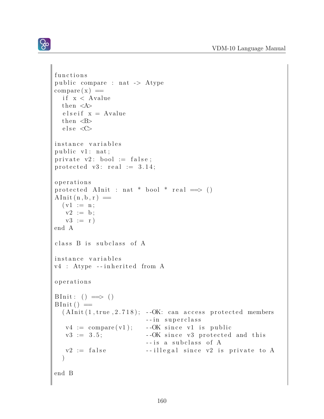```
functions
public compare : nat -> Atype
compact(x) ==if x < Avaluethen \langle A \rangleelse if x = Availablethen \langle B \rangleelse <c>instance variables
public v1: nat;
private v2: bool := false;
protected v3: real := 3.14;
o p e r a t i o n s
protected AInit : nat * bool * real =\Rightarrow ()
A Init (n, b, r) =
  (v1 := n;v2 := b:
   v3 := rend A
class B is subclass of A
instance variables
v4 : Atype --inherited from A
o p e r a t i o n s
BInit: () \implies ()
BInit() ==(AInit(1, true, 2.718)); --OK: can access protected members
                            --in superclass
   v4 := \text{compare}(v1); \quad -\text{OK since } v1 \text{ is public}v3 := 3.5; -OK \text{ since } v3 \text{ protected and this}-- is a subclass of A
   v2 := false --illegal since v2 is private to A
  \left( \right)end B
```
 $8<sup>o</sup>$ 

```
160
```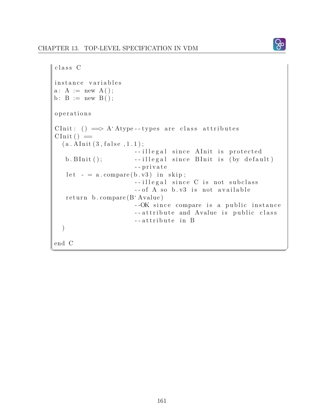

```
class C
instance variables
a: A := new A();b: B := new B();
o p e r a t i o n s
CInit: () \Longrightarrow A' Atype --types are class attributes
CInit() ==(a. AInit (3, false, 1.1);-- illegal since AInit is protected
   b. B Init (); --illegal since B Init is (by default)
                        - - p r i v a t e
   let - = a. compare (b \cdot v3) in skip;
                        -- illegal since C is not subclass
                        - - of A so b \cdot v3 is not available
   return b. compare (B'Avalue)
                        --OK since compare is a public instance
                        --attribute and Avalue is public class
                        --attribute in B
  )
end C
```
 $\overline{\phantom{a}}$   $\overline{\phantom{a}}$   $\overline{\phantom{a}}$   $\overline{\phantom{a}}$   $\overline{\phantom{a}}$   $\overline{\phantom{a}}$   $\overline{\phantom{a}}$   $\overline{\phantom{a}}$   $\overline{\phantom{a}}$   $\overline{\phantom{a}}$   $\overline{\phantom{a}}$   $\overline{\phantom{a}}$   $\overline{\phantom{a}}$   $\overline{\phantom{a}}$   $\overline{\phantom{a}}$   $\overline{\phantom{a}}$   $\overline{\phantom{a}}$   $\overline{\phantom{a}}$   $\overline{\$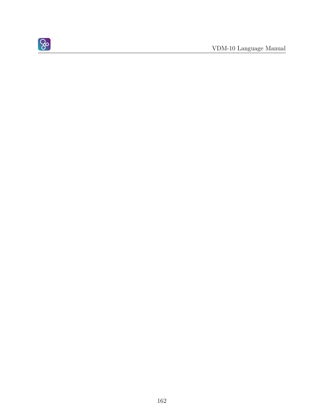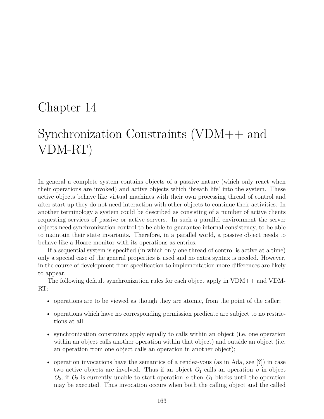# <span id="page-171-0"></span>Chapter 14

# Synchronization Constraints (VDM++ and VDM-RT)

In general a complete system contains objects of a passive nature (which only react when their operations are invoked) and active objects which 'breath life' into the system. These active objects behave like virtual machines with their own processing thread of control and after start up they do not need interaction with other objects to continue their activities. In another terminology a system could be described as consisting of a number of active clients requesting services of passive or active servers. In such a parallel environment the server objects need synchronization control to be able to guarantee internal consistency, to be able to maintain their state invariants. Therefore, in a parallel world, a passive object needs to behave like a Hoare monitor with its operations as entries.

If a sequential system is specified (in which only one thread of control is active at a time) only a special case of the general properties is used and no extra syntax is needed. However, in the course of development from specification to implementation more differences are likely to appear.

The following default synchronization rules for each object apply in VDM++ and VDM-RT:

- operations are to be viewed as though they are atomic, from the point of the caller;
- operations which have no corresponding permission predicate are subject to no restrictions at all;
- synchronization constraints apply equally to calls within an object (i.e. one operation within an object calls another operation within that object) and outside an object (i.e. an operation from one object calls an operation in another object);
- operation invocations have the semantics of a rendez-vous (as in Ada, see [?]) in case two active objects are involved. Thus if an object  $O_1$  calls an operation  $o$  in object  $O_2$ , if  $O_2$  is currently unable to start operation  $o$  then  $O_1$  blocks until the operation may be executed. Thus invocation occurs when both the calling object and the called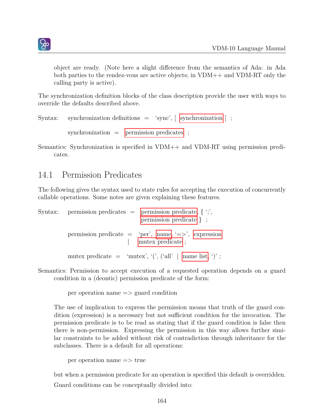object are ready. (Note here a slight difference from the semantics of Ada: in Ada both parties to the rendez-vous are active objects; in VDM++ and VDM-RT only the calling party is active).

The synchronization definition blocks of the class description provide the user with ways to override the defaults described above.

Syntax:synchronization definitions  $=$  'sync',  $\lceil$  [synchronization](#page-199-1)  $\rceil$ ;

synchronization = [permission predicates](#page-199-2) ;

Semantics: Synchronization is specified in VDM++ and VDM-RT using permission predicates.

## 14.1 Permission Predicates

The following gives the syntax used to state rules for accepting the execution of concurrently callable operations. Some notes are given explaining these features.

Syntax: permission predicates = [permission predicate,](#page-199-3)  $\{\cdot,\cdot\}$ [permission predicate](#page-199-3) } ; permission predicate = 'per', [name,](#page-209-1) '=>', [expression](#page-200-0) | [mutex predicate](#page-199-4) ; mutex predicate  $=$  'mutex', '(', ('all' | [name list,](#page-209-2) ')';

Semantics: Permission to accept execution of a requested operation depends on a guard condition in a (deontic) permission predicate of the form:

per operation name  $\Rightarrow$  guard condition

The use of implication to express the permission means that truth of the guard condition (expression) is a necessary but not sufficient condition for the invocation. The permission predicate is to be read as stating that if the guard condition is false then there is non-permission. Expressing the permission in this way allows further similar constraints to be added without risk of contradiction through inheritance for the subclasses. There is a default for all operations:

```
per operation name \Rightarrow true
```
but when a permission predicate for an operation is specified this default is overridden. Guard conditions can be conceptually divided into: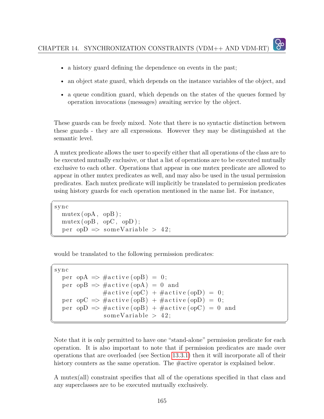- a history guard defining the dependence on events in the past;
- an object state guard, which depends on the instance variables of the object, and

8

• a queue condition guard, which depends on the states of the queues formed by operation invocations (messages) awaiting service by the object.

These guards can be freely mixed. Note that there is no syntactic distinction between these guards - they are all expressions. However they may be distinguished at the semantic level.

A mutex predicate allows the user to specify either that all operations of the class are to be executed mutually exclusive, or that a list of operations are to be executed mutually exclusive to each other. Operations that appear in one mutex predicate are allowed to appear in other mutex predicates as well, and may also be used in the usual permission predicates. Each mutex predicate will implicitly be translated to permission predicates using history guards for each operation mentioned in the name list. For instance,

```
\overline{a}sync
          mutex(opA, opB);mutex(opB, opC, opD);per opD \implies someVariable > 42;
\overline{\phantom{a}} \overline{\phantom{a}} \overline{\phantom{a}} \overline{\phantom{a}} \overline{\phantom{a}} \overline{\phantom{a}} \overline{\phantom{a}} \overline{\phantom{a}} \overline{\phantom{a}} \overline{\phantom{a}} \overline{\phantom{a}} \overline{\phantom{a}} \overline{\phantom{a}} \overline{\phantom{a}} \overline{\phantom{a}} \overline{\phantom{a}} \overline{\phantom{a}} \overline{\phantom{a}} \overline{\
```
would be translated to the following permission predicates:

```
\overline{a}sync
    per opA \Rightarrow \text{\#active (opB)} = 0;
    per opB \Rightarrow #active (opA) = 0 and
                      \# \text{active} (\text{op} C) + \# \text{active} (\text{op} D) = 0;per opC \Rightarrow \# \text{active} (\text{op} B) + \# \text{active} (\text{op} D) = 0;per opD \Rightarrow #active (opB) + #active (opC) = 0 and
                      someVariable > 42;
```
Note that it is only permitted to have one "stand-alone" permission predicate for each operation. It is also important to note that if permission predicates are made over operations that are overloaded (see Section [13.3.1\)](#page-161-0) then it will incorporate all of their history counters as the same operation. The #active operator is explained below.

 $\overline{\phantom{a}}$   $\overline{\phantom{a}}$   $\overline{\phantom{a}}$   $\overline{\phantom{a}}$   $\overline{\phantom{a}}$   $\overline{\phantom{a}}$   $\overline{\phantom{a}}$   $\overline{\phantom{a}}$   $\overline{\phantom{a}}$   $\overline{\phantom{a}}$   $\overline{\phantom{a}}$   $\overline{\phantom{a}}$   $\overline{\phantom{a}}$   $\overline{\phantom{a}}$   $\overline{\phantom{a}}$   $\overline{\phantom{a}}$   $\overline{\phantom{a}}$   $\overline{\phantom{a}}$   $\overline{\$ 

A mutex(all) constraint specifies that all of the operations specified in that class and any superclasses are to be executed mutually exclusively.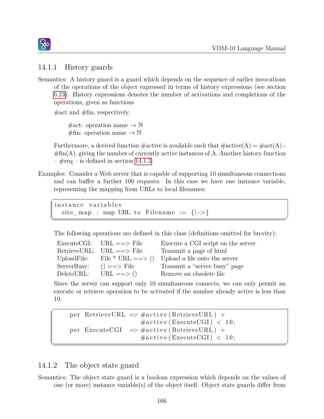

 $[$   $\%$ 

Semantics: A history guard is a guard which depends on the sequence of earlier invocations of the operations of the object expressed in terms of history expressions (see section [6.23\)](#page-87-0). History expressions denotes the number of activations and completions of the operations, given as functions

 $\#$ act and  $\#$ fin, respectively.

#act: operation name  $\rightarrow \mathbb{N}$  $\#\text{fin}$ : operation name  $\rightarrow \mathbb{N}$ 

Furthermore, a derived function #active is available such that  $\# \text{active}(A) = \# \text{act}(A)$ .  $\#\text{fin}(A)$ , giving the number of currently active instances of A. Another history function  $-$  #req – is defined in section [14.1.3.](#page-175-0)

Examples: Consider a Web server that is capable of supporting 10 simultaneous connections and can buffer a further 100 requests. In this case we have one instance variable, representing the mapping from URLs to local filenames:

 $\overline{a}$ instance variables site\_map : map URL to Filename :=  $\{->\}$  $\overline{\phantom{a}}$   $\overline{\phantom{a}}$   $\overline{\phantom{a}}$   $\overline{\phantom{a}}$   $\overline{\phantom{a}}$   $\overline{\phantom{a}}$   $\overline{\phantom{a}}$   $\overline{\phantom{a}}$   $\overline{\phantom{a}}$   $\overline{\phantom{a}}$   $\overline{\phantom{a}}$   $\overline{\phantom{a}}$   $\overline{\phantom{a}}$   $\overline{\phantom{a}}$   $\overline{\phantom{a}}$   $\overline{\phantom{a}}$   $\overline{\phantom{a}}$   $\overline{\phantom{a}}$   $\overline{\$ 

The following operations are defined in this class (definitions omitted for brevity):

|                  | $\text{ExecuteCGI:} \quad \text{URL} == > \text{File}$  | Execute a CGI script on the server |
|------------------|---------------------------------------------------------|------------------------------------|
|                  | $\text{RetrieveURL:} \quad \text{URL} == > \text{File}$ | Transmit a page of html            |
| UploadFile:      | File * URL ==> $()$                                     | Upload a file onto the server      |
| ServerBusy:      | $() == > File$                                          | Transmit a "server busy" page      |
| $\rm DeleteURL:$ | $URL == > ()$                                           | Remove an obsolete file            |

Since the server can support only 10 simultaneous connects, we can only permit an execute or retrieve operation to be activated if the number already active is less than 10:

per RetrieveURL  $\Rightarrow$  #active (RetrieveURL) +  $\# \text{active}(\text{ExecuteCGI}) < 10;$ per ExecuteCGI  $\Rightarrow$  #active (RetrieveURL) +  $\# \text{active}(\text{ExecuteCGI}) < 10;$  $\overline{\phantom{a}}$   $\overline{\phantom{a}}$   $\overline{\phantom{a}}$   $\overline{\phantom{a}}$   $\overline{\phantom{a}}$   $\overline{\phantom{a}}$   $\overline{\phantom{a}}$   $\overline{\phantom{a}}$   $\overline{\phantom{a}}$   $\overline{\phantom{a}}$   $\overline{\phantom{a}}$   $\overline{\phantom{a}}$   $\overline{\phantom{a}}$   $\overline{\phantom{a}}$   $\overline{\phantom{a}}$   $\overline{\phantom{a}}$   $\overline{\phantom{a}}$   $\overline{\phantom{a}}$   $\overline{\$ 

#### 14.1.2 The object state guard

 $\overline{a}$ 

Semantics: The object state guard is a boolean expression which depends on the values of one (or more) instance variable(s) of the object itself. Object state guards differ from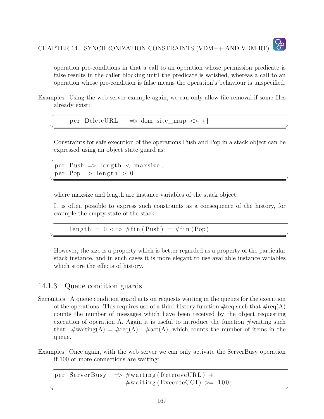$8<sup>o</sup>$ 

operation pre-conditions in that a call to an operation whose permission predicate is false results in the caller blocking until the predicate is satisfied, whereas a call to an operation whose pre-condition is false means the operation's behaviour is unspecified.

Examples: Using the web server example again, we can only allow file removal if some files already exist:

```
per DeleteURL \Rightarrow dom site map \langle \rangle
```
Constraints for safe execution of the operations Push and Pop in a stack object can be expressed using an object state guard as:

 $\overline{\phantom{a}}$   $\overline{\phantom{a}}$   $\overline{\phantom{a}}$   $\overline{\phantom{a}}$   $\overline{\phantom{a}}$   $\overline{\phantom{a}}$   $\overline{\phantom{a}}$   $\overline{\phantom{a}}$   $\overline{\phantom{a}}$   $\overline{\phantom{a}}$   $\overline{\phantom{a}}$   $\overline{\phantom{a}}$   $\overline{\phantom{a}}$   $\overline{\phantom{a}}$   $\overline{\phantom{a}}$   $\overline{\phantom{a}}$   $\overline{\phantom{a}}$   $\overline{\phantom{a}}$   $\overline{\$ 

```
\overline{a}per Push \Rightarrow length \lt maxsize;
per Pop \Rightarrow length > 0
```
 $\overline{a}$ 

 $\overline{a}$ 

where maxsize and length are instance variables of the stack object.

It is often possible to express such constraints as a consequence of the history, for example the empty state of the stack:

 $\overline{\phantom{a}}$   $\overline{\phantom{a}}$   $\overline{\phantom{a}}$   $\overline{\phantom{a}}$   $\overline{\phantom{a}}$   $\overline{\phantom{a}}$   $\overline{\phantom{a}}$   $\overline{\phantom{a}}$   $\overline{\phantom{a}}$   $\overline{\phantom{a}}$   $\overline{\phantom{a}}$   $\overline{\phantom{a}}$   $\overline{\phantom{a}}$   $\overline{\phantom{a}}$   $\overline{\phantom{a}}$   $\overline{\phantom{a}}$   $\overline{\phantom{a}}$   $\overline{\phantom{a}}$   $\overline{\$ 

 $\text{length} = 0 \iff \# \text{fin} (\text{Push}) = \# \text{fin} (\text{Pop})$ 

However, the size is a property which is better regarded as a property of the particular stack instance, and in such cases it is more elegant to use available instance variables which store the effects of history.

 $\overline{\phantom{a}}$   $\overline{\phantom{a}}$   $\overline{\phantom{a}}$   $\overline{\phantom{a}}$   $\overline{\phantom{a}}$   $\overline{\phantom{a}}$   $\overline{\phantom{a}}$   $\overline{\phantom{a}}$   $\overline{\phantom{a}}$   $\overline{\phantom{a}}$   $\overline{\phantom{a}}$   $\overline{\phantom{a}}$   $\overline{\phantom{a}}$   $\overline{\phantom{a}}$   $\overline{\phantom{a}}$   $\overline{\phantom{a}}$   $\overline{\phantom{a}}$   $\overline{\phantom{a}}$   $\overline{\$ 

## <span id="page-175-0"></span>14.1.3 Queue condition guards

- Semantics: A queue condition guard acts on requests waiting in the queues for the execution of the operations. This requires use of a third history function #req such that  $\#req(A)$ counts the number of messages which have been received by the object requesting execution of operation A. Again it is useful to introduce the function  $\#$  waiting such that:  $\#\text{waiting}(A) = \#\text{req}(A) - \#\text{act}(A)$ , which counts the number of items in the queue.
- Examples: Once again, with the web server we can only activate the ServerBusy operation if 100 or more connections are waiting:

 $\overline{a}$ per ServerBusy  $\Rightarrow$  #waiting (RetrieveURL) +  $\#$ waiting (ExecuteCGI) >= 100;  $\overline{\phantom{a}}$   $\overline{\phantom{a}}$   $\overline{\phantom{a}}$   $\overline{\phantom{a}}$   $\overline{\phantom{a}}$   $\overline{\phantom{a}}$   $\overline{\phantom{a}}$   $\overline{\phantom{a}}$   $\overline{\phantom{a}}$   $\overline{\phantom{a}}$   $\overline{\phantom{a}}$   $\overline{\phantom{a}}$   $\overline{\phantom{a}}$   $\overline{\phantom{a}}$   $\overline{\phantom{a}}$   $\overline{\phantom{a}}$   $\overline{\phantom{a}}$   $\overline{\phantom{a}}$   $\overline{\$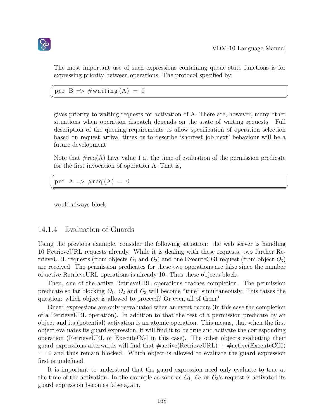The most important use of such expressions containing queue state functions is for expressing priority between operations. The protocol specified by:

 $\overline{\phantom{a}}$   $\overline{\phantom{a}}$   $\overline{\phantom{a}}$   $\overline{\phantom{a}}$   $\overline{\phantom{a}}$   $\overline{\phantom{a}}$   $\overline{\phantom{a}}$   $\overline{\phantom{a}}$   $\overline{\phantom{a}}$   $\overline{\phantom{a}}$   $\overline{\phantom{a}}$   $\overline{\phantom{a}}$   $\overline{\phantom{a}}$   $\overline{\phantom{a}}$   $\overline{\phantom{a}}$   $\overline{\phantom{a}}$   $\overline{\phantom{a}}$   $\overline{\phantom{a}}$   $\overline{\$ 

 $\overline{a}$ per  $B \Rightarrow #$ waiting  $(A) = 0$ 

 $[$   $\%$ 

gives priority to waiting requests for activation of A. There are, however, many other situations when operation dispatch depends on the state of waiting requests. Full description of the queuing requirements to allow specification of operation selection based on request arrival times or to describe 'shortest job next' behaviour will be a future development.

Note that  $\#\text{req}(A)$  have value 1 at the time of evaluation of the permission predicate for the first invocation of operation A. That is,

 $\overline{\phantom{a}}$   $\overline{\phantom{a}}$   $\overline{\phantom{a}}$   $\overline{\phantom{a}}$   $\overline{\phantom{a}}$   $\overline{\phantom{a}}$   $\overline{\phantom{a}}$   $\overline{\phantom{a}}$   $\overline{\phantom{a}}$   $\overline{\phantom{a}}$   $\overline{\phantom{a}}$   $\overline{\phantom{a}}$   $\overline{\phantom{a}}$   $\overline{\phantom{a}}$   $\overline{\phantom{a}}$   $\overline{\phantom{a}}$   $\overline{\phantom{a}}$   $\overline{\phantom{a}}$   $\overline{\$ 

 $\overline{a}$ per  $A \Rightarrow \# \mathrm{req}(A) = 0$ 

would always block.

#### 14.1.4 Evaluation of Guards

Using the previous example, consider the following situation: the web server is handling 10 RetrieveURL requests already. While it is dealing with these requests, two further RetrieveURL requests (from objects  $O_1$  and  $O_2$ ) and one ExecuteCGI request (from object  $O_3$ ) are received. The permission predicates for these two operations are false since the number of active RetrieveURL operations is already 10. Thus these objects block.

Then, one of the active RetrieveURL operations reaches completion. The permission predicate so far blocking  $O_1$ ,  $O_2$  and  $O_3$  will become "true" simultaneously. This raises the question: which object is allowed to proceed? Or even all of them?

Guard expressions are only reevaluated when an event occurs (in this case the completion of a RetrieveURL operation). In addition to that the test of a permission predicate by an object and its (potential) activation is an atomic operation. This means, that when the first object evaluates its guard expression, it will find it to be true and activate the corresponding operation (RetrieveURL or ExecuteCGI in this case). The other objects evaluating their guard expressions afterwards will find that  $\# \text{active}(\text{RetrieveURL}) + \# \text{active}(\text{ExecuteCGI})$  $= 10$  and thus remain blocked. Which object is allowed to evaluate the guard expression first is undefined.

It is important to understand that the guard expression need only evaluate to true at the time of the activation. In the example as soon as  $O_1$ ,  $O_2$  or  $O_3$ 's request is activated its guard expression becomes false again.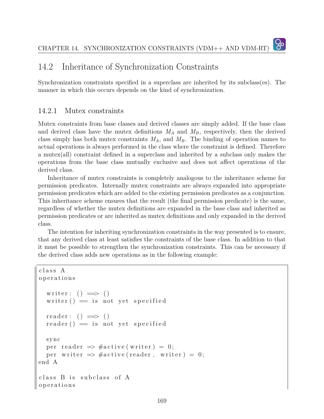ထိ

## <span id="page-177-0"></span>14.2 Inheritance of Synchronization Constraints

Synchronization constraints specified in a superclass are inherited by its subclass(es). The manner in which this occurs depends on the kind of synchronization.

#### 14.2.1 Mutex constraints

Mutex constraints from base classes and derived classes are simply added. If the base class and derived class have the mutex definitions  $M_A$  and  $M_B$ , respectively, then the derived class simply has both mutex constraints  $M_A$ , and  $M_B$ . The binding of operation names to actual operations is always performed in the class where the constraint is defined. Therefore a mutex(all) constraint defined in a superclass and inherited by a subclass only makes the operations from the base class mutually exclusive and does not affect operations of the derived class.

Inheritance of mutex constraints is completely analogous to the inheritance scheme for permission predicates. Internally mutex constraints are always expanded into appropriate permission predicates which are added to the existing permission predicates as a conjunction. This inheritance scheme ensures that the result (the final permission predicate) is the same, regardless of whether the mutex definitions are expanded in the base class and inherited as permission predicates or are inherited as mutex definitions and only expanded in the derived class.

The intention for inheriting synchronization constraints in the way presented is to ensure, that any derived class at least satisfies the constraints of the base class. In addition to that it must be possible to strengthen the synchronization constraints. This can be necessary if the derived class adds new operations as in the following example:

```
\overline{a}class A
```

```
o p e r a t i o n s
  writer: ( ) \implies ( )
  writer () == is not yet specifiedreader: ( ) \implies ( )
  \text{reader}() == \text{ is not yet specified}sync
  per reader \Rightarrow #active (writer) = 0;
  per writer \Rightarrow #active (reader, writer) = 0;
end A
class B is subclass of A
o p e r a t i o n s
```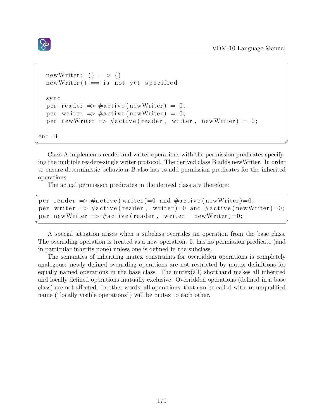```
ႜၛၟ
```

```
newWriter: () \implies ()newWriter() == is not yet specifiedsync
  per reader \Rightarrow #active (newWriter) = 0;
  per writer \Rightarrow #active (newWriter) = 0;
  per newWriter \Rightarrow #active (reader, writer, newWriter) = 0;
end B
```
Class A implements reader and writer operations with the permission predicates specifying the multiple readers-single writer protocol. The derived class B adds newWriter. In order to ensure deterministic behaviour B also has to add permission predicates for the inherited operations.

 $\overline{\phantom{a}}$   $\overline{\phantom{a}}$   $\overline{\phantom{a}}$   $\overline{\phantom{a}}$   $\overline{\phantom{a}}$   $\overline{\phantom{a}}$   $\overline{\phantom{a}}$   $\overline{\phantom{a}}$   $\overline{\phantom{a}}$   $\overline{\phantom{a}}$   $\overline{\phantom{a}}$   $\overline{\phantom{a}}$   $\overline{\phantom{a}}$   $\overline{\phantom{a}}$   $\overline{\phantom{a}}$   $\overline{\phantom{a}}$   $\overline{\phantom{a}}$   $\overline{\phantom{a}}$   $\overline{\$ 

The actual permission predicates in the derived class are therefore:

| per reader $\Rightarrow$ #active (writer)=0 and #active (newWriter)=0;    |
|---------------------------------------------------------------------------|
| per writer => $\#$ active(reader, writer)=0 and $\#$ active(newWriter)=0; |
| per newWriter $\Rightarrow$ #active (reader, writer, newWriter)=0;        |
|                                                                           |

A special situation arises when a subclass overrides an operation from the base class. The overriding operation is treated as a new operation. It has no permission predicate (and in particular inherits none) unless one is defined in the subclass.

The semantics of inheriting mutex constraints for overridden operations is completely analogous: newly defined overriding operations are not restricted by mutex definitions for equally named operations in the base class. The mutex(all) shorthand makes all inherited and locally defined operations mutually exclusive. Overridden operations (defined in a base class) are not affected. In other words, all operations, that can be called with an unqualified name ("locally visible operations") will be mutex to each other.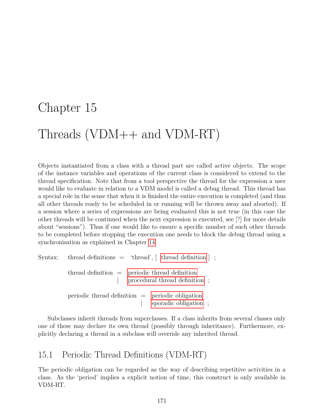# <span id="page-179-1"></span>Chapter 15

# Threads (VDM++ and VDM-RT)

Objects instantiated from a class with a thread part are called active objects. The scope of the instance variables and operations of the current class is considered to extend to the thread specification. Note that from a tool perspective the thread for the expression a user would like to evaluate in relation to a VDM model is called a debug thread. This thread has a special role in the sense that when it is finished the entire execution is completed (and thus all other threads ready to be scheduled in or running will be thrown away and aborted). If a session where a series of expressions are being evaluated this is not true (in this case the other threads will be continued when the next expression is executed, see [?] for more details about "sessions"). Thus if one would like to ensure a specific number of such other threads to be completed before stopping the execution one needs to block the debug thread using a synchronisation as explained in Chapter [14.](#page-171-0)

<span id="page-179-0"></span>Syntax:thread definitions  $=$  'thread',  $\lceil$  [thread definition](#page-228-0)  $\rceil$ ;  $th read definition = periodic thread definition$  $th read definition = periodic thread definition$ | [procedural thread definition](#page-183-0) ; periodic thread definition  $=$  [periodic obligation](#page-180-0) | [sporadic obligation](#page-182-0) ;

<span id="page-179-2"></span>Subclasses inherit threads from superclasses. If a class inherits from several classes only one of these may declare its own thread (possibly through inheritance). Furthermore, explicitly declaring a thread in a subclass will override any inherited thread.

## 15.1 Periodic Thread Definitions (VDM-RT)

The periodic obligation can be regarded as the way of describing repetitive activities in a class. As the 'period' implies a explicit notion of time, this construct is only available in VDM-RT.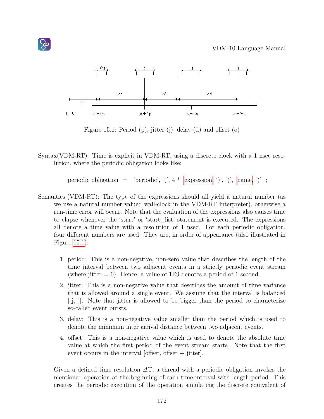

ႜၛၟ

<span id="page-180-0"></span>Figure 15.1: Period (p), jitter (j), delay (d) and offset (o)

<span id="page-180-1"></span>Syntax(VDM-RT): Time is explicit in VDM-RT, using a discrete clock with a 1 nsec resolution, where the periodic obligation looks like:

periodic obligation = 'periodic', ' $($ ',  $4 *$  [expression,](#page-200-0) ' $)$ ', ' $($ ', [name,](#page-209-0) ' $)$ ';

- Semantics (VDM-RT): The type of the expressions should all yield a natural number (as we use a natural number valued wall-clock in the VDM-RT interpreter), otherwise a run-time error will occur. Note that the evaluation of the expressions also causes time to elapse whenever the 'start' or 'start\_list' statement is executed. The expressions all denote a time value with a resolution of 1 nsec. For each periodic obligation, four different numbers are used. They are, in order of appearance (also illustrated in Figure [15.1\)](#page-180-0):
	- 1. period: This is a non-negative, non-zero value that describes the length of the time interval between two adjacent events in a strictly periodic event stream (where jitter  $= 0$ ). Hence, a value of 1E9 denotes a period of 1 second.
	- 2. jitter: This is a non-negative value that describes the amount of time variance that is allowed around a single event. We assume that the interval is balanced [-j, j]. Note that jitter is allowed to be bigger than the period to characterize so-called event bursts.
	- 3. delay: This is a non-negative value smaller than the period which is used to denote the minimum inter arrival distance between two adjacent events.
	- 4. offset: This is a non-negative value which is used to denote the absolute time value at which the first period of the event stream starts. Note that the first event occurs in the interval  $|offset, offset + jitter|$ .

Given a defined time resolution  $\Delta T$ , a thread with a periodic obligation invokes the mentioned operation at the beginning of each time interval with length period. This creates the periodic execution of the operation simulating the discrete equivalent of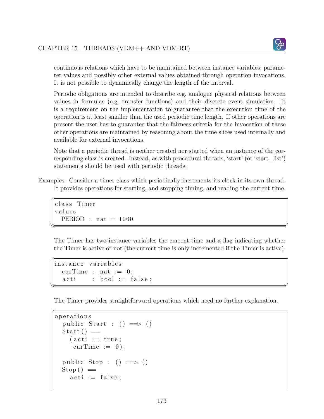

continuous relations which have to be maintained between instance variables, parameter values and possibly other external values obtained through operation invocations. It is not possible to dynamically change the length of the interval.

Periodic obligations are intended to describe e.g. analogue physical relations between values in formulas (e.g. transfer functions) and their discrete event simulation. It is a requirement on the implementation to guarantee that the execution time of the operation is at least smaller than the used periodic time length. If other operations are present the user has to guarantee that the fairness criteria for the invocation of these other operations are maintained by reasoning about the time slices used internally and available for external invocations.

Note that a periodic thread is neither created nor started when an instance of the corresponding class is created. Instead, as with procedural threads, 'start' (or 'start\_list') statements should be used with periodic threads.

Examples: Consider a timer class which periodically increments its clock in its own thread. It provides operations for starting, and stopping timing, and reading the current time.

 $\overline{a}$ class Timer v a l u e s  $PERIOD : nat = 1000$ 

The Timer has two instance variables the current time and a flag indicating whether the Timer is active or not (the current time is only incremented if the Timer is active).

 $\overline{\phantom{a}}$   $\overline{\phantom{a}}$   $\overline{\phantom{a}}$   $\overline{\phantom{a}}$   $\overline{\phantom{a}}$   $\overline{\phantom{a}}$   $\overline{\phantom{a}}$   $\overline{\phantom{a}}$   $\overline{\phantom{a}}$   $\overline{\phantom{a}}$   $\overline{\phantom{a}}$   $\overline{\phantom{a}}$   $\overline{\phantom{a}}$   $\overline{\phantom{a}}$   $\overline{\phantom{a}}$   $\overline{\phantom{a}}$   $\overline{\phantom{a}}$   $\overline{\phantom{a}}$   $\overline{\$ 

```
\overline{a}instance variables
   curTime : nat := 0;
   \text{acti} : bool := false;
```
The Timer provides straightforward operations which need no further explanation.

 $\overline{\phantom{a}}$   $\overline{\phantom{a}}$   $\overline{\phantom{a}}$   $\overline{\phantom{a}}$   $\overline{\phantom{a}}$   $\overline{\phantom{a}}$   $\overline{\phantom{a}}$   $\overline{\phantom{a}}$   $\overline{\phantom{a}}$   $\overline{\phantom{a}}$   $\overline{\phantom{a}}$   $\overline{\phantom{a}}$   $\overline{\phantom{a}}$   $\overline{\phantom{a}}$   $\overline{\phantom{a}}$   $\overline{\phantom{a}}$   $\overline{\phantom{a}}$   $\overline{\phantom{a}}$   $\overline{\$ 

```
\overline{a}o p e r a t i o n s
   public Start : () \implies ()Start() ==(a c t i := true;curTime := 0 ;
   public Stop : () \implies ()\text{Stop}() ==\text{acti} := \text{false};
```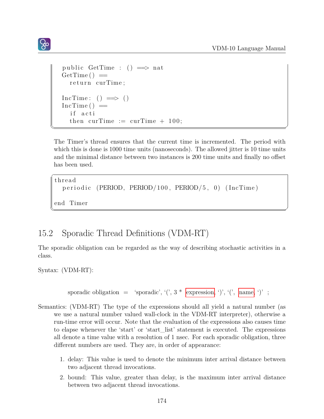```
ြမ္း
```

```
public GetTime : () \implies nat
        \operatorname{GetTime}() =return curTime;
        IncTime: () \implies ()
        IncTime() =if acti
               then curTime := curTime + 100;
\overline{\phantom{a}} \overline{\phantom{a}} \overline{\phantom{a}} \overline{\phantom{a}} \overline{\phantom{a}} \overline{\phantom{a}} \overline{\phantom{a}} \overline{\phantom{a}} \overline{\phantom{a}} \overline{\phantom{a}} \overline{\phantom{a}} \overline{\phantom{a}} \overline{\phantom{a}} \overline{\phantom{a}} \overline{\phantom{a}} \overline{\phantom{a}} \overline{\phantom{a}} \overline{\phantom{a}} \overline{\
```
The Timer's thread ensures that the current time is incremented. The period with which this is done is 1000 time units (nanoseconds). The allowed jitter is 10 time units and the minimal distance between two instances is 200 time units and finally no offset has been used.

```
\overline{a}t h r ea d
           periodic (PERIOD, PERIOD/100, PERIOD/5, 0) (IncTime)
  end Timer
\overline{\phantom{a}} \overline{\phantom{a}} \overline{\phantom{a}} \overline{\phantom{a}} \overline{\phantom{a}} \overline{\phantom{a}} \overline{\phantom{a}} \overline{\phantom{a}} \overline{\phantom{a}} \overline{\phantom{a}} \overline{\phantom{a}} \overline{\phantom{a}} \overline{\phantom{a}} \overline{\phantom{a}} \overline{\phantom{a}} \overline{\phantom{a}} \overline{\phantom{a}} \overline{\phantom{a}} \overline{\
```
# 15.2 Sporadic Thread Definitions (VDM-RT)

The sporadic obligation can be regarded as the way of describing stochastic activities in a class.

<span id="page-182-0"></span>Syntax: (VDM-RT):

```
sporadic obligation = 'sporadic', '(', 3 * expression, ')', '(', name, ')';
```
- Semantics: (VDM-RT) The type of the expressions should all yield a natural number (as we use a natural number valued wall-clock in the VDM-RT interpreter), otherwise a run-time error will occur. Note that the evaluation of the expressions also causes time to elapse whenever the 'start' or 'start\_list' statement is executed. The expressions all denote a time value with a resolution of 1 nsec. For each sporadic obligation, three different numbers are used. They are, in order of appearance:
	- 1. delay: This value is used to denote the minimum inter arrival distance between two adjacent thread invocations.
	- 2. bound: This value, greater than delay, is the maximum inter arrival distance between two adjacent thread invocations.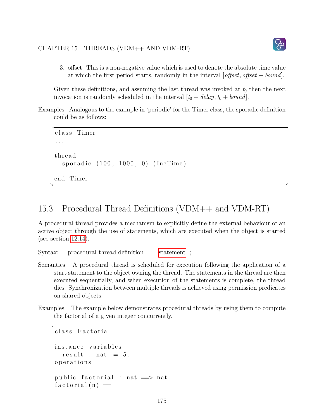

3. offset: This is a non-negative value which is used to denote the absolute time value at which the first period starts, randomly in the interval  $[offset, offset + bound].$ 

Given these definitions, and assuming the last thread was invoked at  $t_0$  then the next invocation is randomly scheduled in the interval  $[t_0 + delay, t_0 + bound].$ 

Examples: Analogous to the example in 'periodic' for the Timer class, the sporadic definition could be as follows:

```
\overline{a}class Timer
 . . .
t h r ea d
   sporadic (100, 1000, 0) (IncTime)
end Timer
```
## 15.3 Procedural Thread Definitions (VDM++ and VDM-RT)

A procedural thread provides a mechanism to explicitly define the external behaviour of an active object through the use of statements, which are executed when the object is started (see section  $12.14$ ).

 $\overline{\phantom{a}}$   $\overline{\phantom{a}}$   $\overline{\phantom{a}}$   $\overline{\phantom{a}}$   $\overline{\phantom{a}}$   $\overline{\phantom{a}}$   $\overline{\phantom{a}}$   $\overline{\phantom{a}}$   $\overline{\phantom{a}}$   $\overline{\phantom{a}}$   $\overline{\phantom{a}}$   $\overline{\phantom{a}}$   $\overline{\phantom{a}}$   $\overline{\phantom{a}}$   $\overline{\phantom{a}}$   $\overline{\phantom{a}}$   $\overline{\phantom{a}}$   $\overline{\phantom{a}}$   $\overline{\$ 

<span id="page-183-0"></span>Syntax: procedural thread definition = [statement](#page-209-1) ;

- Semantics: A procedural thread is scheduled for execution following the application of a start statement to the object owning the thread. The statements in the thread are then executed sequentially, and when execution of the statements is complete, the thread dies. Synchronization between multiple threads is achieved using permission predicates on shared objects.
- Examples: The example below demonstrates procedural threads by using them to compute the factorial of a given integer concurrently.

```
\overline{a}class Factorial
instance variables
   result : nat := 5;
o p e r a t i o n s
public factorial : nat \implies nat
factorial(n) ==
```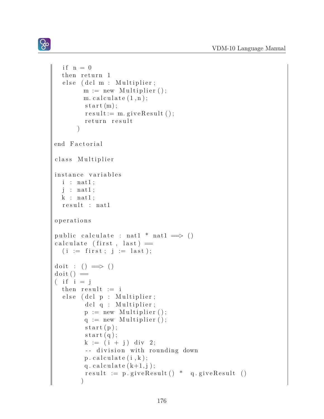```
if n = 0then return 1
  else (dcl m : Multiplier;
         m := new Multiplier();
         m. calculate (1, n);
         \text{start}(m);result := m. give Result();
         return result
       \left( \right)end Factorial
class Multiplier
instance variables
 i : \text{nat1};j : \text{nat1};k : nat1;r e sult : nat1
o perations
public calculate : nat1 * nat1 = \gg ()
cal cutate (first, last) =(i := first; j := last);doit : ( ) \implies ( )
dot() ==(i \text{ if } i = j)then result := ielse (dcl p : Multiplier;
         d c l q : Multiplier;
         p := new Multiplier();
         q := new Multiplier ();\text{start}(p);
         \text{start}(q);
         k := (i + j) div 2;
         -- division with rounding down
         p. calculate (i, k);q. calculate (k+1,j);
         r e sult := p. g i v e R e sult () * q. g i v e R e sult ())
```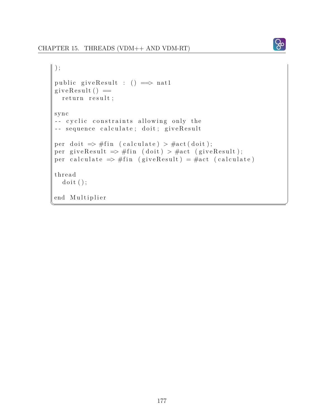

```
\vert);
 public giveResult : () \implies nat1
 give Result() ==return result;
 sync
 -- cyclic constraints allowing only the
 -- sequence calculate; doit; giveResult
 per doit \Rightarrow #fin (calculate) > #act(doit);
 per giveResult \Rightarrow #fin (doit) > #act (giveResult);
 per calculate \Rightarrow #fin (giveResult) = #act (calculate)
 t h r ea d
     dot( );end Multiplier
\overline{\phantom{a}} \overline{\phantom{a}} \overline{\phantom{a}} \overline{\phantom{a}} \overline{\phantom{a}} \overline{\phantom{a}} \overline{\phantom{a}} \overline{\phantom{a}} \overline{\phantom{a}} \overline{\phantom{a}} \overline{\phantom{a}} \overline{\phantom{a}} \overline{\phantom{a}} \overline{\phantom{a}} \overline{\phantom{a}} \overline{\phantom{a}} \overline{\phantom{a}} \overline{\phantom{a}} \overline{\
```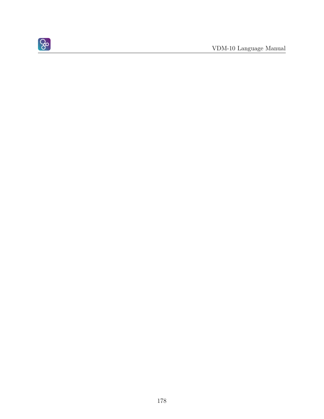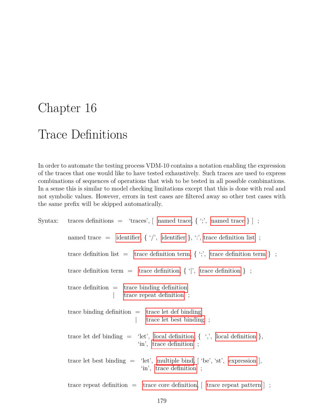# Chapter 16

# Trace Definitions

In order to automate the testing process VDM-10 contains a notation enabling the expression of the traces that one would like to have tested exhaustively. Such traces are used to express combinations of sequences of operations that wish to be tested in all possible combinations. In a sense this is similar to model checking limitations except that this is done with real and not symbolic values. However, errors in test cases are filtered away so other test cases with the same prefix will be skipped automatically.

<span id="page-187-8"></span><span id="page-187-7"></span><span id="page-187-6"></span><span id="page-187-5"></span><span id="page-187-4"></span><span id="page-187-3"></span><span id="page-187-2"></span><span id="page-187-1"></span><span id="page-187-0"></span>

| Syntax: | traces definitions = 'traces', $[$ named trace, $\{\,\cdot\,;\,\cdot\,\}$ named trace $\}$ $]$ ;        |
|---------|---------------------------------------------------------------------------------------------------------|
|         | named trace = identifier, $\{\ '\'$ , identifier $\},\ '$ ; trace definition list;                      |
|         | trace definition list $=$ trace definition term, $\{ \cdot; \cdot \}$ , trace definition term $\}$ ;    |
|         | trace definition term $=$ trace definition, $\{ \cdot   \cdot \}$ , trace definition $\}$ ;             |
|         | trace definition $=$ trace binding definition<br>trace repeat definition;                               |
|         | trace binding definition $=$ trace let def binding<br>trace let best binding ;                          |
|         | trace let def binding $=$ 'let', local definition, {',', local definition },<br>'in', trace definition; |
|         | trace let best binding $=$ 'let', multiple bind, ['be', 'st', expression],<br>'in', trace definition;   |
|         | trace repeat definition $=$ trace core definition, $\lceil$ trace repeat pattern $\rceil$ ;             |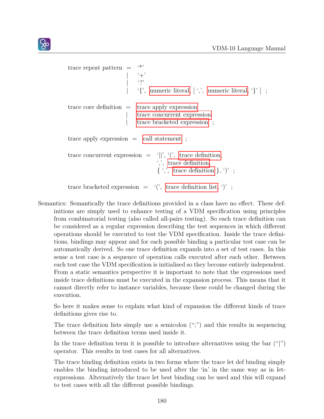

```
trace repeat pattern =| '+'
                     | '?'
                         {'}{ numeric literal, [ ',', numeric literal, '{'}' ] ;
trace core definition = trace apply expression
                     | trace concurrent expression
                     | trace bracketed expression ;
trace apply expression = call statement ;
trace concurrent expression = trace definition,
                                ',', trace definition,
                                \{\ \' trace definition \}, \ ')';
trace bracketed expression = trace definition list, ')' ;
```
<span id="page-188-0"></span>Semantics: Semantically the trace definitions provided in a class have no effect. These definitions are simply used to enhance testing of a VDM specification using principles from combinatorial testing (also called all-pairs testing). So each trace definition can be considered as a regular expression describing the test sequences in which different operations should be executed to test the VDM specification. Inside the trace definitions, bindings may appear and for each possible binding a particular test case can be automatically derived. So one trace definition expands into a set of test cases. In this sense a test case is a sequence of operation calls executed after each other. Between each test case the VDM specification is initialised so they become entirely independent. From a static semantics perspective it is important to note that the expressions used inside trace definitions must be executed in the expansion process. This means that it cannot directly refer to instance variables, because these could be changed during the execution.

So here it makes sense to explain what kind of expansion the different kinds of trace definitions gives rise to.

The trace definition lists simply use a semicolon  $(\tilde{\cdot},\tilde{\cdot})$  and this results in sequencing between the trace definition terms used inside it.

In the trace definition term it is possible to introduce alternatives using the bar  $($ "|") operator. This results in test cases for all alternatives.

The trace binding definition exists in two forms where the trace let def binding simply enables the binding introduced to be used after the 'in' in the same way as in letexpressions. Alternatively the trace let best binding can be used and this will expand to test cases with all the different possible bindings.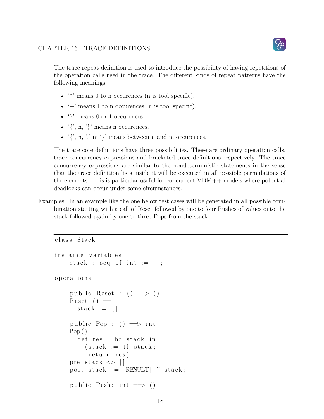

The trace repeat definition is used to introduce the possibility of having repetitions of the operation calls used in the trace. The different kinds of repeat patterns have the following meanings:

- '\*' means 0 to n occurences (n is tool specific).
- $\bullet$   $\leftrightarrow$  means 1 to n occurences (n is tool specific).
- '?' means 0 or 1 occurences.
- $\{\,$ , n,  $\}$ ' means n occurences.
- ${\S}$ , n,  ${\S}$ , m ${\S}$  means between n and m occurences.

The trace core definitions have three possibilities. These are ordinary operation calls, trace concurrency expressions and bracketed trace definitions respectively. The trace concurrency expressions are similar to the nondeterministic statements in the sense that the trace definition lists inside it will be executed in all possible permulations of the elements. This is particular useful for concurrent VDM++ models where potential deadlocks can occur under some circumstances.

Examples: In an example like the one below test cases will be generated in all possible combination starting with a call of Reset followed by one to four Pushes of values onto the stack followed again by one to three Pops from the stack.

```
\overline{a}class Stack
instance variables
     stack : seq of int := [ ];
o p e r a t i o n s
      public Reset : () \implies ()\text{Reset} ( ) =
        \text{stack} := [];
      public Pop : () \implies intPop() ==def res = hd stack in
           (\text{stack} := t1 \text{ stack};return res)
     pre stack \leq |post stack \sim = [RESULT] \hat{\ } stack;
      public Push: int \implies ()
```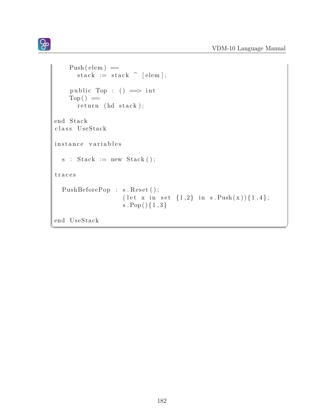```
Push ( elem) ==stack := stack ^{^{\frown}} [elem];
    public Top : () \implies int
    Top() ==return (hd stack);
end Stack
class UseStack
instance variables
  s : Stack := new Stack();
t r a c e s
  PushBeforePop : s. Reset ();
                     ( let x in set \{1,2\} in s. Push(x) ) \{1,4\};
                     s . Pop() { 1, 3}
end UseStack
```
80

 $\overline{\phantom{a}}$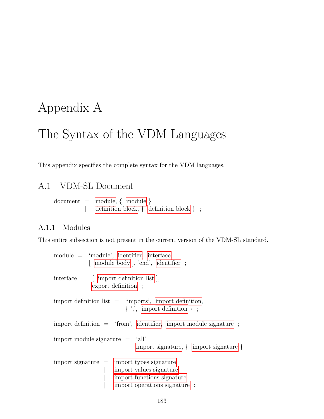# Appendix A

# The Syntax of the VDM Languages

This appendix specifies the complete syntax for the VDM languages.

# A.1 VDM-SL Document

 $document = module, { model}$  $document = module, { model}$  $document = module, { model}$ [definition block,](#page-193-0) { [definition block](#page-193-0) } ;

#### A.1.1 Modules

<span id="page-191-0"></span>This entire subsection is not present in the current version of the VDM-SL standard.

<span id="page-191-6"></span><span id="page-191-5"></span><span id="page-191-4"></span><span id="page-191-3"></span><span id="page-191-2"></span><span id="page-191-1"></span>module = 'module', [identifier,](#page-217-0) [interface,](#page-191-1) [ [module body](#page-193-1) ], 'end', [identifier](#page-217-0) ; interface $=$  [ [import definition list](#page-191-2)], [export definition](#page-192-0) ; import definition list  $=$  'imports', [import definition,](#page-191-3)  $\{\ \'$ , [import definition](#page-191-3)  $\}$ ; import definition = 'from', [identifier,](#page-217-0) [import module signature](#page-191-4) ; import module signature  $=$  'all' | [import signature,](#page-191-5)  $\{$  [import signature](#page-191-5)  $\}$ ; import signature = [import types signature](#page-191-6) | [import values signature](#page-192-1) [import functions signature](#page-192-2)  $\quad$ [import operations signature](#page-192-3) ;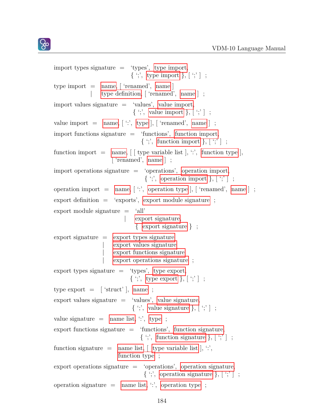

<span id="page-192-17"></span><span id="page-192-16"></span><span id="page-192-15"></span><span id="page-192-14"></span><span id="page-192-13"></span><span id="page-192-12"></span><span id="page-192-11"></span><span id="page-192-10"></span><span id="page-192-9"></span><span id="page-192-8"></span><span id="page-192-7"></span><span id="page-192-6"></span><span id="page-192-5"></span><span id="page-192-4"></span><span id="page-192-3"></span><span id="page-192-2"></span><span id="page-192-1"></span><span id="page-192-0"></span>import types signature  $=$  'types', [type import,](#page-192-4)  $\{\ ;\, ;\, \text{ type import } \}, \, [\ ;\, \cdot] \; ;$  $\{\ ;\, ;\, \text{ type import } \}, \, [\ ;\, \cdot] \; ;$  $\{\ ;\, ;\, \text{ type import } \}, \, [\ ;\, \cdot] \; ;$ type import  $=$  [name,](#page-209-0)  $\lceil$  'renamed', [name](#page-209-0)  $\rceil$ | [type definition,](#page-194-0)  $\lceil$  'renamed', [name](#page-209-0)  $\rceil$ ; import values signature  $=$  'values', [value import,](#page-192-5)  $\{\ \vdots\}$ , [value import](#page-192-5)  $\}, [\ \vdots\ ]$  ; value import  $=$  [name,](#page-209-0)  $[$   $\cdot$ ;  $]$  [type](#page-194-1)  $]$ ,  $[$  'renamed', [name](#page-209-0)  $]$ ; import functions signature  $=$  'functions', [function import,](#page-192-6)  $\{\ \ ;\ \ \text{function import } \}, \ [\ \ : \ \ \text{if } \ \ \text{if } \ \ \text{if } \ \ \text{if } \ \ \text{if } \ \ \text{if } \ \ \text{if } \ \ \text{if } \ \ \text{if } \ \ \text{if } \ \ \text{if } \ \ \text{if } \ \ \text{if } \ \ \text{if } \ \ \text{if } \ \ \text{if } \ \ \text{if } \ \ \text{if } \ \ \text{if } \ \ \text{if } \ \ \text{if } \ \ \text{if } \ \ \text{if } \ \ \text{if } \ \ \text{if } \ \ \text{if } \ \ \text{if } \ \ \text{if } \ \ \text{if$ function import  $=$  [name,](#page-209-0)  $\left[ \begin{array}{cc} \n\end{array} \right]$  [type variable list ],  $\cdot$ ; [function type](#page-195-0) ], [ 'renamed', [name](#page-209-0) ] ; import operations signature = 'operations', [operation import,](#page-192-7)  $\{\ ;\ ;\$  [operation import](#page-192-7)  $\}, [\ ;\ ;\ ]$ ; operation import  $=$  [name,](#page-209-0)  $[$  ":", [operation type](#page-198-0)  $],$   $[$  "renamed", [name](#page-209-0)  $]$ ; export definition = 'exports', [export module signature](#page-192-8) ;  $\text{export module signature} = 'all'$ | [export signature,](#page-192-9) { [export signature](#page-192-9) } ; export signature = [export types signature](#page-192-10)  $|\qquad \text{export values signature}|\qquad \text{export functions}$  $|\qquad \text{export values signature}|\qquad \text{export functions}$  $|\qquad \text{export values signature}|\qquad \text{export functions}$ | [export functions signature](#page-192-12) [export operations signature](#page-192-13) ; export types signature  $=$  'types', [type export,](#page-192-14)  $\{\ \vdots\}$ , [type export](#page-192-14)  $\}, [\ \vdots\}]$ ; type export  $=$  [ 'struct'], [name](#page-209-0) ;  $\alpha$  export values signature  $=$  'values', [value signature,](#page-192-15)  $\{\ ;\right\}$ , [value signature](#page-192-15)  $\}, [\ ;\right)$ ; value signature  $=$  [name list,](#page-209-2)  $\lq\lq$ ; [type](#page-194-1) ;  $\alpha$  export functions signature  $=$  'functions', [function signature,](#page-192-16)  $\{\ \vdots\ ;\ \}$ , [function signature](#page-192-16)  $\}, [\ \vdots\ ;\ ]$ ; functionsignature  $=$  [name list,](#page-209-2)  $\lceil$  [type variable list](#page-196-0)  $\lceil$ ,  $\cdot \cdot \cdot \rceil$ , [function type](#page-195-0) ; export operations signature  $=$  'operations', [operation signature,](#page-192-17)  $\{\ ;\ ;\$  [operation signature](#page-192-17)  $\}, [\ ;\ ;\ ]$ ; operation signature  $=$  [name list,](#page-209-2)  $\therefore$ , [operation type](#page-198-0) ;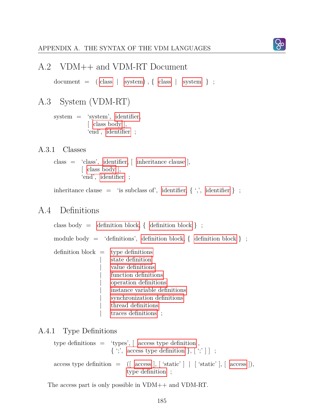

 $document = (class | system), { class | system };$  $document = (class | system), { class | system };$  $document = (class | system), { class | system };$  $document = (class | system), { class | system };$  $document = (class | system), { class | system };$  $document = (class | system), { class | system };$  $document = (class | system), { class | system };$ 

<span id="page-193-3"></span>A.3 System (VDM-RT)

system = 'system', [identifier,](#page-217-0) [ [class body](#page-193-4) ], 'end', [identifier](#page-217-0) ;

<span id="page-193-2"></span>A.3.1 Classes

class = 'class', [identifier,](#page-217-0)[ [inheritance clause](#page-193-5) ], [ [class body](#page-193-4) ], 'end', [identifier](#page-217-0) ;

<span id="page-193-5"></span>inheritance clause  $=$  'is subclass of', [identifier,](#page-217-0)  $\{\cdot,\cdot\}$ , [identifier](#page-217-0)  $\}$ ;

## <span id="page-193-4"></span>A.4 Definitions

class body = [definition block,](#page-193-0)  $\{$  [definition block](#page-193-0)  $\}$ ;

<span id="page-193-1"></span>module body = 'definitions', [definition block,](#page-193-0)  $\{$  [definition block](#page-193-0)  $\}$ ;

<span id="page-193-0"></span> $definition block = type definitions$  $definition block = type definitions$ [state definition](#page-195-1) [value definitions](#page-196-1) [function definitions](#page-196-2) | [operation definitions](#page-197-0) [instance variable definitions](#page-198-1) [synchronization definitions](#page-199-0) | [thread definitions](#page-179-0) [traces definitions](#page-187-8) ;

#### <span id="page-193-6"></span>A.4.1 Type Definitions

typedefinitions  $=$  'types',  $[$  [access type definition](#page-193-7),  $\{\ \';\ \text{access type definition }\},\ [\ \!\! \lvert\ \!\! \lvert\ \!\! \rvert\ ]\ \}$ 

<span id="page-193-7"></span>accesstype definition  $=$  ([ [access](#page-193-8) ], [ 'static' ] | [ 'static' ], [ access ]), [type definition](#page-194-0) ;

<span id="page-193-8"></span>The access part is only possible in VDM++ and VDM-RT.

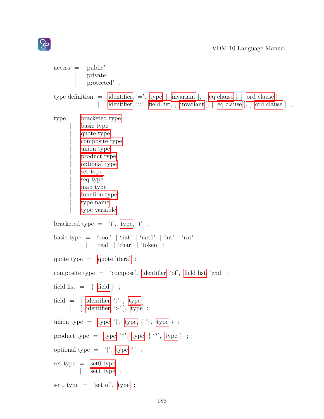

<span id="page-194-11"></span><span id="page-194-10"></span><span id="page-194-9"></span><span id="page-194-8"></span><span id="page-194-7"></span><span id="page-194-6"></span><span id="page-194-5"></span><span id="page-194-4"></span><span id="page-194-3"></span><span id="page-194-2"></span><span id="page-194-1"></span><span id="page-194-0"></span> $\mathrm{access} = \mathrm{'public'}$ | 'private' | 'protected' ; typedefinition  $=$  [identifier,](#page-217-0)  $=$ , [type,](#page-194-1)  $\lceil$  [invariant](#page-195-2)  $\rceil$ ,  $\lceil$  [eq clause](#page-195-3)  $\rceil$ ,  $\lceil$  [ord clause](#page-195-4)  $\rceil$ | [identifier,](#page-217-0) '::', [field list,](#page-194-2) $\lceil$  [invariant](#page-195-2)  $\rceil$ ,  $\lceil$  [eq clause](#page-195-3)  $\rceil$ ,  $\lceil$  [ord clause](#page-195-4)  $\rceil$ ; type = [bracketed type](#page-194-3) | [basic type](#page-194-4) [quote type](#page-194-5) | [composite type](#page-194-6) [union type](#page-194-7) | [product type](#page-194-8) | [optional type](#page-194-9) | [set type](#page-194-10) | seq type | [map type](#page-195-5) [function type](#page-195-0) [type name](#page-195-6) | [type variable](#page-195-7) ; bracketed type  $=$  '(', [type,](#page-194-1) ')' ; basic type  $=$  'bool' | 'nat' | 'nat1' | 'int' | 'rat' | 'real' | 'char' | 'token' ; quote type = [quote literal](#page-218-1) ; composite type  $=$  'compose', [identifier,](#page-217-0) 'of', [field list,](#page-194-2) 'end'; field list  $= \{$  [field](#page-194-11)  $\}$  ; field $=$  [ [identifier,](#page-217-0)  $\because$  ], [type](#page-194-1) |  $\lbrack$  [identifier,](#page-217-0) ':-'  $\rbrack$ , [type](#page-194-1) ; union type = [type,](#page-194-1) '|', [type](#page-194-1),  $\{$  '|', type  $\}$  ; product type = [type,](#page-194-1)  $\langle$ \*', [type](#page-194-1),  $\{\rangle$  '\*', type  $\}$ ; optional type  $=$  '[', [type,](#page-194-1) ']';  $set type = set0 type$ | set1 type ;  $set0$  [type](#page-194-1)  $=$  'set of', type ;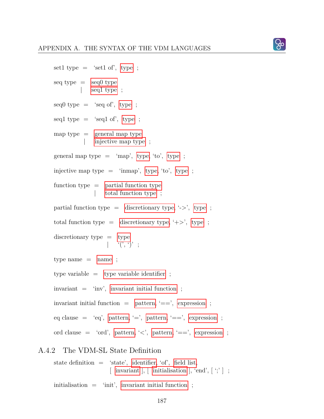

<span id="page-195-12"></span><span id="page-195-11"></span><span id="page-195-10"></span><span id="page-195-9"></span><span id="page-195-8"></span><span id="page-195-5"></span><span id="page-195-0"></span>set1 [type](#page-194-1)  $=$  'set1 of', type ;  $seq type = seq0 type$  $seq type = seq0 type$ | [seq1 type](#page-195-9) ;  $seq0$  [type](#page-194-1)  $=$  'seq of', type ;  $seq1 type = 'seq1 of', type ;$  $seq1 type = 'seq1 of', type ;$  $seq1 type = 'seq1 of', type ;$  $map type = general map type$  $map type = general map type$ [injective map type](#page-195-11) ; general map [type](#page-194-1)  $=$  'map', [type,](#page-194-1) 'to', type; injective map [type](#page-194-1)  $=$  'inmap', [type,](#page-194-1) 'to', type ; function type  $=$  [partial function type](#page-195-12) | [total function type](#page-195-13) ; partial function [type](#page-194-1)  $=$  [discretionary type,](#page-195-14)  $\div$ , type ; total function [type](#page-194-1)  $=$  [discretionary type,](#page-195-14)  $\leftrightarrow$ , type; discretionary type = [type](#page-194-1)  $|$  '(', ')' ; type [name](#page-209-0)  $=$  name; type variable  $=$  [type variable identifier](#page-217-1) ;  $invariant = 'inv', invariant initial function ;$  $invariant = 'inv', invariant initial function ;$  $invariant = 'inv', invariant initial function ;$ invariant initial function  $=$  [pattern,](#page-213-0)  $=$ , [expression](#page-200-0); eq clause = 'eq', [pattern,](#page-213-0) '=', pattern, '==', [expression](#page-200-0) ; ord clause  $=$  'ord', [pattern,](#page-213-0) ' $\lt$ ', pattern, ' $==$ ', [expression](#page-200-0);

#### <span id="page-195-15"></span><span id="page-195-14"></span><span id="page-195-13"></span><span id="page-195-7"></span><span id="page-195-6"></span><span id="page-195-4"></span><span id="page-195-3"></span><span id="page-195-2"></span><span id="page-195-1"></span>A.4.2 The VDM-SL State Definition

state definition  $=$  'state', [identifier,](#page-217-0) 'of', [field list,](#page-194-2)  $\lceil$  [invariant](#page-195-2) $\lceil$ ,  $\lceil$  [initialisation](#page-195-16)  $\lceil$ , 'end',  $\lceil$ ';'  $\rceil$  ;

<span id="page-195-16"></span>initialisation = 'init', [invariant initial function](#page-195-15) ;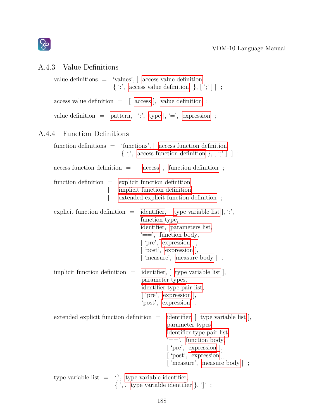

### A.4.3 Value Definitions

<span id="page-196-5"></span><span id="page-196-4"></span><span id="page-196-3"></span><span id="page-196-2"></span><span id="page-196-1"></span>value definitions = 'values',[ [access value definition,](#page-228-0)  $\{\ ;\ ;\ \text{ access value definition }\}, \ [\ ;\ ]\ \}$  $\{\ ;\ ;\ \text{ access value definition }\}, \ [\ ;\ ]\ \}$  $\{\ ;\ ;\ \text{ access value definition }\}, \ [\ ;\ ]\ \}$ accessvalue definition  $=$  [ [access](#page-193-8) ], [value definition](#page-196-3) ; value definition  $=$  [pattern,](#page-213-0)  $[$  ":", [type](#page-194-1)  $]$ ,  $=$ ", [expression](#page-200-0) ; A.4.4 Function Definitions functiondefinitions  $=$  'functions',  $\int$  [access function definition,](#page-228-0)  $\{\ \vdots\ ;\ \}$  [access function definition](#page-228-0)  $\}, [\ \vdots\ ;\ ]$  ;  $access$ function definition  $=$  [ $access$ ], [function definition](#page-196-4) ; function definition = [explicit function definition](#page-196-5) | [implicit function definition](#page-196-6) [extended explicit function definition](#page-196-7); explicitfunction definition  $=$  [identifier,](#page-217-0)  $\lceil$  [type variable list](#page-196-0)  $\rceil$ ,  $\cdot \cdot \cdot$ , [function type,](#page-195-0) [identifier,](#page-217-0) [parameters list,](#page-197-1)  $'=='$ , [function body,](#page-197-2) [ 'pre', [expression](#page-200-0) ] , [ 'post', [expression](#page-200-0) ], ['measure', [measure body](#page-197-3) ] ; implicitfunction definition  $=$  [identifier,](#page-217-0)  $|$  [type variable list](#page-196-0)  $|$ , [parameter types,](#page-197-4) [identifier type pair list,](#page-197-5) [ 'pre', [expression](#page-200-0) ], 'post', [expression](#page-200-0) ; extendedexplicit function definition  $=$  [identifier,](#page-217-0)  $\lceil$  [type variable list](#page-196-0)  $\rceil$ , [parameter types,](#page-197-4) [identifier type pair list,](#page-197-5) '==', [function body,](#page-197-2) [ 'pre', [expression](#page-200-0) ], [ 'post', [expression](#page-200-0) ], ['measure', [measure body](#page-197-3) ] ; type variable list  $=$  '[', [type variable identifier,](#page-217-1)

<span id="page-196-8"></span><span id="page-196-7"></span><span id="page-196-6"></span><span id="page-196-0"></span> $\{\, \cdot\, ,\, \, \text{type variable identifier } \}, \, \cdot\,]$ ';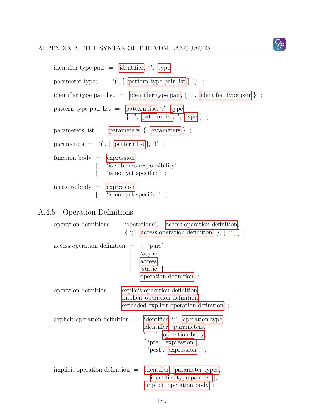

<span id="page-197-6"></span><span id="page-197-5"></span><span id="page-197-4"></span><span id="page-197-1"></span>identifier [type](#page-194-1) pair  $=$  [identifier,](#page-217-0)  $\therefore$  type ; parametertypes  $=$  '(', [ [pattern type pair list](#page-197-6) ], ')' ; identifier type pair list  $=$  [identifier type pair,](#page-196-8)  $\{\cdot,\cdot\}$ , [identifier type pair](#page-196-8)  $\}$ ; pattern type pair list  $=$  [pattern list,](#page-214-1)  $\cdot$ ; [type,](#page-194-1)  $\{\ \ddots\}$ , [pattern list,](#page-214-1)  $\vdots$ , [type](#page-194-1)  $\}$ ; parameters list = [parameters,](#page-197-7) { [parameters](#page-197-7) } ; parameters $=$  '(', [ [pattern list](#page-214-1) ], ')' ; function body = [expression](#page-200-0) | 'is subclass responsibility' | 'is not yet specified' ;  $measure body = expression$  $measure body = expression$ | 'is not yet specified';

## <span id="page-197-7"></span><span id="page-197-3"></span><span id="page-197-2"></span><span id="page-197-0"></span>A.4.5 Operation Definitions

<span id="page-197-12"></span><span id="page-197-11"></span><span id="page-197-10"></span><span id="page-197-9"></span><span id="page-197-8"></span>operation definitions = 'operations',[ [access operation definition,](#page-197-8)  $\{\ ;\ ;\$ , [access operation definition](#page-197-8)  $\}$ ,  $[\ ;\ ;\ ]$ ; access operation definition = { 'pure' | 'async' | [access](#page-193-8) | 'static' }, [operation definition](#page-197-9) ;  $operation definition = explicit operation definition$  $operation definition = explicit operation definition$ | [implicit operation definition](#page-197-11) | [extended explicit operation definition](#page-198-2) ; explicit operation definition  $=$  [identifier,](#page-217-0)  $\therefore$ , [operation type,](#page-198-0) [identifier,](#page-217-0) [parameters,](#page-197-7) '==', [operation body,](#page-198-3) [ 'pre', [expression](#page-200-0) ], [ 'post', [expression](#page-200-0) ] ; implicit operation definition  $=$  [identifier,](#page-217-0) [parameter types,](#page-197-4) [ [identifier type pair list](#page-197-5) ], [implicit operation body](#page-197-12) ;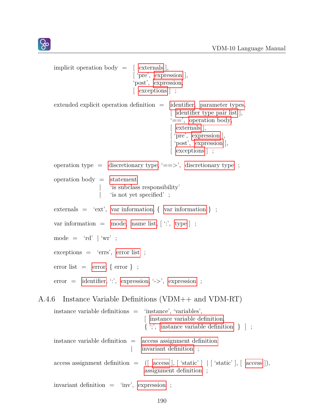

```
 operation body = externals ],
                                [ 'pre', expression ],
                                'post', expression,
                                [ exceptions ] ;
      identifier, parameter types,[ identifier type pair list ],
                                             '==', operation body,
                                             [ externals ],
                                             [ 'pre', expression ],
                                             [ 'post', expression ],
                                             [ exceptions ] ;
     operation type = discretionary type, \epsilon = \epsilon discretionary type;
     operation body = statement
                     | 'is subclass responsibility'
                     | 'is not yet specified' ;
     externals = var information, \{ var information \};
     var information = mode, name list, [ type ];
     mode = 'rd' | 'wr' ;exceptions = 'errs', error list ;
     error list = error, { error } ;
      identifier, expression, expression ;A.4.6 Instance Variable Definitions (VDM++ and VDM-RT)
     instance variable definitions = 'instance', 'variables',
                                    [ instance variable definition,
                                    \{\ \vdots\ ;\ \} instance variable definition \ \} | ;
     instance variable definition = access assignment definition
                                   invariant definition;
      assignment definition = access ], [ 'static' ] | [ 'static' ], [ access ]),
                                    assignment definition ;
     invariant definition = 'inv', expression ;
```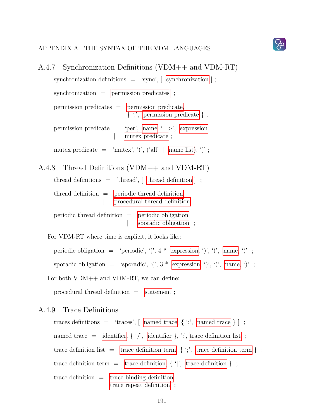

<span id="page-199-4"></span><span id="page-199-3"></span><span id="page-199-2"></span><span id="page-199-1"></span><span id="page-199-0"></span>A.4.7 Synchronization Definitions (VDM++ and VDM-RT) synchronizationdefinitions  $=$  'sync',  $\lceil$  [synchronization](#page-199-1)  $\rceil$ ; synchronization = [permission predicates](#page-199-2) ; permission predicates = [permission predicate,](#page-199-3)  $\{ \cdot ; \cdot \}$ , [permission predicate](#page-199-3)  $\}$ ; permission predicate  $=$  'per', [name,](#page-209-0)  $\le$ ', [expression](#page-200-0) [mutex predicate](#page-199-4); mutex predicate  $=$  'mutex', '(', ('all' | [name list\)](#page-209-2), ')' ; A.4.8 Thread Definitions (VDM++ and VDM-RT) threaddefinitions  $=$  'thread',  $\lceil$  [thread definition](#page-228-0)  $\rceil$ ;  $th read definition = periodic thread definition$  $th read definition = periodic thread definition$ | [procedural thread definition](#page-183-0) ; periodic thread definition  $=$  [periodic obligation](#page-180-1) | [sporadic obligation](#page-182-0) ; For VDM-RT where time is explicit, it looks like: periodic obligation = 'periodic', '(',  $4 *$  [expression,](#page-200-0) ')', '(', [name,](#page-209-0) ')';  $\label{eq:22} \mbox{sporadic obligation}\ =\ \mbox{``sporadic''},\ \mbox{``(', 3 * expression, ')}',\ \mbox{``(', name, ')}'\ ;$  $\label{eq:22} \mbox{sporadic obligation}\ =\ \mbox{``sporadic''},\ \mbox{``(', 3 * expression, ')}',\ \mbox{``(', name, ')}'\ ;$  $\label{eq:22} \mbox{sporadic obligation}\ =\ \mbox{``sporadic''},\ \mbox{``(', 3 * expression, ')}',\ \mbox{``(', name, ')}'\ ;$  $\label{eq:22} \mbox{sporadic obligation}\ =\ \mbox{``sporadic''},\ \mbox{``(', 3 * expression, ')}',\ \mbox{``(', name, ')}'\ ;$  $\label{eq:22} \mbox{sporadic obligation}\ =\ \mbox{``sporadic''},\ \mbox{``(', 3 * expression, ')}',\ \mbox{``(', name, ')}'\ ;$ For both  $VDM++$  and  $VDM-RT$ , we can define: procedural thread definition = [statement](#page-209-1) ; A.4.9 Trace Definitions tracesdefinitions  $=$  'traces',  $[$  [named trace,](#page-187-0)  $\{$  ';', [named trace](#page-187-0)  $\}$   $]$  ; named trace  $=$  [identifier,](#page-217-0)  $\{ \cdot \rangle$ , [identifier](#page-217-0)  $\}, \cdot \cdot \cdot$ , [trace definition list](#page-187-1);

trace definition list = [trace definition term,](#page-187-2)  $\{\quad \ddots \right)$ ; [trace definition term](#page-187-2)  $\}$ ;

trace definition term  $=$  [trace definition,](#page-228-0)  $\{ \cdot | \cdot \}$ , [trace definition](#page-228-0)  $\}$ ;

trace definition  $=$  [trace binding definition](#page-187-3) [trace repeat definition](#page-187-4);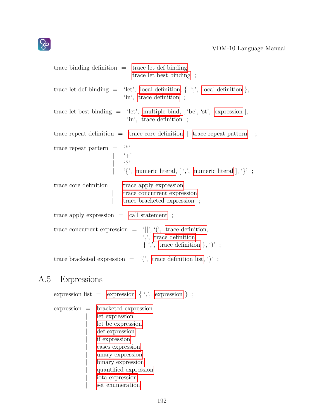

trace binding definition  $=$  [trace let def binding](#page-187-5) [trace let best binding](#page-187-6) ; trace let def binding  $=$  'let', [local definition,](#page-210-0) { ',', [local definition](#page-210-0) }, 'in', [trace definition](#page-228-0) ; trace let best binding  $=$  'let', [multiple bind,](#page-214-0) ['be', 'st', [expression](#page-200-0)], 'in', [trace definition](#page-228-0) ; tracerepeat definition  $=$  [trace core definition,](#page-228-0)  $\lceil$  [trace repeat pattern](#page-187-7)  $\rceil$ ; trace repeat pattern  $=$ | '+' | '?' | '{', [numeric literal,](#page-218-0)  $[\cdot]$ ', [numeric literal](#page-218-0)  $], \cdot$ }' ; trace core definition  $=$  [trace apply expression](#page-228-0) [trace concurrent expression](#page-228-0) | [trace bracketed expression](#page-188-0) ; trace apply expression  $=$  [call statement](#page-211-0) ; trace concurrent expression  $=$  '||', '(', [trace definition,](#page-228-0) ',', [trace definition,](#page-228-0)  $\{\ \'$ , [trace definition](#page-228-0)  $\}, \ \'$ ; trace bracketed expression  $=$  '(', [trace definition list,](#page-187-1) ')' ; A.5 Expressions

<span id="page-200-1"></span><span id="page-200-0"></span>

| expression list = expression, $\{\cdot, \cdot, \text{ expression}\}$ ; |                |
|------------------------------------------------------------------------|----------------|
| expression = bracketed expression                                      | let expression |
| let be expression                                                      |                |
| def expression                                                         |                |
| if expression                                                          |                |
| cases expression                                                       |                |
| unary expression                                                       |                |
| quantity expression                                                    |                |
| equantified expression                                                 |                |
| set enumeration                                                        |                |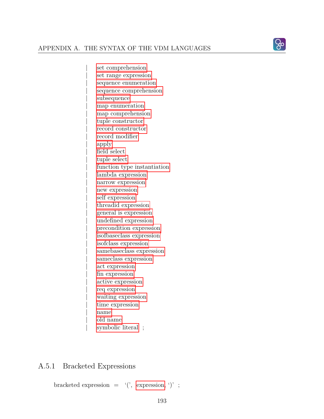

set comprehension | [set range expression](#page-206-2) [sequence enumeration](#page-206-3) [sequence comprehension](#page-206-4) [subsequence](#page-206-5) | [map enumeration](#page-206-6) | [map comprehension](#page-206-7) [tuple constructor](#page-207-0) | [record constructor](#page-207-1) [record modifier](#page-207-2) | [apply](#page-207-3) [field select](#page-207-4) [tuple select](#page-207-5) [function type instantiation](#page-207-6) | [lambda expression](#page-207-7) | [narrow expression](#page-207-8) [new expression](#page-207-9) [self expression](#page-207-10) | [threadid expression](#page-207-11) | [general is expression](#page-208-0) | [undefined expression](#page-208-1) | [precondition expression](#page-208-2) | [isofbaseclass expression](#page-208-3) | [isofclass expression](#page-208-4) [samebaseclass expression](#page-208-5) [sameclass expression](#page-208-6) [act expression](#page-208-7) [fin expression](#page-208-8) | [active expression](#page-208-9) | [req expression](#page-208-10) | [waiting expression](#page-208-11) [time expression](#page-209-3) | [name](#page-209-0) | [old name](#page-209-4) [symbolic literal](#page-218-2) ;

#### <span id="page-201-0"></span>A.5.1 Bracketed Expressions

bracketed expression  $=$   $($ , [expression,](#page-200-0)  $')'$ ;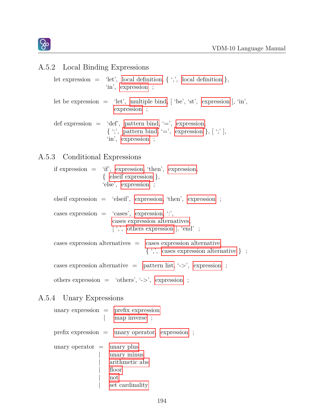### <span id="page-202-0"></span>A.5.2 Local Binding Expressions

 $\left( \frac{1}{2} \right)$ 

<span id="page-202-1"></span>

| let expression $=$ 'let', local definition, $\{\cdot,\cdot\}$ local definition $\},$<br>'in', expression ;                                                                                             |
|--------------------------------------------------------------------------------------------------------------------------------------------------------------------------------------------------------|
| let be expression $=$ 'let', multiple bind, $\lceil$ 'be', 'st', expression $\lceil$ , 'in',<br>expression ;                                                                                           |
| def expression $=$ 'def', pattern bind, $=$ ', expression,<br>$\{\ \vdots\ \vdots\ \mathsf{pattern}\ \mathsf{bind},\ \vdots\ =\ \mathsf{expression}\ \},\ [\ \vdots\ \vdots\ ],$<br>'in', expression ; |

### <span id="page-202-3"></span><span id="page-202-2"></span>A.5.3 Conditional Expressions

<span id="page-202-6"></span><span id="page-202-4"></span>if expression = 'if', [expression,](#page-200-0) 'then', [expression,](#page-200-0) { [elseif expression](#page-202-6) }, 'else', [expression](#page-200-0) ; elseif expression = 'elseif', [expression,](#page-200-0) 'then', [expression](#page-200-0) ; cases expression = 'cases', [expression,](#page-200-0) ':', [cases expression alternatives,](#page-202-7) [',', [others expression](#page-202-8) ], 'end' ;  $cases$  expression alternatives  $=$  [cases expression alternative,](#page-202-9) { ',', [cases expression alternative](#page-202-9) } ; cases [expression](#page-200-0) alternative  $=$  [pattern list,](#page-214-1)  $\div$ , expression; others [expression](#page-200-0)  $=$  'others', ' $\rightarrow$ ', expression ;

### <span id="page-202-9"></span><span id="page-202-8"></span><span id="page-202-7"></span><span id="page-202-5"></span>A.5.4 Unary Expressions

<span id="page-202-11"></span><span id="page-202-10"></span>

| $\mu$ unary expression $=$ prefix expression | map inverse ;                                     |
|----------------------------------------------|---------------------------------------------------|
|                                              | prefix expression $=$ unary operator, expression; |
|                                              |                                                   |
| unary operator $=$ unary plus                |                                                   |
|                                              | unary minus                                       |
|                                              | arithmetic abs                                    |
|                                              | floor                                             |
|                                              | not                                               |
|                                              | set cardinality                                   |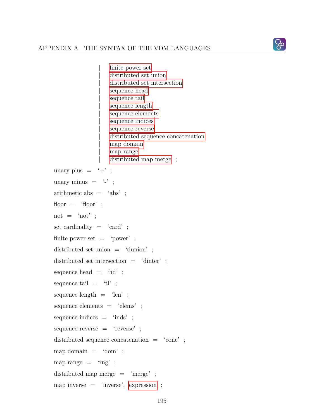

<span id="page-203-18"></span><span id="page-203-17"></span><span id="page-203-16"></span><span id="page-203-15"></span><span id="page-203-14"></span><span id="page-203-13"></span><span id="page-203-12"></span><span id="page-203-11"></span><span id="page-203-10"></span><span id="page-203-9"></span><span id="page-203-8"></span><span id="page-203-7"></span><span id="page-203-6"></span><span id="page-203-5"></span><span id="page-203-4"></span><span id="page-203-3"></span><span id="page-203-2"></span><span id="page-203-1"></span><span id="page-203-0"></span>[finite power set](#page-203-6) [distributed set union](#page-203-7) | [distributed set intersection](#page-203-8) [sequence head](#page-203-9) [sequence tail](#page-203-10) [sequence length](#page-203-11) [sequence elements](#page-203-12) [sequence indices](#page-203-13) [sequence reverse](#page-203-14) [distributed sequence concatenation](#page-203-15) | [map domain](#page-203-16) | [map range](#page-203-17) [distributed map merge](#page-203-18) ; unary plus  $=$  '+' ; unary minus  $=$   $\cdot$   $\cdot$  ; arithmetic abs  $=$  'abs' ; floor  $=$  'floor' ;  $not = 'not'$ ; set cardinality  $=$  'card' ; finite power set  $=$  'power' ; distributed set union = 'dunion' ; distributed set intersection = 'dinter' ; sequence head  $=$  'hd' ; sequence tail  $=$  'tl' ; sequence length  $=$  'len' ; sequence elements  $=$  'elems' ; sequence indices  $=$  'inds'; sequence reverse = 'reverse' ; distributed sequence concatenation = 'conc' ;  $map domain = 'dom'$ ; map range  $=$  'rng' ; distributed map merge = 'merge' ; map inverse  $=$  'inverse', [expression](#page-200-0) ;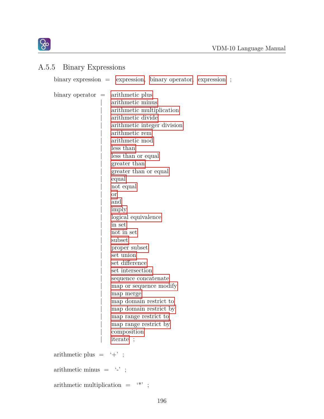# <span id="page-204-0"></span>A.5.5 Binary Expressions

80

binary expression = [expression,](#page-200-0) [binary operator,](#page-204-1) [expression](#page-200-0) ;

<span id="page-204-1"></span>

| binary operator $=$      |  | arithmetic plus             |  |  |  |  |
|--------------------------|--|-----------------------------|--|--|--|--|
|                          |  | arithmetic minus            |  |  |  |  |
|                          |  | arithmetic multiplication   |  |  |  |  |
|                          |  | arithmetic divide           |  |  |  |  |
|                          |  | arithmetic integer division |  |  |  |  |
|                          |  | arithmetic rem              |  |  |  |  |
|                          |  | arithmetic mod              |  |  |  |  |
|                          |  | less than                   |  |  |  |  |
|                          |  | less than or equal          |  |  |  |  |
|                          |  | greater than                |  |  |  |  |
|                          |  | greater than or equal       |  |  |  |  |
|                          |  | equal                       |  |  |  |  |
|                          |  | not equal                   |  |  |  |  |
|                          |  | <b>or</b>                   |  |  |  |  |
|                          |  | and                         |  |  |  |  |
|                          |  | imply                       |  |  |  |  |
|                          |  | logical equivalence         |  |  |  |  |
|                          |  | in set                      |  |  |  |  |
|                          |  | not in set                  |  |  |  |  |
|                          |  | subset                      |  |  |  |  |
|                          |  | proper subset               |  |  |  |  |
|                          |  | set union                   |  |  |  |  |
|                          |  | set difference              |  |  |  |  |
|                          |  | set intersection            |  |  |  |  |
|                          |  | sequence concatenate        |  |  |  |  |
|                          |  | map or sequence modify      |  |  |  |  |
|                          |  | map merge                   |  |  |  |  |
|                          |  | map domain restrict to      |  |  |  |  |
|                          |  | map domain restrict by      |  |  |  |  |
|                          |  | map range restrict to       |  |  |  |  |
|                          |  | map range restrict by       |  |  |  |  |
|                          |  | composition                 |  |  |  |  |
|                          |  | iterate ;                   |  |  |  |  |
|                          |  |                             |  |  |  |  |
| arithmetic plus $=$ '+'; |  |                             |  |  |  |  |
| $arithmetic minus =$     |  |                             |  |  |  |  |

<span id="page-204-5"></span><span id="page-204-4"></span><span id="page-204-3"></span><span id="page-204-2"></span>arithmetic multiplication  $=$  '\*';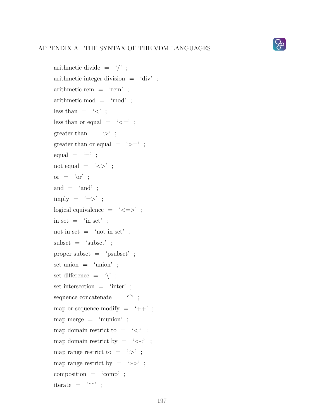<span id="page-205-27"></span><span id="page-205-26"></span><span id="page-205-25"></span><span id="page-205-24"></span><span id="page-205-23"></span><span id="page-205-22"></span><span id="page-205-21"></span><span id="page-205-20"></span><span id="page-205-19"></span><span id="page-205-18"></span><span id="page-205-17"></span><span id="page-205-16"></span><span id="page-205-15"></span><span id="page-205-14"></span><span id="page-205-13"></span><span id="page-205-12"></span><span id="page-205-11"></span><span id="page-205-10"></span><span id="page-205-9"></span><span id="page-205-8"></span><span id="page-205-7"></span><span id="page-205-6"></span><span id="page-205-5"></span><span id="page-205-4"></span><span id="page-205-3"></span><span id="page-205-2"></span><span id="page-205-1"></span><span id="page-205-0"></span>

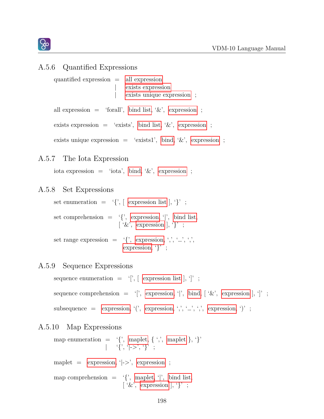

#### <span id="page-206-0"></span>A.5.6 Quantified Expressions

quantified expression = [all expression](#page-206-8) [exists expression](#page-206-9) [exists unique expression](#page-206-10) ;

<span id="page-206-8"></span>all [expression](#page-200-0)  $=$  'forall', [bind list,](#page-214-3) ' $\&$ ', expression ;

<span id="page-206-9"></span>exists [expression](#page-200-0)  $=$  'exists', [bind list,](#page-214-3) ' $\&$ ', expression ;

<span id="page-206-10"></span>exists unique [expression](#page-200-0)  $=$  'exists1', [bind,](#page-214-4) '&', expression;

<span id="page-206-1"></span>A.5.7 The Iota Expression

iota [expression](#page-200-0)  $=$  'iota', [bind,](#page-214-4) ' $\&$ ', expression;

#### A.5.8 Set Expressions

setenumeration  $= \{ \{ \}$ ,  $[$  [expression list](#page-200-1)  $], \{ \}$ ' ;

set comprehension  $=$  '{', [expression,](#page-200-0) '|', [bind list,](#page-214-3)  $[\,\mathscr{C}\,]$ , [expression](#page-200-0)  $], \{\}$ ';

<span id="page-206-2"></span>set range expression =  $\iota$ '{', [expression,](#page-200-0) ',', '...', ',', [expression,](#page-200-0) '}' ;

#### <span id="page-206-3"></span>A.5.9 Sequence Expressions

sequenceenumeration  $=$  '[', [ [expression list](#page-200-1) ], ']' ;

<span id="page-206-4"></span>sequence comprehension  $=$  '[', [expression,](#page-200-0) '|', [bind,](#page-214-4)  $[$  ' $\&$ ', [expression](#page-200-0)  $],$  ']' ;

<span id="page-206-5"></span>subsequence = [expression,](#page-200-0)  $\langle \cdot, \cdot \rangle$  expression,  $\langle \cdot, \cdot \rangle$ ,  $\langle \cdot, \cdot \rangle$ ,  $\langle \cdot \rangle$ , expression,  $\langle \cdot \rangle$  ;

### <span id="page-206-6"></span>A.5.10 Map Expressions

map enumeration  $=$  '{', [maplet,](#page-206-11) {',', [maplet](#page-206-11) }, '}'  $|\quad {\rm '}\{\rangle, \{-\rangle, \cdot\} \rangle$ ;

<span id="page-206-11"></span> $maplet = expression, '|->', expression ;$  $maplet = expression, '|->', expression ;$  $maplet = expression, '|->', expression ;$  $maplet = expression, '|->', expression ;$  $maplet = expression, '|->', expression ;$ 

<span id="page-206-7"></span>map comprehension  $=$  '{', [maplet,](#page-206-11) '|', [bind list,](#page-214-3)  $[\,\,$ ' &', [expression](#page-200-0)  $], \,$ ' }' ;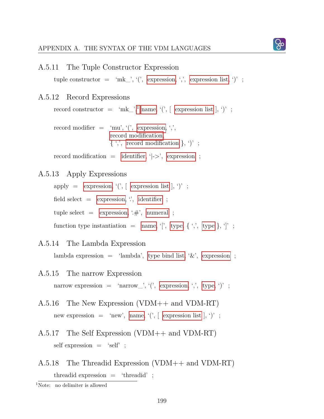

#### <span id="page-207-0"></span>A.5.11 The Tuple Constructor Expression

tuple constructor = 'mk\_', '(', [expression,](#page-200-0) ',', [expression list,](#page-200-1) ')' ;

#### <span id="page-207-1"></span>A.5.12 Record Expressions

record constructor = 'mk\_',<sup>[1](#page-207-12)</sup> [name,](#page-209-0)'(', [ [expression list](#page-200-1) ], ')' ;

<span id="page-207-2"></span>record modifier  $=$  'mu', '(', [expression,](#page-200-0) ',', [record modification,](#page-207-13)  $\{\quad\cdot, \cdot\}$ , [record modification](#page-207-13)  $\}, \cdot)$ ';

<span id="page-207-13"></span>record modification  $=$  [identifier,](#page-217-0)  $\langle - \rangle$ , [expression](#page-200-0);

#### <span id="page-207-3"></span>A.5.13 Apply Expressions

<span id="page-207-5"></span><span id="page-207-4"></span>apply = [expression,](#page-200-0) $\langle \cdot, \cdot \rangle$  [expression list](#page-200-1)  $\langle \cdot, \cdot \rangle$  ; field select  $=$  [expression,](#page-200-0)  $\therefore$ , [identifier](#page-217-0) ; tuple select  $=$  [expression,](#page-200-0)  $\div \#$ , [numeral](#page-218-3) ; function [type](#page-194-1) instantiation  $=$  [name,](#page-209-0) '[', [type,](#page-194-1) { ',', type }, ']' ;

#### <span id="page-207-7"></span><span id="page-207-6"></span>A.5.14 The Lambda Expression

lambda [expression](#page-200-0)  $=$  'lambda', [type bind list,](#page-214-5) ' $\&$ ', expression ;

#### <span id="page-207-8"></span>A.5.15 The narrow Expression

narrow expression = 'narrow\_', '(', [expression,](#page-200-0) ',', [type,](#page-194-1) ')' ;

- <span id="page-207-9"></span>A.5.16 The New Expression (VDM++ and VDM-RT) newexpression  $=$  'new', [name,](#page-209-0) '(',  $[$  [expression list](#page-200-1)  $],$  ')' ;
- <span id="page-207-10"></span>A.5.17 The Self Expression (VDM++ and VDM-RT)  $self expression = 'self'$ ;
- <span id="page-207-11"></span>A.5.18 The Threadid Expression (VDM++ and VDM-RT) threadid expression = 'threadid' ;

<span id="page-207-12"></span><sup>&</sup>lt;sup>1</sup>Note: no delimiter is allowed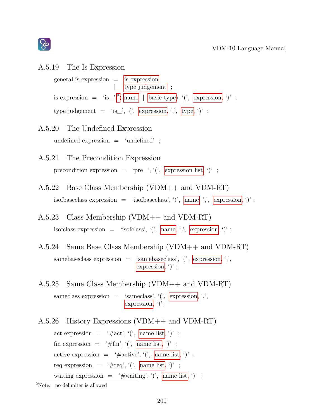

#### <span id="page-208-0"></span>A.5.19 The Is Expression

<span id="page-208-12"></span>general is expression = [is expression](#page-208-12) | [type judgement](#page-208-13) ; is expression  $=$  'is\_',<sup>[2](#page-208-14)</sup>( [name](#page-209-0) | [basic type\)](#page-194-4), '(', [expression,](#page-200-0) ')'; type judgement = 'is\_', '(', [expression,](#page-200-0) ',', [type,](#page-194-1) ')' ;

- <span id="page-208-13"></span><span id="page-208-1"></span>A.5.20 The Undefined Expression undefined expression = 'undefined' ;
- <span id="page-208-2"></span>A.5.21 The Precondition Expression precondition expression  $=$  'pre\_', '(', [expression list,](#page-200-1) ')' ;
- <span id="page-208-3"></span>A.5.22 Base Class Membership (VDM++ and VDM-RT) isofbaseclass expression  $=$  'isofbaseclass', '(', [name,](#page-209-0) ',', [expression,](#page-200-0) ')' ;
- <span id="page-208-4"></span>A.5.23 Class Membership (VDM++ and VDM-RT) isofclass expression  $=$  'isofclass', '(', [name,](#page-209-0) ',', [expression,](#page-200-0) ')';
- <span id="page-208-5"></span>A.5.24 Same Base Class Membership (VDM++ and VDM-RT) samebaseclass expression  $=$  'samebaseclass', '(', [expression,](#page-200-0) ',', [expression,](#page-200-0)  $'$ ;
- <span id="page-208-6"></span>A.5.25 Same Class Membership (VDM++ and VDM-RT) sameclass expression  $=$  'sameclass', '(', [expression,](#page-200-0) ',', [expression,](#page-200-0)  $\prime$ )' ;
- <span id="page-208-8"></span><span id="page-208-7"></span>A.5.26 History Expressions (VDM++ and VDM-RT) act expression  $=$  '#act', '(', [name list,](#page-209-2) ')' ; fin expression  $=$  '#fin', '(', [name list,](#page-209-2) ')' ; active expression  $=$  '#active', '(', [name list,](#page-209-2) ')' ; req expression  $=$  '#req', '(', [name list,](#page-209-2) ')' ; waiting expression  $=$  '#waiting', '(', [name list,](#page-209-2) ')' ;

<span id="page-208-14"></span><span id="page-208-11"></span><span id="page-208-10"></span><span id="page-208-9"></span><sup>2</sup>Note: no delimiter is allowed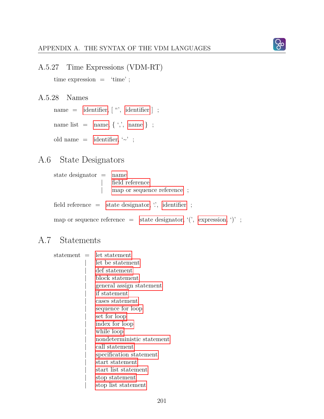

#### <span id="page-209-3"></span>A.5.27 Time Expressions (VDM-RT)

 $time$  expression  $=$   $time$ ;

#### <span id="page-209-0"></span>A.5.28 Names

name = [identifier,](#page-217-0)  $\left[ \begin{array}{c} w \\ v \end{array} \right]$  ;

<span id="page-209-2"></span>name list = [name,](#page-209-0)  $\{ \cdot, \cdot, \text{ name} \}$  $\{ \cdot, \cdot, \text{ name} \}$  $\{ \cdot, \cdot, \text{ name} \}$ ;

<span id="page-209-4"></span>old name  $=$  [identifier,](#page-217-0)  $\sim$  ;

## <span id="page-209-7"></span>A.6 State Designators

state designator = [name](#page-209-0) [field reference](#page-209-5) [map or sequence reference](#page-209-6);

<span id="page-209-5"></span>field reference  $=$  [state designator,](#page-209-7)  $\therefore$  [identifier](#page-217-0) ;

<span id="page-209-6"></span>map or sequence reference  $=$  [state designator,](#page-209-7) '(', [expression,](#page-200-0) ')' ;

## <span id="page-209-1"></span>A.7 Statements

statement = [let statement](#page-210-2) [let be statement](#page-210-3) [def statement](#page-210-4) | [block statement](#page-210-5) | [general assign statement](#page-210-6) | [if statement](#page-211-1) | [cases statement](#page-211-2) [sequence for loop](#page-211-3) set for loop | [index for loop](#page-211-4) | [while loop](#page-211-5) | [nondeterministic statement](#page-211-6) | [call statement](#page-211-0) | [specification statement](#page-212-0) | [start statement](#page-212-1) | [start list statement](#page-212-2) | [stop statement](#page-212-3) | [stop list statement](#page-212-4)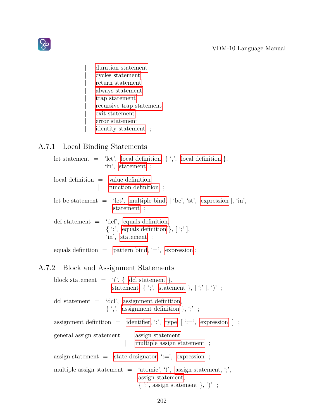

- | [duration statement](#page-212-5)
- | [cycles statement](#page-212-6)
- | [return statement](#page-212-7)
- | [always statement](#page-213-1)
- | [trap statement](#page-213-2)
- | [recursive trap statement](#page-213-3)
- | [exit statement](#page-213-4)
- | [error statement](#page-213-5)
- [identity statement](#page-213-6) ;

## A.7.1 Local Binding Statements

<span id="page-210-10"></span><span id="page-210-9"></span><span id="page-210-8"></span><span id="page-210-7"></span><span id="page-210-6"></span><span id="page-210-5"></span><span id="page-210-4"></span><span id="page-210-3"></span><span id="page-210-2"></span><span id="page-210-1"></span><span id="page-210-0"></span>let statement = 'let', [local definition,](#page-210-0)  $\{\cdot,\cdot\}$ , [local definition](#page-210-0)  $\},$ 'in', [statement](#page-209-1) ;  $local definition = value definition$  $local definition = value definition$ [function definition](#page-196-4); let be statement  $=$  'let', [multiple bind,](#page-214-0)  $[$  'be', 'st', [expression](#page-200-0)  $]$ , 'in', [statement](#page-209-1) ;  $\text{def statement} = \text{`def'}, \text{ equals definition},$  $\{\ \cdot, \cdot\} \neq \mathbb{Q}$  , [equals definition](#page-210-7)  $\},$  [  $\ \cdot, \cdot \ ]$  ], 'in', [statement](#page-209-1) ; equals definition  $=$  [pattern bind,](#page-214-2)  $=$ , [expression](#page-200-0); A.7.2 Block and Assignment Statements block statement  $=$  '(', { [dcl statement](#page-210-8) }, [statement,](#page-209-1)  $\{\ ;\ ;\$  [statement](#page-209-1)  $\}, [\ ;\ ;\ ],\ ')$ ; dcl statement  $=$  'dcl', [assignment definition,](#page-210-1)  $\{\ \'$ , [assignment definition](#page-210-1)  $\}, \ '$ ; ; assignment definition  $=$  [identifier,](#page-217-0)  $\therefore$ , [type,](#page-194-1)  $[ \cdot := \cdot$ , [expression](#page-200-0)  $]$ ;  $general$  [assign statement](#page-210-9)  $=$  assign statement [multiple assign statement](#page-210-10) ; assign statement  $=$  [state designator,](#page-209-7)  $:=$ , [expression](#page-200-0); multiple assign statement  $=$  'atomic', '(', [assign statement,](#page-210-9) ';', [assign statement,](#page-210-9)  $\{\ \vdots\ \vdots\ \text{assign statement } \}, \ \vdots\ \}$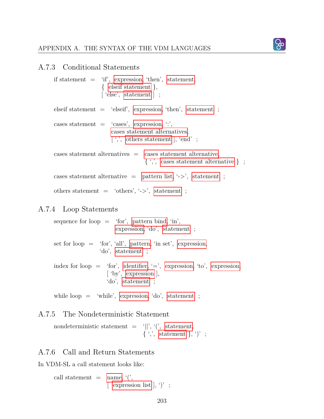#### <span id="page-211-1"></span>A.7.3 Conditional Statements

<span id="page-211-7"></span><span id="page-211-2"></span>if statement  $=$  'if', [expression,](#page-200-0) 'then', [statement,](#page-209-1) { [elseif statement](#page-211-7) }, [ 'else', [statement](#page-209-1) ] ; elseif statement = 'elseif', [expression,](#page-200-0) 'then', [statement](#page-209-1) ; cases statement  $=$  'cases', [expression,](#page-200-0) ":', [cases statement alternatives,](#page-211-8)  $[\, \cdot\, ,\, \cdot\,$  [others statement](#page-211-9)  $], \, \text{`end'}$ ; cases statement alternatives = [cases statement alternative,](#page-211-10) { ',', [cases statement alternative](#page-211-10) } ; cases [statement](#page-209-1) alternative  $=$  [pattern list,](#page-214-1)  $\div$ , statement; others [statement](#page-209-1)  $=$  'others', '->', statement ;

 $\infty$ 

#### <span id="page-211-10"></span><span id="page-211-9"></span><span id="page-211-8"></span><span id="page-211-3"></span>A.7.4 Loop Statements

sequence for  $loop = 'for'$ , [pattern bind,](#page-214-2) 'in', [expression,](#page-200-0) 'do', [statement](#page-209-1) ; set for  $loop = 'for', 'all', pattern, 'in set', expression,$  $loop = 'for', 'all', pattern, 'in set', expression,$  $loop = 'for', 'all', pattern, 'in set', expression,$  $loop = 'for', 'all', pattern, 'in set', expression,$ 'do', [statement](#page-209-1) ;

<span id="page-211-4"></span>index for loop  $=$  'for', [identifier,](#page-217-0)  $=$ ', [expression,](#page-200-0) 'to', expression, [ 'by', [expression](#page-200-0) ], 'do', [statement](#page-209-1) ;

<span id="page-211-5"></span>while loop  $=$  'while', [expression,](#page-200-0) 'do', [statement](#page-209-1) ;

<span id="page-211-6"></span>A.7.5 The Nondeterministic Statement

nondeterministic statement  $=$  '||', '(', [statement,](#page-209-1)  $\{\ \'$ , [statement](#page-209-1)  $\}, \ \'$  ;

#### A.7.6 Call and Return Statements

In VDM-SL a call statement looks like:

<span id="page-211-0"></span>call statement  $=$  [name,](#page-209-0)  $\langle \cdot \rangle$ ,  $\lceil$  [expression list](#page-200-1)  $\lceil$ , ')' ;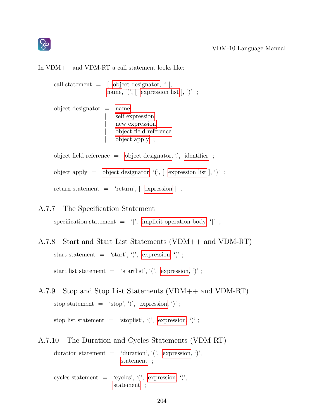

In VDM++ and VDM-RT a call statement looks like:

<span id="page-212-8"></span>callstatement  $=$  [ [object designator,](#page-212-8)  $\degree$ ], [name,](#page-209-0) $\langle \cdot \rangle$ , [ [expression list](#page-200-1) ],  $\langle \cdot \rangle$  ; object designator = [name](#page-209-0) [self expression](#page-207-10) [new expression](#page-207-9) [object field reference](#page-212-9) | [object apply](#page-212-10) ; object field reference  $=$  [object designator,](#page-212-8)  $\therefore$  [identifier](#page-217-0) ; objectapply  $=$  [object designator,](#page-212-8)  $($ ',  $[$  [expression list](#page-200-1)  $], '$ ' ; return statement = 'return',[ [expression](#page-200-0) ] ;

#### <span id="page-212-10"></span><span id="page-212-9"></span><span id="page-212-7"></span><span id="page-212-0"></span>A.7.7 The Specification Statement

specification statement  $=$  '[', [implicit operation body,](#page-197-12) ']';

<span id="page-212-1"></span>A.7.8 Start and Start List Statements (VDM++ and VDM-RT) start statement  $=$  'start', '(', [expression,](#page-200-0) ')';

<span id="page-212-2"></span>start list statement  $=$  'startlist', '(', [expression,](#page-200-0) ')';

<span id="page-212-3"></span>A.7.9 Stop and Stop List Statements (VDM++ and VDM-RT) stop statement  $=$  'stop', '(', [expression,](#page-200-0) ')';

<span id="page-212-4"></span>stop list statement  $=$  'stoplist', '(', [expression,](#page-200-0) ')';

- <span id="page-212-6"></span><span id="page-212-5"></span>A.7.10 The Duration and Cycles Statements (VDM-RT) duration statement  $=$  'duration', '(', [expression,](#page-200-0) ')', [statement](#page-209-1) ;
	- cycles statement  $=$  'cycles', '(', [expression,](#page-200-0) ')', [statement](#page-209-1) ;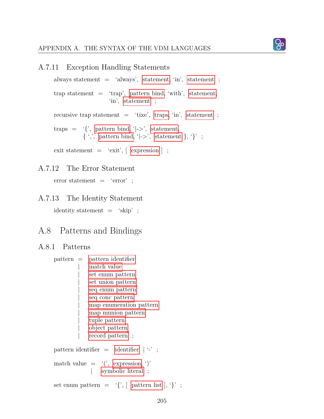$\left[ 3\right]$ 

#### <span id="page-213-1"></span>A.7.11 Exception Handling Statements

<span id="page-213-3"></span><span id="page-213-2"></span>always statement = 'always', [statement,](#page-209-1) 'in', [statement](#page-209-1) ; trap statement = 'trap', [pattern bind,](#page-214-2) 'with', [statement,](#page-209-1) 'in', [statement](#page-209-1) ; recursive trap [statement](#page-209-1)  $=$  'tixe', [traps,](#page-213-7) 'in', statement ; traps  $=$  '{', [pattern bind,](#page-214-2) '|->', [statement,](#page-209-1)  $\{\ \'$ , [pattern bind,](#page-214-2)  $\{-\}$ , [statement](#page-209-1)  $\}, \ \'$ ;

<span id="page-213-7"></span><span id="page-213-4"></span>exit statement = 'exit',[ [expression](#page-200-0) ] ;

#### <span id="page-213-5"></span>A.7.12 The Error Statement

error statement = 'error' ;

<span id="page-213-6"></span>A.7.13 The Identity Statement

identity statement = 'skip' ;

# A.8 Patterns and Bindings

<span id="page-213-0"></span>A.8.1 Patterns

```
pattern = pattern identifier
              match value
              set enum pattern
              set union pattern
              seq enum pattern
              seq conc pattern
              | map enumeration pattern
              | map munion pattern
              | tuple pattern
              | object pattern
              record pattern;
 identifier = identifier \vert '-';
match value = \langle \cdot, \cdot \rangle expression, \langle \cdot \rangle| symbolic literal ;
set enum pattern = '{', [ pattern list ], '}' ;
```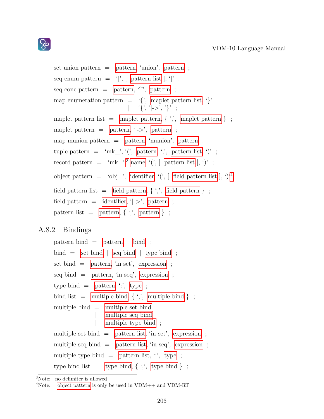<span id="page-214-12"></span><span id="page-214-11"></span><span id="page-214-7"></span><span id="page-214-6"></span> $set$  union pattern = [pattern,](#page-213-0) 'union', [pattern](#page-213-0); seqenum pattern  $=$  '[', [ [pattern list](#page-214-1) ], ']' ; seq conc pattern = [pattern,](#page-213-0)  $\hat{ }$ , [pattern](#page-213-0) ; map enumeration pattern  $= \{ \langle \cdot, \rangle \}$  [maplet pattern list,](#page-214-11)  $\langle \cdot \rangle$  $|\quad {\rm '}\{\rangle, \{-\rangle, \cdot\} \rangle$ ; maplet pattern list  $=$  [maplet pattern,](#page-214-12)  $\{\cdot,\cdot\}$ , [maplet pattern](#page-214-12)  $\}$ ; maplet [pattern](#page-213-0)  $=$  [pattern,](#page-213-0)  $\langle$ ->', pattern; map munion [pattern](#page-213-0)  $=$  [pattern,](#page-213-0) 'munion', pattern ; tuple pattern = 'mk\_', '(', [pattern,](#page-213-0) ',', [pattern list,](#page-214-1) ')' ; record pattern = 'mk\_',<sup>[3](#page-214-13)</sup> [name,](#page-209-0)'(', [ [pattern list](#page-214-1) ], ')' ; object pattern = 'obj\_', [identifier,](#page-217-0)'(',  $\lceil$  [field pattern list](#page-214-14)  $\rceil$ , ')<sup>'[4](#page-214-15)</sup>; field pattern list  $=$  [field pattern,](#page-214-16)  $\{\,\cdot\,,\,\cdot\}$  [field pattern](#page-214-16)  $\}$ ; field [pattern](#page-213-0)  $=$  [identifier,](#page-217-0)  $\langle - \rangle$ , pattern; pattern list = [pattern,](#page-213-0)  $\{\,\cdot\,,\,\cdot\,\}$  [pattern](#page-213-0)  $\}$ ;

### <span id="page-214-16"></span><span id="page-214-14"></span><span id="page-214-10"></span><span id="page-214-9"></span><span id="page-214-8"></span><span id="page-214-2"></span><span id="page-214-1"></span>A.8.2 Bindings

<span id="page-214-17"></span><span id="page-214-4"></span><span id="page-214-3"></span><span id="page-214-0"></span> $pattern \; bind = pattern \; | \; bind ;$  $pattern \; bind = pattern \; | \; bind ;$  $pattern \; bind = pattern \; | \; bind ;$  $pattern \; bind = pattern \; | \; bind ;$  $pattern \; bind = pattern \; | \; bind ;$  $bind = set bind | seq bind | type bind ;$  $bind = set bind | seq bind | type bind ;$  $bind = set bind | seq bind | type bind ;$ set bind  $=$  [pattern,](#page-213-0) 'in set', [expression](#page-200-0) ;  $seq$  bind  $=$  [pattern,](#page-213-0) 'in seq', [expression](#page-200-0) ; type bind  $=$  [pattern,](#page-213-0)  $\because$ ; [type](#page-194-1) ; bind list  $=$  [multiple bind,](#page-214-0)  $\{\cdot,\cdot\}$ , [multiple bind](#page-214-0)  $\}$ ; multiple bind  $=$  [multiple set bind](#page-214-18) | [multiple seq bind](#page-214-19) | [multiple type bind](#page-214-20) ; multiple set bind  $=$  [pattern list,](#page-214-1) 'in set', [expression](#page-200-0) ; multiple seq bind  $=$  [pattern list,](#page-214-1) 'in seq', [expression](#page-200-0) ; multiple [type](#page-194-1) bind  $=$  [pattern list,](#page-214-1)  $\cdot$ ; type ; type bind list  $=$  [type bind,](#page-214-17)  $\{\cdot, \cdot\}$ , [type bind](#page-214-17)  $\}$ ;

<span id="page-214-20"></span><span id="page-214-19"></span><span id="page-214-18"></span><span id="page-214-13"></span><span id="page-214-5"></span><sup>3</sup>Note: no delimiter is allowed

<span id="page-214-15"></span><sup>&</sup>lt;sup>4</sup>Note: [object pattern](#page-214-9) is only be used in VDM++ and VDM-RT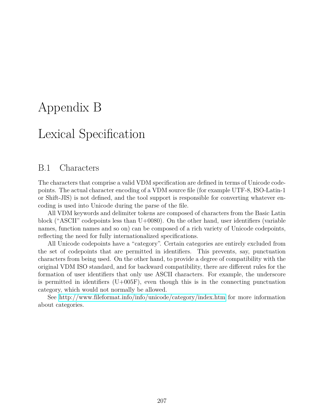# Appendix B

# Lexical Specification

## B.1 Characters

The characters that comprise a valid VDM specification are defined in terms of Unicode codepoints. The actual character encoding of a VDM source file (for example UTF-8, ISO-Latin-1 or Shift-JIS) is not defined, and the tool support is responsible for converting whatever encoding is used into Unicode during the parse of the file.

All VDM keywords and delimiter tokens are composed of characters from the Basic Latin block ("ASCII" codepoints less than  $U+0080$ ). On the other hand, user identifiers (variable names, function names and so on) can be composed of a rich variety of Unicode codepoints, reflecting the need for fully internationalized specifications.

All Unicode codepoints have a "category". Certain categories are entirely excluded from the set of codepoints that are permitted in identifiers. This prevents, say, punctuation characters from being used. On the other hand, to provide a degree of compatibility with the original VDM ISO standard, and for backward compatibility, there are different rules for the formation of user identifiers that only use ASCII characters. For example, the underscore is permitted in identifiers  $(U+005F)$ , even though this is in the connecting punctuation category, which would not normally be allowed.

See<http://www.fileformat.info/info/unicode/category/index.htm> for more information about categories.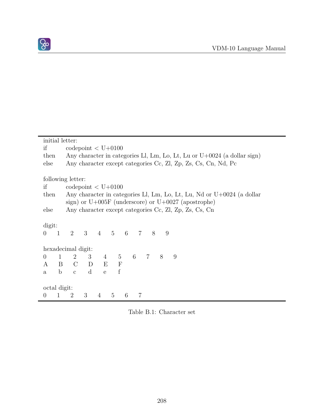

|                          | initial letter:    |                                                                            |                               |                 |   |             |                |   |                                                                          |
|--------------------------|--------------------|----------------------------------------------------------------------------|-------------------------------|-----------------|---|-------------|----------------|---|--------------------------------------------------------------------------|
| if                       |                    | $\text{codepoint} < U + 0100$                                              |                               |                 |   |             |                |   |                                                                          |
| then                     |                    | Any character in categories Ll, Lm, Lo, Lt, Lu or $U+0024$ (a dollar sign) |                               |                 |   |             |                |   |                                                                          |
| else                     |                    | Any character except categories Cc, Zl, Zp, Zs, Cs, Cn, Nd, Pc             |                               |                 |   |             |                |   |                                                                          |
|                          |                    |                                                                            |                               |                 |   |             |                |   |                                                                          |
|                          | following letter:  |                                                                            |                               |                 |   |             |                |   |                                                                          |
| if                       |                    |                                                                            | $\text{codepoint} < U + 0100$ |                 |   |             |                |   |                                                                          |
| then                     |                    |                                                                            |                               |                 |   |             |                |   | Any character in categories Ll, Lm, Lo, Lt, Lu, Nd or $U+0024$ (a dollar |
|                          |                    |                                                                            |                               |                 |   |             |                |   | sign) or $U+005F$ (underscore) or $U+0027$ (apostrophe)                  |
| else                     |                    |                                                                            |                               |                 |   |             |                |   | Any character except categories Cc, Zl, Zp, Zs, Cs, Cn                   |
|                          |                    |                                                                            |                               |                 |   |             |                |   |                                                                          |
| digit:                   |                    |                                                                            |                               |                 |   |             |                |   |                                                                          |
| $\overline{0}$<br>1      | $\overline{2}$     | 3                                                                          | $\overline{4}$                | $5\qquad 6$     |   | 7           | 8              | 9 |                                                                          |
|                          |                    |                                                                            |                               |                 |   |             |                |   |                                                                          |
|                          | hexadecimal digit: |                                                                            |                               |                 |   |             |                |   |                                                                          |
| $\mathbf{1}$<br>$\theta$ | $2^{\circ}$        | 3                                                                          | 4                             | $5\overline{)}$ |   | $6^{\circ}$ | $\overline{7}$ | 8 | 9                                                                        |
| A                        | B C                | $\overline{D}$                                                             | Ε                             | $\mathbf F$     |   |             |                |   |                                                                          |
| $\mathbf b$<br>a         | $\mathbf{c}$       | $\mathbf d$                                                                | $\overline{e}$                | f               |   |             |                |   |                                                                          |
|                          |                    |                                                                            |                               |                 |   |             |                |   |                                                                          |
| octal digit:             |                    |                                                                            |                               |                 |   |             |                |   |                                                                          |
| 1<br>$\theta$            | 2                  | 3                                                                          | 4                             | 5               | 6 | 7           |                |   |                                                                          |

<span id="page-216-0"></span>

| Table B.1: Character set |  |  |
|--------------------------|--|--|
|--------------------------|--|--|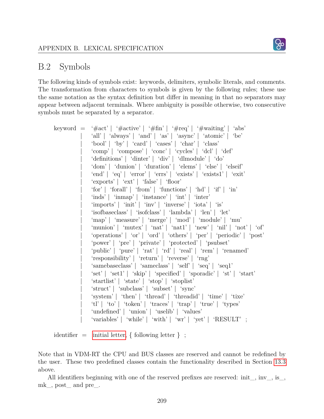

#### B.2 Symbols

The following kinds of symbols exist: keywords, delimiters, symbolic literals, and comments. The transformation from characters to symbols is given by the following rules; these use the same notation as the syntax definition but differ in meaning in that no separators may appear between adjacent terminals. Where ambiguity is possible otherwise, two consecutive symbols must be separated by a separator.

| keyword = '#act'   '#active'   '#fin'   '#req'   '#waiting'   'abs'               |
|-----------------------------------------------------------------------------------|
| 'all'   'always'   'and'   'as'   'async'   'atomic'   'be'                       |
| 'bool' $\vert$ 'by' $\vert$ 'card' $\vert$ 'cases' $\vert$ 'char' $\vert$ 'class' |
| 'comp'   'compose'   'conc'   'cycles'   'del'   'def'                            |
| 'definitions'   'dinter'   'div'   'dlmodule'   'do'                              |
| 'dom'   'dunion'   'duration'   'elems'   'else'   'elseif'                       |
| 'end'   'eq'   'error'   'errs'   'exists'   'exists1'   'exit'                   |
| 'exports'   'ext'   'false'   'floor'                                             |
| 'for'   'forall'   'from'   'functions'   'hd'   'if'   'in'                      |
| 'inds'   'inmap'   'instance'   'int'   'inter'                                   |
| 'imports'   'init'   'inv'   'inverse'   'iota'   'is'                            |
| 'isofbaseclass'   'isofclass'   'lambda'   'len'   'let'                          |
| 'map'   'measure'   'merge'   'mod'   'module'   'mu'                             |
| 'munion'   'mutex'   'nat'   'nat1'   'new'   'nil'   'not'   'of'                |
| 'operations'   'or'   'ord'   'others'   'per'   'periodic'   'post'              |
| 'power'   'pre'   'private'   'protected'   'psubset'                             |
| 'public'   'pure'   'rat'   'rd'   'real'   'rem'   'renamed'                     |
| 'responsibility'   'return'   'reverse'   'rng'                                   |
| 'samebaseclass'   'sameclass'   'self'   'seq'   'seq1'                           |
| 'set'   'set1'   'skip'   'specified'   'sporadic'   'st'   'start'               |
| 'startlist'   'state'   'stop'   'stoplist'                                       |
| 'struct'   'subclass'   'subset'   'sync'                                         |
| 'system'   'then'   'thread'   'threadid'   'time'   'tixe'                       |
| 'tl'   'to'   'token'   'traces'   'trap'   'true'   'types'                      |
| 'undefined'   'union'   'uselib'   'values'                                       |
| 'variables'   'while'   'with'   'wr'   'yet'   'RESULT';                         |
|                                                                                   |

<span id="page-217-0"></span>identifier  $=$  [initial letter,](#page-228-0) { following letter } ;

Note that in VDM-RT the CPU and BUS classes are reserved and cannot be redefined by the user. These two predefined classes contain the functionality described in Section [13.3](#page-158-0) above.

All identifiers beginning with one of the reserved prefixes are reserved: init\_, inv\_, is\_, mk\_, post\_ and pre\_.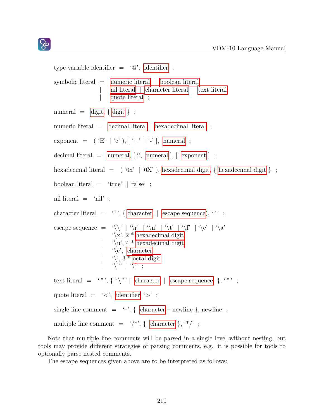

<span id="page-218-7"></span><span id="page-218-6"></span><span id="page-218-2"></span><span id="page-218-1"></span><span id="page-218-0"></span>type variable [identifier](#page-217-0)  $=$  ' $\mathbb{Q}$ ', identifier ; symbolic literal = [numeric literal](#page-218-0) | [boolean literal](#page-218-1) | [nil literal](#page-218-2) | [character literal](#page-218-3) | [text literal](#page-218-4) | [quote literal](#page-218-5) ; numeral  $=$  [digit,](#page-216-0)  $\{$  [digit](#page-216-0)  $\}$ ; numeric literal = [decimal literal](#page-216-0) | [hexadecimal literal](#page-216-0) ; exponent =  $(\mathbf{E}' | \mathbf{e}'), [\mathbf{H}' + \mathbf{H}'']$ , [numeral](#page-218-6) ; decimalliteral  $=$  [numeral,](#page-218-6)  $[$   $\,$   $\,$  [numeral](#page-218-6)  $]$ ,  $[$  [exponent](#page-218-7)  $]$ ; hexadecimalliteral  $=$  ('0x' | '0X'), [hexadecimal digit,](#page-216-0) { [hexadecimal digit](#page-216-0) } ; boolean literal  $=$  'true' | 'false' ; nil literal = 'nil' ; characterliteral  $=$  ''', ( [character](#page-228-0) | [escape sequence\)](#page-218-8), ''' ; escape sequence = '\\' | '\r' | '\n' | '\t' | '\f' | '\e' | '\a' | $\langle x, 2 \rangle$  [hexadecimal digit](#page-216-0) | $\forall u$ ', 4 \* [hexadecimal digit](#page-216-0) |  $\langle c \rangle$ , [character](#page-228-0) | $\langle \cdot \rangle$ , 3  $*$  [octal digit](#page-216-0)  $|\wedge$ "'  $|\wedge$ "; text literal = '"', { '\"' | [character](#page-228-0) | [escape sequence](#page-218-8) }, '"' ; quote literal  $=$  '<', [identifier,](#page-217-0) '>' ; single line comment  $=$   $\dot{-}$ , { [character](#page-228-0) – newline }, newline ; multiple line comment  $\ =\ \ '/\ast\text{'},$  { [character](#page-228-0) },  $\lq\ast\text{/'}$  ;

<span id="page-218-8"></span><span id="page-218-5"></span><span id="page-218-4"></span><span id="page-218-3"></span>Note that multiple line comments will be parsed in a single level without nesting, but tools may provide different strategies of parsing comments, e.g. it is possible for tools to optionally parse nested comments.

The escape sequences given above are to be interpreted as follows: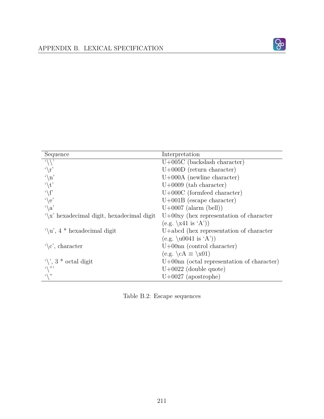

| Sequence                                                              | Interpretation                                |
|-----------------------------------------------------------------------|-----------------------------------------------|
| $\langle \setminus \rangle$                                           | $U+005C$ (backslash character)                |
| $\mathbf{r}'$                                                         | $U+000D$ (return character)                   |
| $\mathbb{R}^n$                                                        | $U+000A$ (newline character)                  |
| $\hat{t}$                                                             | $U+0009$ (tab character)                      |
| $\hat{f}$                                                             | $U+000C$ (formfeed character)                 |
| $\lq\lq e$                                                            | $U+001B$ (escape character)                   |
| $\alpha$                                                              | $U+0007$ (alarm (bell))                       |
| $\sqrt{x}$ hexadecimal digit, hexadecimal digit                       | $U+00xy$ (hex representation of character     |
|                                                                       | $(e.g. \x41 is 'A'))$                         |
| $\sqrt{u}$ , 4 * hexadecimal digit                                    | $U + abcd$ (hex representation of character   |
|                                                                       | $(e.g. \u0041 \text{ is 'A'})$                |
| $\langle c \rangle$ , character                                       | $U+00$ nn (control character)                 |
|                                                                       | $(e.g. \setminus cA \equiv \setminus x01)$    |
| $\langle \cdot \rangle$ , 3 $*$ octal digit                           | $U+00$ nn (octal representation of character) |
| $\left\langle \cdot \right\rangle$ $\left\langle \cdot \right\rangle$ | $U+0022$ (double quote)                       |
|                                                                       | $U+0027$ (apostrophe)                         |

Table B.2: Escape sequences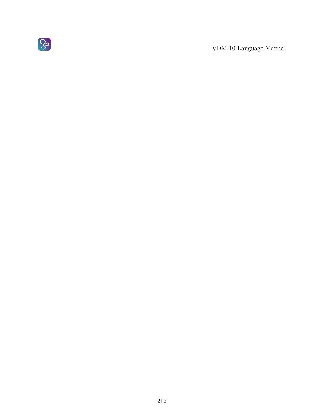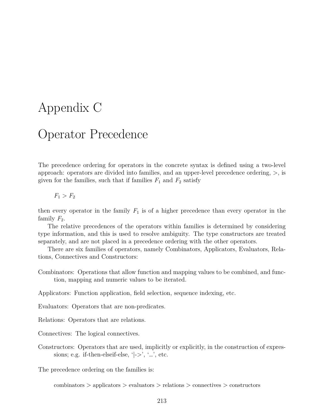## Appendix C

## Operator Precedence

The precedence ordering for operators in the concrete syntax is defined using a two-level approach: operators are divided into families, and an upper-level precedence ordering, >, is given for the families, such that if families  $F_1$  and  $F_2$  satisfy

#### $F_1 > F_2$

then every operator in the family  $F_1$  is of a higher precedence than every operator in the family  $F_2$ .

The relative precedences of the operators within families is determined by considering type information, and this is used to resolve ambiguity. The type constructors are treated separately, and are not placed in a precedence ordering with the other operators.

There are six families of operators, namely Combinators, Applicators, Evaluators, Relations, Connectives and Constructors:

Combinators: Operations that allow function and mapping values to be combined, and function, mapping and numeric values to be iterated.

Applicators: Function application, field selection, sequence indexing, etc.

Evaluators: Operators that are non-predicates.

Relations: Operators that are relations.

Connectives: The logical connectives.

Constructors: Operators that are used, implicitly or explicitly, in the construction of expressions; e.g. if-then-elseif-else,  $\langle$  ->',  $\langle$  ...', etc.

The precedence ordering on the families is:

 $combinations > applications > evaluations > relations > connections > constructs$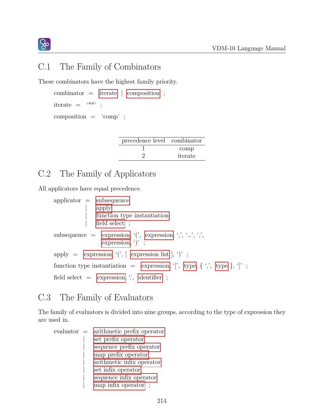

 $\left[ 8\right]$ 

These combinators have the highest family priority.

```
combinator = iterate | composition ;
iterate = '**' ;
composition = 'comp' ;
```

| precedence level combinator |         |
|-----------------------------|---------|
|                             | comp    |
|                             | iterate |

### C.2 The Family of Applicators

All applicators have equal precedence.

applicator = [subsequence](#page-206-0) | [apply](#page-207-0) [function type instantiation](#page-207-1) [field select](#page-207-2) ; subsequence = [expression,](#page-200-0)  $\langle \cdot, \cdot \rangle$  expression,  $\langle \cdot, \cdot \rangle \langle \cdot \rangle$ , [expression,](#page-200-0)  $\langle$ )' ; apply = [expression,](#page-200-0) $\langle \cdot, [$  [expression list](#page-200-1)  $], \cdot \rangle'$ ; function type instantiation = [expression,](#page-200-0) '[', [type,](#page-194-0)  $\{\cdot\cdot\}$ , [type](#page-194-0)  $\}$ , ']' ; field select  $=$  [expression,](#page-200-0)  $\therefore$  [identifier](#page-217-0) ;

#### C.3 The Family of Evaluators

The family of evaluators is divided into nine groups, according to the type of expression they are used in.

<span id="page-222-0"></span>evaluator = [arithmetic prefix operator](#page-222-0) | [set prefix operator](#page-223-0) | [sequence prefix operator](#page-223-1) | [map prefix operator](#page-223-2) | [arithmetic infix operator](#page-223-3) set infix operator | [sequence infix operator](#page-223-4) [map infix operator](#page-223-5) ;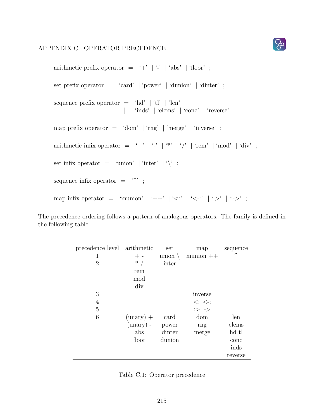

```
arithmetic prefix operator = '+' | '-' | 'abs' | 'floor' ;
set prefix operator = 'card' | 'power' | 'dunion' | 'dinter' ;
sequence prefix operator = 'hd' | 'tl' | 'len'
                            | 'inds' | 'elems' | 'conc' | 'reverse' ;
map prefix operator = 'dom' | 'rng' | 'merge' | 'inverse' ;
arithmetic infix operator = '+' | '-' | '*' | '/' | 'rem' | 'mod' | 'div' ;
set infix operator = 'union' | 'inter' |\rangle' ;
sequence infix operator = \curvearrowright;
map infix operator = 'munion' |\uparrow + +' | \uparrow < \cdot' |\uparrow < \cdot' |\uparrow >' | \uparrow >';
```
<span id="page-223-5"></span><span id="page-223-4"></span><span id="page-223-3"></span>The precedence ordering follows a pattern of analogous operators. The family is defined in the following table.

| precedence level arithmetic |                 | set               | map               | sequence |
|-----------------------------|-----------------|-------------------|-------------------|----------|
| 1                           |                 | union $\setminus$ | $munion$ ++       |          |
| $\overline{2}$              | $\ast$          | inter             |                   |          |
|                             | rem             |                   |                   |          |
|                             | mod             |                   |                   |          |
|                             | div             |                   |                   |          |
| 3                           |                 |                   | inverse           |          |
| 4                           |                 |                   | $\lt:~\lt$ -:     |          |
| 5                           |                 |                   | $\Rightarrow$ :-> |          |
| 6                           | $($ unary $)+$  | card              | dom               | len      |
|                             | $($ unary $)$ - | power             | rng               | elems    |
|                             | abs             | dinter            | merge             | hd tl    |
|                             | floor           | dunion            |                   | conc     |
|                             |                 |                   |                   | inds     |
|                             |                 |                   |                   | reverse  |

Table C.1: Operator precedence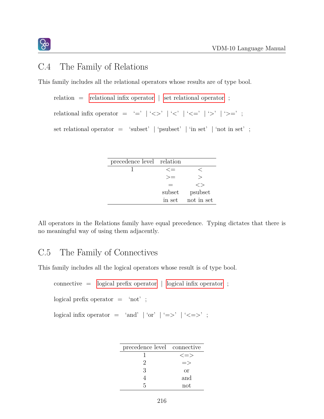### C.4 The Family of Relations

This family includes all the relational operators whose results are of type bool.

relation = [relational infix operator](#page-224-0) | [set relational operator](#page-224-1) ;

<span id="page-224-0"></span>relational infix operator = '=' | '<>' | '<' | '<=' | '>' | '>=' ;

<span id="page-224-1"></span>set relational operator  $=$  'subset' | 'psubset' | 'in set' | 'not in set' ;

| precedence level relation |        |            |
|---------------------------|--------|------------|
|                           | $<=$   | ∈          |
|                           |        |            |
|                           |        | CD.        |
|                           | subset | psubset    |
|                           | in set | not in set |

All operators in the Relations family have equal precedence. Typing dictates that there is no meaningful way of using them adjacently.

#### C.5 The Family of Connectives

This family includes all the logical operators whose result is of type bool.

 $\text{connective} = \text{logical prefix operator} \mid \text{logical infra operator} ;$ 

<span id="page-224-2"></span> $logical prefix operator = 'not' ;$ 

<span id="page-224-3"></span> $\label{eq:10} \mbox{logical infix operator} \ = \ \mbox{ `and' }\ | \mbox{ `or' }\ | \mbox{ `=>}'\ | \mbox{ `<->}'\ ;$ 

| precedence level connective |           |
|-----------------------------|-----------|
|                             | $\ll=\gt$ |
| $\mathcal{D}$               | $=$ $>$   |
| 3                           | $\alpha$  |
|                             | and       |
| 5                           | not       |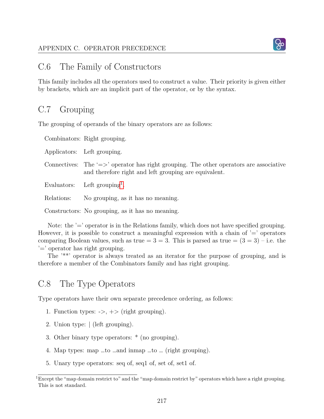

#### C.6 The Family of Constructors

This family includes all the operators used to construct a value. Their priority is given either by brackets, which are an implicit part of the operator, or by the syntax.

#### C.7 Grouping

The grouping of operands of the binary operators are as follows:

|            | Combinators: Right grouping.                                                                                                                               |
|------------|------------------------------------------------------------------------------------------------------------------------------------------------------------|
|            | Applicators: Left grouping.                                                                                                                                |
|            | Connectives: The $\epsilon$ = >' operator has right grouping. The other operators are associative<br>and therefore right and left grouping are equivalent. |
|            | Evaluators: Left grouping <sup>1</sup> .                                                                                                                   |
| Relations: | No grouping, as it has no meaning.                                                                                                                         |
|            | Constructors: No grouping, as it has no meaning.                                                                                                           |

Note: the  $=$  operator is in the Relations family, which does not have specified grouping. However, it is possible to construct a meaningful expression with a chain of  $=$  operators comparing Boolean values, such as true  $= 3 = 3$ . This is parsed as true  $= (3 = 3) - i.e.$  the '=' operator has right grouping.

The '\*\*' operator is always treated as an iterator for the purpose of grouping, and is therefore a member of the Combinators family and has right grouping.

#### C.8 The Type Operators

Type operators have their own separate precedence ordering, as follows:

- 1. Function types:  $\rightarrow$ ,  $\rightarrow$  (right grouping).
- 2. Union type: | (left grouping).
- 3. Other binary type operators: \* (no grouping).
- 4. Map types: map …to …and inmap …to … (right grouping).
- 5. Unary type operators: seq of, seq1 of, set of, set1 of.

<span id="page-225-0"></span><sup>&</sup>lt;sup>1</sup>Except the "map domain restrict to" and the "map domain restrict by" operators which have a right grouping. This is not standard.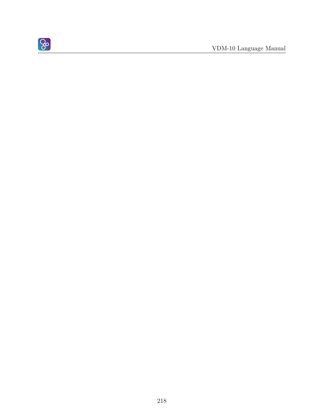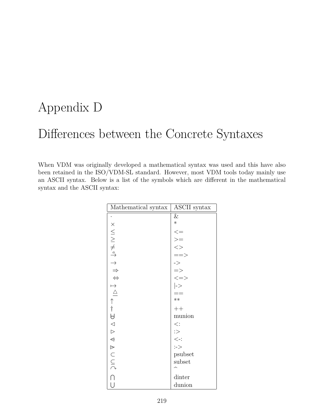# Appendix D

## Differences between the Concrete Syntaxes

When VDM was originally developed a mathematical syntax was used and this have also been retained in the ISO/VDM-SL standard. However, most VDM tools today mainly use an ASCII syntax. Below is a list of the symbols which are different in the mathematical syntax and the ASCII syntax:

| Mathematical syntax                                                                                   | ASCII syntax            |
|-------------------------------------------------------------------------------------------------------|-------------------------|
|                                                                                                       | &                       |
|                                                                                                       | $\ast$                  |
| $\times$ $\times$ $\times$ $\times$ $\times$ $\times$ $\times$ $\times$                               | $\leq$                  |
|                                                                                                       | $\geq$ =                |
|                                                                                                       |                         |
|                                                                                                       | $=$ $=$ $>$             |
|                                                                                                       | $\rightarrow$           |
| $\begin{array}{ccc} \Rightarrow & \Rightarrow \\ \Rightarrow & \Leftrightarrow \\ \bot & \end{array}$ | $\Rightarrow$           |
|                                                                                                       | $\texttt{<=}\texttt{>}$ |
|                                                                                                       | $\mid$ - $>$            |
|                                                                                                       |                         |
| ↑                                                                                                     | $**$                    |
|                                                                                                       | $++$                    |
|                                                                                                       | munion                  |
|                                                                                                       | $<:$                    |
|                                                                                                       | $\Rightarrow$           |
|                                                                                                       | $\lt$ -:                |
|                                                                                                       | $:=$                    |
|                                                                                                       | psubset                 |
| ナリク マク マク クロ                                                                                          | subset                  |
|                                                                                                       |                         |
| ∩<br>U                                                                                                | dinter                  |
|                                                                                                       | dunion                  |